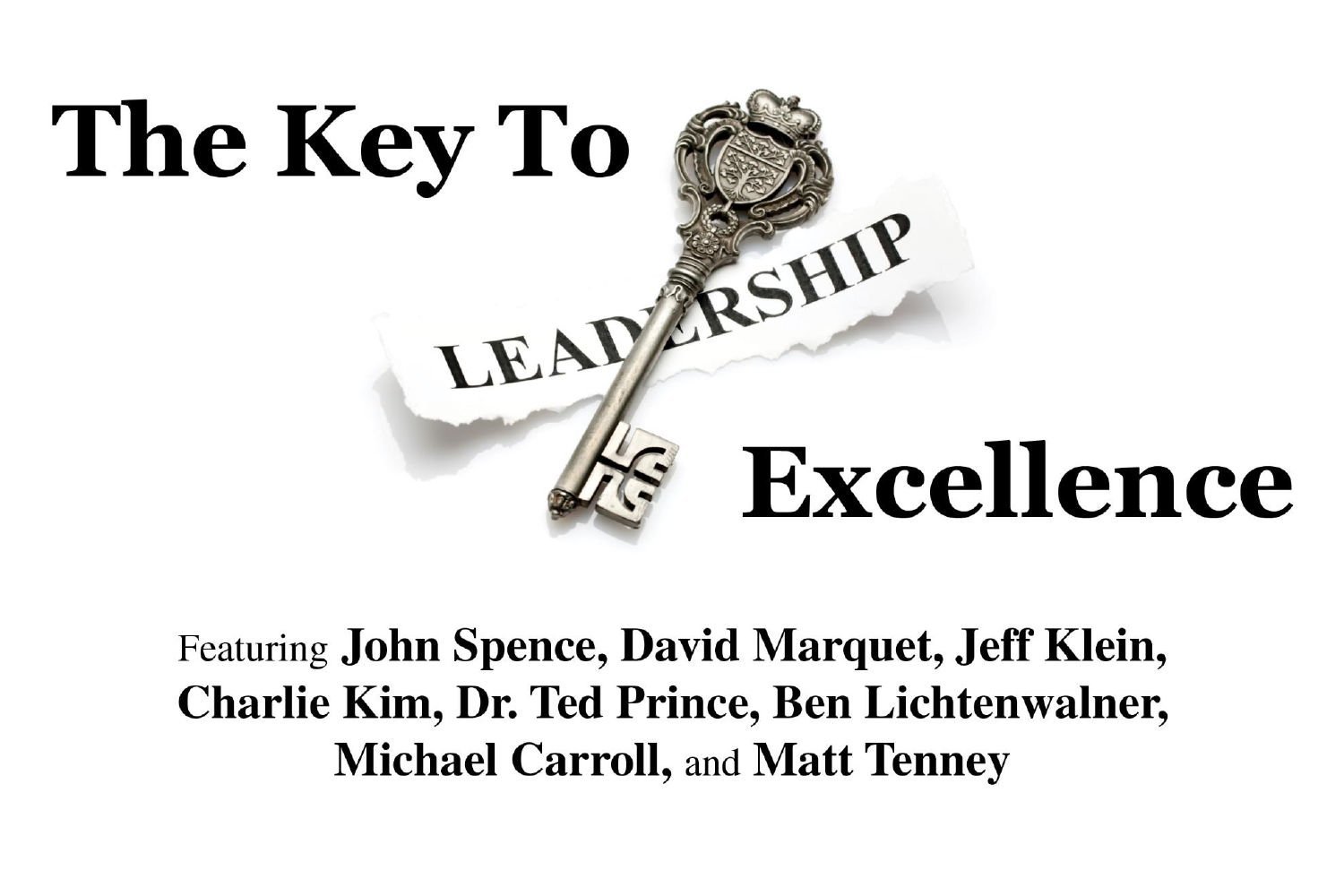

**Featuring John Spence, David Marquet, Jeff Klein, Charlie Kim, Dr. Ted Prince, Ben Lichtenwalner, Michael Carroll, and Matt Tenney**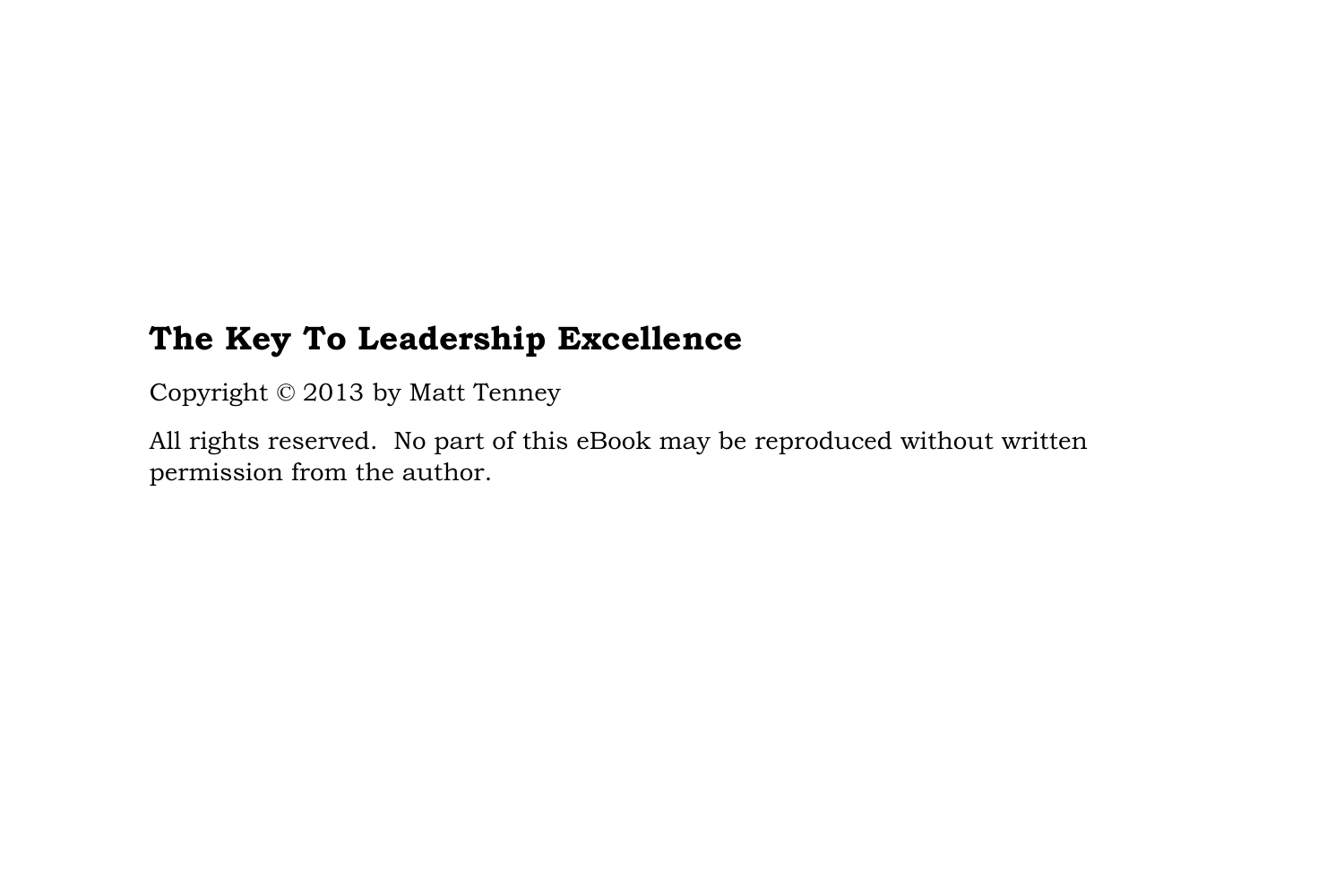### **The Key To Leadership Excellence**

Copyright © 2013 by Matt Tenney

All rights reserved. No part of this eBook may be reproduced without written permission from the author.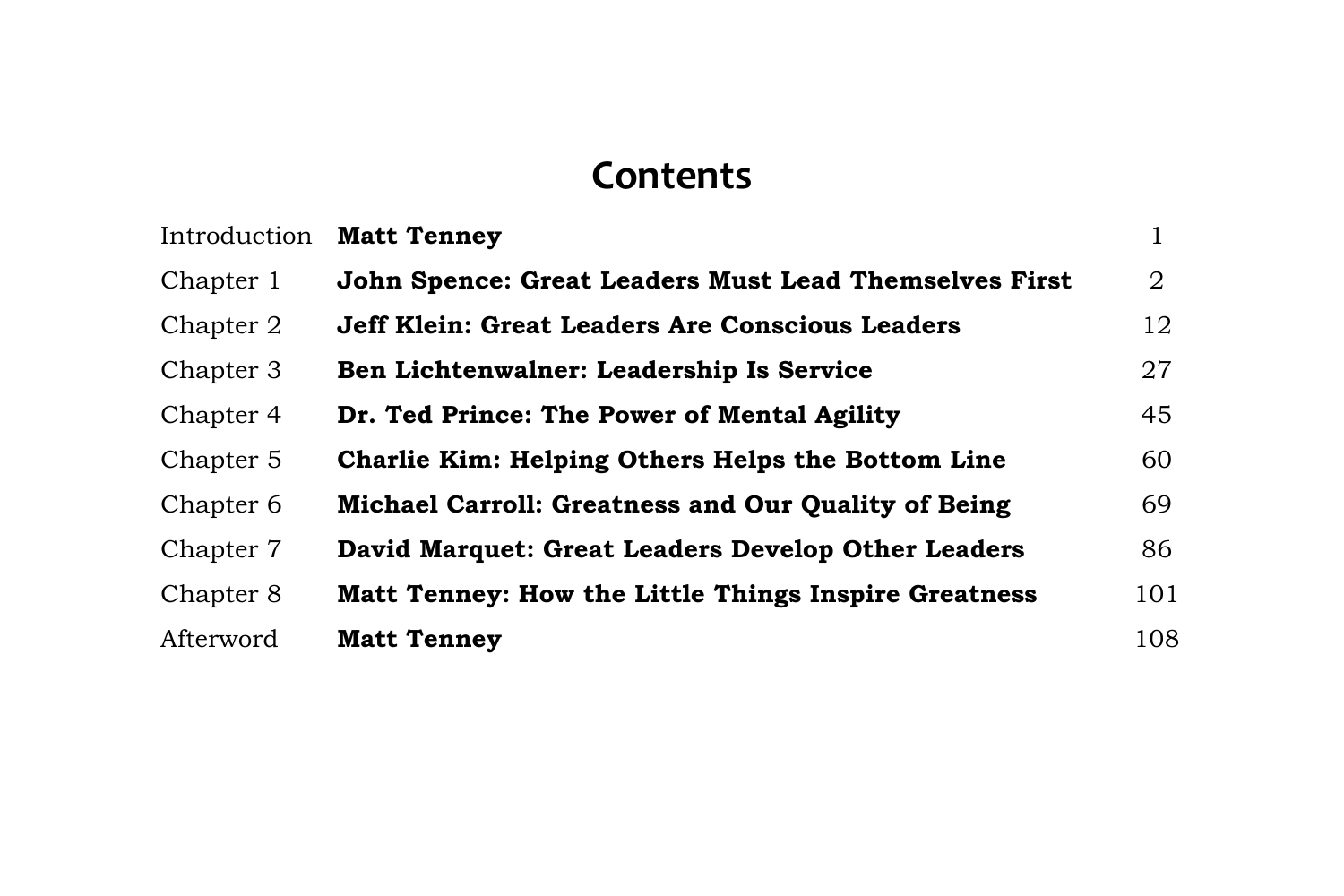## **Contents**

| Introduction | <b>Matt Tenney</b>                                         |                |
|--------------|------------------------------------------------------------|----------------|
| Chapter 1    | John Spence: Great Leaders Must Lead Themselves First      | $\overline{2}$ |
| Chapter 2    | <b>Jeff Klein: Great Leaders Are Conscious Leaders</b>     | 12             |
| Chapter 3    | Ben Lichtenwalner: Leadership Is Service                   | 27             |
| Chapter 4    | Dr. Ted Prince: The Power of Mental Agility                | 45             |
| Chapter 5    | Charlie Kim: Helping Others Helps the Bottom Line          | 60             |
| Chapter 6    | <b>Michael Carroll: Greatness and Our Quality of Being</b> | 69             |
| Chapter 7    | David Marquet: Great Leaders Develop Other Leaders         | 86             |
| Chapter 8    | Matt Tenney: How the Little Things Inspire Greatness       | 101            |
| Afterword    | <b>Matt Tenney</b>                                         | 108            |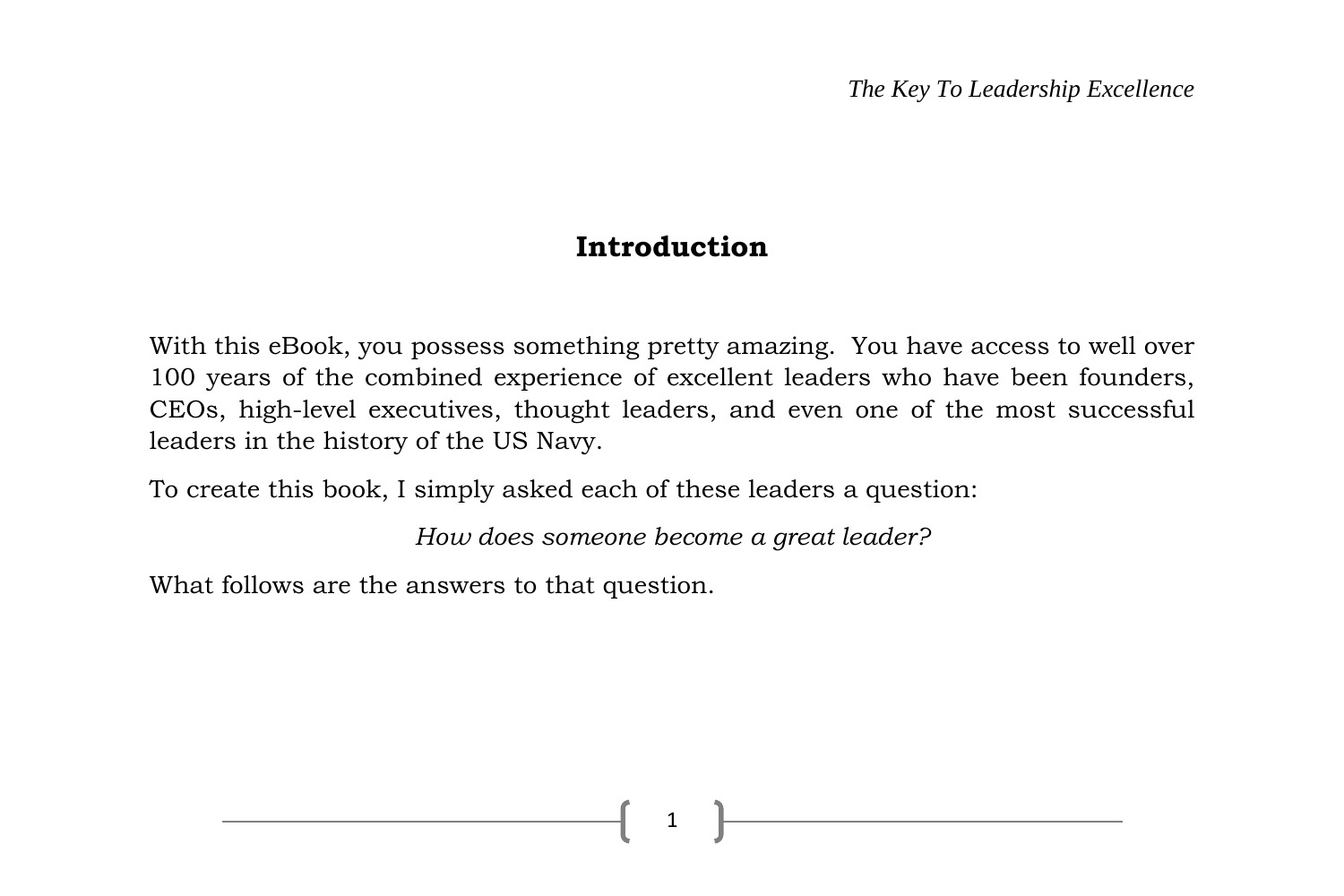#### **Introduction**

With this eBook, you possess something pretty amazing. You have access to well over 100 years of the combined experience of excellent leaders who have been founders, CEOs, high-level executives, thought leaders, and even one of the most successful leaders in the history of the US Navy.

To create this book, I simply asked each of these leaders a question:

*How does someone become a great leader?*

1

What follows are the answers to that question.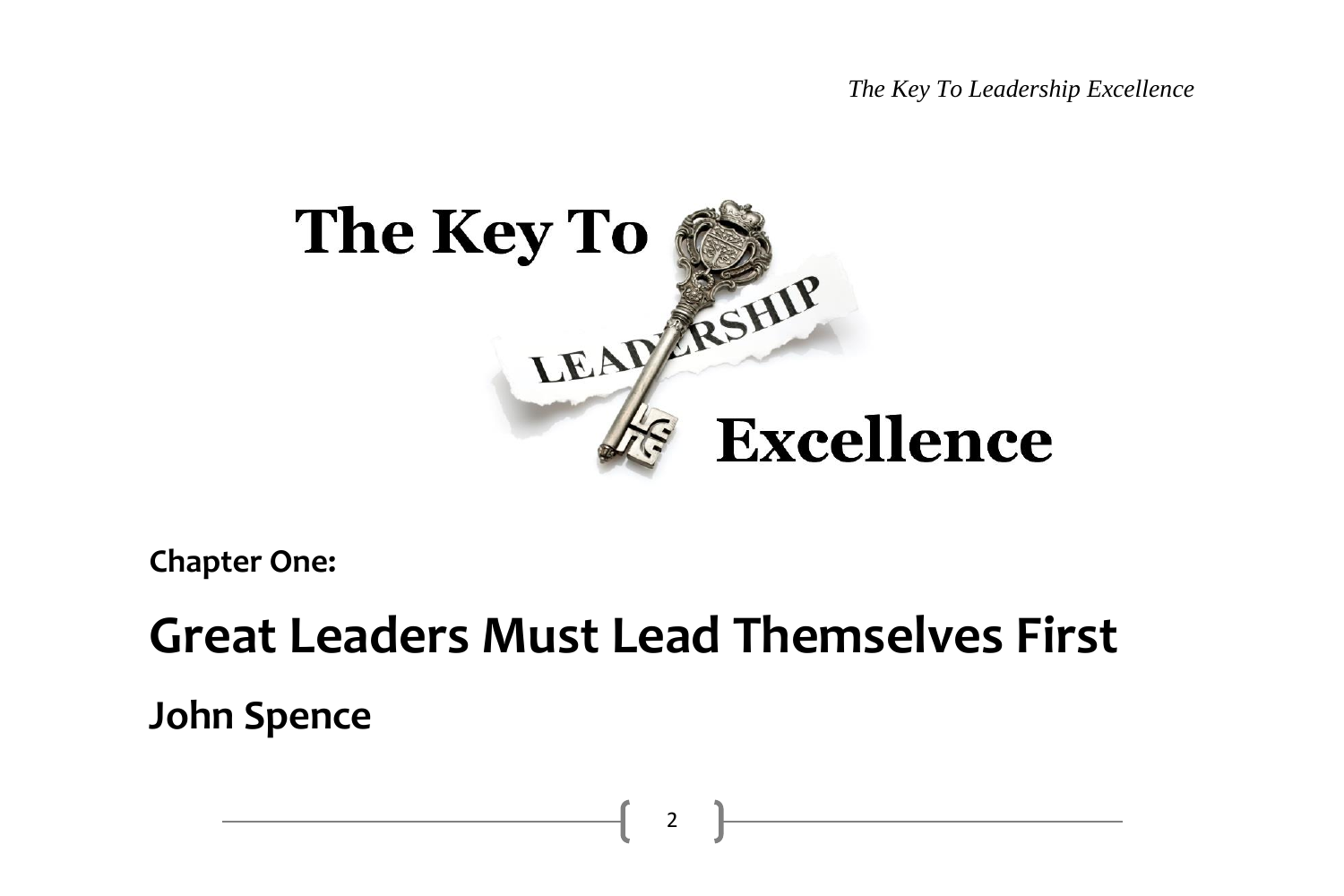*The Key To Leadership Excellence*



**Chapter One:**

# **Great Leaders Must Lead Themselves First**

**John Spence**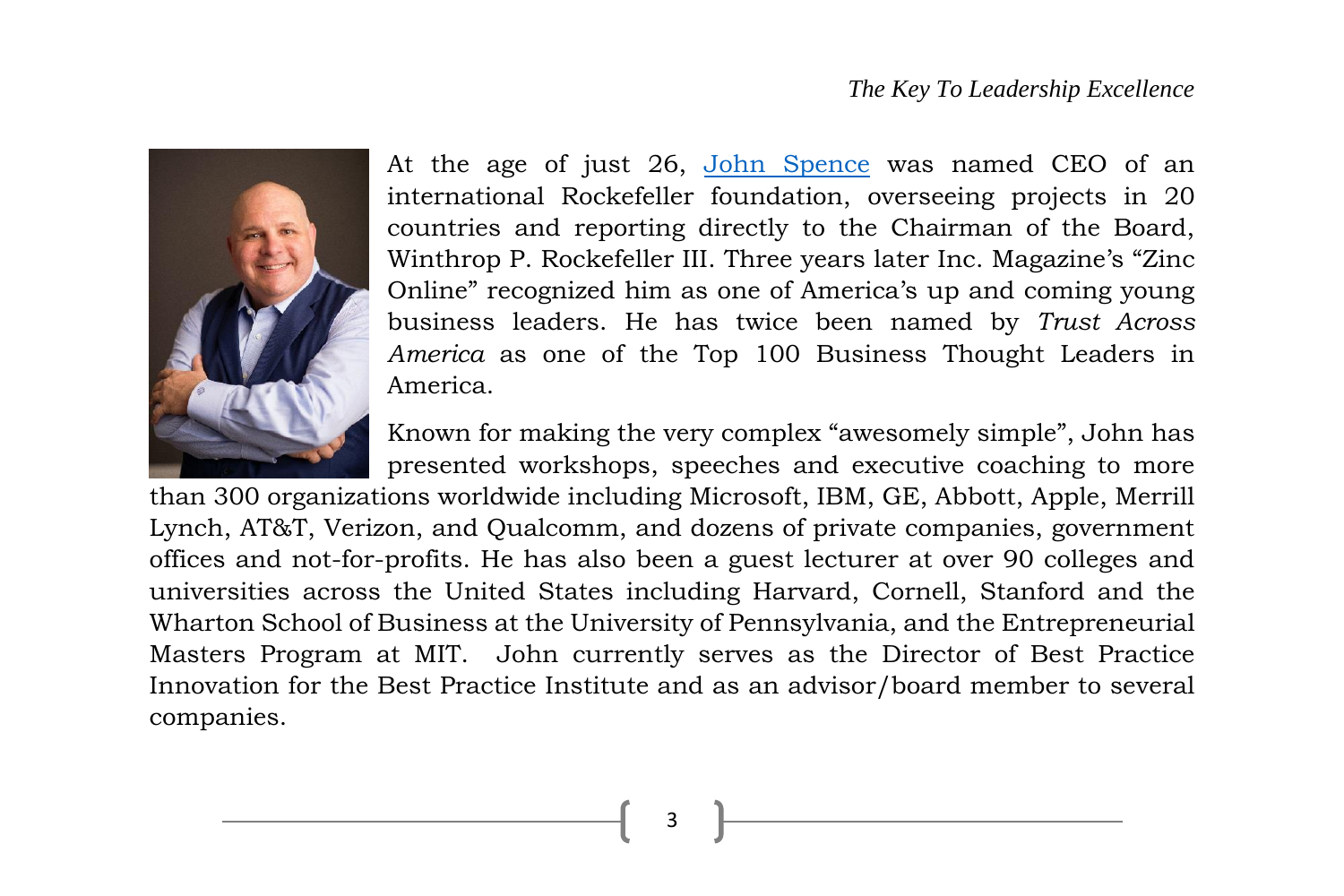

At the age of just 26, [John Spence](http://johnspence.com/) was named CEO of an international Rockefeller foundation, overseeing projects in 20 countries and reporting directly to the Chairman of the Board, Winthrop P. Rockefeller III. Three years later Inc. Magazine's "Zinc Online" recognized him as one of America's up and coming young business leaders. He has twice been named by *Trust Across America* as one of the Top 100 Business Thought Leaders in America.

Known for making the very complex "awesomely simple", John has presented workshops, speeches and executive coaching to more

than 300 organizations worldwide including Microsoft, IBM, GE, Abbott, Apple, Merrill Lynch, AT&T, Verizon, and Qualcomm, and dozens of private companies, government offices and not-for-profits. He has also been a guest lecturer at over 90 colleges and universities across the United States including Harvard, Cornell, Stanford and the Wharton School of Business at the University of Pennsylvania, and the Entrepreneurial Masters Program at MIT. John currently serves as the Director of Best Practice Innovation for the Best Practice Institute and as an advisor/board member to several companies.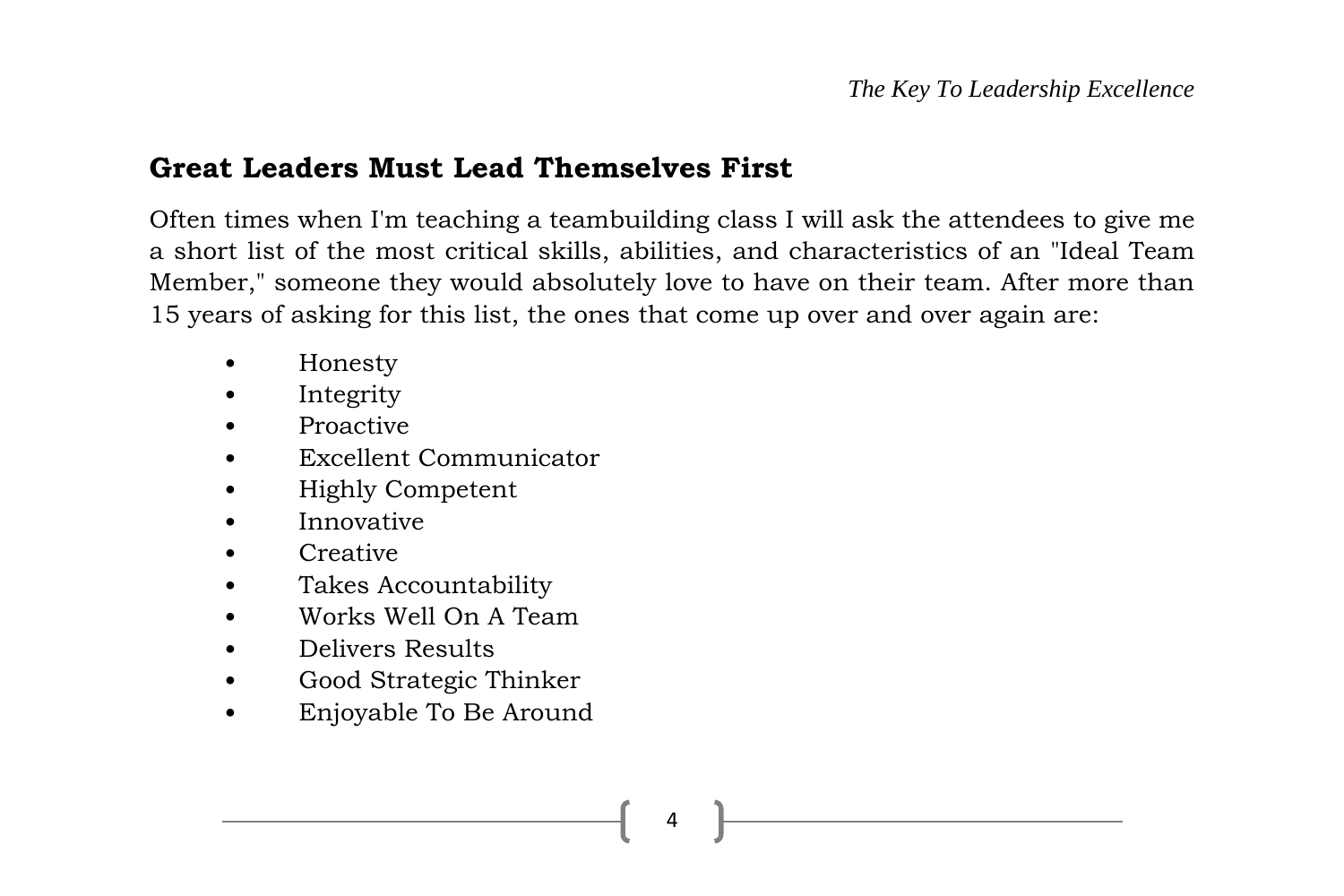#### **Great Leaders Must Lead Themselves First**

Often times when I'm teaching a teambuilding class I will ask the attendees to give me a short list of the most critical skills, abilities, and characteristics of an "Ideal Team Member," someone they would absolutely love to have on their team. After more than 15 years of asking for this list, the ones that come up over and over again are:

- Honesty
- **Integrity**
- Proactive
- Excellent Communicator
- Highly Competent
- Innovative
- Creative
- Takes Accountability
- Works Well On A Team
- Delivers Results
- Good Strategic Thinker
- Enjoyable To Be Around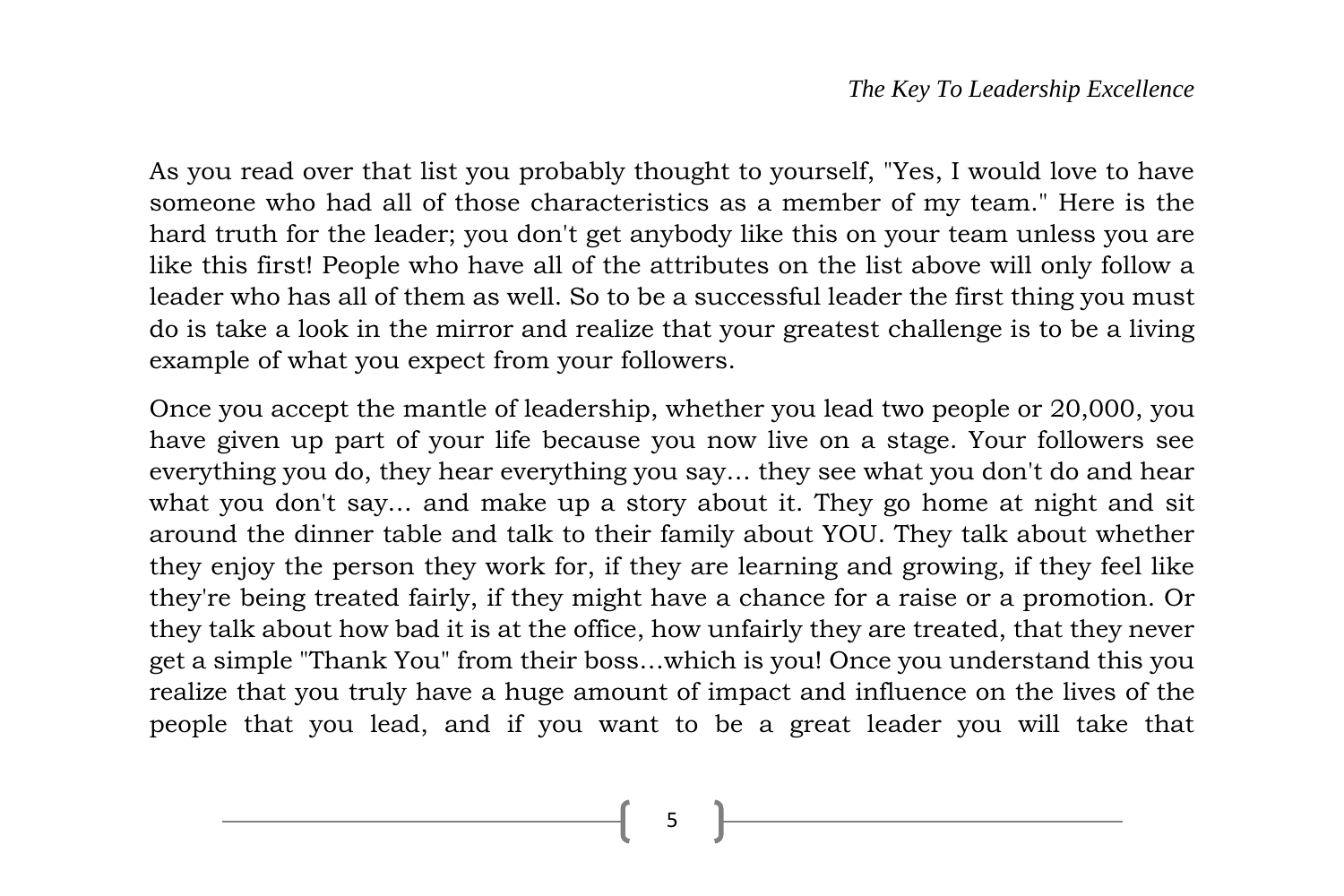As you read over that list you probably thought to yourself, "Yes, I would love to have someone who had all of those characteristics as a member of my team." Here is the hard truth for the leader; you don't get anybody like this on your team unless you are like this first! People who have all of the attributes on the list above will only follow a leader who has all of them as well. So to be a successful leader the first thing you must do is take a look in the mirror and realize that your greatest challenge is to be a living example of what you expect from your followers.

Once you accept the mantle of leadership, whether you lead two people or 20,000, you have given up part of your life because you now live on a stage. Your followers see everything you do, they hear everything you say… they see what you don't do and hear what you don't say… and make up a story about it. They go home at night and sit around the dinner table and talk to their family about YOU. They talk about whether they enjoy the person they work for, if they are learning and growing, if they feel like they're being treated fairly, if they might have a chance for a raise or a promotion. Or they talk about how bad it is at the office, how unfairly they are treated, that they never get a simple "Thank You" from their boss…which is you! Once you understand this you realize that you truly have a huge amount of impact and influence on the lives of the people that you lead, and if you want to be a great leader you will take that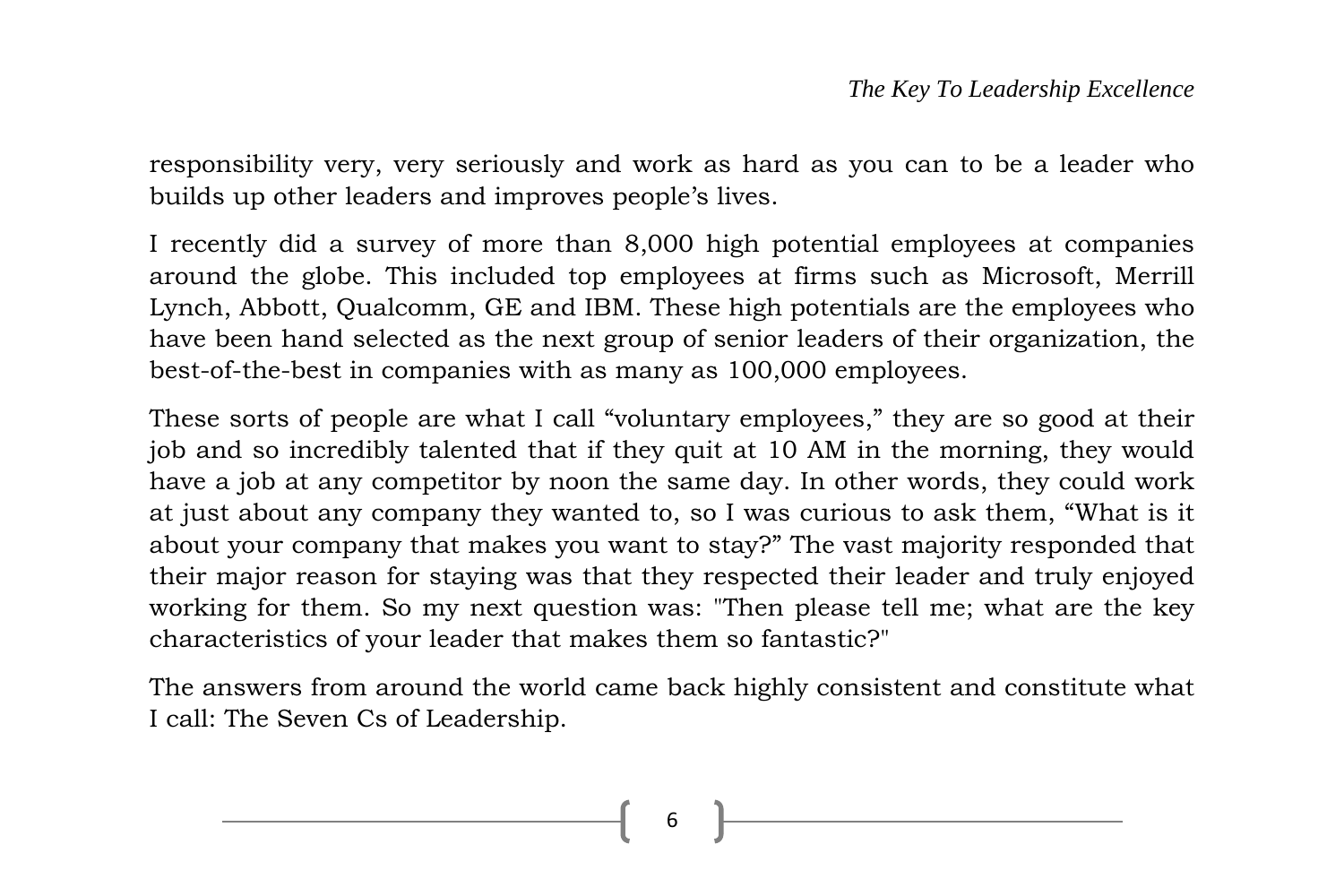responsibility very, very seriously and work as hard as you can to be a leader who builds up other leaders and improves people's lives.

I recently did a survey of more than 8,000 high potential employees at companies around the globe. This included top employees at firms such as Microsoft, Merrill Lynch, Abbott, Qualcomm, GE and IBM. These high potentials are the employees who have been hand selected as the next group of senior leaders of their organization, the best-of-the-best in companies with as many as 100,000 employees.

These sorts of people are what I call "voluntary employees," they are so good at their job and so incredibly talented that if they quit at 10 AM in the morning, they would have a job at any competitor by noon the same day. In other words, they could work at just about any company they wanted to, so I was curious to ask them, "What is it about your company that makes you want to stay?" The vast majority responded that their major reason for staying was that they respected their leader and truly enjoyed working for them. So my next question was: "Then please tell me; what are the key characteristics of your leader that makes them so fantastic?"

The answers from around the world came back highly consistent and constitute what I call: The Seven Cs of Leadership.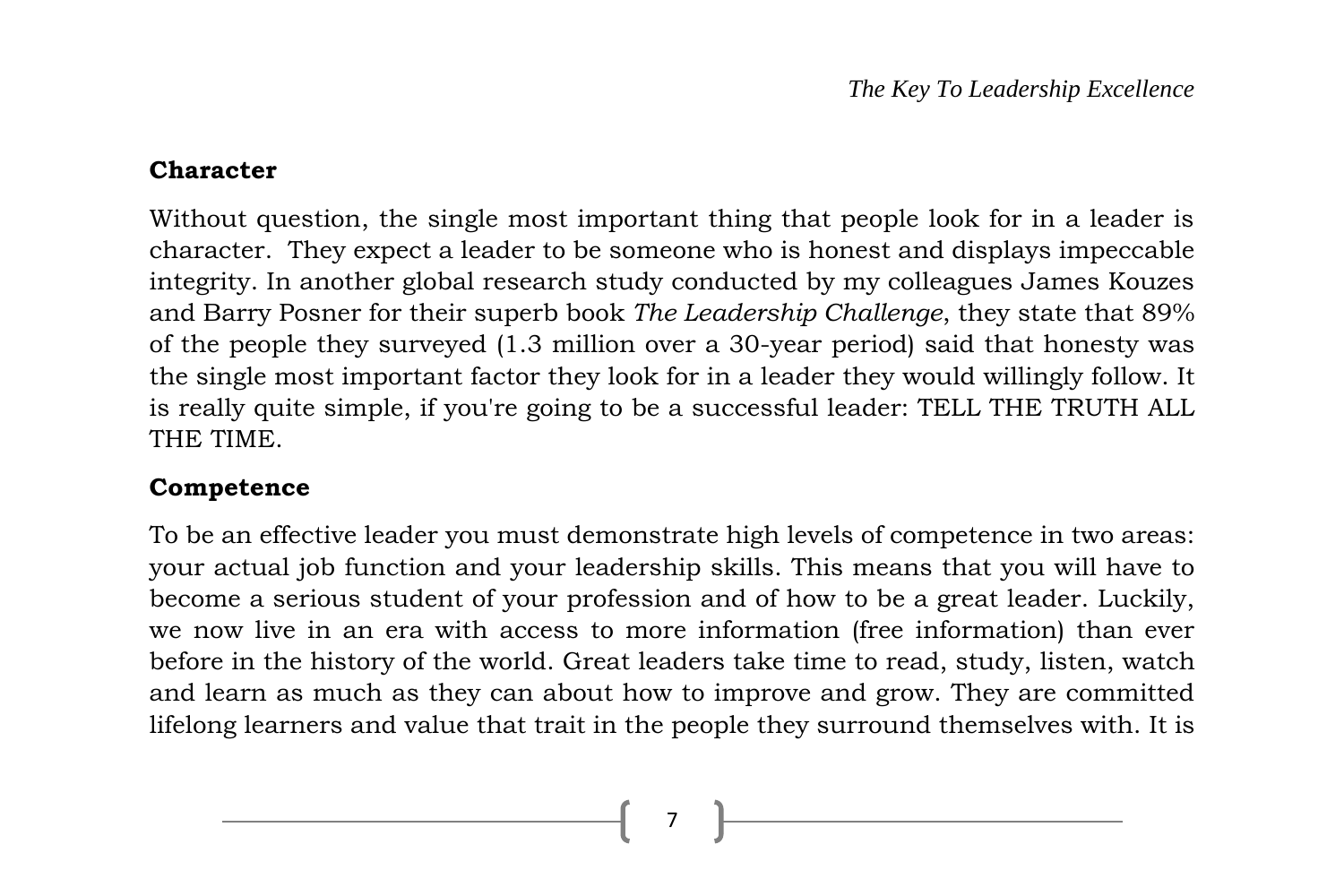#### **Character**

Without question, the single most important thing that people look for in a leader is character. They expect a leader to be someone who is honest and displays impeccable integrity. In another global research study conducted by my colleagues James Kouzes and Barry Posner for their superb book *The Leadership Challenge*, they state that 89% of the people they surveyed (1.3 million over a 30-year period) said that honesty was the single most important factor they look for in a leader they would willingly follow. It is really quite simple, if you're going to be a successful leader: TELL THE TRUTH ALL THE TIME.

#### **Competence**

To be an effective leader you must demonstrate high levels of competence in two areas: your actual job function and your leadership skills. This means that you will have to become a serious student of your profession and of how to be a great leader. Luckily, we now live in an era with access to more information (free information) than ever before in the history of the world. Great leaders take time to read, study, listen, watch and learn as much as they can about how to improve and grow. They are committed lifelong learners and value that trait in the people they surround themselves with. It is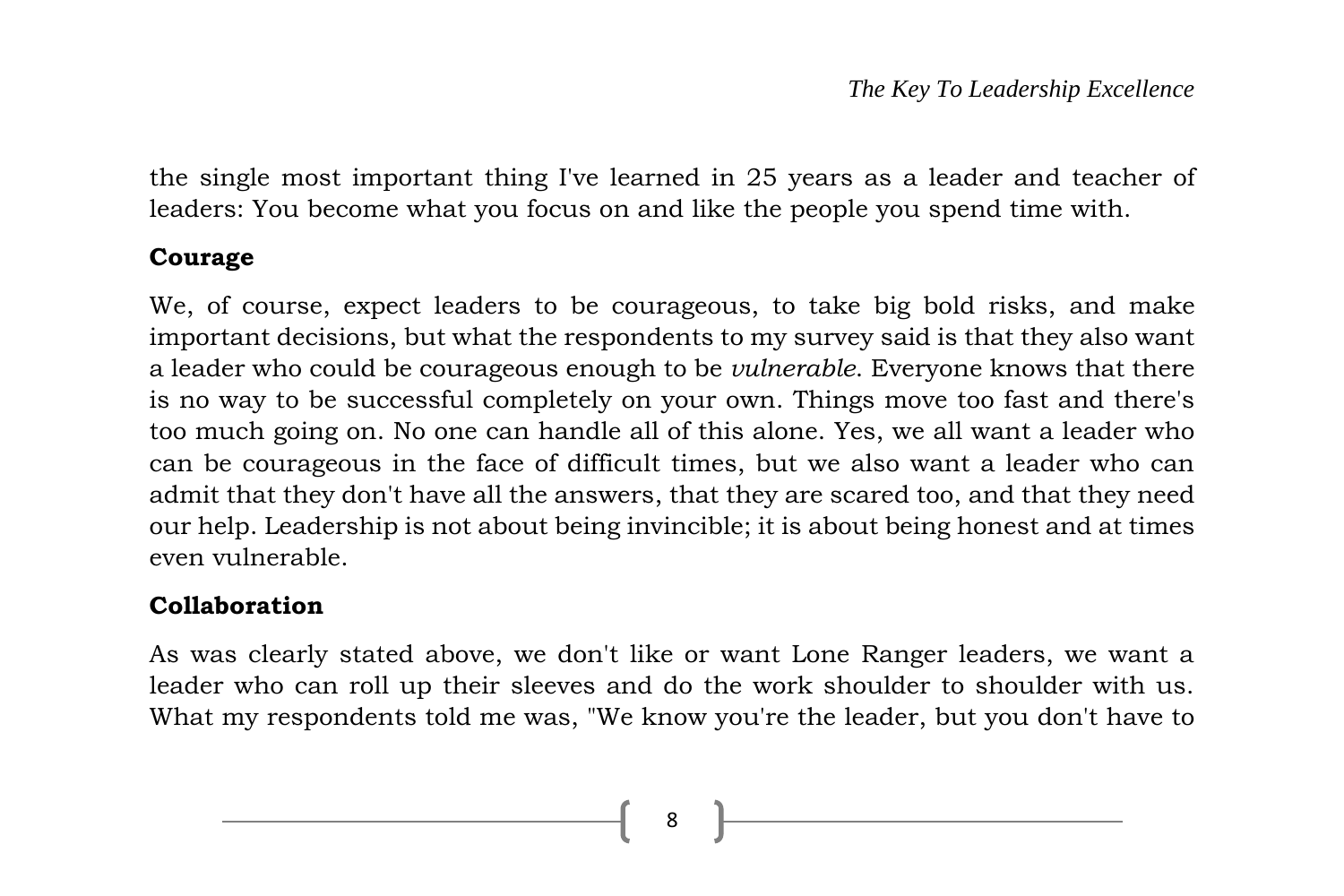the single most important thing I've learned in 25 years as a leader and teacher of leaders: You become what you focus on and like the people you spend time with.

#### **Courage**

We, of course, expect leaders to be courageous, to take big bold risks, and make important decisions, but what the respondents to my survey said is that they also want a leader who could be courageous enough to be *vulnerable*. Everyone knows that there is no way to be successful completely on your own. Things move too fast and there's too much going on. No one can handle all of this alone. Yes, we all want a leader who can be courageous in the face of difficult times, but we also want a leader who can admit that they don't have all the answers, that they are scared too, and that they need our help. Leadership is not about being invincible; it is about being honest and at times even vulnerable.

#### **Collaboration**

As was clearly stated above, we don't like or want Lone Ranger leaders, we want a leader who can roll up their sleeves and do the work shoulder to shoulder with us. What my respondents told me was, "We know you're the leader, but you don't have to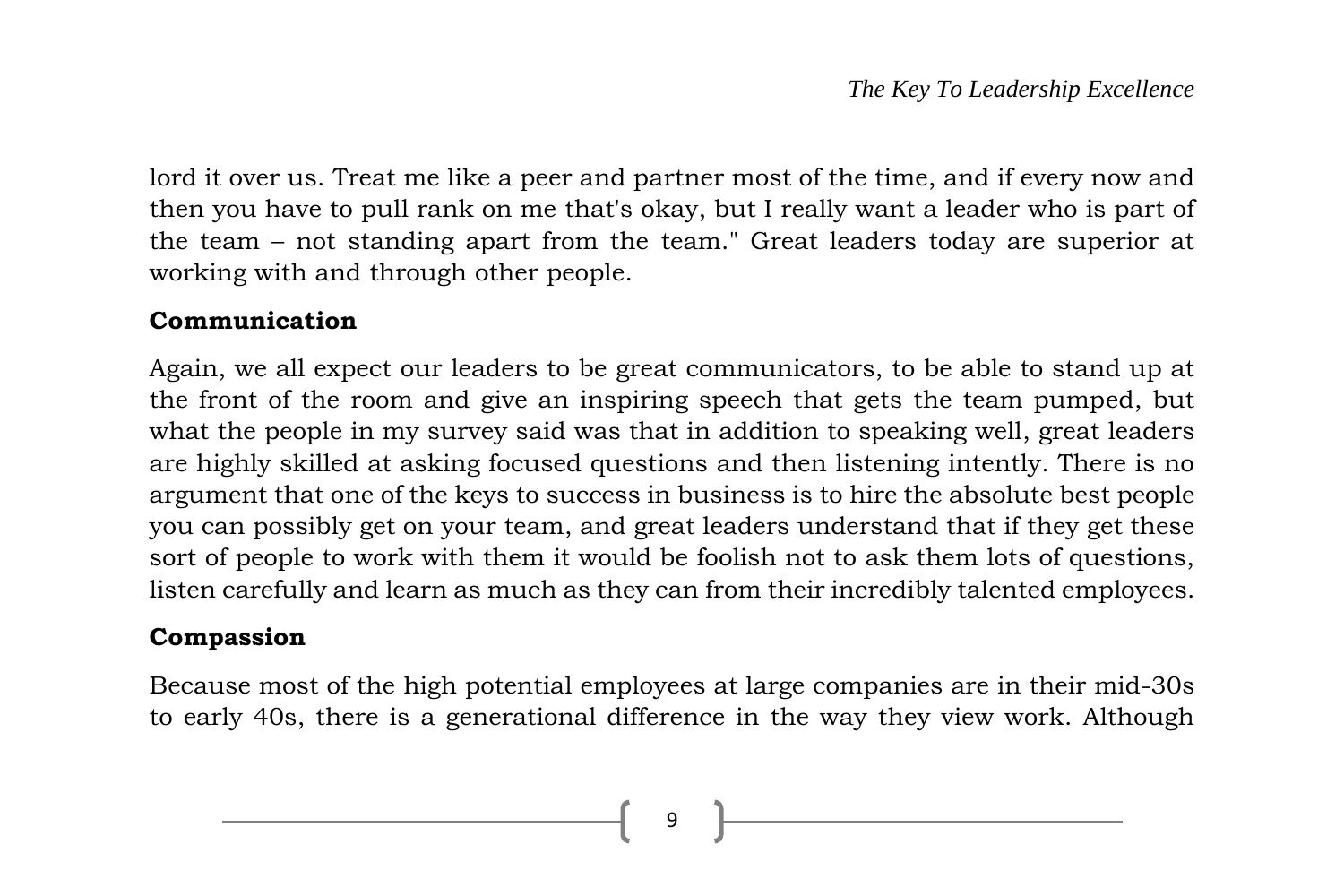lord it over us. Treat me like a peer and partner most of the time, and if every now and then you have to pull rank on me that's okay, but I really want a leader who is part of the team – not standing apart from the team." Great leaders today are superior at working with and through other people.

#### **Communication**

Again, we all expect our leaders to be great communicators, to be able to stand up at the front of the room and give an inspiring speech that gets the team pumped, but what the people in my survey said was that in addition to speaking well, great leaders are highly skilled at asking focused questions and then listening intently. There is no argument that one of the keys to success in business is to hire the absolute best people you can possibly get on your team, and great leaders understand that if they get these sort of people to work with them it would be foolish not to ask them lots of questions, listen carefully and learn as much as they can from their incredibly talented employees.

#### **Compassion**

Because most of the high potential employees at large companies are in their mid-30s to early 40s, there is a generational difference in the way they view work. Although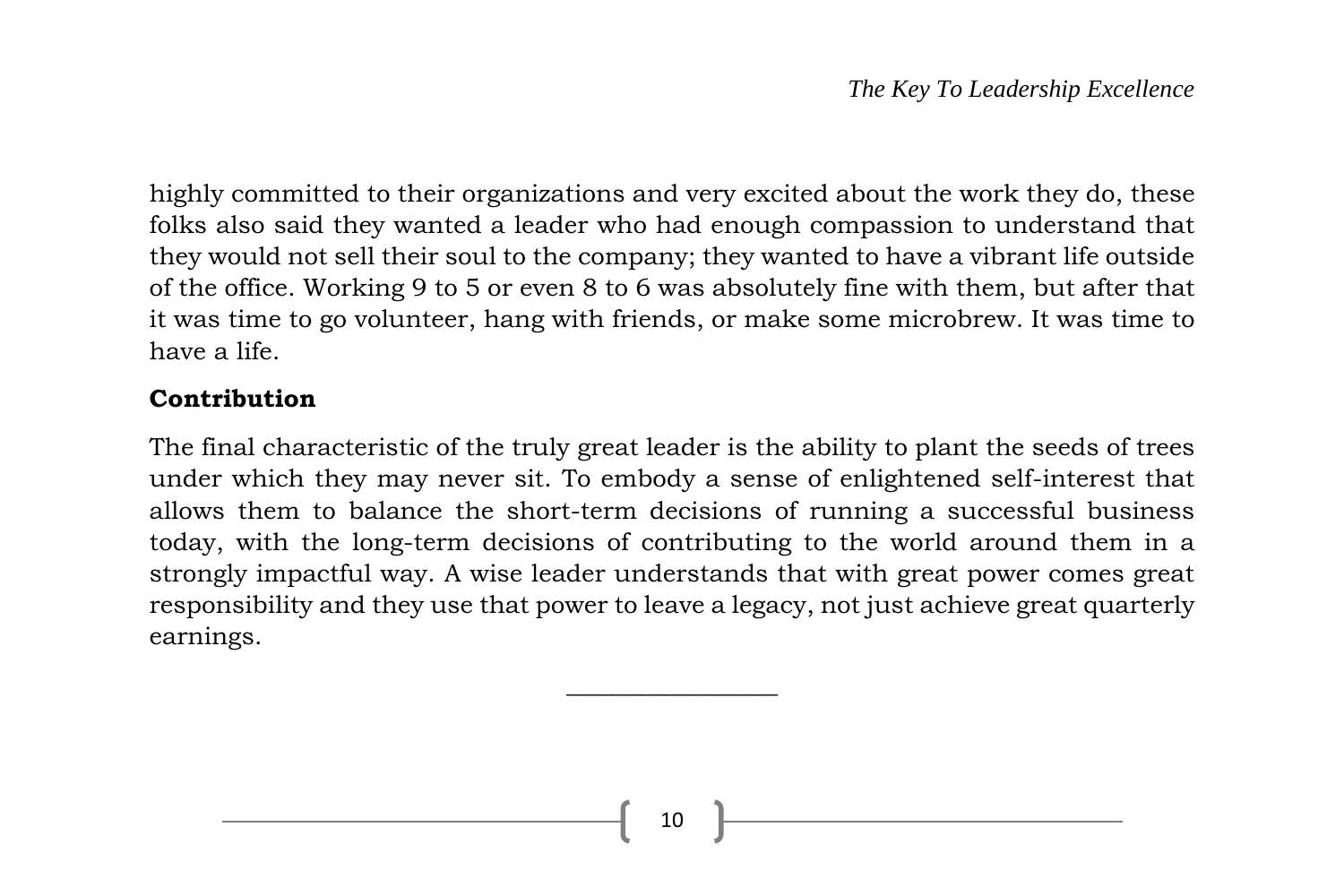highly committed to their organizations and very excited about the work they do, these folks also said they wanted a leader who had enough compassion to understand that they would not sell their soul to the company; they wanted to have a vibrant life outside of the office. Working 9 to 5 or even 8 to 6 was absolutely fine with them, but after that it was time to go volunteer, hang with friends, or make some microbrew. It was time to have a life.

#### **Contribution**

The final characteristic of the truly great leader is the ability to plant the seeds of trees under which they may never sit. To embody a sense of enlightened self-interest that allows them to balance the short-term decisions of running a successful business today, with the long-term decisions of contributing to the world around them in a strongly impactful way. A wise leader understands that with great power comes great responsibility and they use that power to leave a legacy, not just achieve great quarterly earnings.

 $\overline{\phantom{a}}$  , where  $\overline{\phantom{a}}$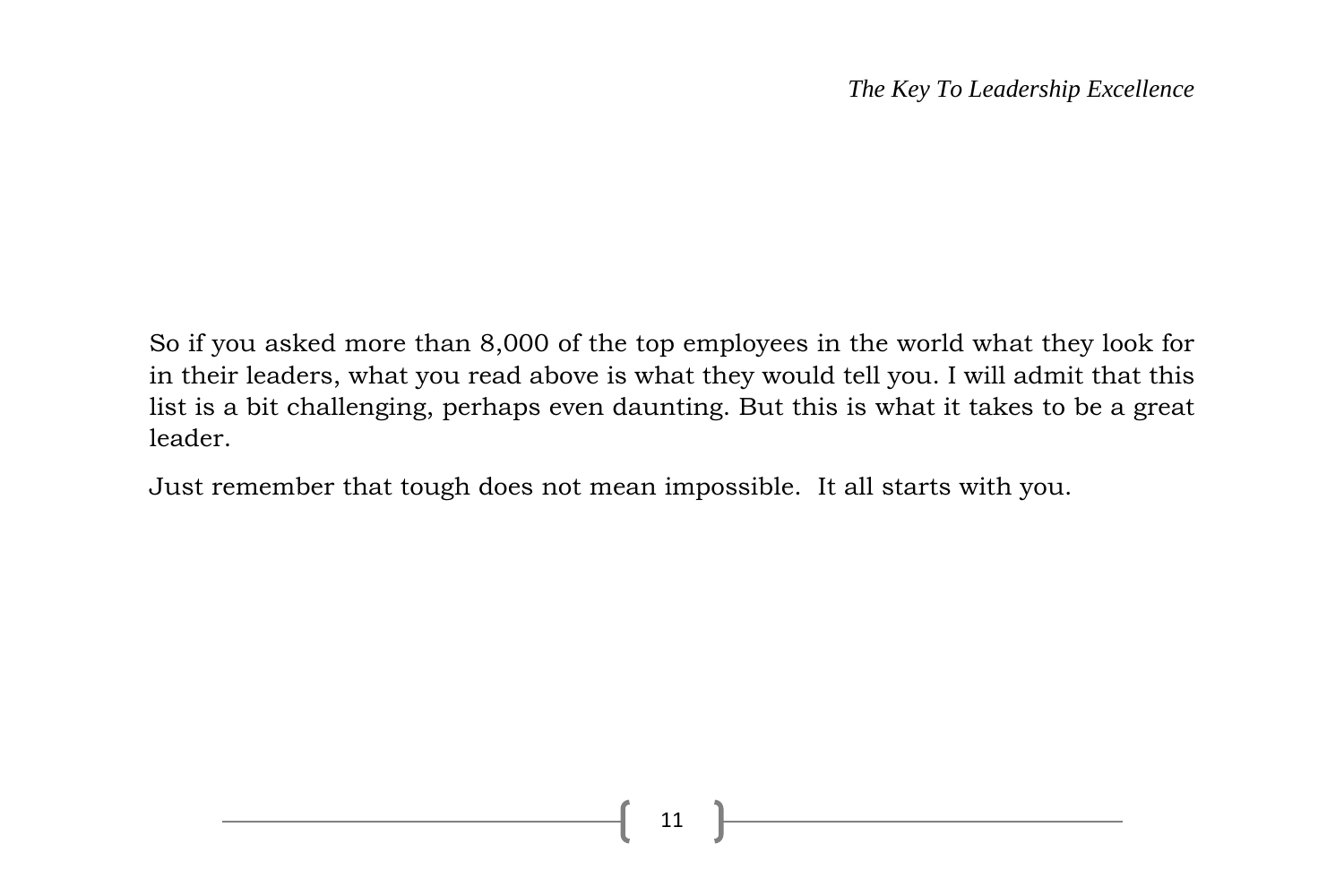So if you asked more than 8,000 of the top employees in the world what they look for in their leaders, what you read above is what they would tell you. I will admit that this list is a bit challenging, perhaps even daunting. But this is what it takes to be a great leader.

Just remember that tough does not mean impossible. It all starts with you.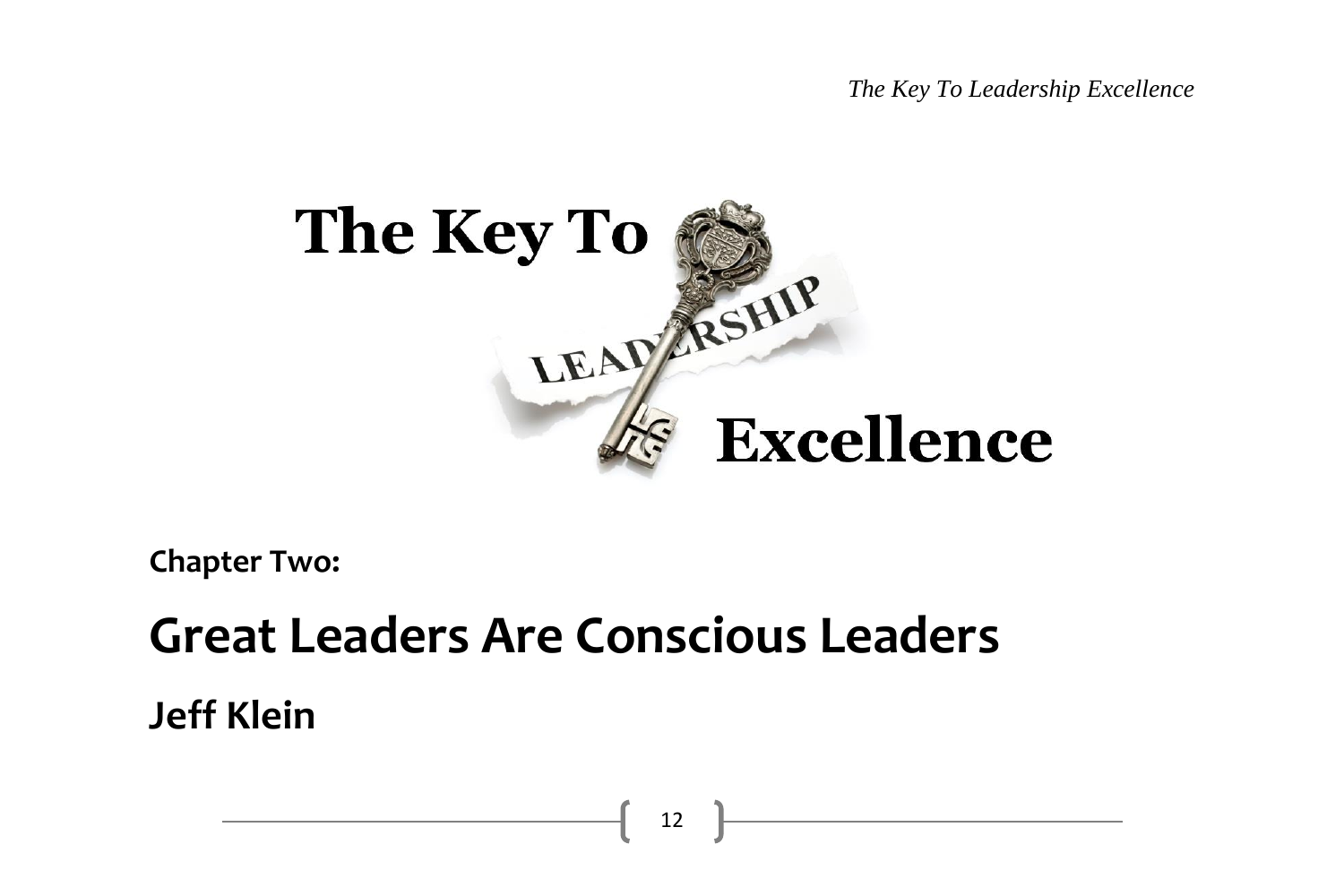*The Key To Leadership Excellence*



**Chapter Two:**

# **Great Leaders Are Conscious Leaders**

**Jeff Klein**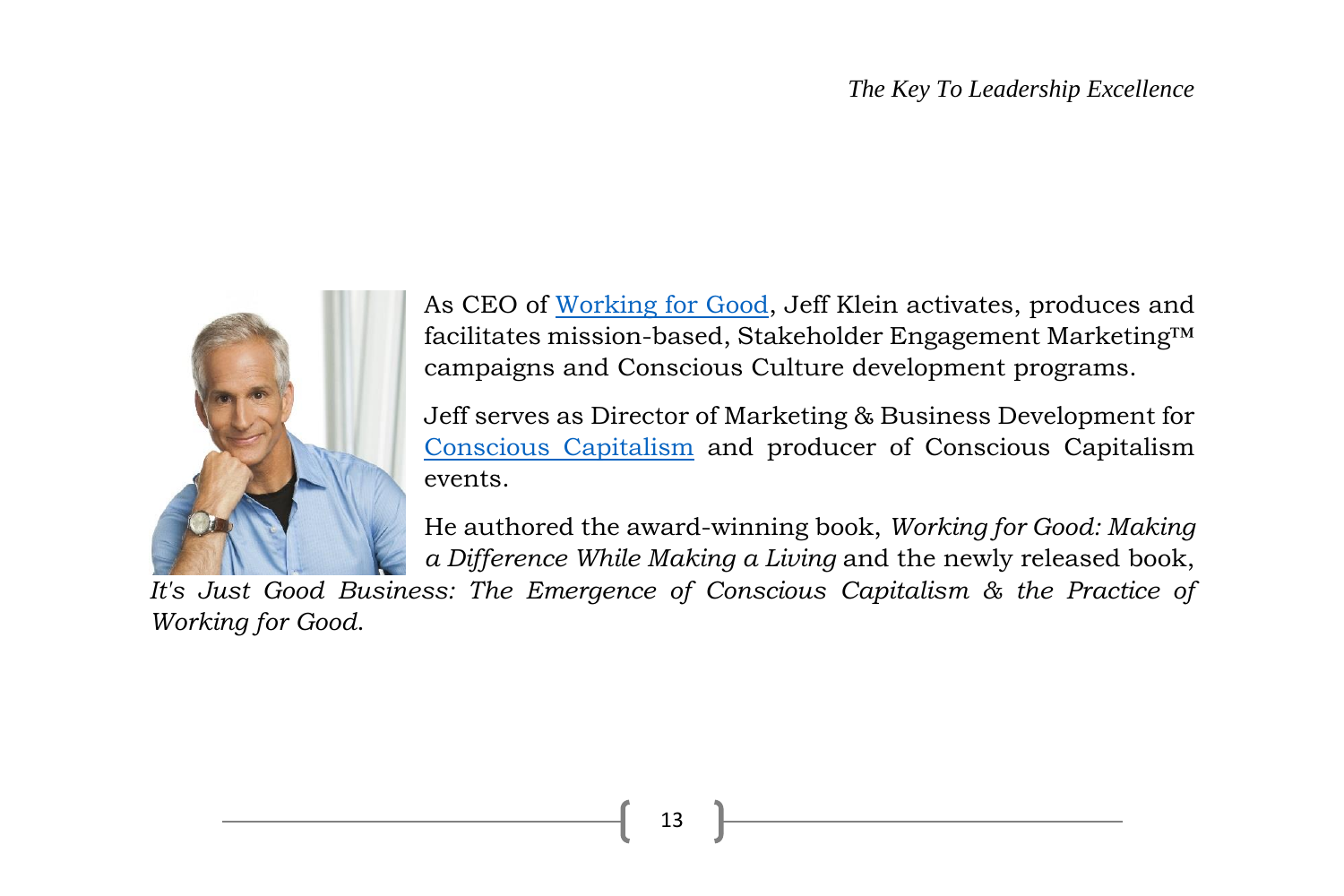#### *The Key To Leadership Excellence*



As CEO of [Working for Good,](http://www.workingforgood.com/) Jeff Klein activates, produces and facilitates mission-based, Stakeholder Engagement Marketing™ campaigns and Conscious Culture development programs.

Jeff serves as Director of Marketing & Business Development for [Conscious Capitalism](http://www.consciouscapitalism.org/) and producer of Conscious Capitalism events.

He authored the award-winning book, *Working for Good: Making a Difference While Making a Living* and the newly released book,

*It's Just Good Business: The Emergence of Conscious Capitalism & the Practice of Working for Good*.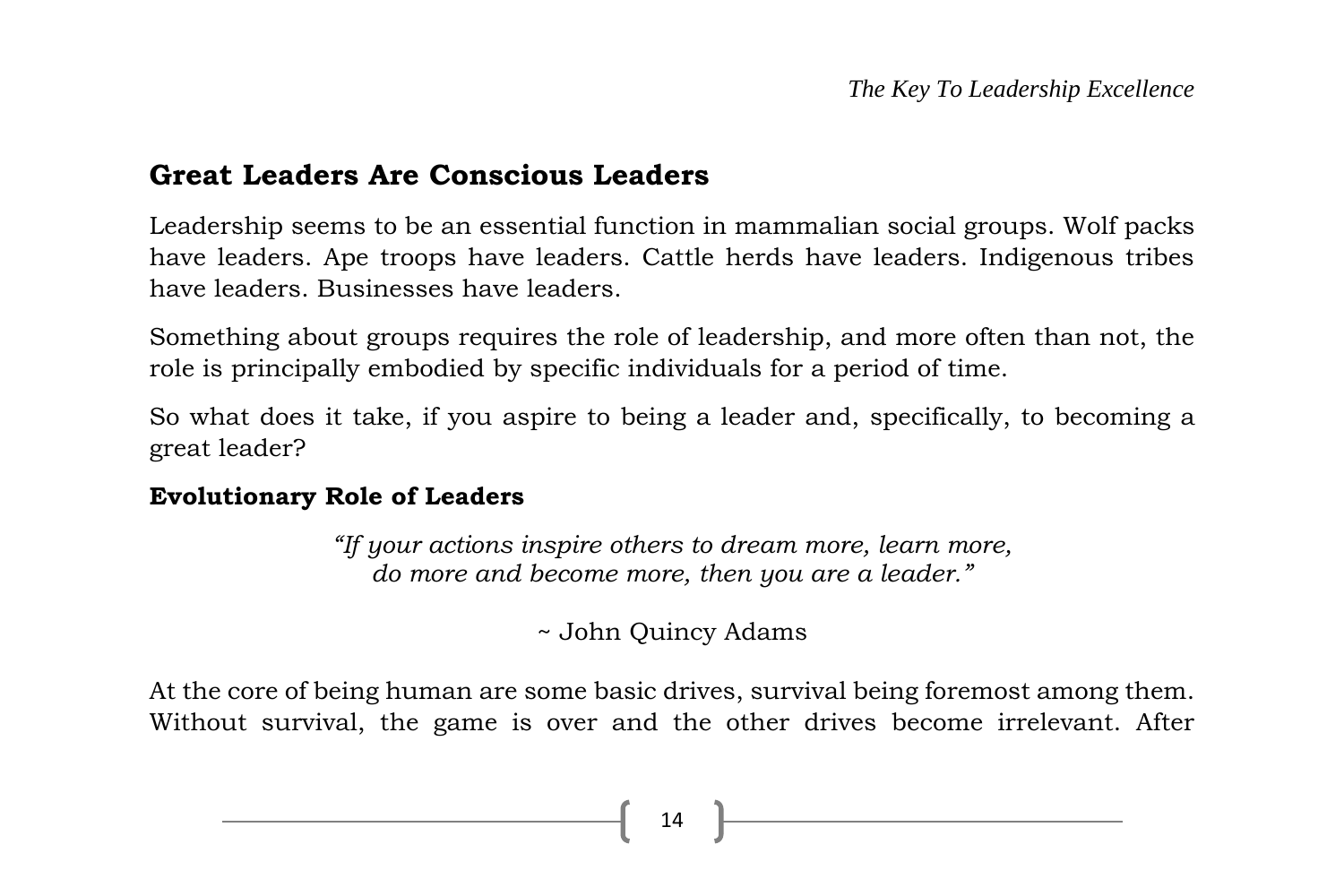#### **Great Leaders Are Conscious Leaders**

Leadership seems to be an essential function in mammalian social groups. Wolf packs have leaders. Ape troops have leaders. Cattle herds have leaders. Indigenous tribes have leaders. Businesses have leaders.

Something about groups requires the role of leadership, and more often than not, the role is principally embodied by specific individuals for a period of time.

So what does it take, if you aspire to being a leader and, specifically, to becoming a great leader?

#### **Evolutionary Role of Leaders**

*"If your actions inspire others to dream more, learn more, do more and become more, then you are a leader."*

~ John Quincy Adams

At the core of being human are some basic drives, survival being foremost among them. Without survival, the game is over and the other drives become irrelevant. After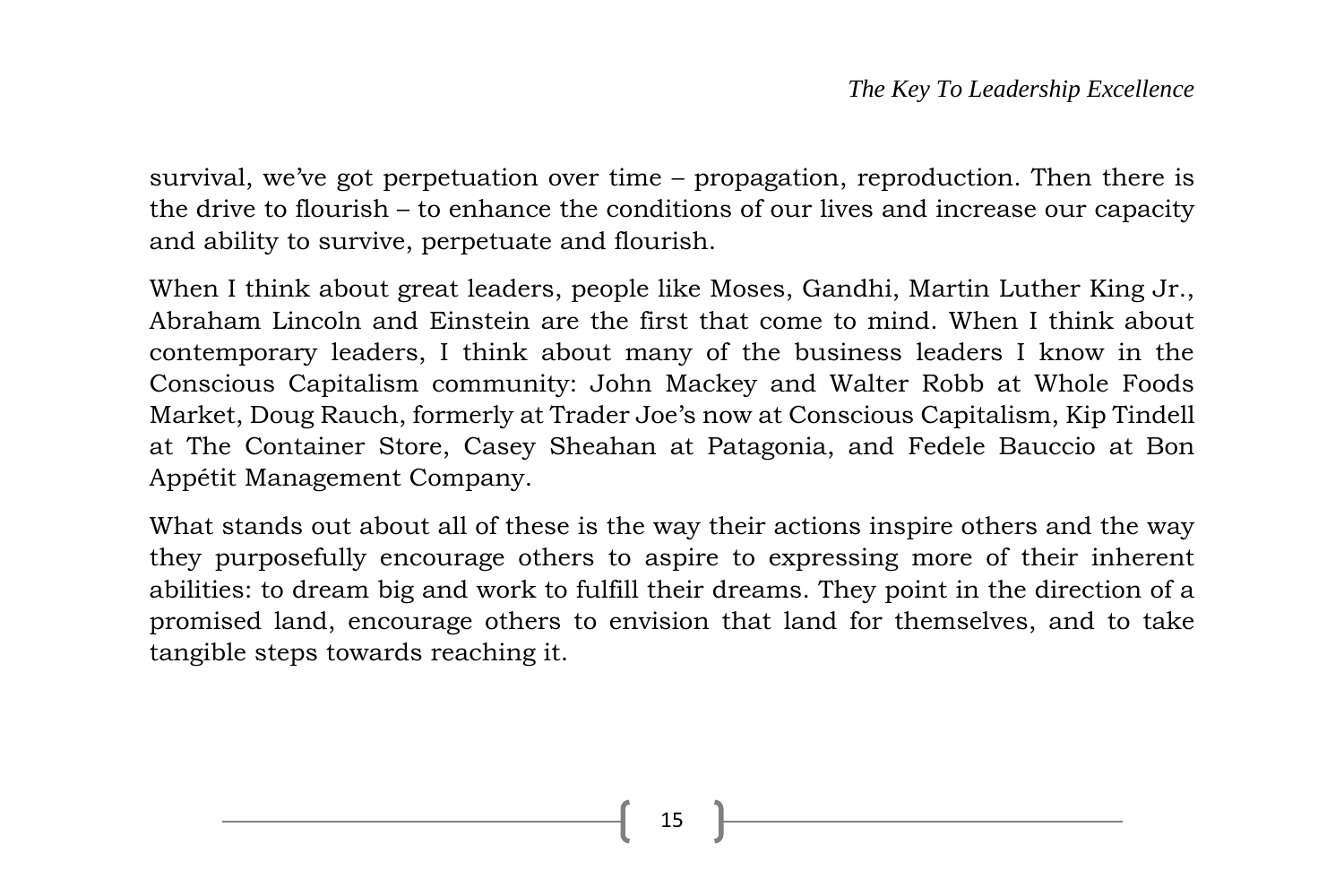survival, we've got perpetuation over time – propagation, reproduction. Then there is the drive to flourish – to enhance the conditions of our lives and increase our capacity and ability to survive, perpetuate and flourish.

When I think about great leaders, people like Moses, Gandhi, Martin Luther King Jr., Abraham Lincoln and Einstein are the first that come to mind. When I think about contemporary leaders, I think about many of the business leaders I know in the Conscious Capitalism community: John Mackey and Walter Robb at Whole Foods Market, Doug Rauch, formerly at Trader Joe's now at Conscious Capitalism, Kip Tindell at The Container Store, Casey Sheahan at Patagonia, and Fedele Bauccio at Bon Appétit Management Company.

What stands out about all of these is the way their actions inspire others and the way they purposefully encourage others to aspire to expressing more of their inherent abilities: to dream big and work to fulfill their dreams. They point in the direction of a promised land, encourage others to envision that land for themselves, and to take tangible steps towards reaching it.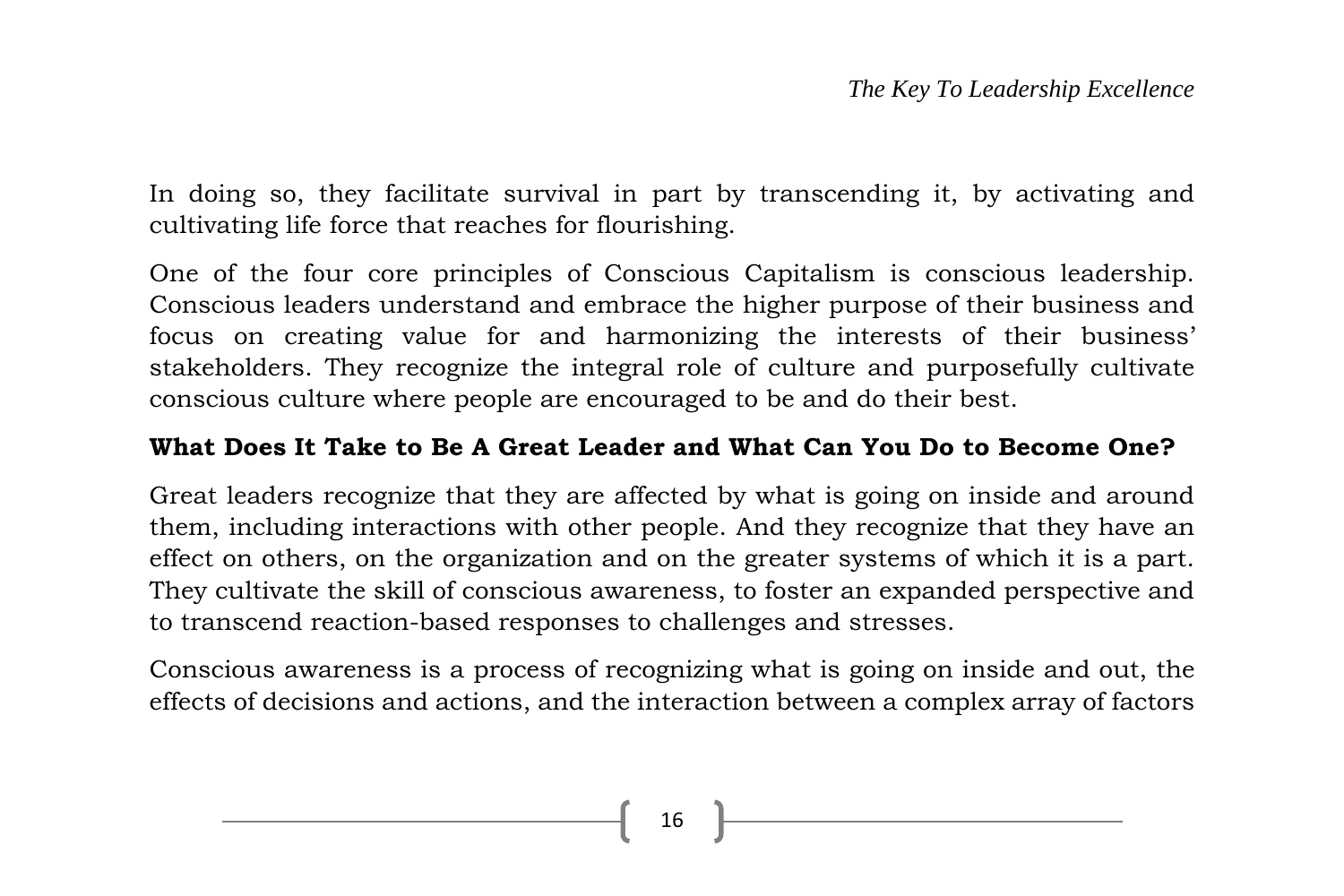In doing so, they facilitate survival in part by transcending it, by activating and cultivating life force that reaches for flourishing.

One of the four core principles of Conscious Capitalism is conscious leadership. Conscious leaders understand and embrace the higher purpose of their business and focus on creating value for and harmonizing the interests of their business' stakeholders. They recognize the integral role of culture and purposefully cultivate conscious culture where people are encouraged to be and do their best.

#### **What Does It Take to Be A Great Leader and What Can You Do to Become One?**

Great leaders recognize that they are affected by what is going on inside and around them, including interactions with other people. And they recognize that they have an effect on others, on the organization and on the greater systems of which it is a part. They cultivate the skill of conscious awareness, to foster an expanded perspective and to transcend reaction-based responses to challenges and stresses.

Conscious awareness is a process of recognizing what is going on inside and out, the effects of decisions and actions, and the interaction between a complex array of factors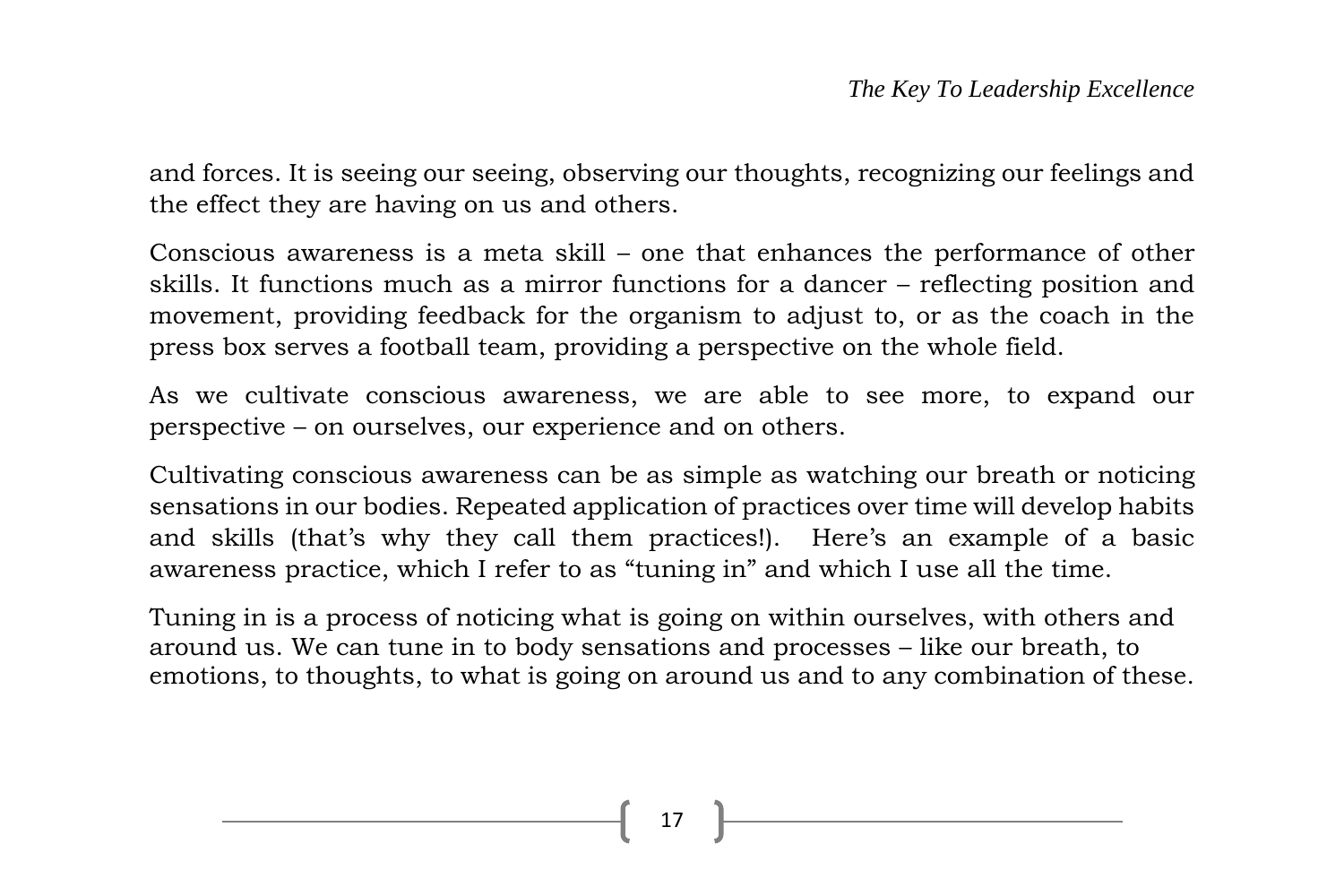and forces. It is seeing our seeing, observing our thoughts, recognizing our feelings and the effect they are having on us and others.

Conscious awareness is a meta skill – one that enhances the performance of other skills. It functions much as a mirror functions for a dancer – reflecting position and movement, providing feedback for the organism to adjust to, or as the coach in the press box serves a football team, providing a perspective on the whole field.

As we cultivate conscious awareness, we are able to see more, to expand our perspective – on ourselves, our experience and on others.

Cultivating conscious awareness can be as simple as watching our breath or noticing sensations in our bodies. Repeated application of practices over time will develop habits and skills (that's why they call them practices!). Here's an example of a basic awareness practice, which I refer to as "tuning in" and which I use all the time.

Tuning in is a process of noticing what is going on within ourselves, with others and around us. We can tune in to body sensations and processes – like our breath, to emotions, to thoughts, to what is going on around us and to any combination of these.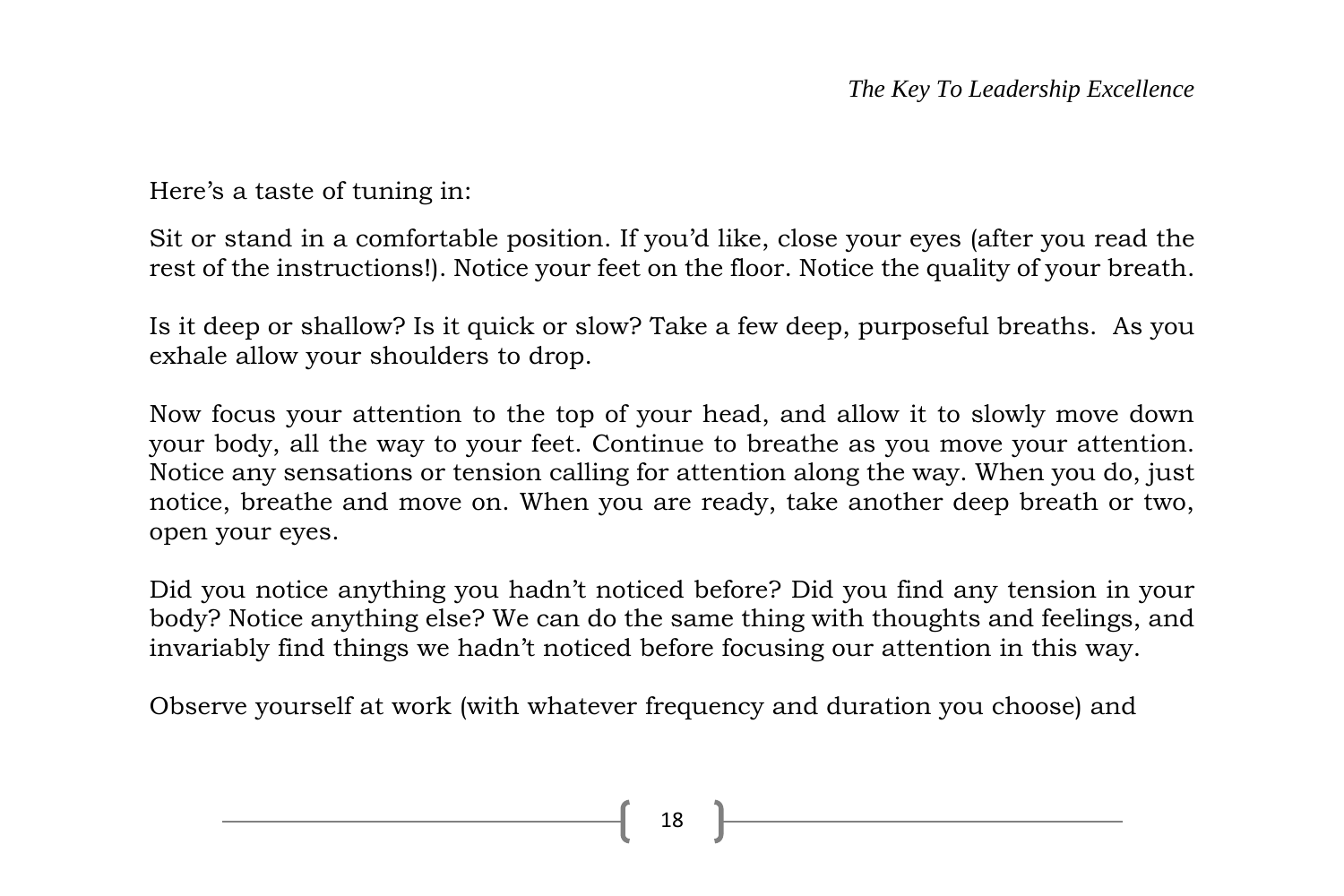Here's a taste of tuning in:

Sit or stand in a comfortable position. If you'd like, close your eyes (after you read the rest of the instructions!). Notice your feet on the floor. Notice the quality of your breath.

Is it deep or shallow? Is it quick or slow? Take a few deep, purposeful breaths. As you exhale allow your shoulders to drop.

Now focus your attention to the top of your head, and allow it to slowly move down your body, all the way to your feet. Continue to breathe as you move your attention. Notice any sensations or tension calling for attention along the way. When you do, just notice, breathe and move on. When you are ready, take another deep breath or two, open your eyes.

Did you notice anything you hadn't noticed before? Did you find any tension in your body? Notice anything else? We can do the same thing with thoughts and feelings, and invariably find things we hadn't noticed before focusing our attention in this way.

Observe yourself at work (with whatever frequency and duration you choose) and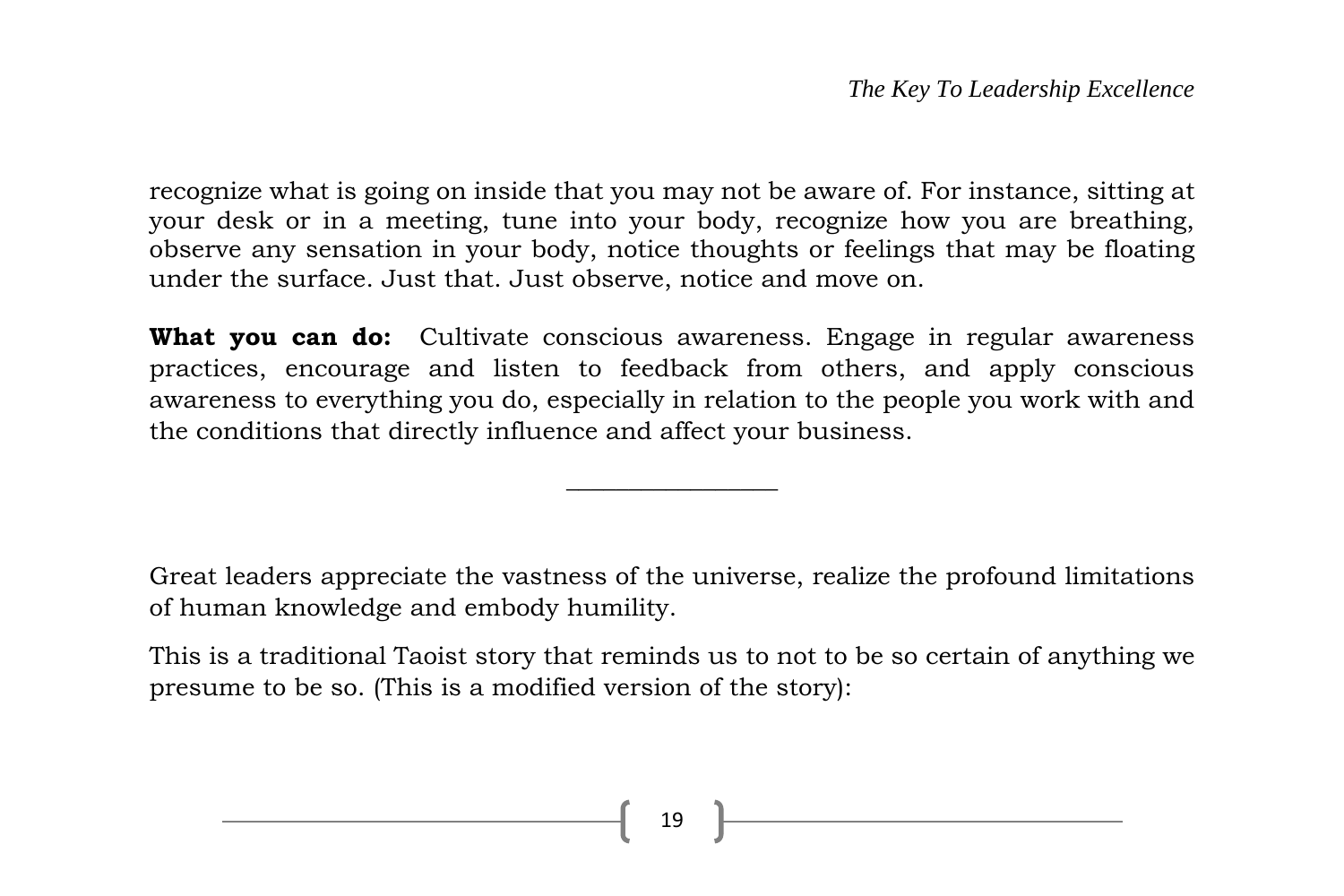recognize what is going on inside that you may not be aware of. For instance, sitting at your desk or in a meeting, tune into your body, recognize how you are breathing, observe any sensation in your body, notice thoughts or feelings that may be floating under the surface. Just that. Just observe, notice and move on.

**What you can do:** Cultivate conscious awareness. Engage in regular awareness practices, encourage and listen to feedback from others, and apply conscious awareness to everything you do, especially in relation to the people you work with and the conditions that directly influence and affect your business.

 $\overline{\phantom{a}}$  , where  $\overline{\phantom{a}}$ 

Great leaders appreciate the vastness of the universe, realize the profound limitations of human knowledge and embody humility.

This is a traditional Taoist story that reminds us to not to be so certain of anything we presume to be so. (This is a modified version of the story):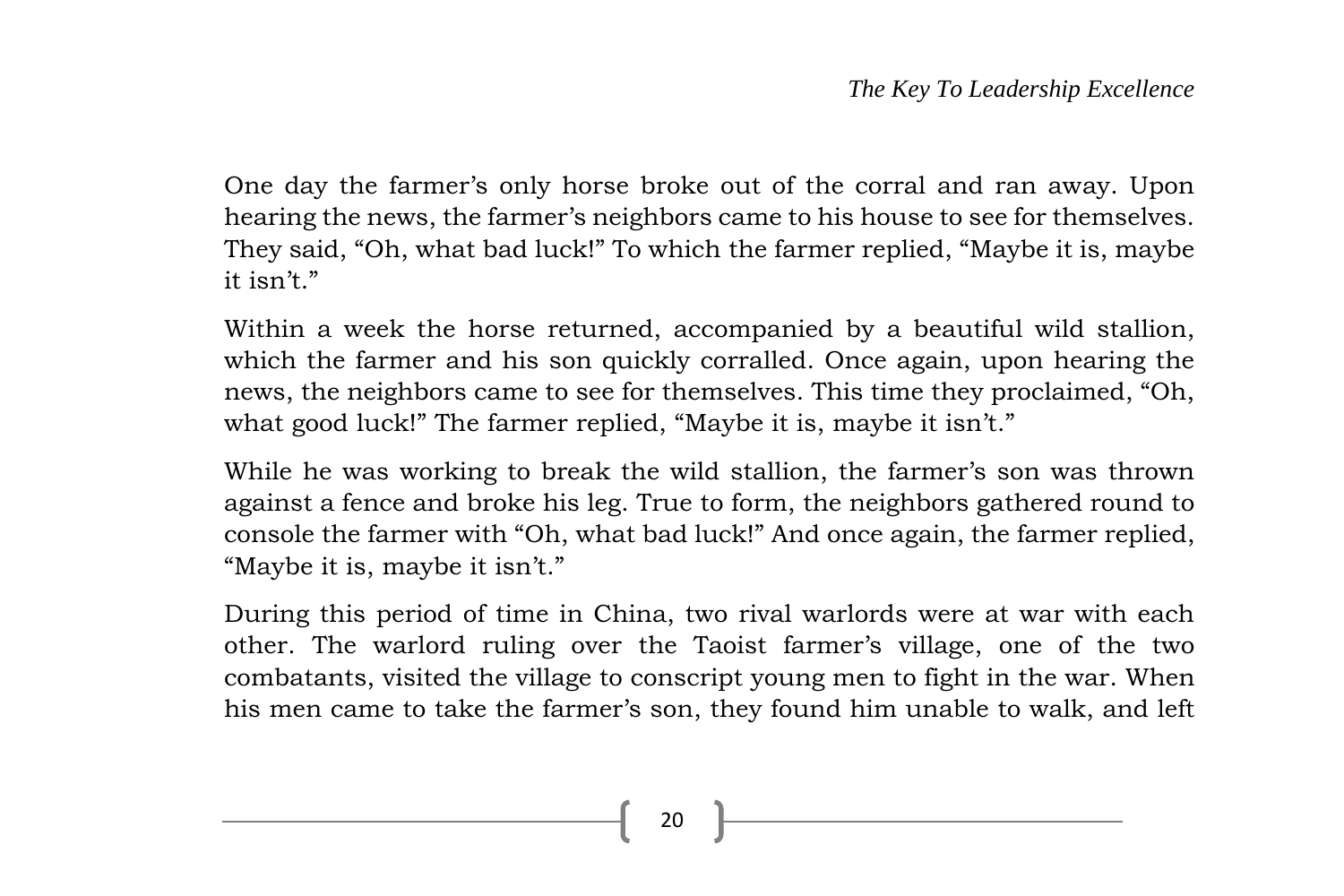One day the farmer's only horse broke out of the corral and ran away. Upon hearing the news, the farmer's neighbors came to his house to see for themselves. They said, "Oh, what bad luck!" To which the farmer replied, "Maybe it is, maybe it isn't."

Within a week the horse returned, accompanied by a beautiful wild stallion, which the farmer and his son quickly corralled. Once again, upon hearing the news, the neighbors came to see for themselves. This time they proclaimed, "Oh, what good luck!" The farmer replied, "Maybe it is, maybe it isn't."

While he was working to break the wild stallion, the farmer's son was thrown against a fence and broke his leg. True to form, the neighbors gathered round to console the farmer with "Oh, what bad luck!" And once again, the farmer replied, "Maybe it is, maybe it isn't."

During this period of time in China, two rival warlords were at war with each other. The warlord ruling over the Taoist farmer's village, one of the two combatants, visited the village to conscript young men to fight in the war. When his men came to take the farmer's son, they found him unable to walk, and left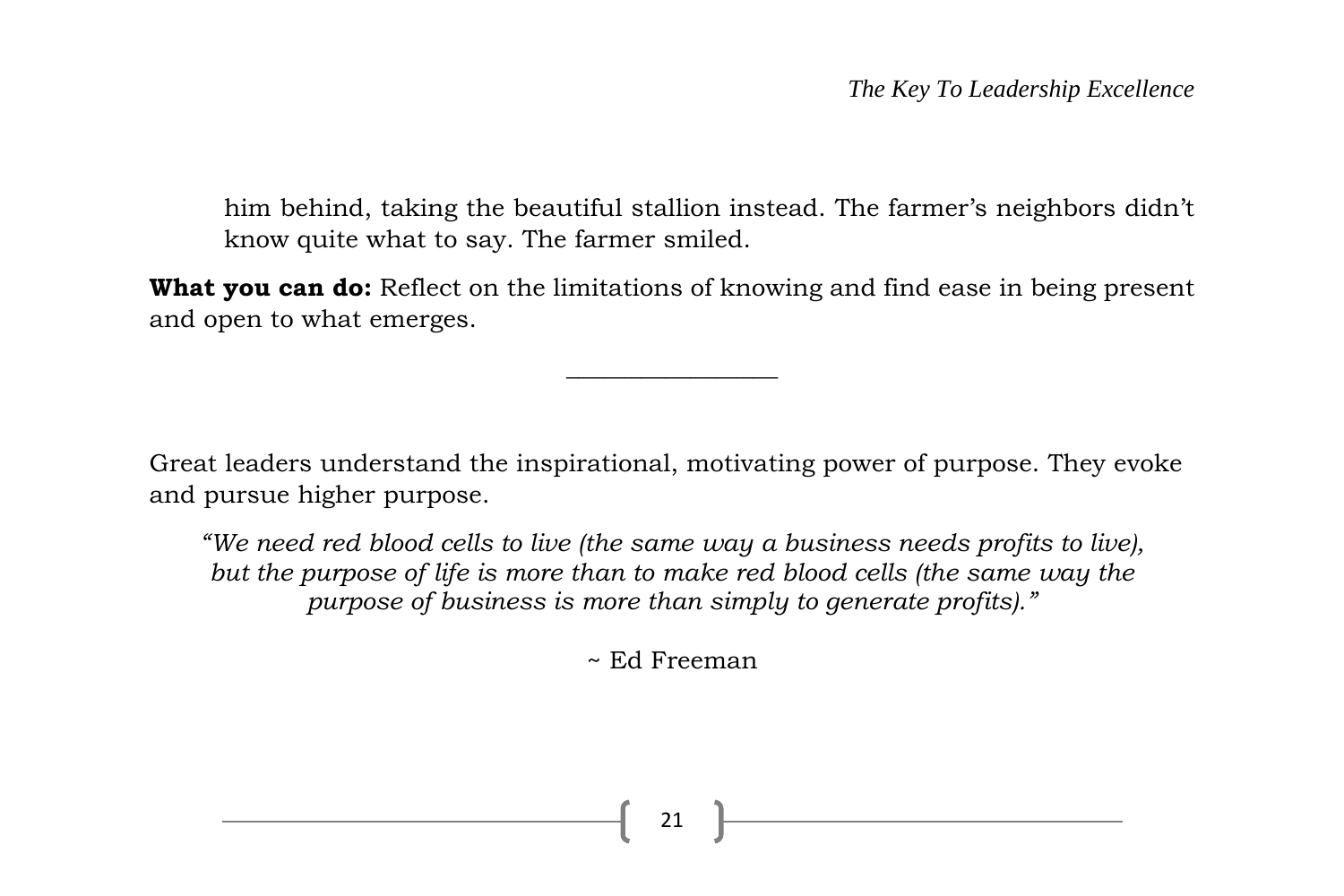him behind, taking the beautiful stallion instead. The farmer's neighbors didn't know quite what to say. The farmer smiled.

**What you can do:** Reflect on the limitations of knowing and find ease in being present and open to what emerges.

 $\overline{\phantom{a}}$  , where  $\overline{\phantom{a}}$ 

Great leaders understand the inspirational, motivating power of purpose. They evoke and pursue higher purpose.

*"We need red blood cells to live (the same way a business needs profits to live), but the purpose of life is more than to make red blood cells (the same way the purpose of business is more than simply to generate profits)."*

~ Ed Freeman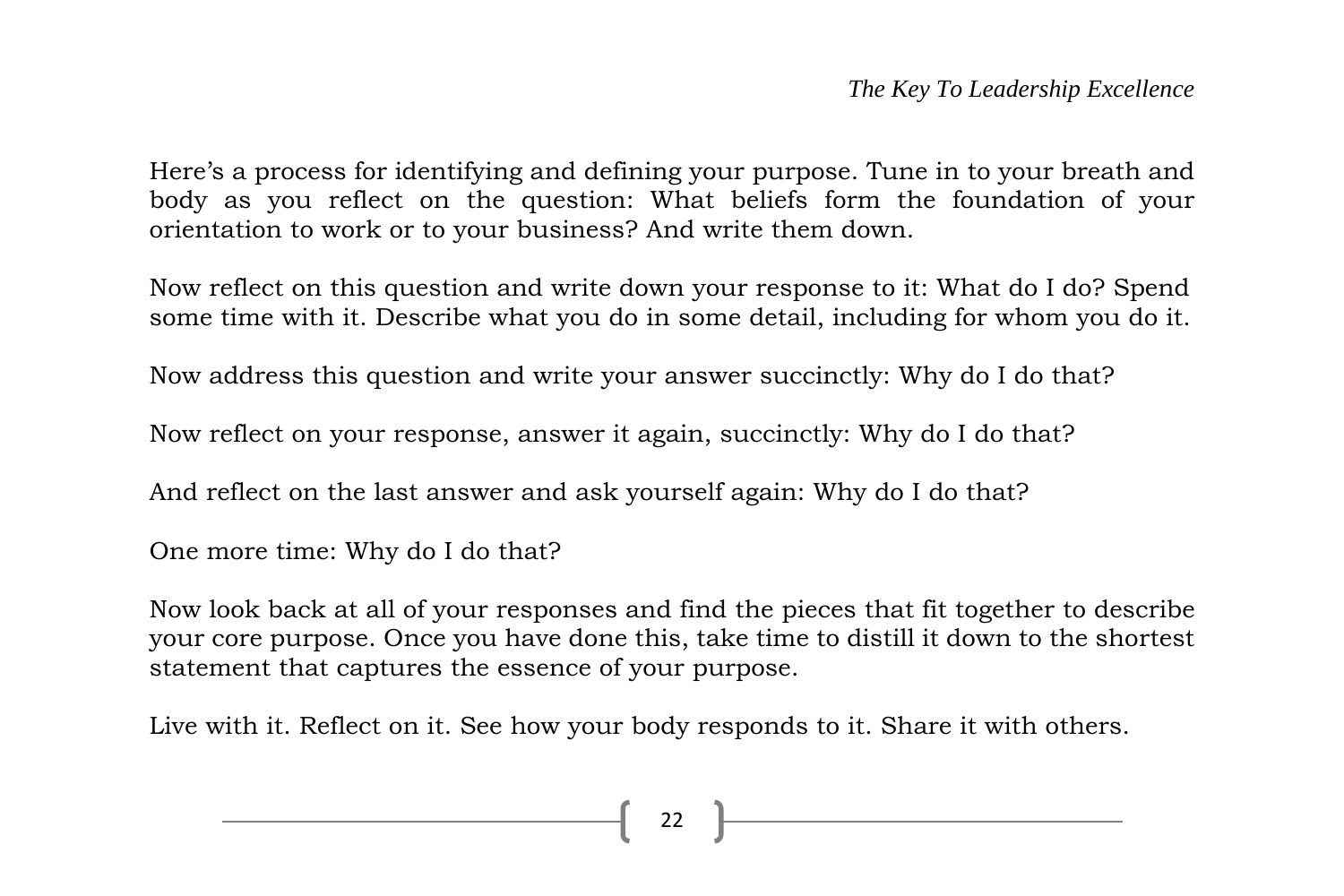Here's a process for identifying and defining your purpose. Tune in to your breath and body as you reflect on the question: What beliefs form the foundation of your orientation to work or to your business? And write them down.

Now reflect on this question and write down your response to it: What do I do? Spend some time with it. Describe what you do in some detail, including for whom you do it.

Now address this question and write your answer succinctly: Why do I do that?

Now reflect on your response, answer it again, succinctly: Why do I do that?

And reflect on the last answer and ask yourself again: Why do I do that?

One more time: Why do I do that?

Now look back at all of your responses and find the pieces that fit together to describe your core purpose. Once you have done this, take time to distill it down to the shortest statement that captures the essence of your purpose.

Live with it. Reflect on it. See how your body responds to it. Share it with others.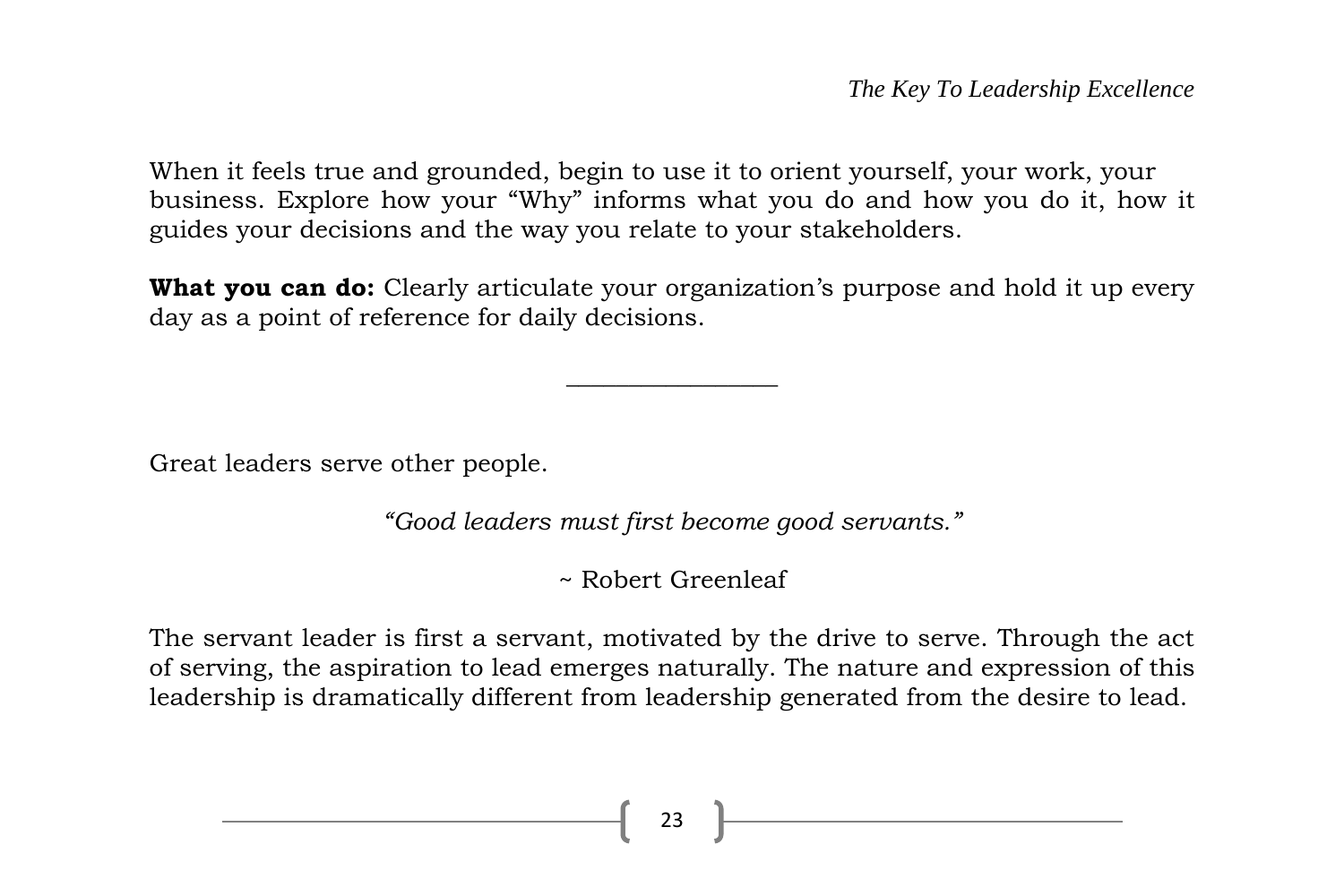When it feels true and grounded, begin to use it to orient yourself, your work, your business. Explore how your "Why" informs what you do and how you do it, how it guides your decisions and the way you relate to your stakeholders.

**What you can do:** Clearly articulate your organization's purpose and hold it up every day as a point of reference for daily decisions.

 $\overline{\phantom{a}}$  , where  $\overline{\phantom{a}}$ 

Great leaders serve other people.

*"Good leaders must first become good servants."*

~ Robert Greenleaf

The servant leader is first a servant, motivated by the drive to serve. Through the act of serving, the aspiration to lead emerges naturally. The nature and expression of this leadership is dramatically different from leadership generated from the desire to lead.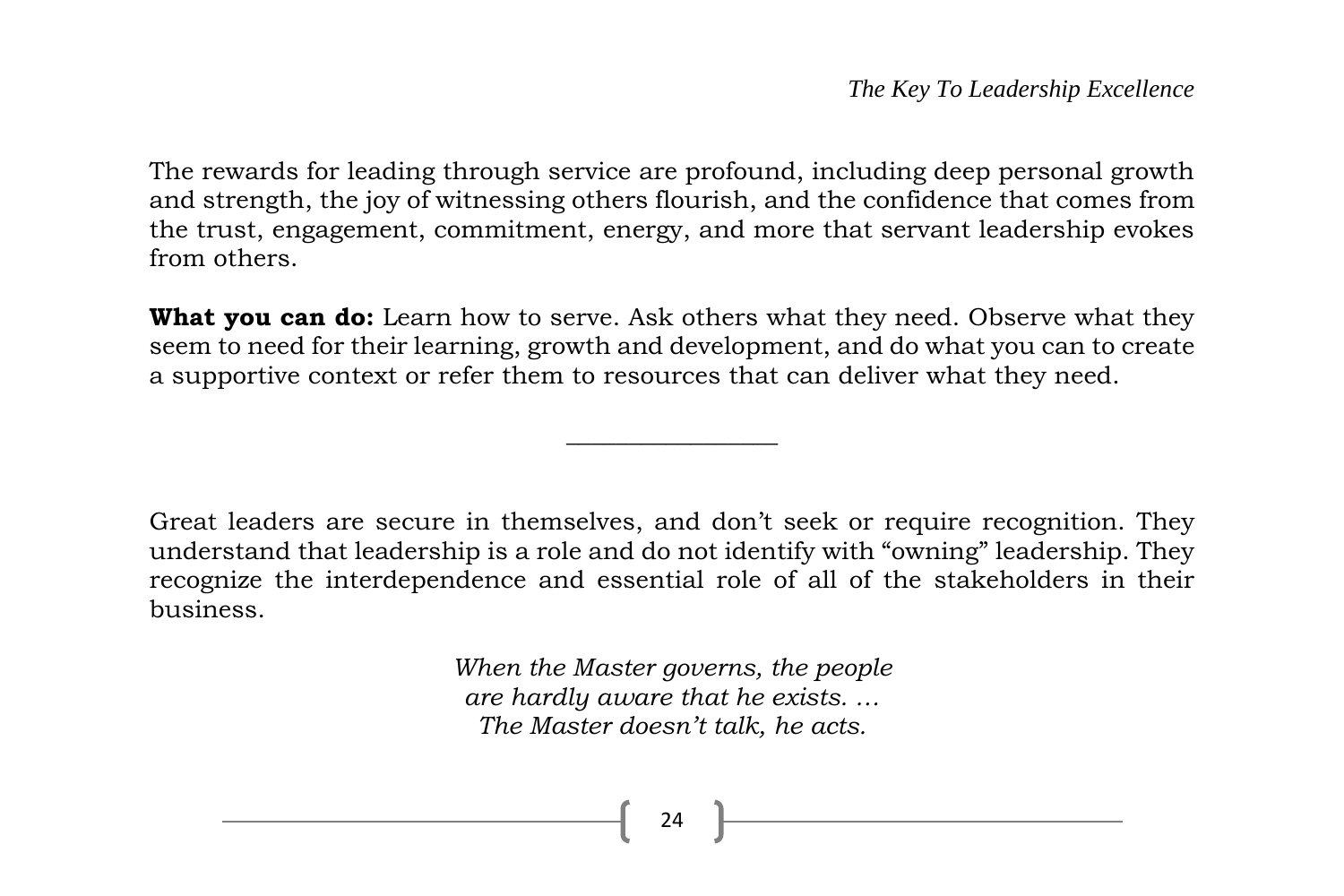The rewards for leading through service are profound, including deep personal growth and strength, the joy of witnessing others flourish, and the confidence that comes from the trust, engagement, commitment, energy, and more that servant leadership evokes from others.

**What you can do:** Learn how to serve. Ask others what they need. Observe what they seem to need for their learning, growth and development, and do what you can to create a supportive context or refer them to resources that can deliver what they need.

 $\overline{\phantom{a}}$  , where  $\overline{\phantom{a}}$ 

Great leaders are secure in themselves, and don't seek or require recognition. They understand that leadership is a role and do not identify with "owning" leadership. They recognize the interdependence and essential role of all of the stakeholders in their business.

> *When the Master governs, the people are hardly aware that he exists. … The Master doesn't talk, he acts.*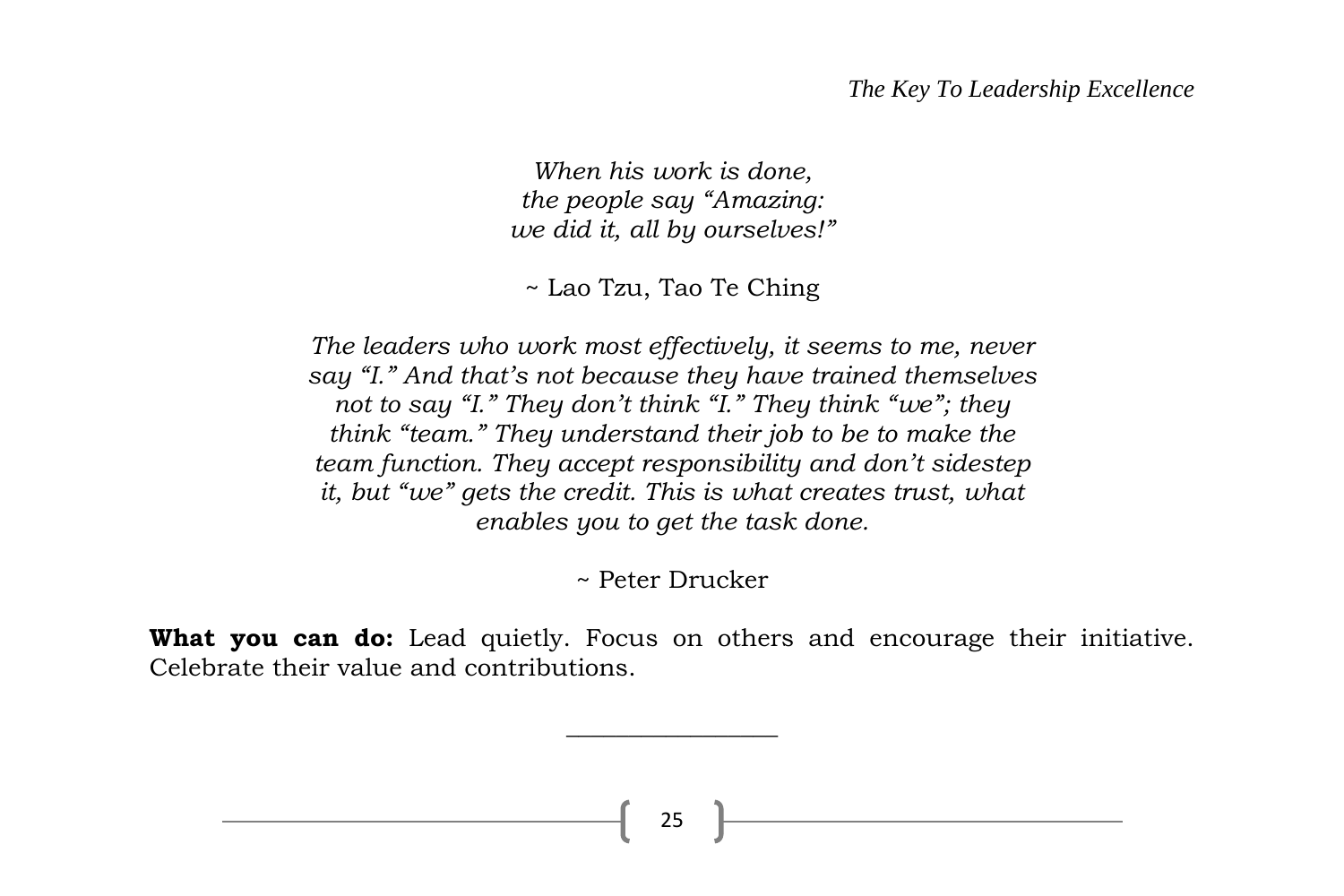#### *The Key To Leadership Excellence*

*When his work is done, the people say "Amazing: we did it, all by ourselves!"*

~ Lao Tzu, Tao Te Ching

*The leaders who work most effectively, it seems to me, never say "I." And that's not because they have trained themselves not to say "I." They don't think "I." They think "we"; they think "team." They understand their job to be to make the team function. They accept responsibility and don't sidestep it, but "we" gets the credit. This is what creates trust, what enables you to get the task done.*

~ Peter Drucker

What you can do: Lead quietly. Focus on others and encourage their initiative. Celebrate their value and contributions.

 $\overline{\phantom{a}}$  , where  $\overline{\phantom{a}}$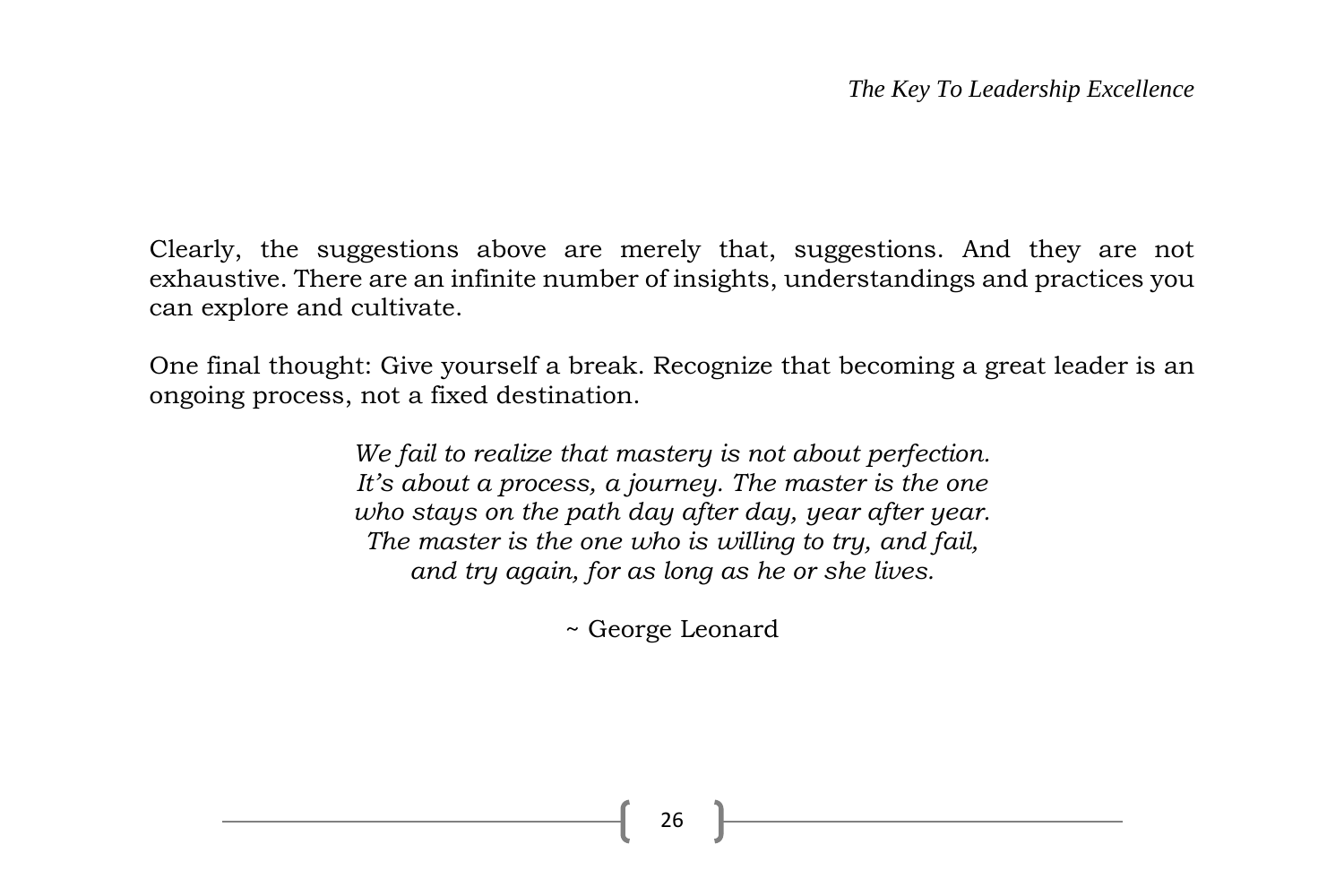Clearly, the suggestions above are merely that, suggestions. And they are not exhaustive. There are an infinite number of insights, understandings and practices you can explore and cultivate.

One final thought: Give yourself a break. Recognize that becoming a great leader is an ongoing process, not a fixed destination.

> *We fail to realize that mastery is not about perfection. It's about a process, a journey. The master is the one who stays on the path day after day, year after year. The master is the one who is willing to try, and fail, and try again, for as long as he or she lives.*

> > ~ George Leonard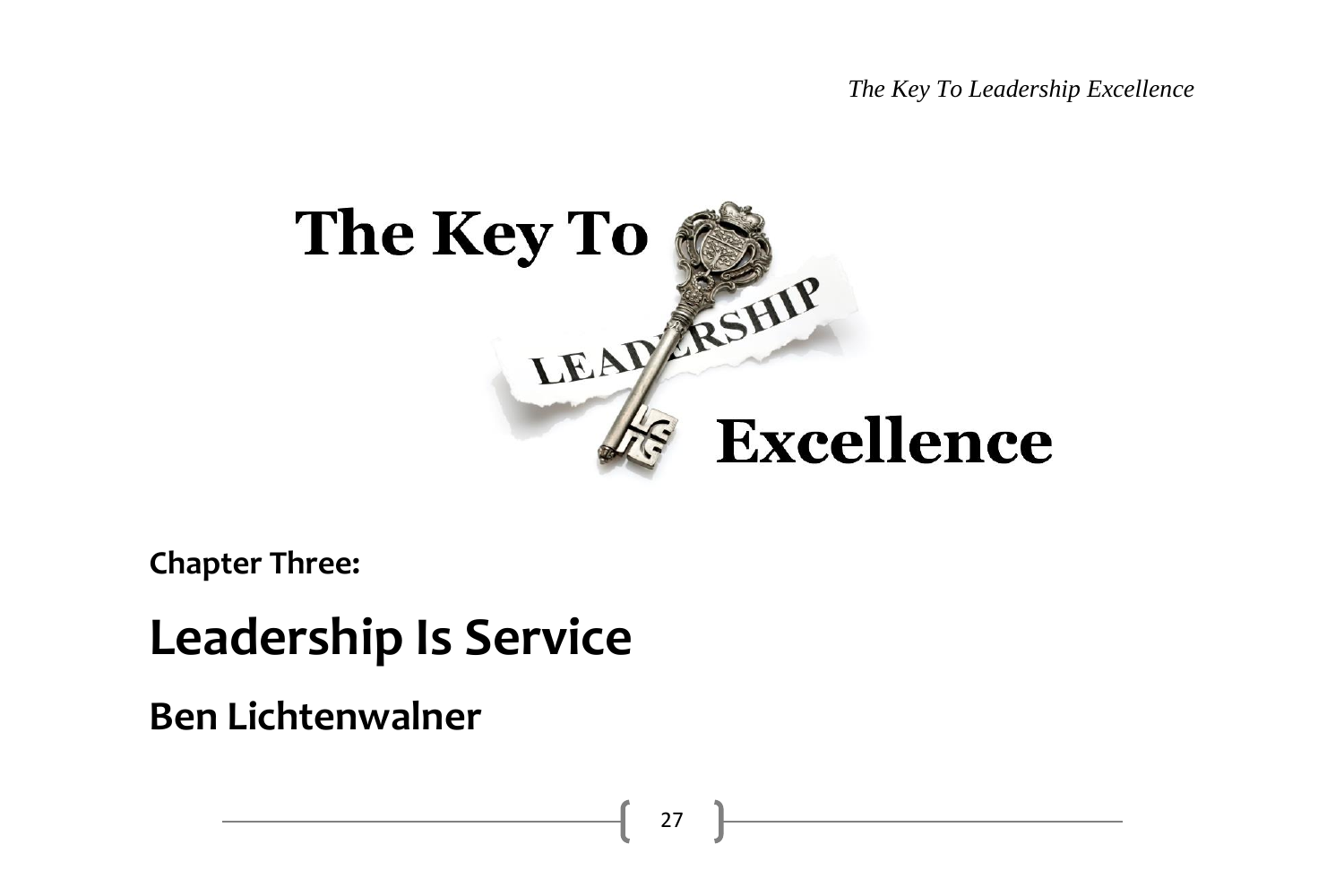*The Key To Leadership Excellence*



**Chapter Three:**

## **Leadership Is Service**

**Ben Lichtenwalner**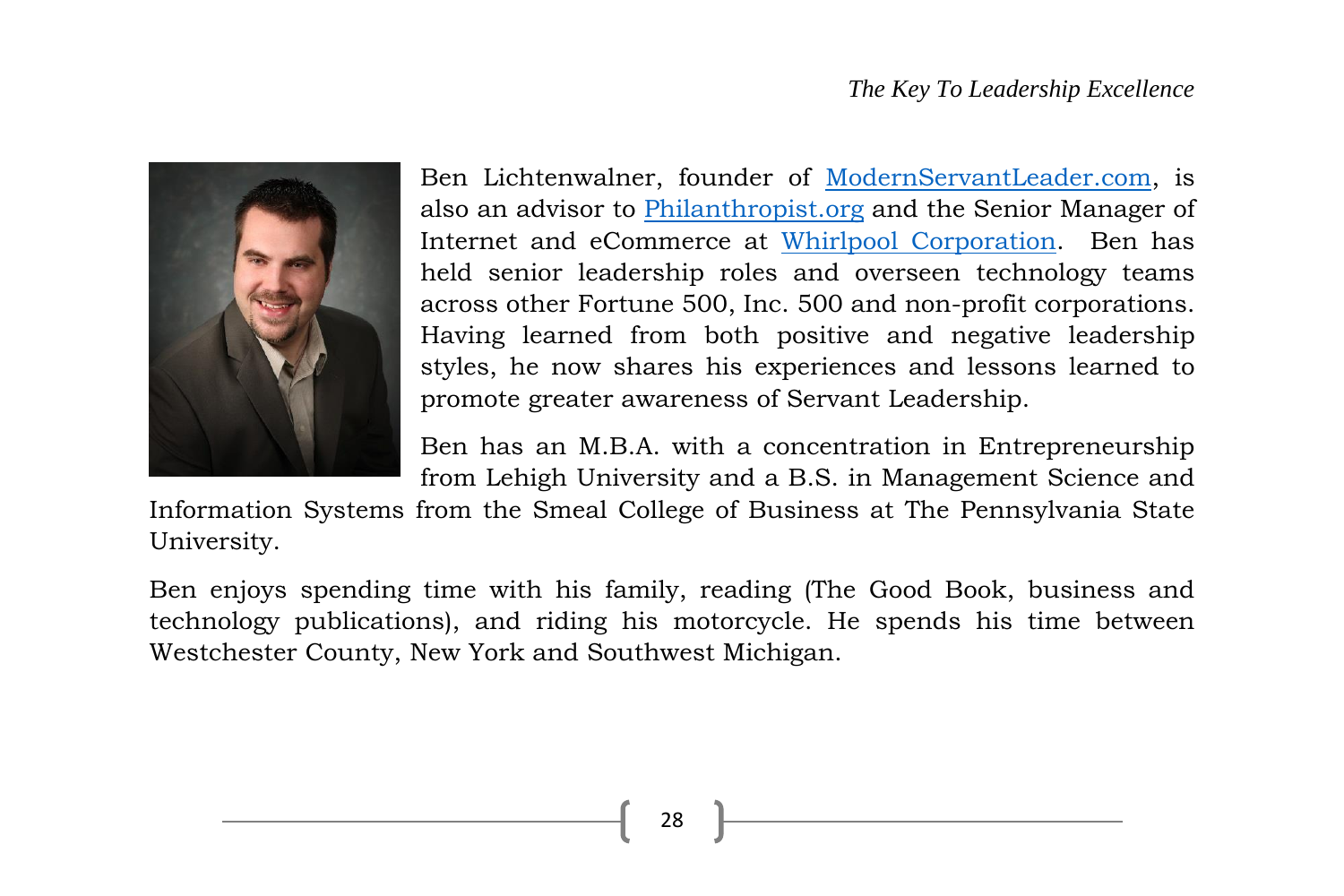#### *The Key To Leadership Excellence*



Ben Lichtenwalner, founder of [ModernServantLeader.com,](http://modernservantleader.com/) is also an advisor to [Philanthropist.org](http://philanthropist.org/) and the Senior Manager of Internet and eCommerce at [Whirlpool Corporation.](http://www.whirlpoolcorp.com/) Ben has held senior leadership roles and overseen technology teams across other Fortune 500, Inc. 500 and non-profit corporations. Having learned from both positive and negative leadership styles, he now shares his experiences and lessons learned to promote greater awareness of Servant Leadership.

Ben has an M.B.A. with a concentration in Entrepreneurship from Lehigh University and a B.S. in Management Science and

Information Systems from the Smeal College of Business at The Pennsylvania State University.

Ben enjoys spending time with his family, reading (The Good Book, business and technology publications), and riding his motorcycle. He spends his time between Westchester County, New York and Southwest Michigan.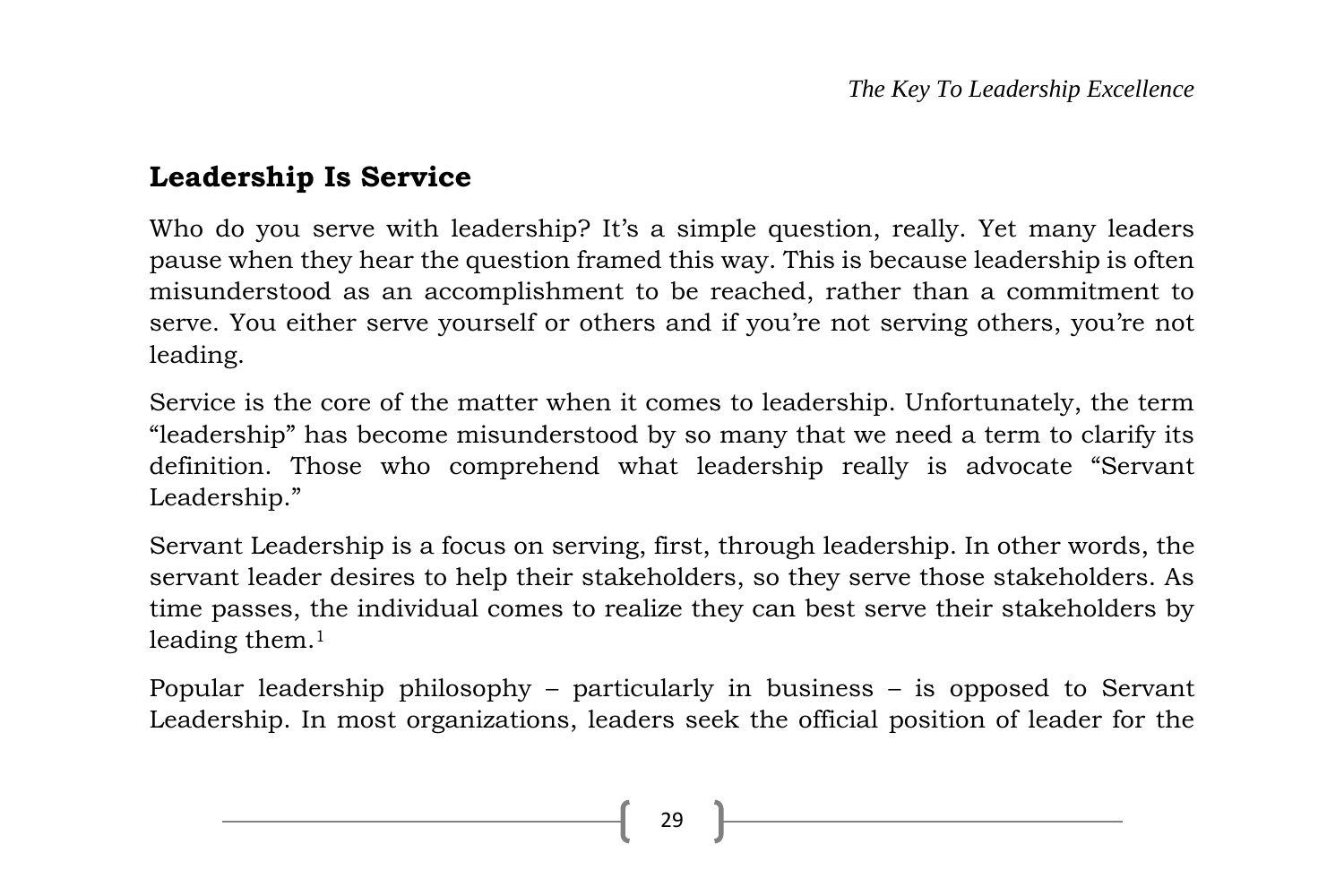#### **Leadership Is Service**

Who do you serve with leadership? It's a simple question, really. Yet many leaders pause when they hear the question framed this way. This is because leadership is often misunderstood as an accomplishment to be reached, rather than a commitment to serve. You either serve yourself or others and if you're not serving others, you're not leading.

Service is the core of the matter when it comes to leadership. Unfortunately, the term "leadership" has become misunderstood by so many that we need a term to clarify its definition. Those who comprehend what leadership really is advocate "Servant Leadership."

Servant Leadership is a focus on serving, first, through leadership. In other words, the servant leader desires to help their stakeholders, so they serve those stakeholders. As time passes, the individual comes to realize they can best serve their stakeholders by leading them.<sup>1</sup>

Popular leadership philosophy – particularly in business – is opposed to Servant Leadership. In most organizations, leaders seek the official position of leader for the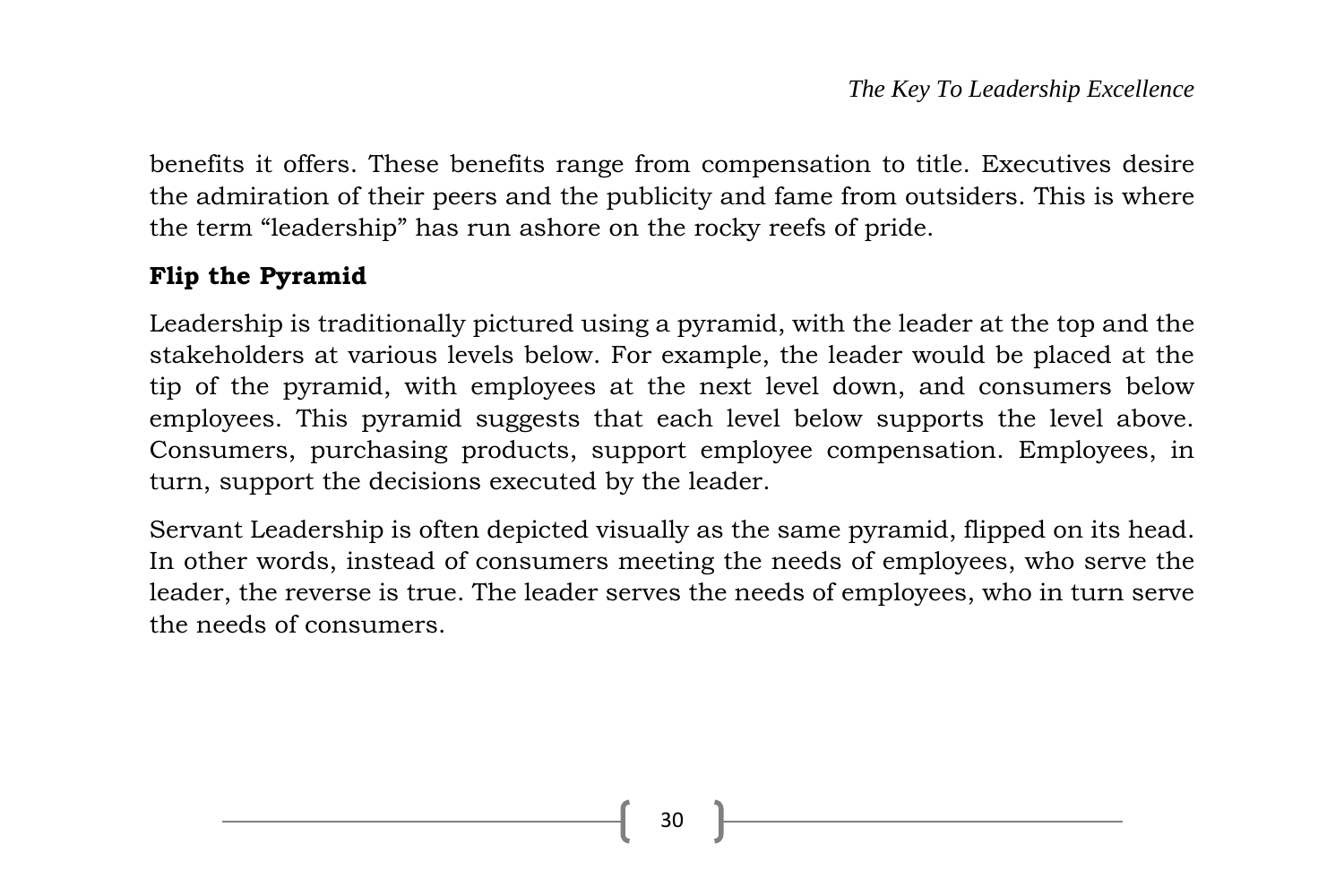benefits it offers. These benefits range from compensation to title. Executives desire the admiration of their peers and the publicity and fame from outsiders. This is where the term "leadership" has run ashore on the rocky reefs of pride.

#### **Flip the Pyramid**

Leadership is traditionally pictured using a pyramid, with the leader at the top and the stakeholders at various levels below. For example, the leader would be placed at the tip of the pyramid, with employees at the next level down, and consumers below employees. This pyramid suggests that each level below supports the level above. Consumers, purchasing products, support employee compensation. Employees, in turn, support the decisions executed by the leader.

Servant Leadership is often depicted visually as the same pyramid, flipped on its head. In other words, instead of consumers meeting the needs of employees, who serve the leader, the reverse is true. The leader serves the needs of employees, who in turn serve the needs of consumers.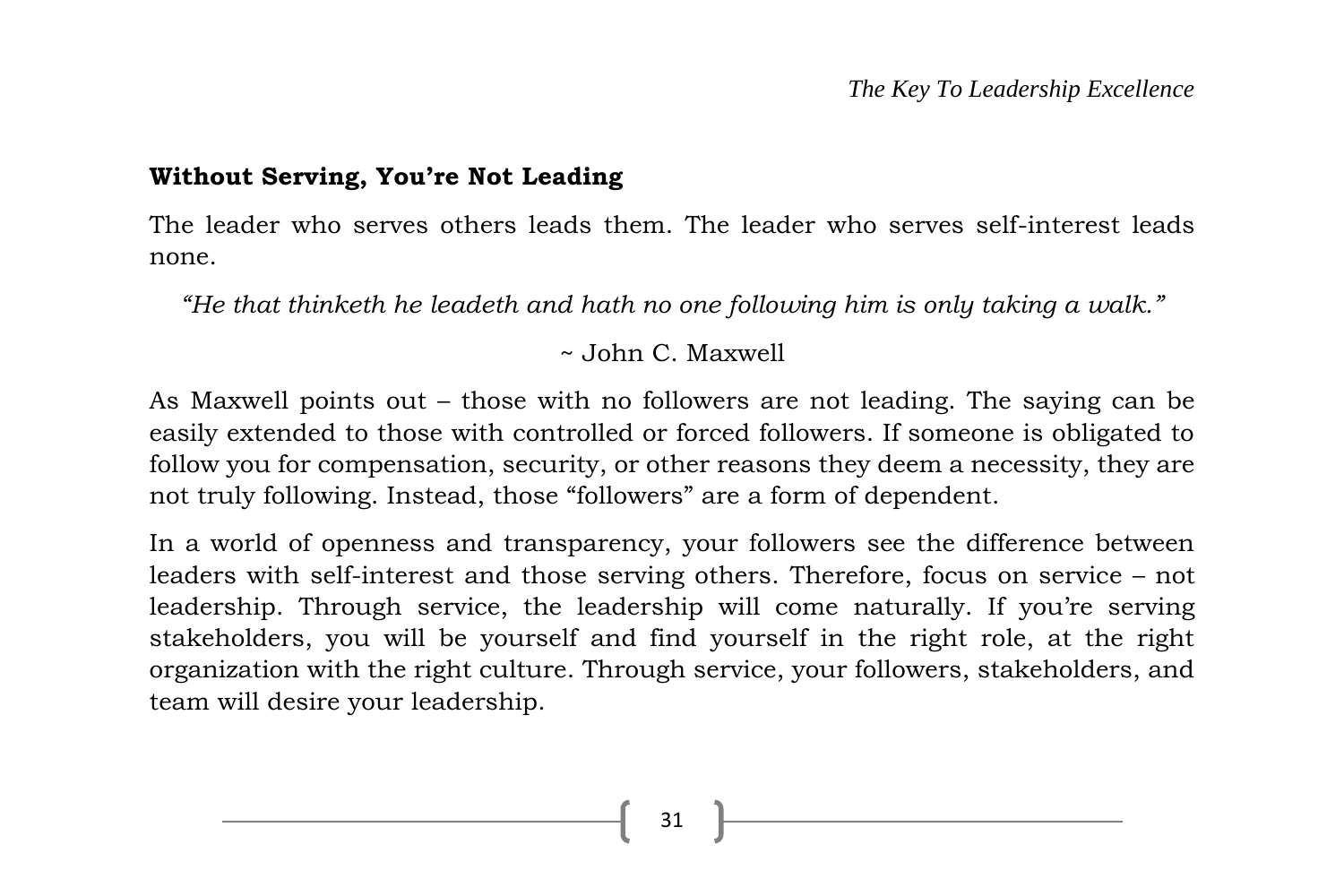#### **Without Serving, You're Not Leading**

The leader who serves others leads them. The leader who serves self-interest leads none.

*"He that thinketh he leadeth and hath no one following him is only taking a walk."*

~ John C. Maxwell

As Maxwell points out – those with no followers are not leading. The saying can be easily extended to those with controlled or forced followers. If someone is obligated to follow you for compensation, security, or other reasons they deem a necessity, they are not truly following. Instead, those "followers" are a form of dependent.

In a world of openness and transparency, your followers see the difference between leaders with self-interest and those serving others. Therefore, focus on service – not leadership. Through service, the leadership will come naturally. If you're serving stakeholders, you will be yourself and find yourself in the right role, at the right organization with the right culture. Through service, your followers, stakeholders, and team will desire your leadership.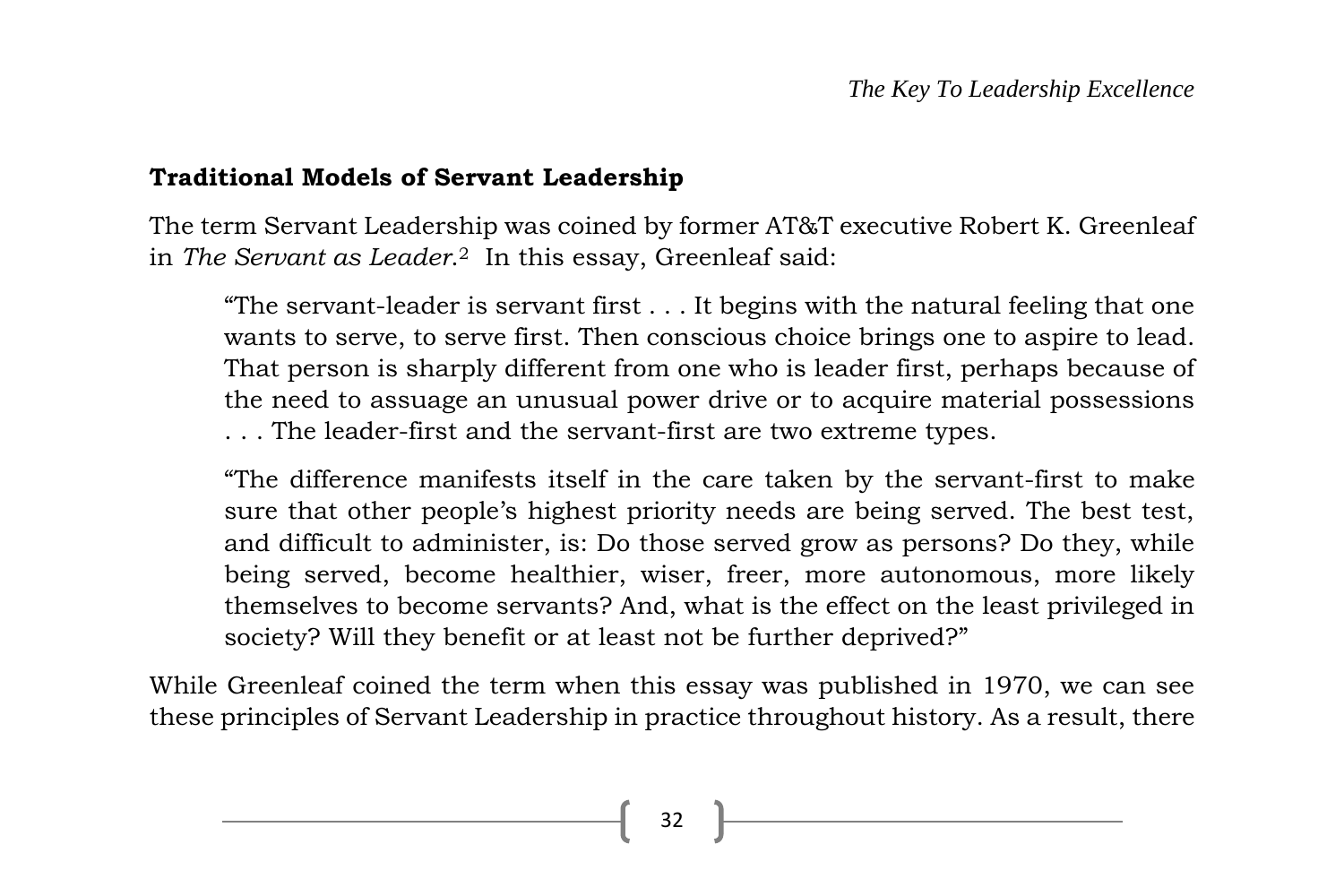#### **Traditional Models of Servant Leadership**

The term Servant Leadership was coined by former AT&T executive Robert K. Greenleaf in *The Servant as Leader*. <sup>2</sup> In this essay, Greenleaf said:

"The servant-leader is servant first . . . It begins with the natural feeling that one wants to serve, to serve first. Then conscious choice brings one to aspire to lead. That person is sharply different from one who is leader first, perhaps because of the need to assuage an unusual power drive or to acquire material possessions . . . The leader-first and the servant-first are two extreme types.

"The difference manifests itself in the care taken by the servant-first to make sure that other people's highest priority needs are being served. The best test, and difficult to administer, is: Do those served grow as persons? Do they, while being served, become healthier, wiser, freer, more autonomous, more likely themselves to become servants? And, what is the effect on the least privileged in society? Will they benefit or at least not be further deprived?"

While Greenleaf coined the term when this essay was published in 1970, we can see these principles of Servant Leadership in practice throughout history. As a result, there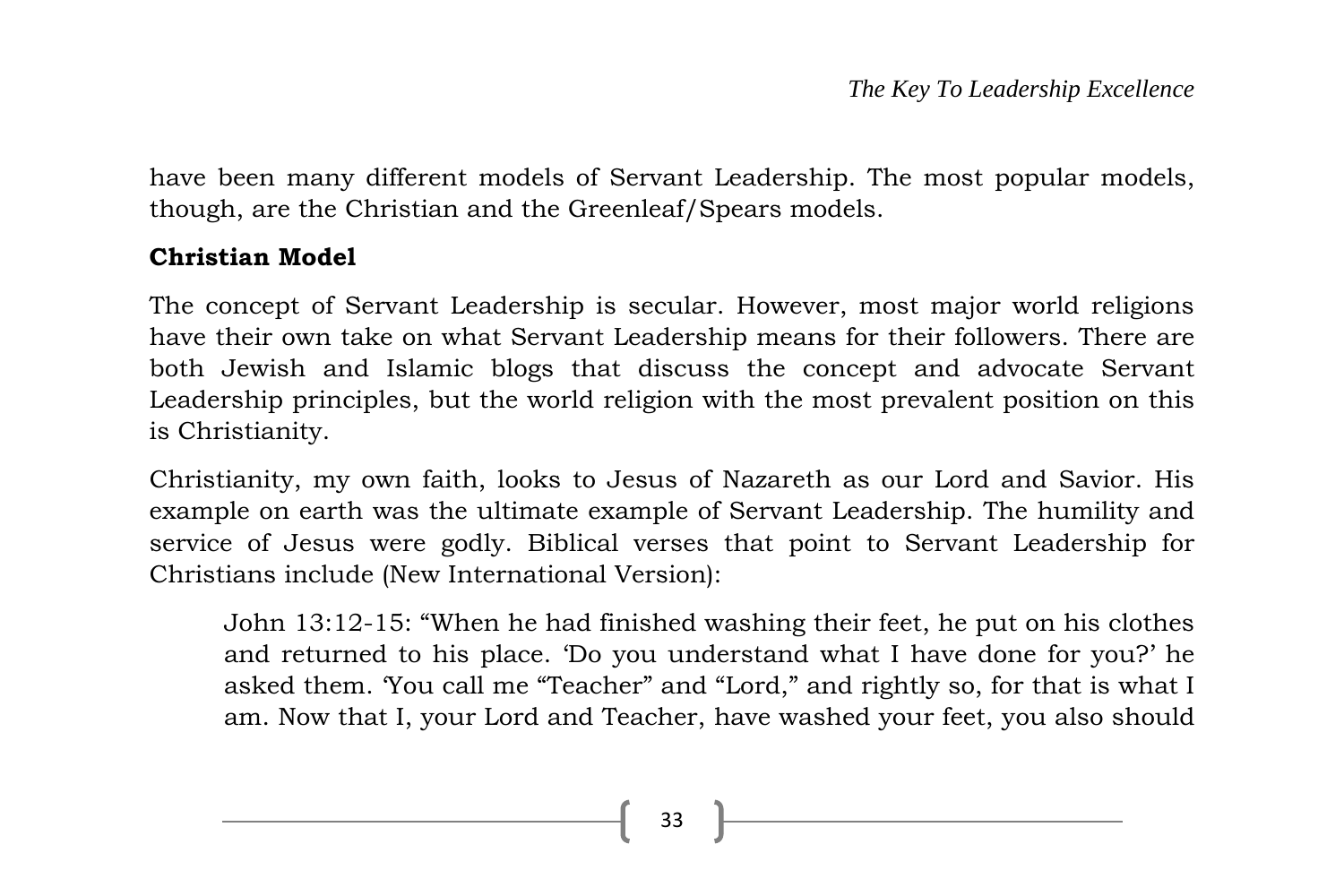have been many different models of Servant Leadership. The most popular models, though, are the Christian and the Greenleaf/Spears models.

#### **Christian Model**

The concept of Servant Leadership is secular. However, most major world religions have their own take on what Servant Leadership means for their followers. There are both Jewish and Islamic blogs that discuss the concept and advocate Servant Leadership principles, but the world religion with the most prevalent position on this is Christianity.

Christianity, my own faith, looks to Jesus of Nazareth as our Lord and Savior. His example on earth was the ultimate example of Servant Leadership. The humility and service of Jesus were godly. Biblical verses that point to Servant Leadership for Christians include (New International Version):

John 13:12-15: "When he had finished washing their feet, he put on his clothes and returned to his place. 'Do you understand what I have done for you?' he asked them. 'You call me "Teacher" and "Lord," and rightly so, for that is what I am. Now that I, your Lord and Teacher, have washed your feet, you also should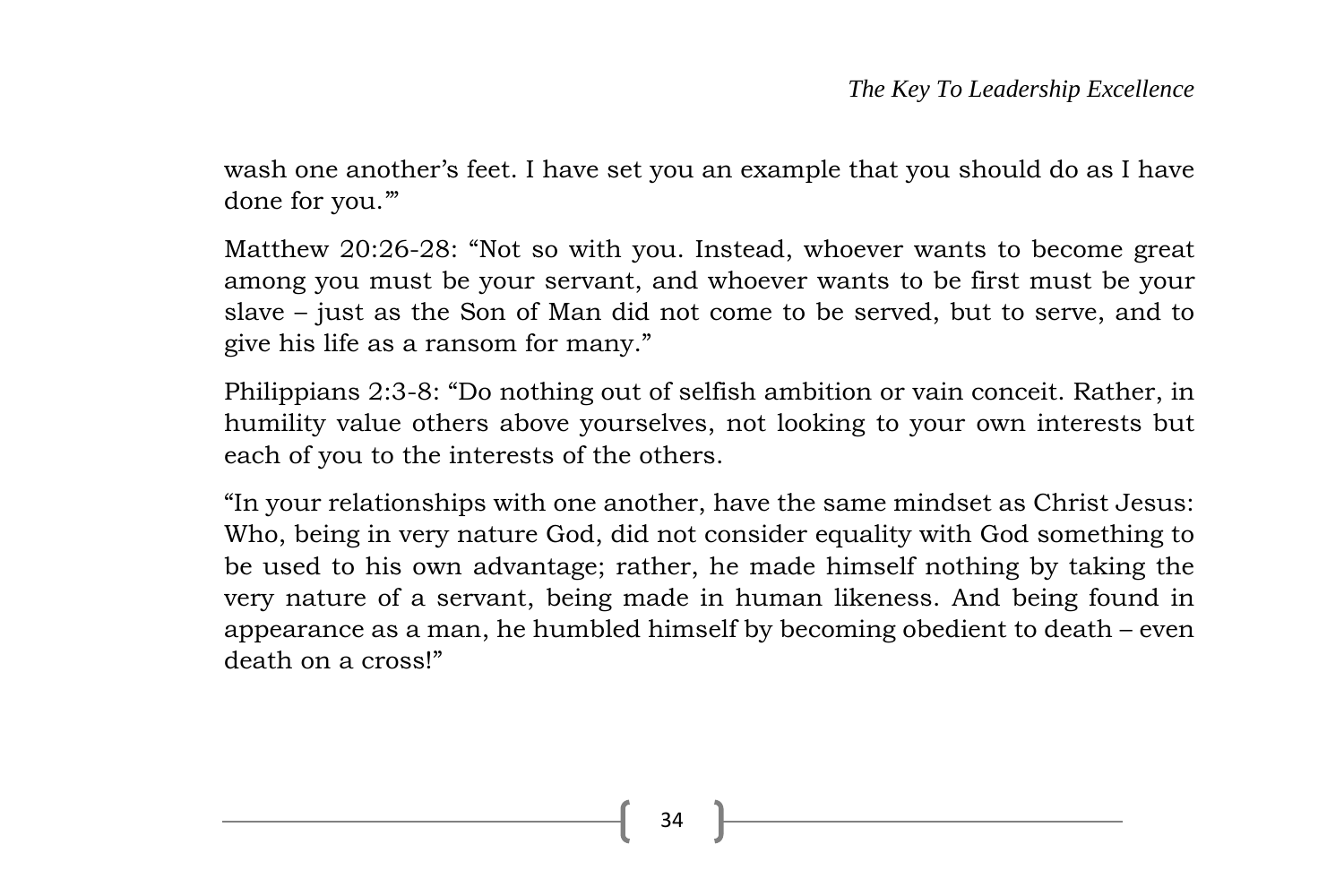wash one another's feet. I have set you an example that you should do as I have done for you.'"

Matthew 20:26-28: "Not so with you. Instead, whoever wants to become great among you must be your servant, and whoever wants to be first must be your slave – just as the Son of Man did not come to be served, but to serve, and to give his life as a ransom for many."

Philippians 2:3-8: "Do nothing out of selfish ambition or vain conceit. Rather, in humility value others above yourselves, not looking to your own interests but each of you to the interests of the others.

"In your relationships with one another, have the same mindset as Christ Jesus: Who, being in very nature God, did not consider equality with God something to be used to his own advantage; rather, he made himself nothing by taking the very nature of a servant, being made in human likeness. And being found in appearance as a man, he humbled himself by becoming obedient to death – even death on a cross!"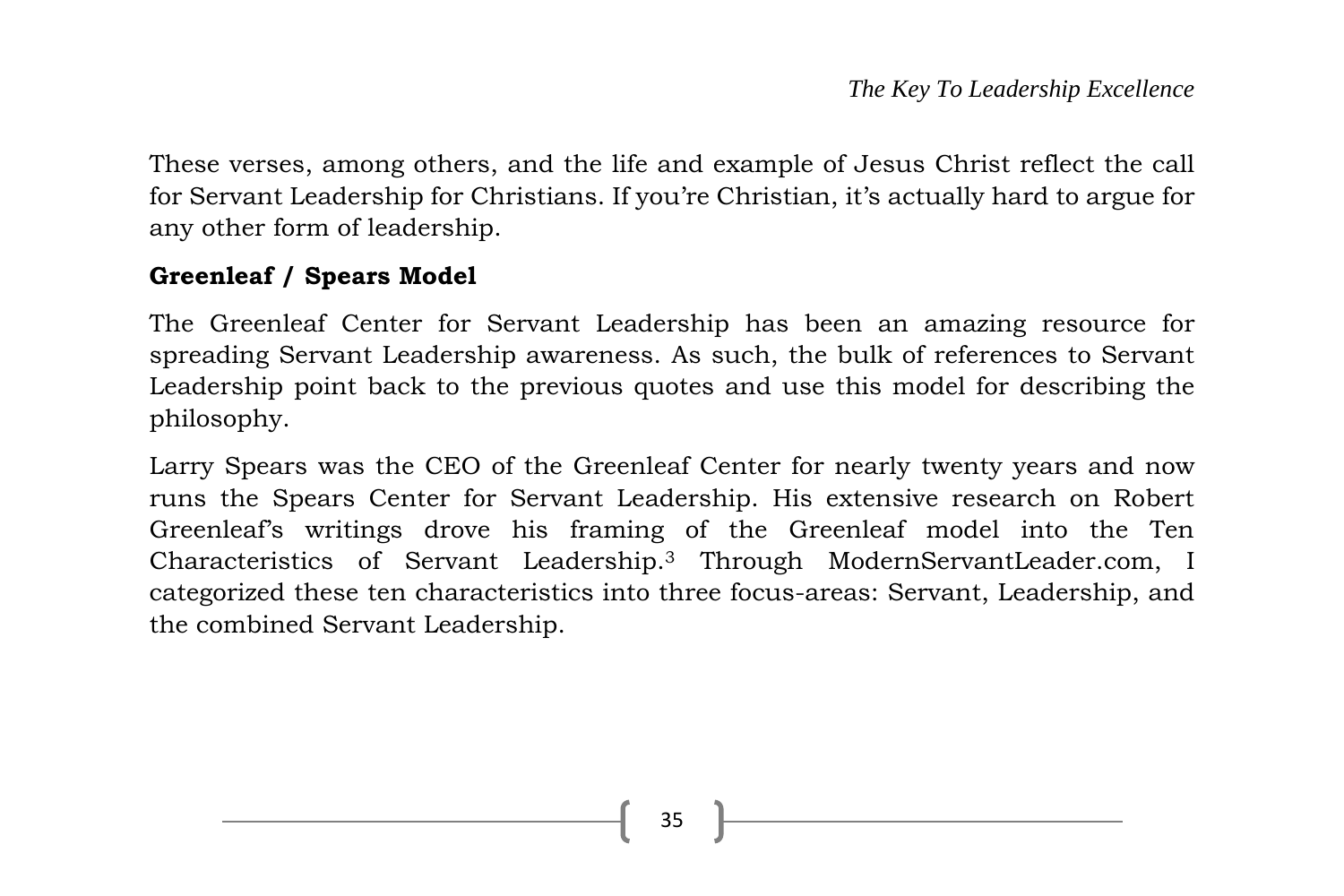These verses, among others, and the life and example of Jesus Christ reflect the call for Servant Leadership for Christians. If you're Christian, it's actually hard to argue for any other form of leadership.

### **Greenleaf / Spears Model**

The Greenleaf Center for Servant Leadership has been an amazing resource for spreading Servant Leadership awareness. As such, the bulk of references to Servant Leadership point back to the previous quotes and use this model for describing the philosophy.

Larry Spears was the CEO of the Greenleaf Center for nearly twenty years and now runs the Spears Center for Servant Leadership. His extensive research on Robert Greenleaf's writings drove his framing of the Greenleaf model into the Ten Characteristics of Servant Leadership.<sup>3</sup> Through ModernServantLeader.com, I categorized these ten characteristics into three focus-areas: Servant, Leadership, and the combined Servant Leadership.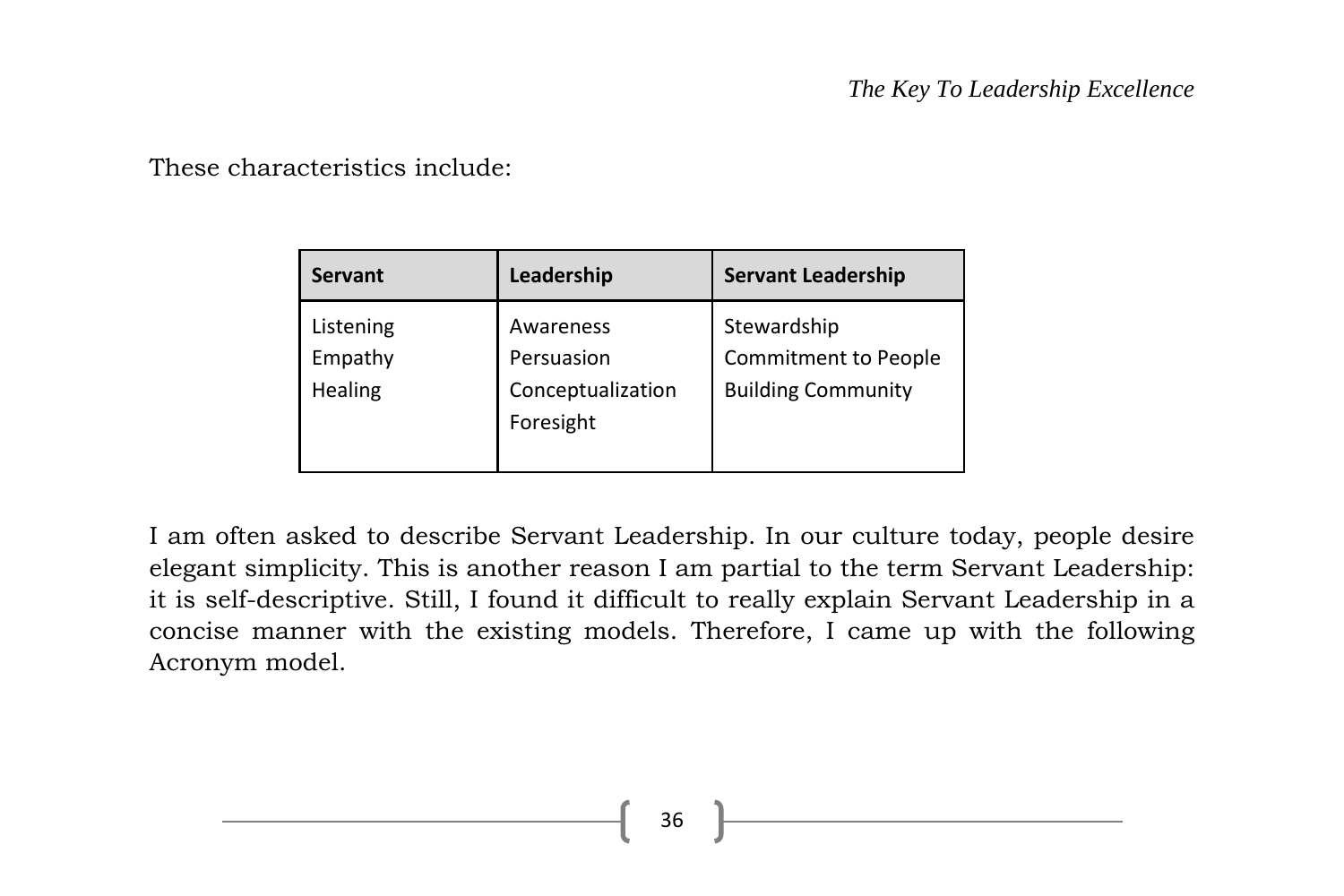These characteristics include:

| <b>Servant</b>                  | Leadership                                                | <b>Servant Leadership</b>                                               |
|---------------------------------|-----------------------------------------------------------|-------------------------------------------------------------------------|
| Listening<br>Empathy<br>Healing | Awareness<br>Persuasion<br>Conceptualization<br>Foresight | Stewardship<br><b>Commitment to People</b><br><b>Building Community</b> |

I am often asked to describe Servant Leadership. In our culture today, people desire elegant simplicity. This is another reason I am partial to the term Servant Leadership: it is self-descriptive. Still, I found it difficult to really explain Servant Leadership in a concise manner with the existing models. Therefore, I came up with the following Acronym model.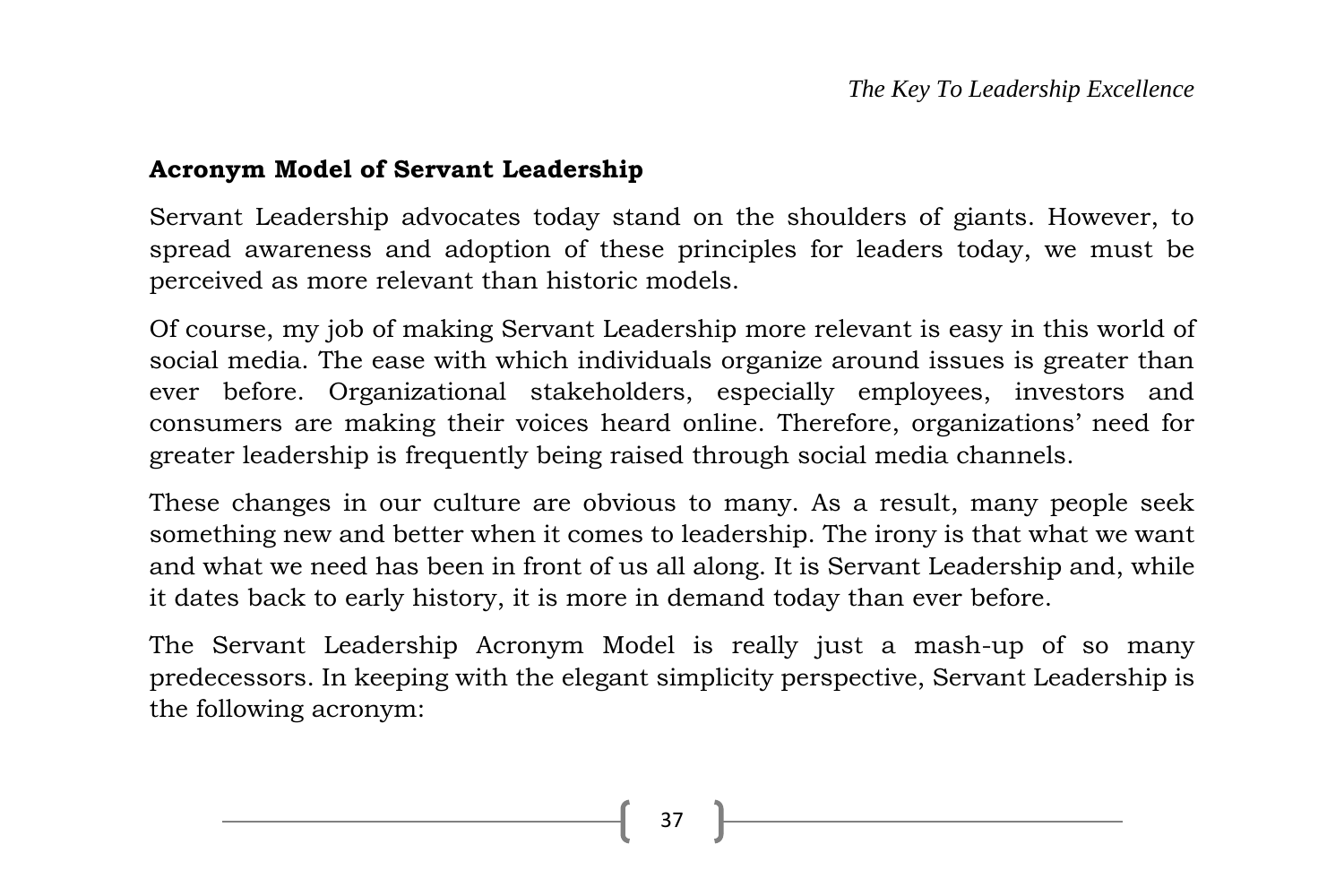#### **Acronym Model of Servant Leadership**

Servant Leadership advocates today stand on the shoulders of giants. However, to spread awareness and adoption of these principles for leaders today, we must be perceived as more relevant than historic models.

Of course, my job of making Servant Leadership more relevant is easy in this world of social media. The ease with which individuals organize around issues is greater than ever before. Organizational stakeholders, especially employees, investors and consumers are making their voices heard online. Therefore, organizations' need for greater leadership is frequently being raised through social media channels.

These changes in our culture are obvious to many. As a result, many people seek something new and better when it comes to leadership. The irony is that what we want and what we need has been in front of us all along. It is Servant Leadership and, while it dates back to early history, it is more in demand today than ever before.

The Servant Leadership Acronym Model is really just a mash-up of so many predecessors. In keeping with the elegant simplicity perspective, Servant Leadership is the following acronym: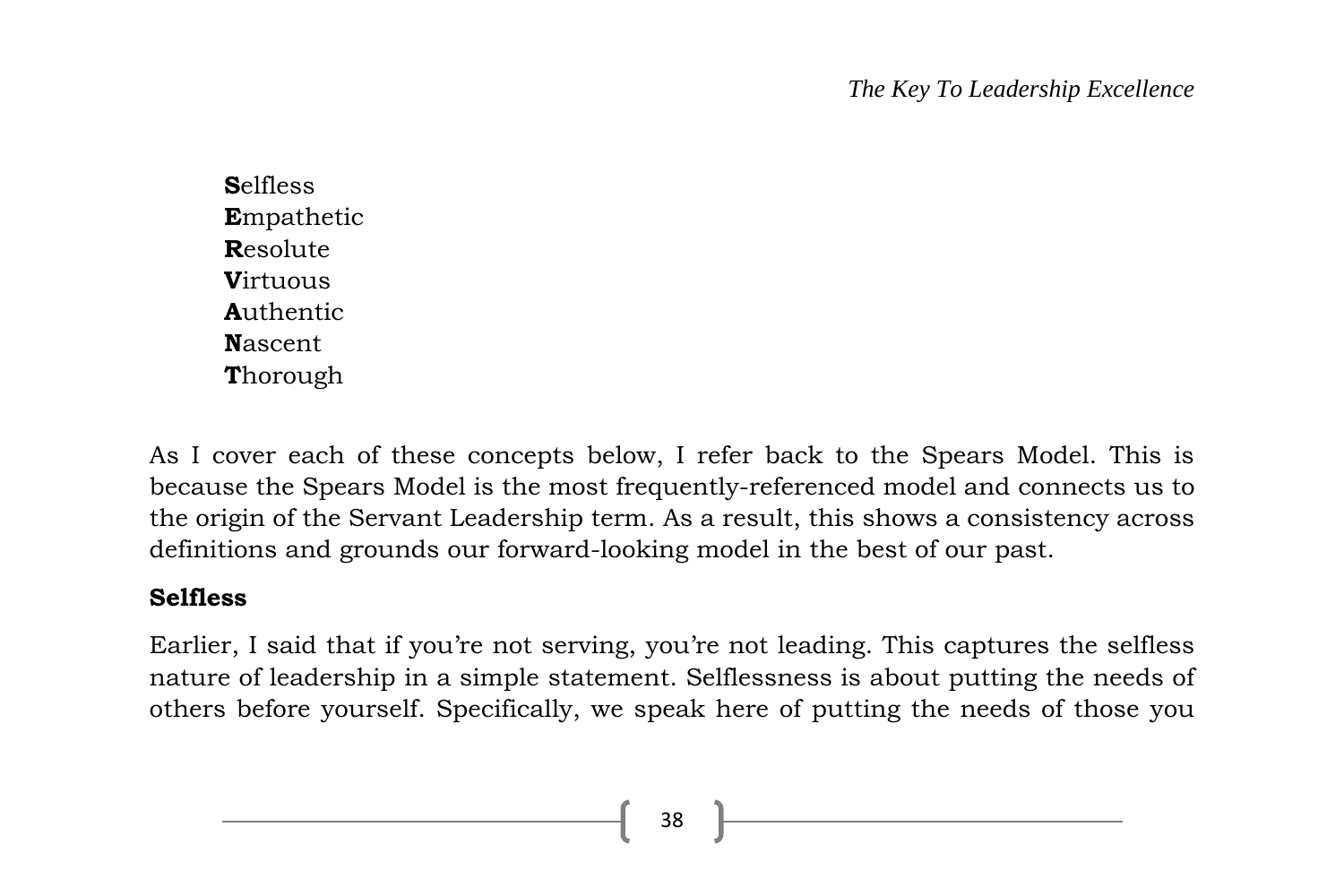**S**elfless **E**mpathetic **R**esolute **V**irtuous **A**uthentic **N**ascent **T**horough

As I cover each of these concepts below, I refer back to the Spears Model. This is because the Spears Model is the most frequently-referenced model and connects us to the origin of the Servant Leadership term. As a result, this shows a consistency across definitions and grounds our forward-looking model in the best of our past.

# **Selfless**

Earlier, I said that if you're not serving, you're not leading. This captures the selfless nature of leadership in a simple statement. Selflessness is about putting the needs of others before yourself. Specifically, we speak here of putting the needs of those you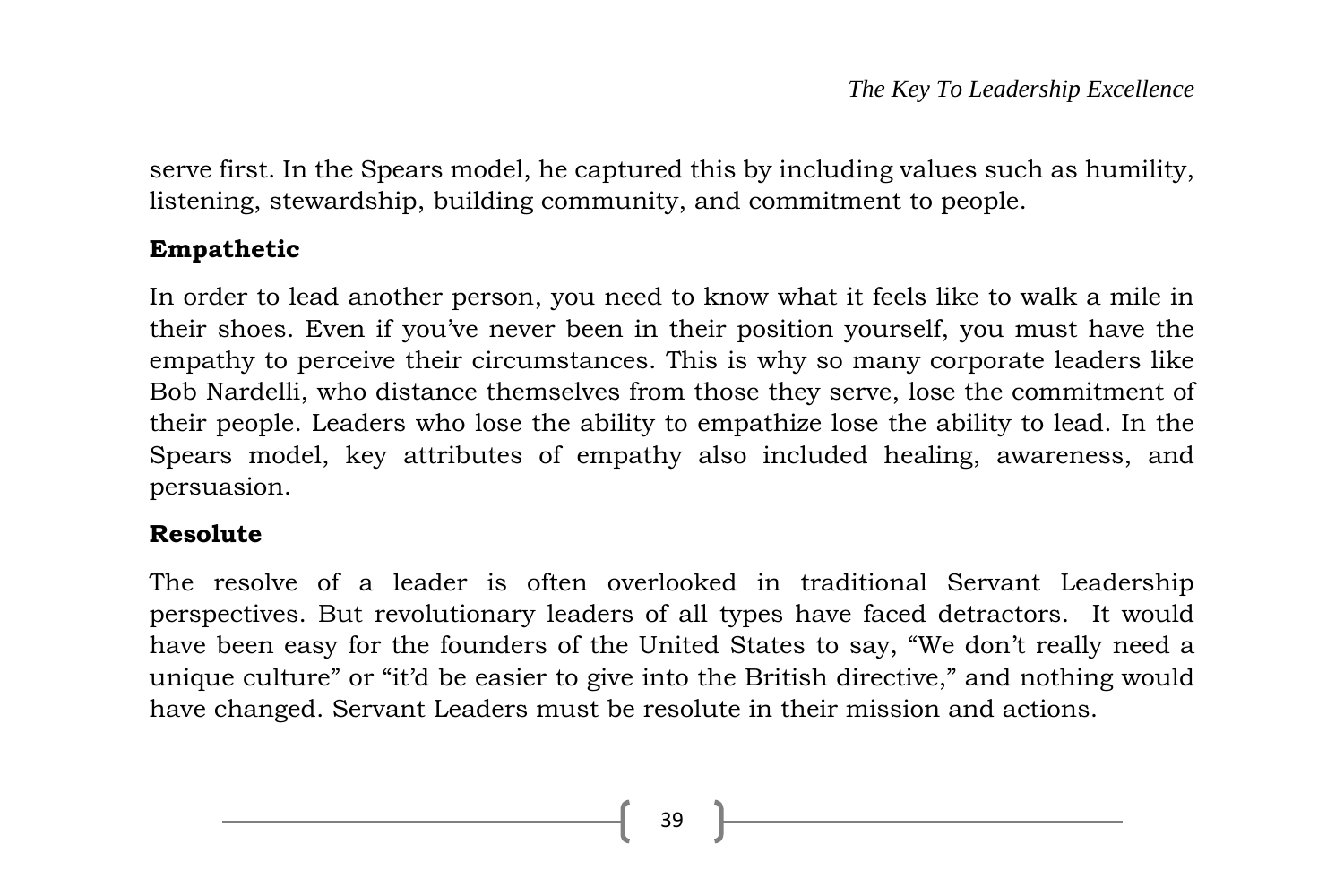serve first. In the Spears model, he captured this by including values such as humility, listening, stewardship, building community, and commitment to people.

#### **Empathetic**

In order to lead another person, you need to know what it feels like to walk a mile in their shoes. Even if you've never been in their position yourself, you must have the empathy to perceive their circumstances. This is why so many corporate leaders like Bob Nardelli, who distance themselves from those they serve, lose the commitment of their people. Leaders who lose the ability to empathize lose the ability to lead. In the Spears model, key attributes of empathy also included healing, awareness, and persuasion.

#### **Resolute**

The resolve of a leader is often overlooked in traditional Servant Leadership perspectives. But revolutionary leaders of all types have faced detractors. It would have been easy for the founders of the United States to say, "We don't really need a unique culture" or "it'd be easier to give into the British directive," and nothing would have changed. Servant Leaders must be resolute in their mission and actions.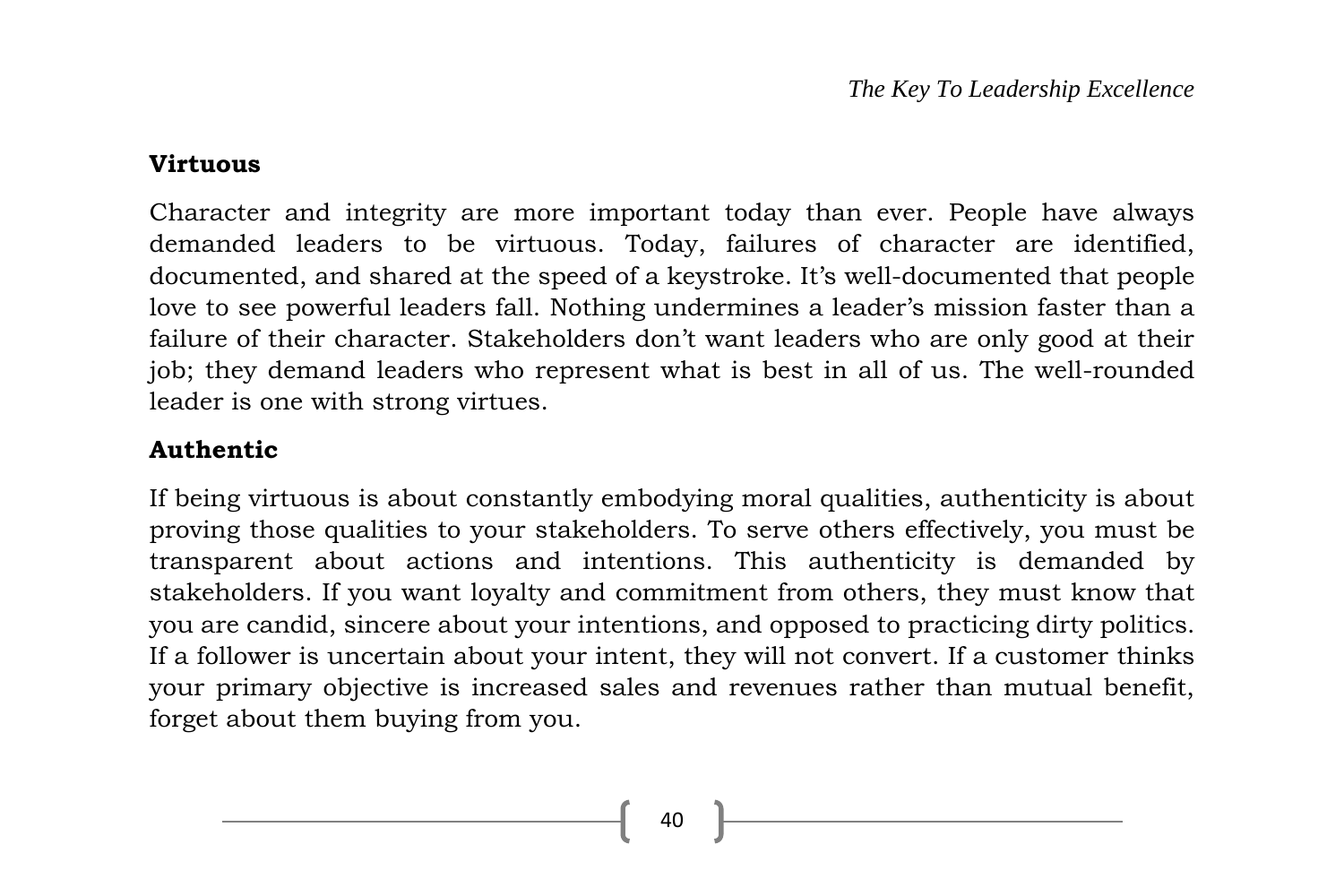#### **Virtuous**

Character and integrity are more important today than ever. People have always demanded leaders to be virtuous. Today, failures of character are identified, documented, and shared at the speed of a keystroke. It's well-documented that people love to see powerful leaders fall. Nothing undermines a leader's mission faster than a failure of their character. Stakeholders don't want leaders who are only good at their job; they demand leaders who represent what is best in all of us. The well-rounded leader is one with strong virtues.

#### **Authentic**

If being virtuous is about constantly embodying moral qualities, authenticity is about proving those qualities to your stakeholders. To serve others effectively, you must be transparent about actions and intentions. This authenticity is demanded by stakeholders. If you want loyalty and commitment from others, they must know that you are candid, sincere about your intentions, and opposed to practicing dirty politics. If a follower is uncertain about your intent, they will not convert. If a customer thinks your primary objective is increased sales and revenues rather than mutual benefit, forget about them buying from you.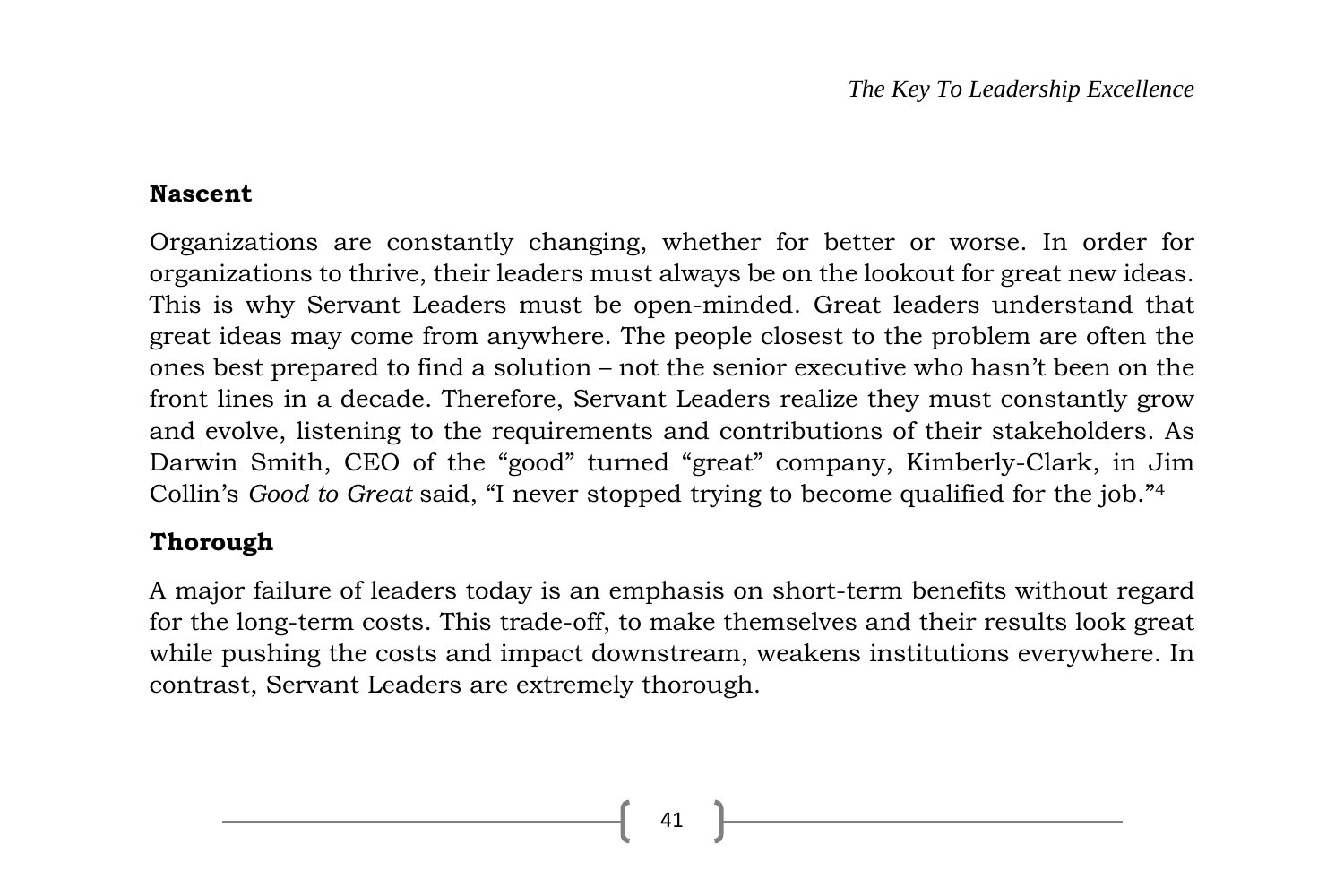#### **Nascent**

Organizations are constantly changing, whether for better or worse. In order for organizations to thrive, their leaders must always be on the lookout for great new ideas. This is why Servant Leaders must be open-minded. Great leaders understand that great ideas may come from anywhere. The people closest to the problem are often the ones best prepared to find a solution – not the senior executive who hasn't been on the front lines in a decade. Therefore, Servant Leaders realize they must constantly grow and evolve, listening to the requirements and contributions of their stakeholders. As Darwin Smith, CEO of the "good" turned "great" company, Kimberly-Clark, in Jim Collin's *Good to Great* said, "I never stopped trying to become qualified for the job."<sup>4</sup>

#### **Thorough**

A major failure of leaders today is an emphasis on short-term benefits without regard for the long-term costs. This trade-off, to make themselves and their results look great while pushing the costs and impact downstream, weakens institutions everywhere. In contrast, Servant Leaders are extremely thorough.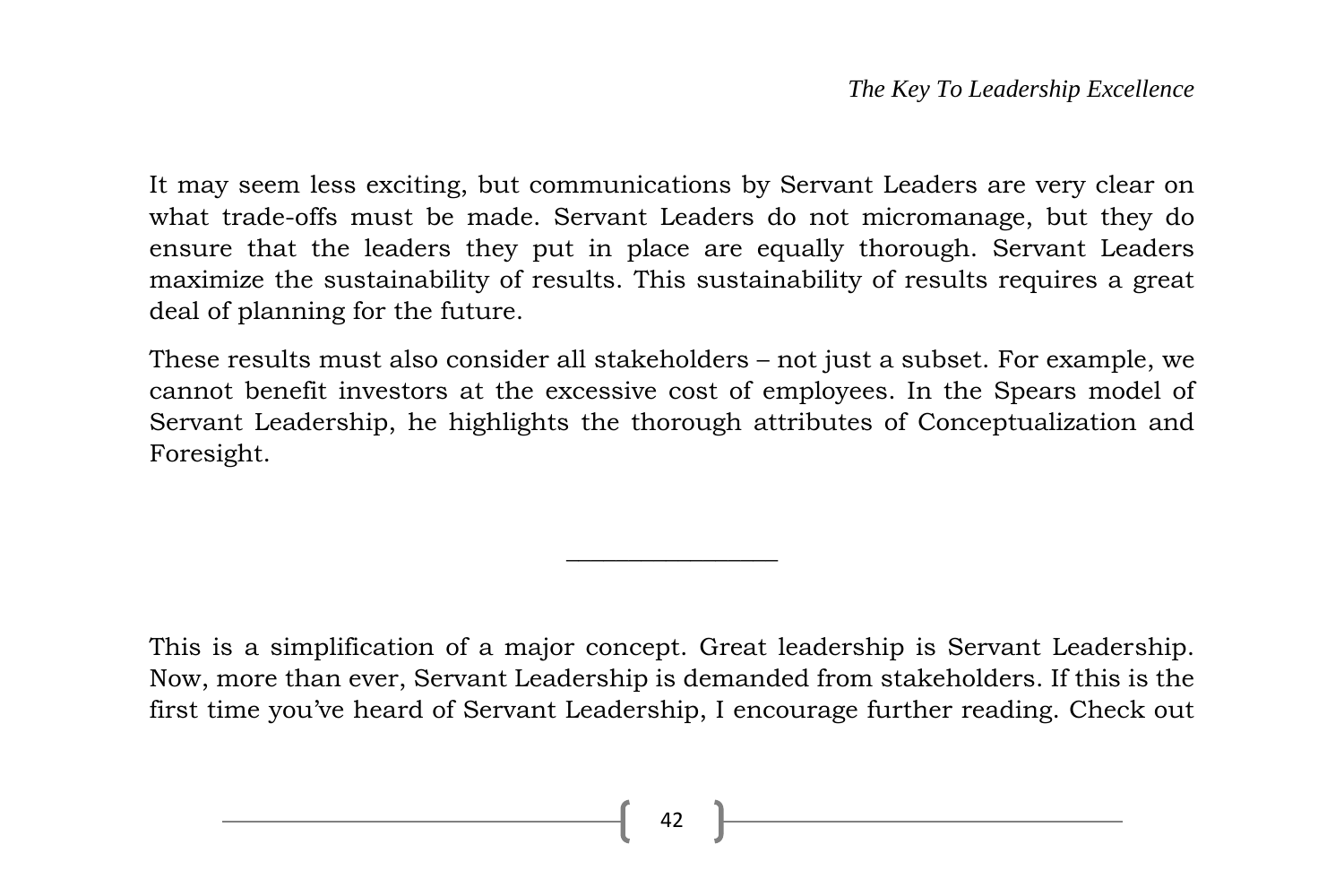It may seem less exciting, but communications by Servant Leaders are very clear on what trade-offs must be made. Servant Leaders do not micromanage, but they do ensure that the leaders they put in place are equally thorough. Servant Leaders maximize the sustainability of results. This sustainability of results requires a great deal of planning for the future.

These results must also consider all stakeholders – not just a subset. For example, we cannot benefit investors at the excessive cost of employees. In the Spears model of Servant Leadership, he highlights the thorough attributes of Conceptualization and Foresight.

This is a simplification of a major concept. Great leadership is Servant Leadership. Now, more than ever, Servant Leadership is demanded from stakeholders. If this is the first time you've heard of Servant Leadership, I encourage further reading. Check out

 $\overline{\phantom{a}}$  , where  $\overline{\phantom{a}}$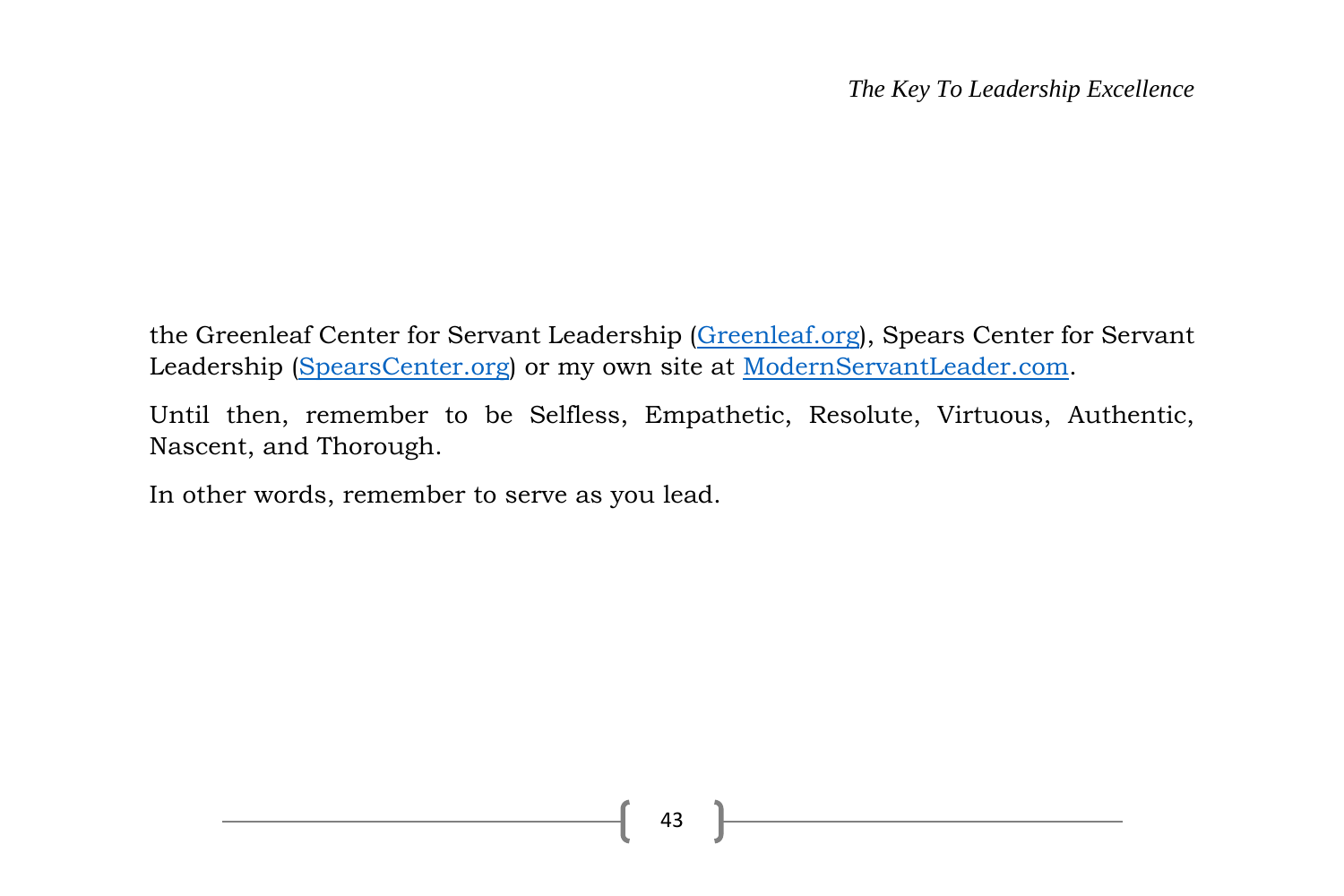the Greenleaf Center for Servant Leadership [\(Greenleaf.org\)](https://www.greenleaf.org/), Spears Center for Servant Leadership [\(SpearsCenter.org\)](http://www.spearscenter.org/) or my own site at [ModernServantLeader.com.](http://modernservantleader.com/)

Until then, remember to be Selfless, Empathetic, Resolute, Virtuous, Authentic, Nascent, and Thorough.

In other words, remember to serve as you lead.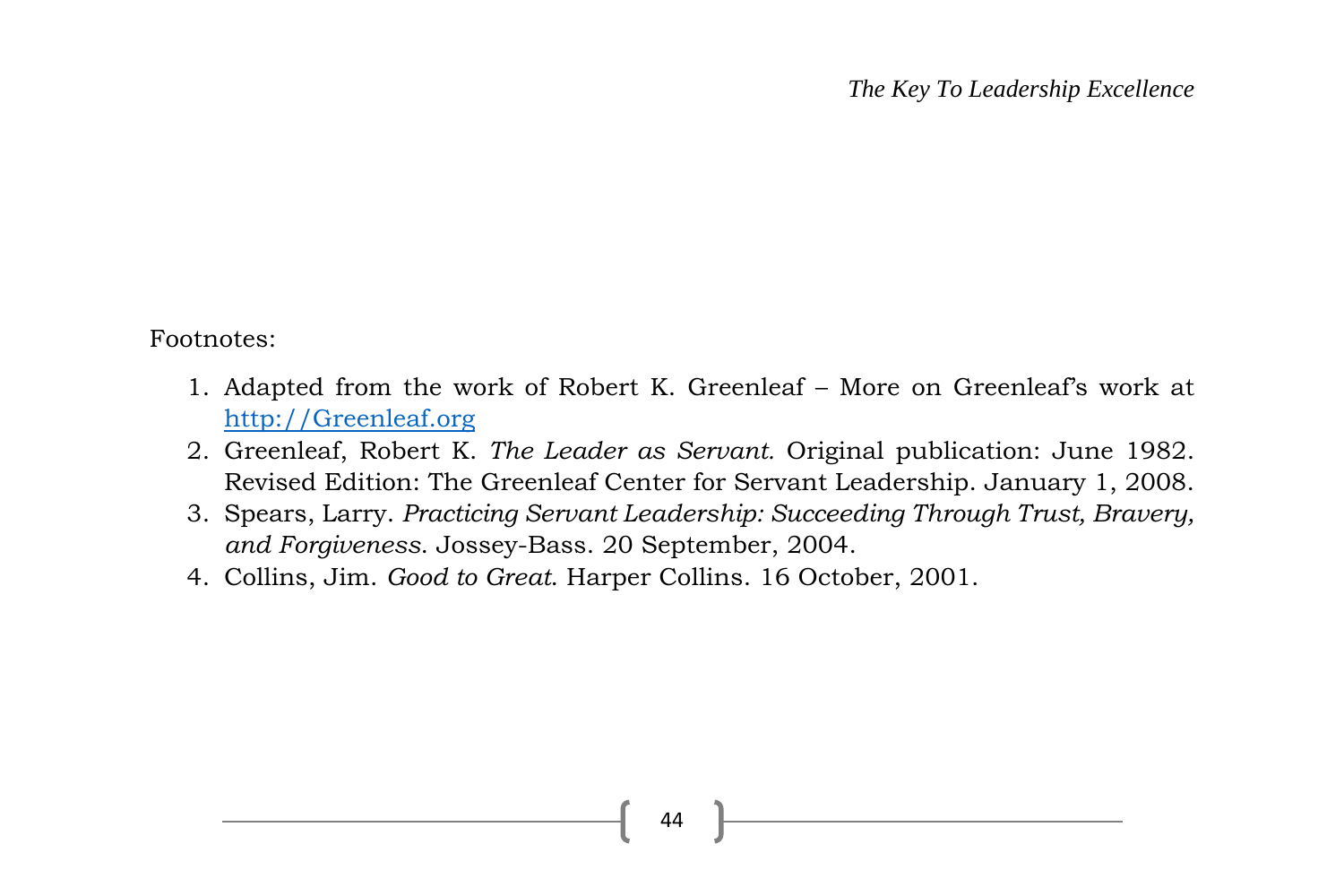Footnotes:

- 1. Adapted from the work of Robert K. Greenleaf More on Greenleaf's work at [http://Greenleaf.org](http://greenleaf.org/)
- 2. Greenleaf, Robert K. *The Leader as Servant.* Original publication: June 1982. Revised Edition: The Greenleaf Center for Servant Leadership. January 1, 2008.
- 3. Spears, Larry. *Practicing Servant Leadership: Succeeding Through Trust, Bravery, and Forgiveness*. Jossey-Bass. 20 September, 2004.
- 4. Collins, Jim. *Good to Great*. Harper Collins. 16 October, 2001.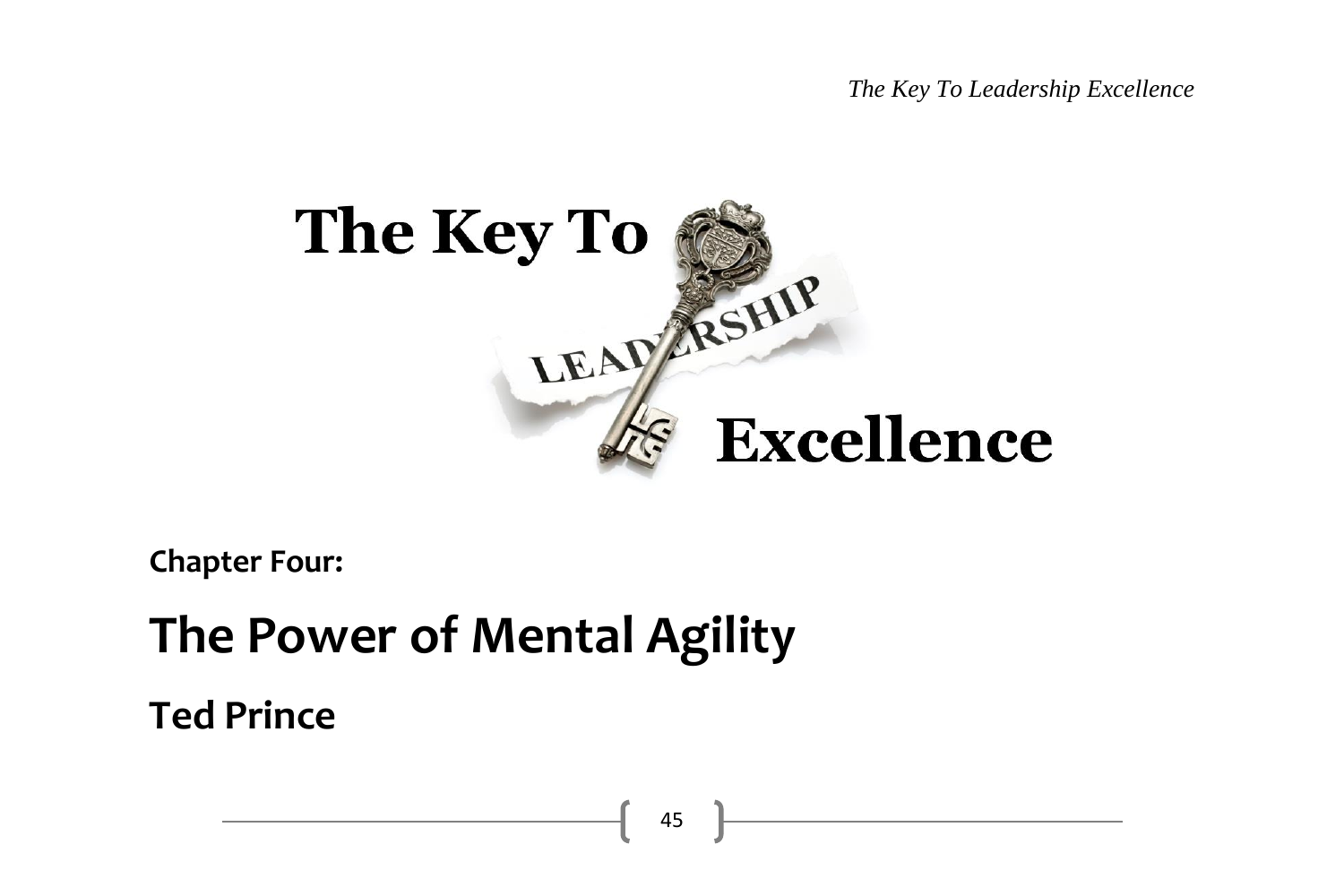*The Key To Leadership Excellence*



**Chapter Four:**

# **The Power of Mental Agility**

**Ted Prince**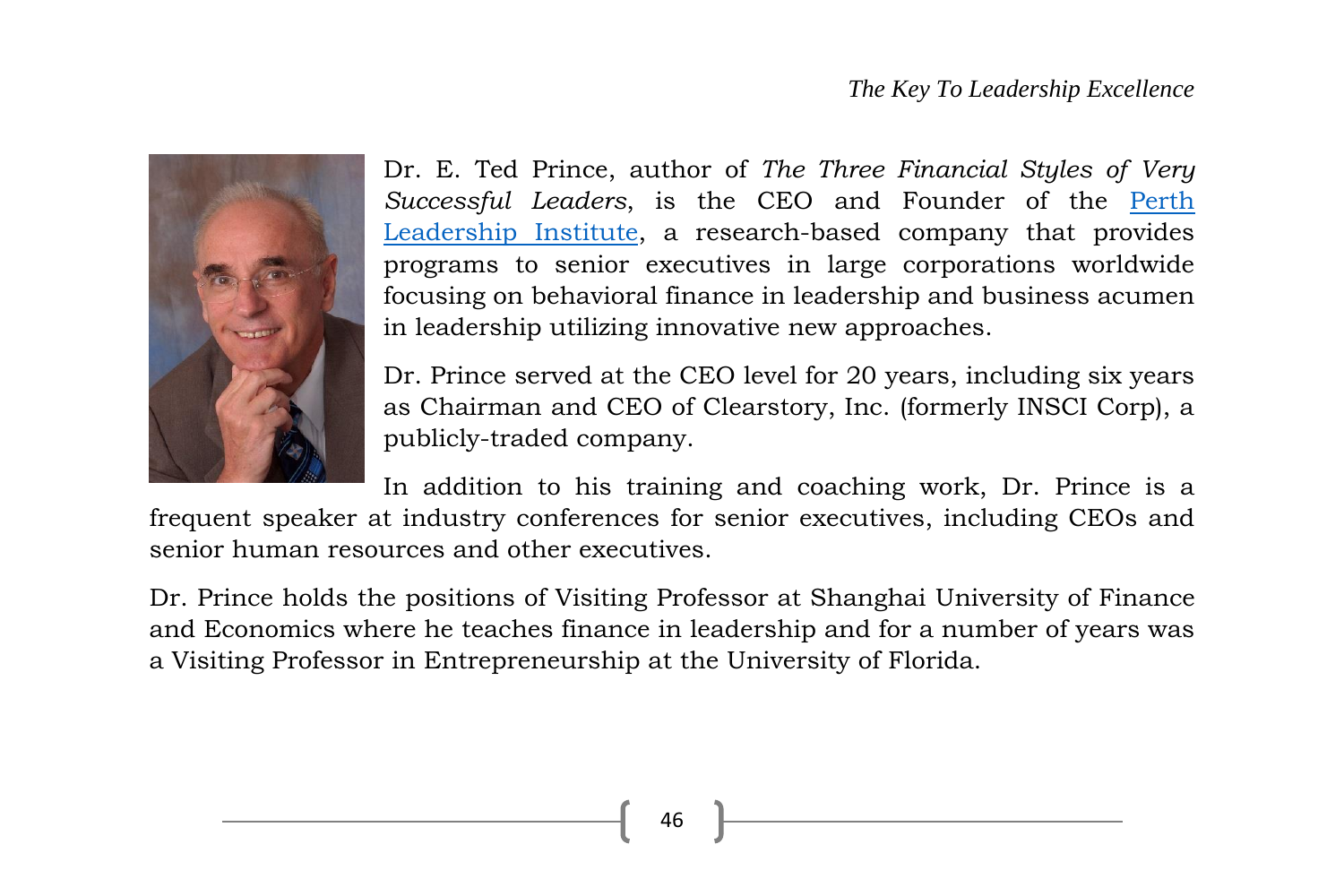

Dr. E. Ted Prince, author of *The Three Financial Styles of Very Successful Leaders*, is the CEO and Founder of the [Perth](http://www.perthleadership.org/)  [Leadership Institute,](http://www.perthleadership.org/) a research-based company that provides programs to senior executives in large corporations worldwide focusing on behavioral finance in leadership and business acumen in leadership utilizing innovative new approaches.

Dr. Prince served at the CEO level for 20 years, including six years as Chairman and CEO of Clearstory, Inc. (formerly INSCI Corp), a publicly-traded company.

In addition to his training and coaching work, Dr. Prince is a frequent speaker at industry conferences for senior executives, including CEOs and senior human resources and other executives.

Dr. Prince holds the positions of Visiting Professor at Shanghai University of Finance and Economics where he teaches finance in leadership and for a number of years was a Visiting Professor in Entrepreneurship at the University of Florida.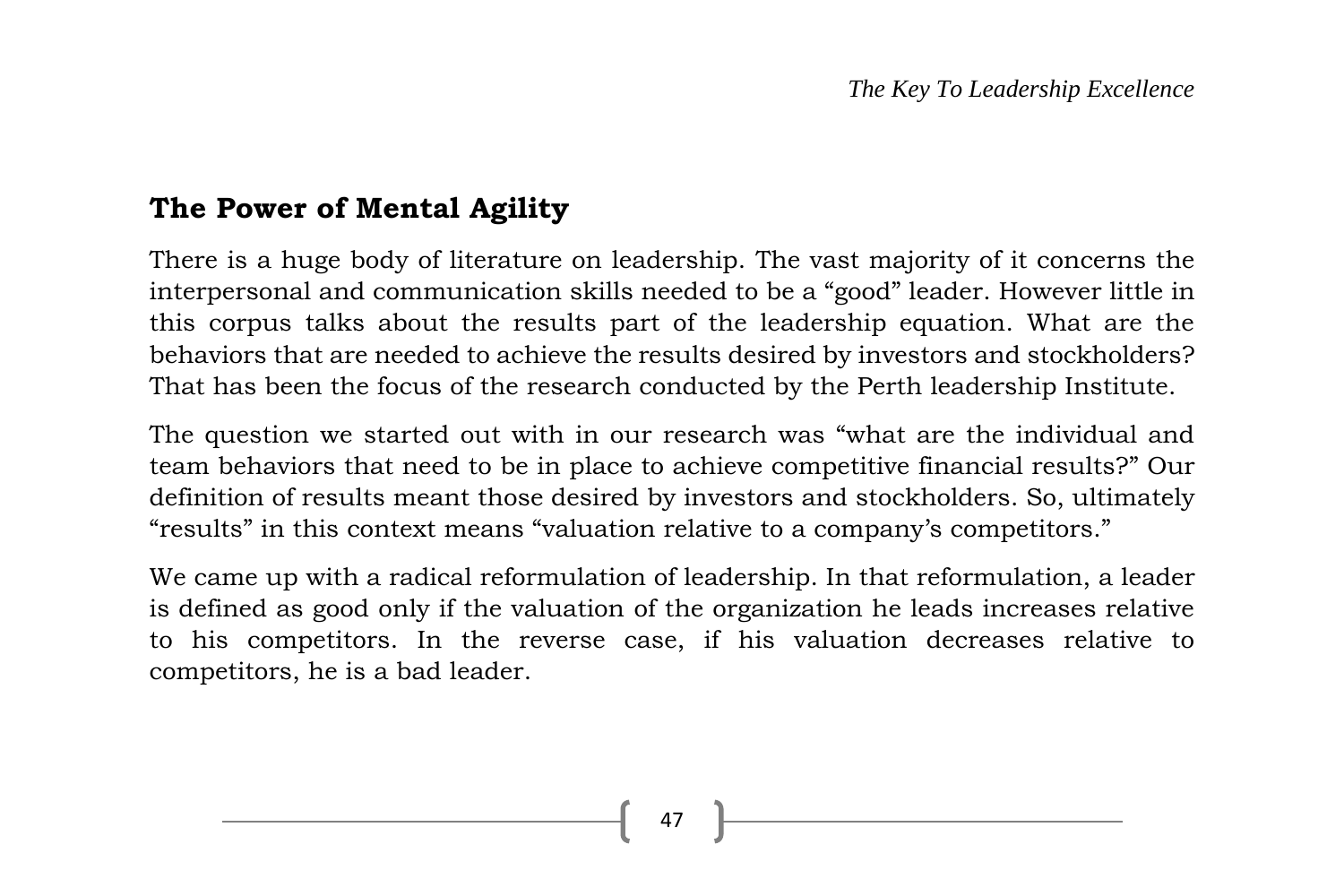# **The Power of Mental Agility**

There is a huge body of literature on leadership. The vast majority of it concerns the interpersonal and communication skills needed to be a "good" leader. However little in this corpus talks about the results part of the leadership equation. What are the behaviors that are needed to achieve the results desired by investors and stockholders? That has been the focus of the research conducted by the Perth leadership Institute.

The question we started out with in our research was "what are the individual and team behaviors that need to be in place to achieve competitive financial results?" Our definition of results meant those desired by investors and stockholders. So, ultimately "results" in this context means "valuation relative to a company's competitors."

We came up with a radical reformulation of leadership. In that reformulation, a leader is defined as good only if the valuation of the organization he leads increases relative to his competitors. In the reverse case, if his valuation decreases relative to competitors, he is a bad leader.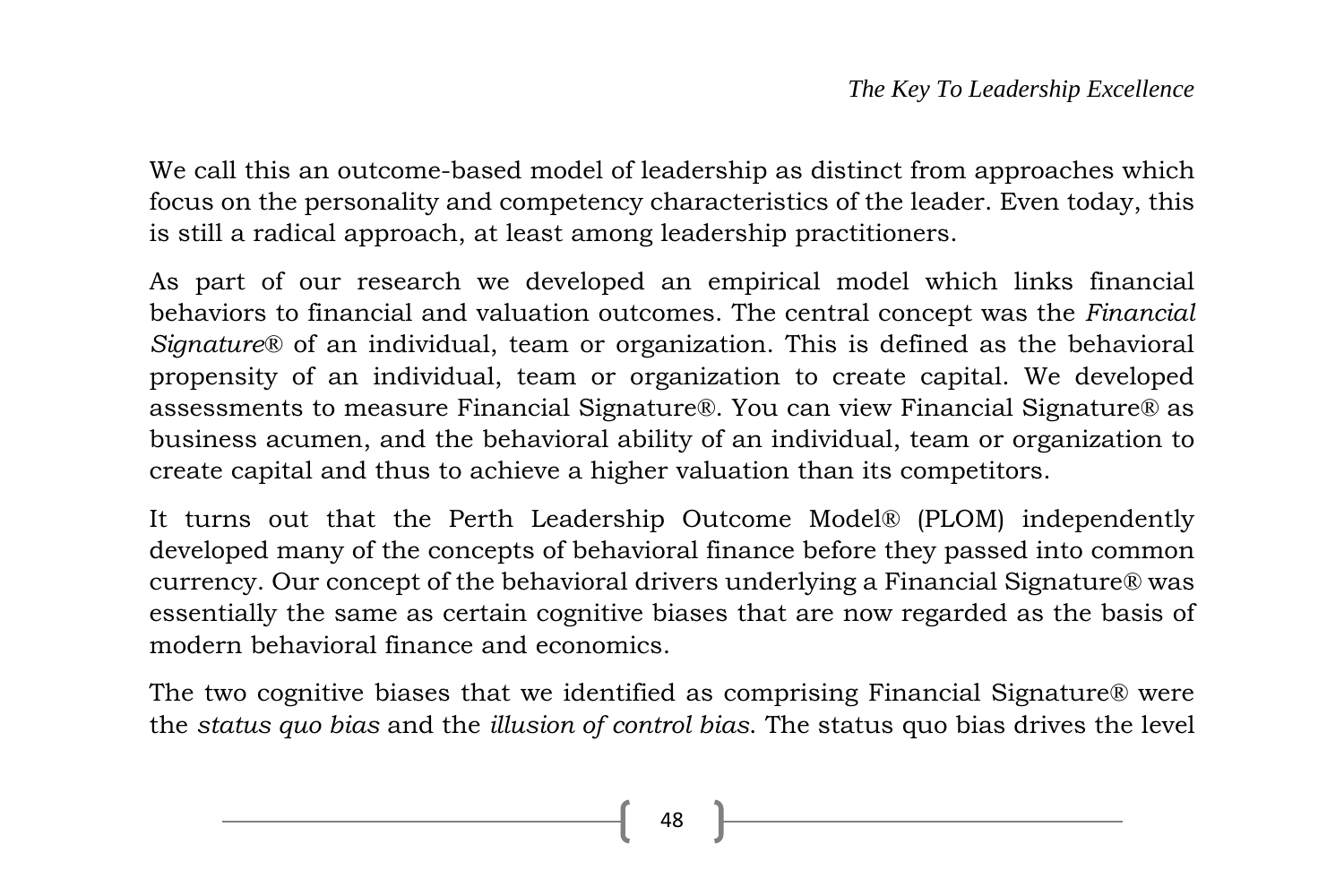We call this an outcome-based model of leadership as distinct from approaches which focus on the personality and competency characteristics of the leader. Even today, this is still a radical approach, at least among leadership practitioners.

As part of our research we developed an empirical model which links financial behaviors to financial and valuation outcomes. The central concept was the *Financial Signature*® of an individual, team or organization. This is defined as the behavioral propensity of an individual, team or organization to create capital. We developed assessments to measure Financial Signature®. You can view Financial Signature® as business acumen, and the behavioral ability of an individual, team or organization to create capital and thus to achieve a higher valuation than its competitors.

It turns out that the Perth Leadership Outcome Model® (PLOM) independently developed many of the concepts of behavioral finance before they passed into common currency. Our concept of the behavioral drivers underlying a Financial Signature® was essentially the same as certain cognitive biases that are now regarded as the basis of modern behavioral finance and economics.

The two cognitive biases that we identified as comprising Financial Signature® were the *status quo bias* and the *illusion of control bias*. The status quo bias drives the level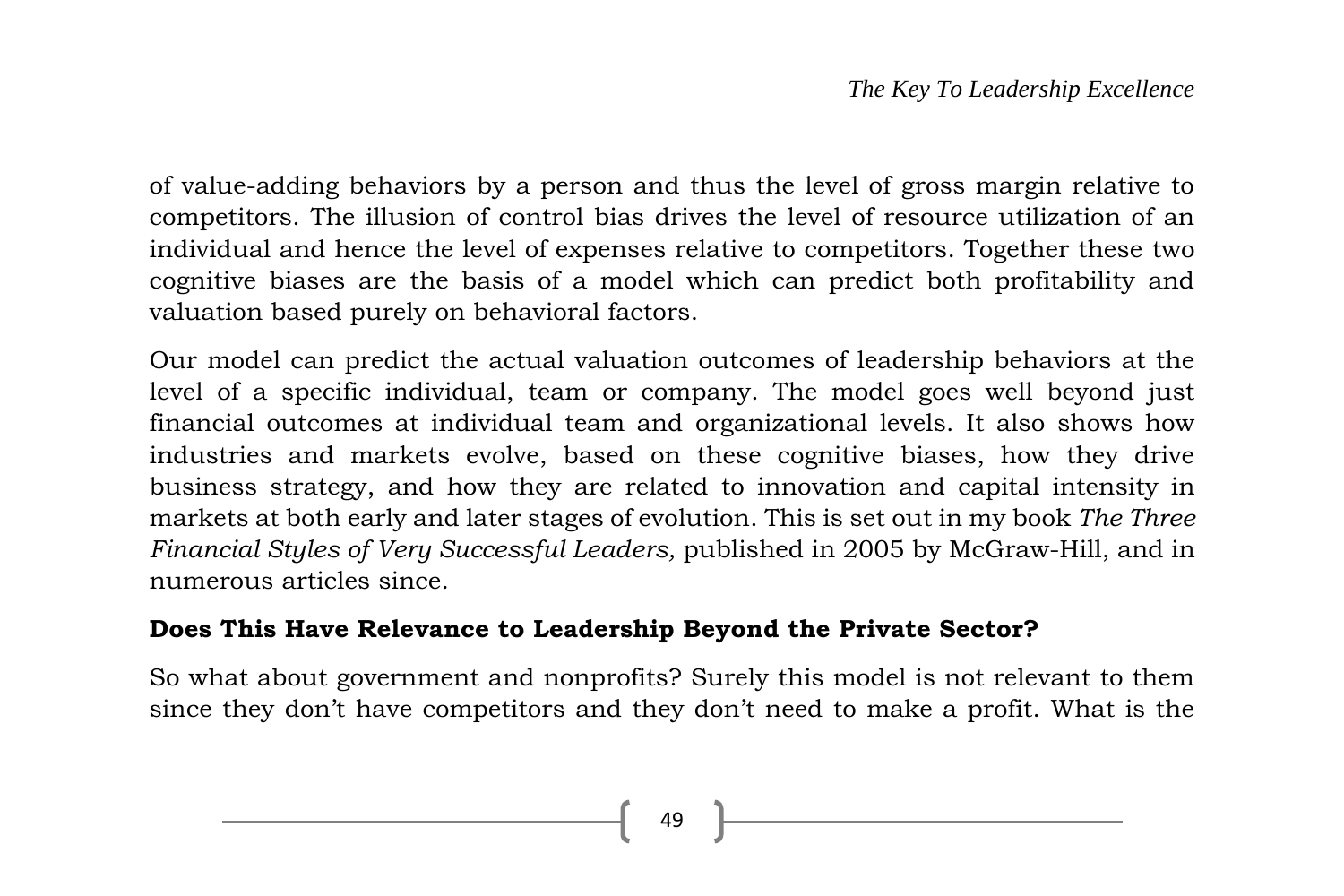of value-adding behaviors by a person and thus the level of gross margin relative to competitors. The illusion of control bias drives the level of resource utilization of an individual and hence the level of expenses relative to competitors. Together these two cognitive biases are the basis of a model which can predict both profitability and valuation based purely on behavioral factors.

Our model can predict the actual valuation outcomes of leadership behaviors at the level of a specific individual, team or company. The model goes well beyond just financial outcomes at individual team and organizational levels. It also shows how industries and markets evolve, based on these cognitive biases, how they drive business strategy, and how they are related to innovation and capital intensity in markets at both early and later stages of evolution. This is set out in my book *The Three Financial Styles of Very Successful Leaders,* published in 2005 by McGraw-Hill, and in numerous articles since.

#### **Does This Have Relevance to Leadership Beyond the Private Sector?**

So what about government and nonprofits? Surely this model is not relevant to them since they don't have competitors and they don't need to make a profit. What is the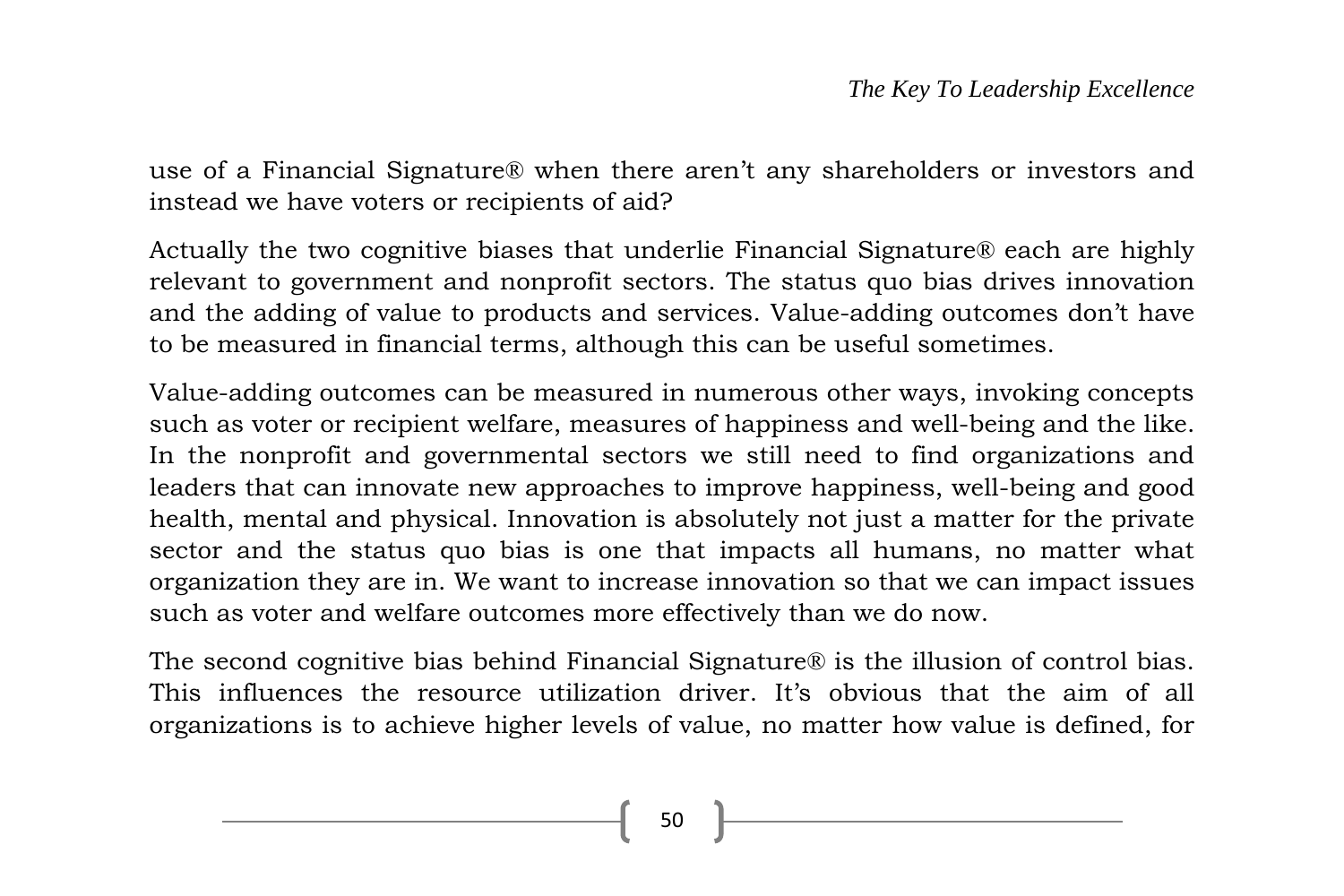use of a Financial Signature® when there aren't any shareholders or investors and instead we have voters or recipients of aid?

Actually the two cognitive biases that underlie Financial Signature® each are highly relevant to government and nonprofit sectors. The status quo bias drives innovation and the adding of value to products and services. Value-adding outcomes don't have to be measured in financial terms, although this can be useful sometimes.

Value-adding outcomes can be measured in numerous other ways, invoking concepts such as voter or recipient welfare, measures of happiness and well-being and the like. In the nonprofit and governmental sectors we still need to find organizations and leaders that can innovate new approaches to improve happiness, well-being and good health, mental and physical. Innovation is absolutely not just a matter for the private sector and the status quo bias is one that impacts all humans, no matter what organization they are in. We want to increase innovation so that we can impact issues such as voter and welfare outcomes more effectively than we do now.

The second cognitive bias behind Financial Signature® is the illusion of control bias. This influences the resource utilization driver. It's obvious that the aim of all organizations is to achieve higher levels of value, no matter how value is defined, for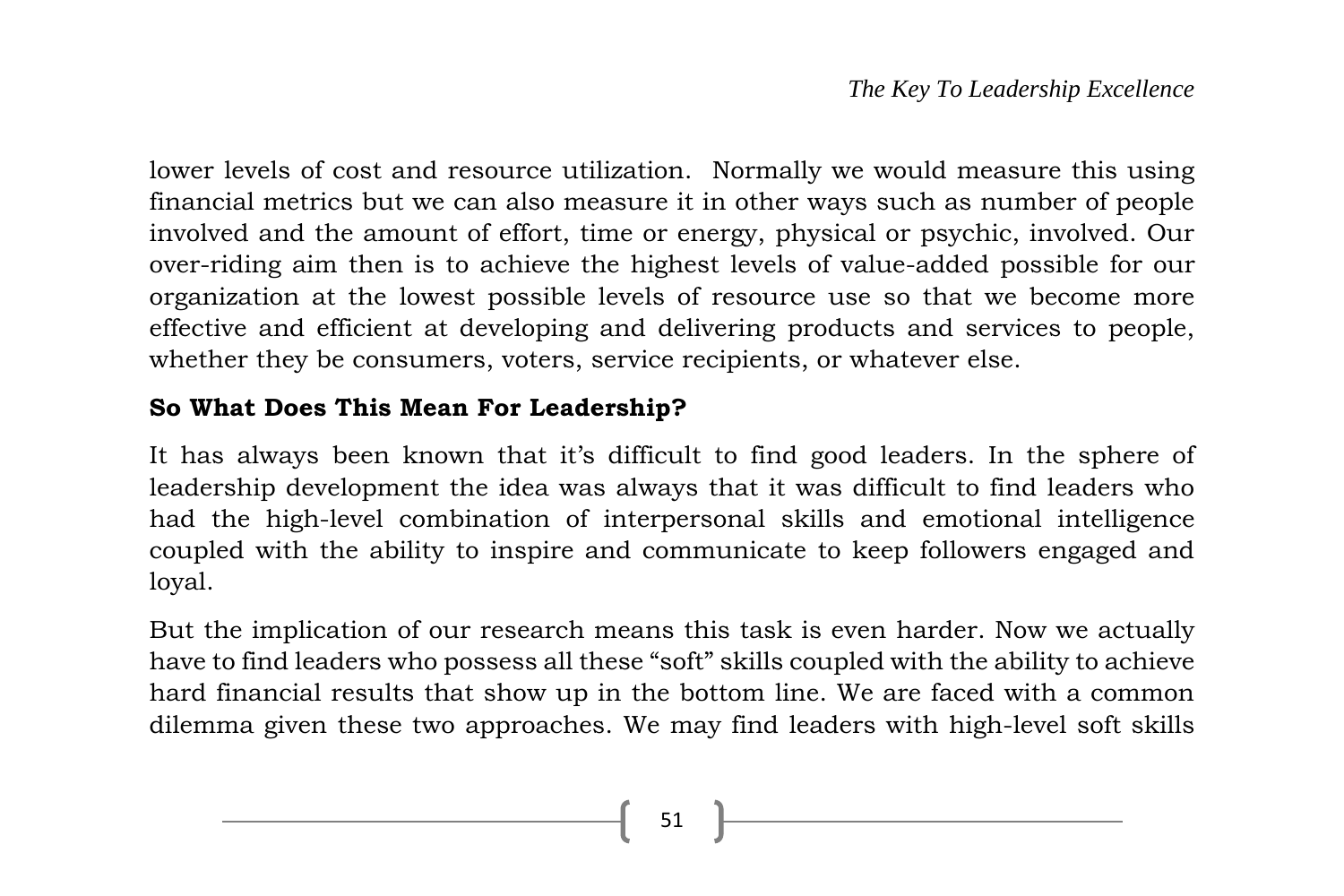lower levels of cost and resource utilization. Normally we would measure this using financial metrics but we can also measure it in other ways such as number of people involved and the amount of effort, time or energy, physical or psychic, involved. Our over-riding aim then is to achieve the highest levels of value-added possible for our organization at the lowest possible levels of resource use so that we become more effective and efficient at developing and delivering products and services to people, whether they be consumers, voters, service recipients, or whatever else.

### **So What Does This Mean For Leadership?**

It has always been known that it's difficult to find good leaders. In the sphere of leadership development the idea was always that it was difficult to find leaders who had the high-level combination of interpersonal skills and emotional intelligence coupled with the ability to inspire and communicate to keep followers engaged and loyal.

But the implication of our research means this task is even harder. Now we actually have to find leaders who possess all these "soft" skills coupled with the ability to achieve hard financial results that show up in the bottom line. We are faced with a common dilemma given these two approaches. We may find leaders with high-level soft skills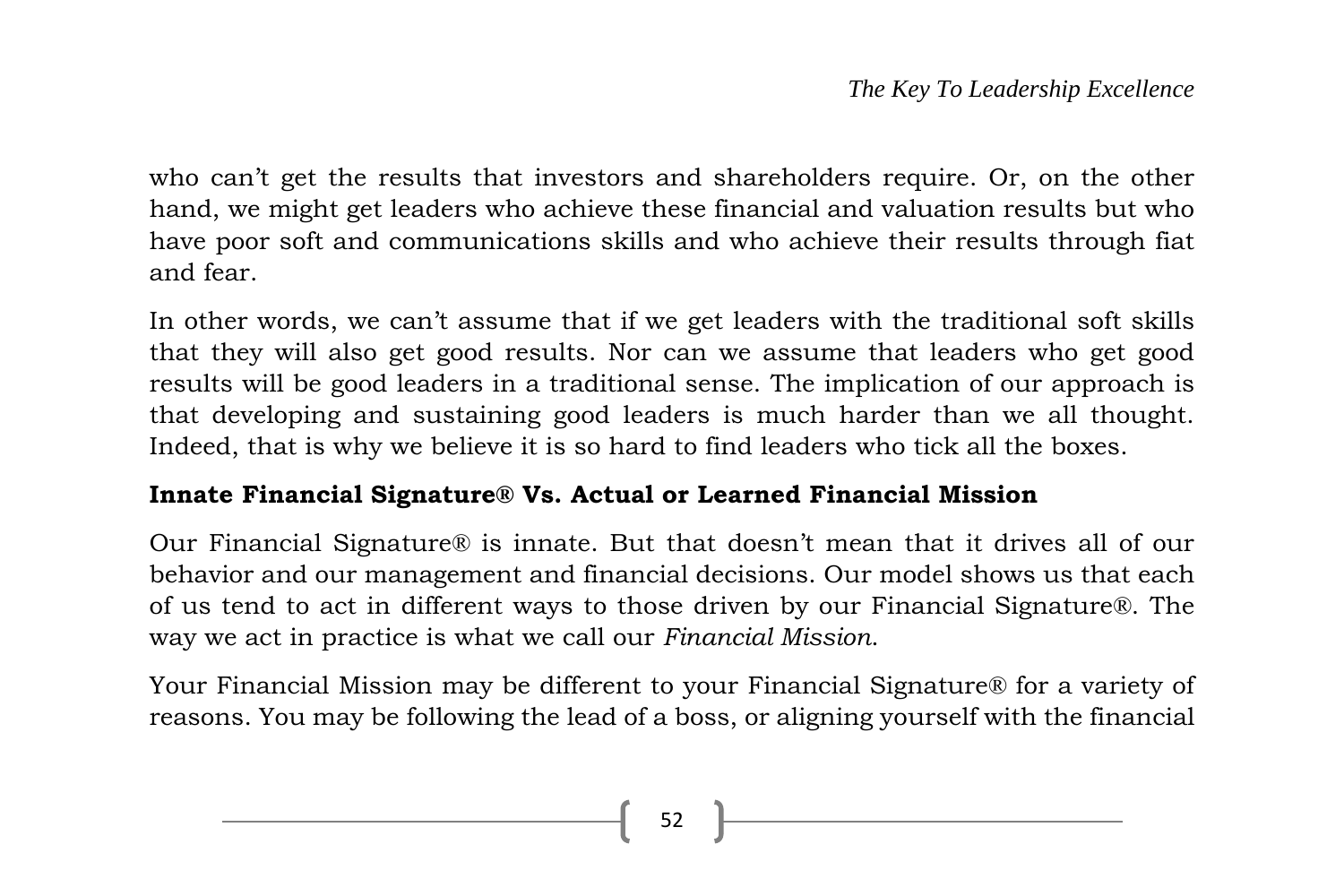who can't get the results that investors and shareholders require. Or, on the other hand, we might get leaders who achieve these financial and valuation results but who have poor soft and communications skills and who achieve their results through fiat and fear.

In other words, we can't assume that if we get leaders with the traditional soft skills that they will also get good results. Nor can we assume that leaders who get good results will be good leaders in a traditional sense. The implication of our approach is that developing and sustaining good leaders is much harder than we all thought. Indeed, that is why we believe it is so hard to find leaders who tick all the boxes.

#### **Innate Financial Signature® Vs. Actual or Learned Financial Mission**

Our Financial Signature® is innate. But that doesn't mean that it drives all of our behavior and our management and financial decisions. Our model shows us that each of us tend to act in different ways to those driven by our Financial Signature®. The way we act in practice is what we call our *Financial Mission*.

Your Financial Mission may be different to your Financial Signature® for a variety of reasons. You may be following the lead of a boss, or aligning yourself with the financial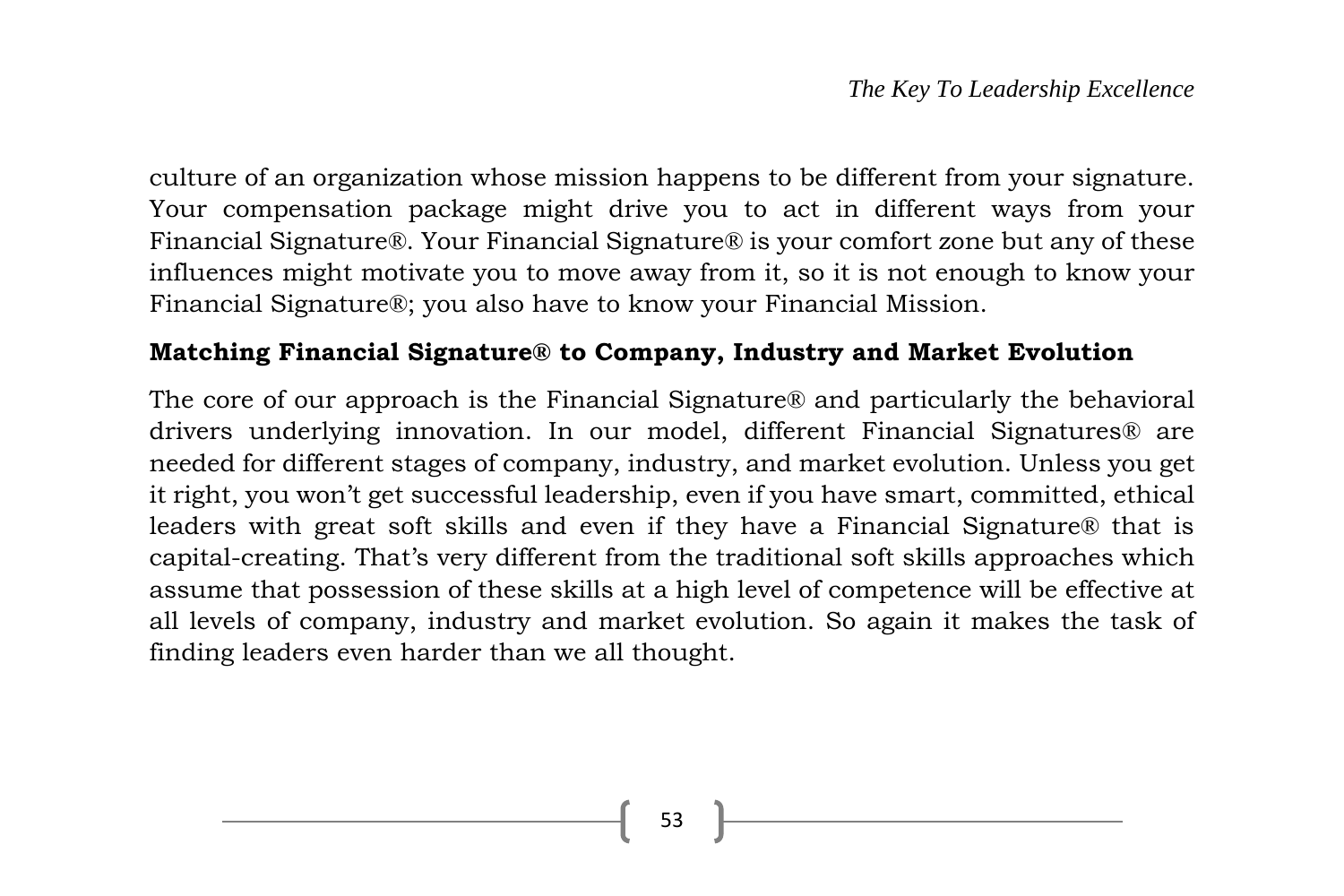culture of an organization whose mission happens to be different from your signature. Your compensation package might drive you to act in different ways from your Financial Signature®. Your Financial Signature® is your comfort zone but any of these influences might motivate you to move away from it, so it is not enough to know your Financial Signature®; you also have to know your Financial Mission.

#### **Matching Financial Signature® to Company, Industry and Market Evolution**

The core of our approach is the Financial Signature® and particularly the behavioral drivers underlying innovation. In our model, different Financial Signatures® are needed for different stages of company, industry, and market evolution. Unless you get it right, you won't get successful leadership, even if you have smart, committed, ethical leaders with great soft skills and even if they have a Financial Signature® that is capital-creating. That's very different from the traditional soft skills approaches which assume that possession of these skills at a high level of competence will be effective at all levels of company, industry and market evolution. So again it makes the task of finding leaders even harder than we all thought.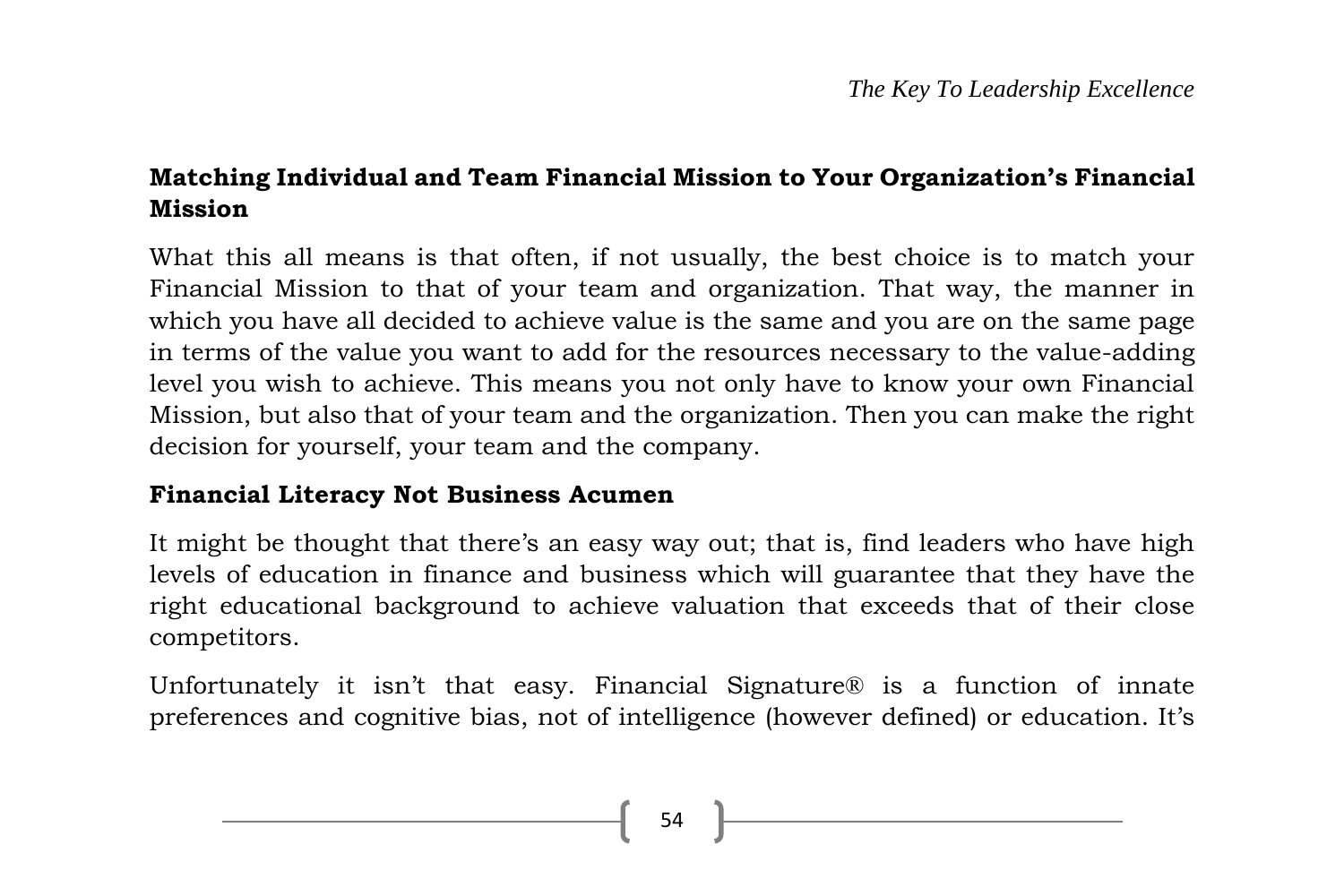# **Matching Individual and Team Financial Mission to Your Organization's Financial Mission**

What this all means is that often, if not usually, the best choice is to match your Financial Mission to that of your team and organization. That way, the manner in which you have all decided to achieve value is the same and you are on the same page in terms of the value you want to add for the resources necessary to the value-adding level you wish to achieve. This means you not only have to know your own Financial Mission, but also that of your team and the organization. Then you can make the right decision for yourself, your team and the company.

#### **Financial Literacy Not Business Acumen**

It might be thought that there's an easy way out; that is, find leaders who have high levels of education in finance and business which will guarantee that they have the right educational background to achieve valuation that exceeds that of their close competitors.

Unfortunately it isn't that easy. Financial Signature® is a function of innate preferences and cognitive bias, not of intelligence (however defined) or education. It's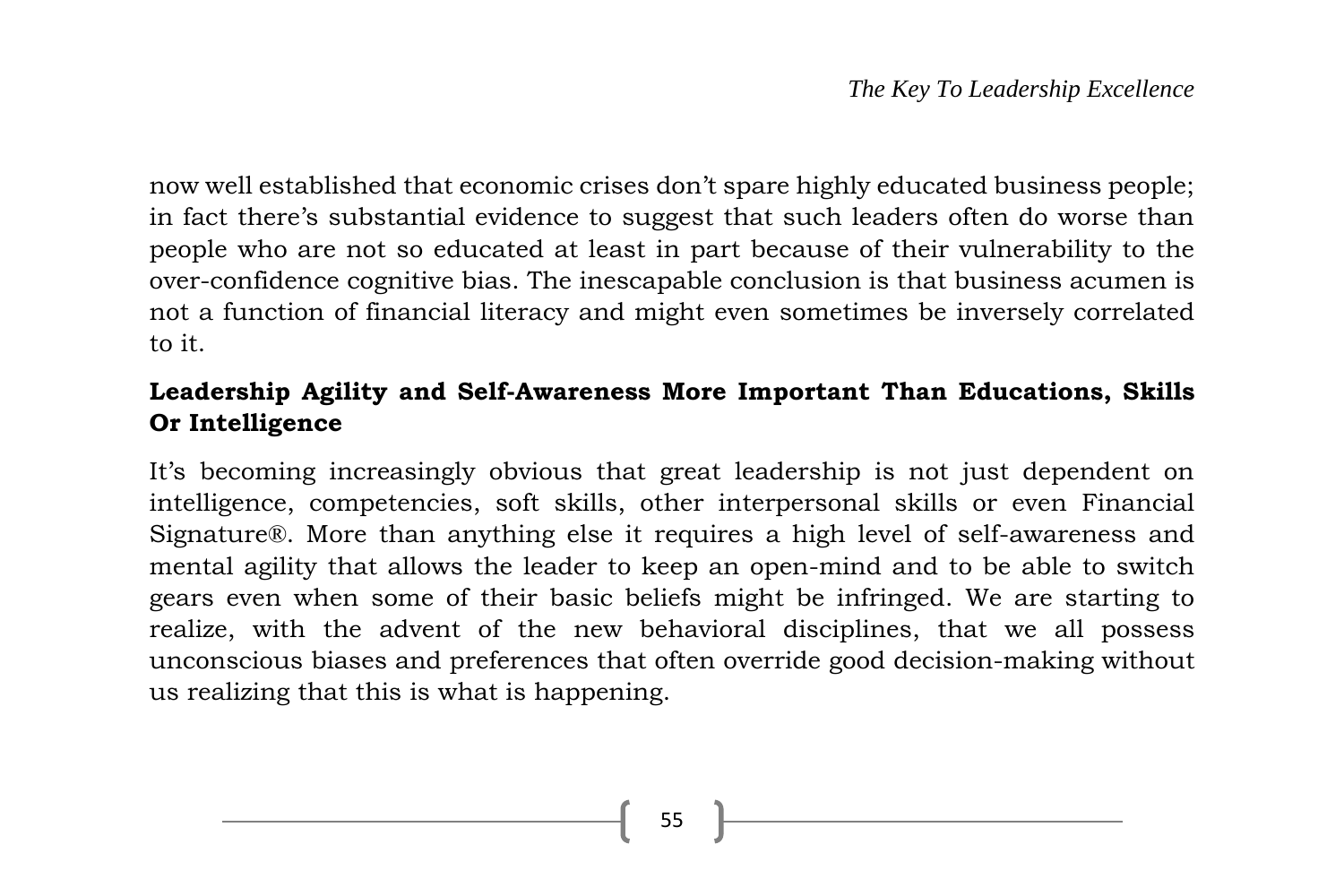now well established that economic crises don't spare highly educated business people; in fact there's substantial evidence to suggest that such leaders often do worse than people who are not so educated at least in part because of their vulnerability to the over-confidence cognitive bias. The inescapable conclusion is that business acumen is not a function of financial literacy and might even sometimes be inversely correlated to it.

# **Leadership Agility and Self-Awareness More Important Than Educations, Skills Or Intelligence**

It's becoming increasingly obvious that great leadership is not just dependent on intelligence, competencies, soft skills, other interpersonal skills or even Financial Signature®. More than anything else it requires a high level of self-awareness and mental agility that allows the leader to keep an open-mind and to be able to switch gears even when some of their basic beliefs might be infringed. We are starting to realize, with the advent of the new behavioral disciplines, that we all possess unconscious biases and preferences that often override good decision-making without us realizing that this is what is happening.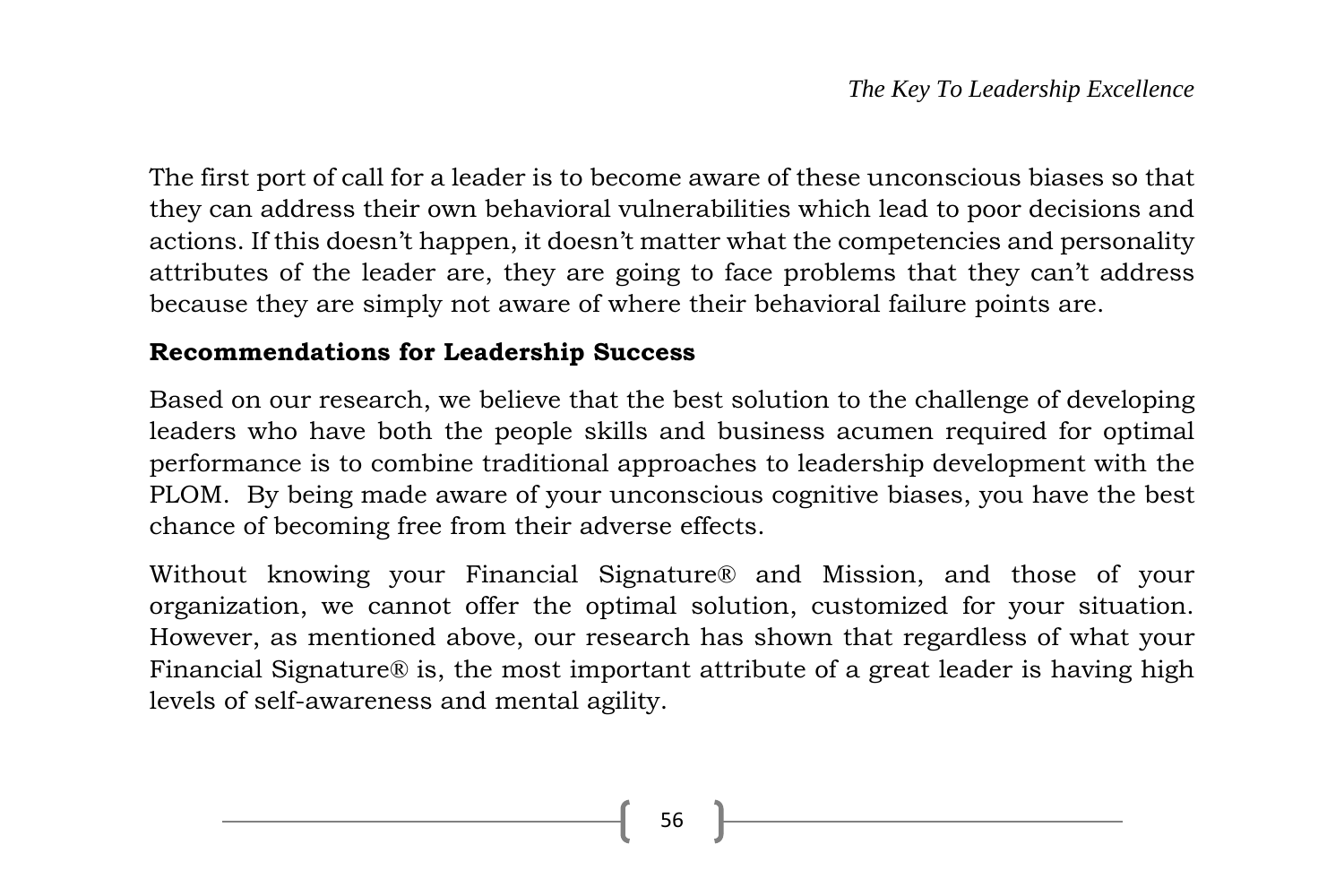The first port of call for a leader is to become aware of these unconscious biases so that they can address their own behavioral vulnerabilities which lead to poor decisions and actions. If this doesn't happen, it doesn't matter what the competencies and personality attributes of the leader are, they are going to face problems that they can't address because they are simply not aware of where their behavioral failure points are.

#### **Recommendations for Leadership Success**

Based on our research, we believe that the best solution to the challenge of developing leaders who have both the people skills and business acumen required for optimal performance is to combine traditional approaches to leadership development with the PLOM. By being made aware of your unconscious cognitive biases, you have the best chance of becoming free from their adverse effects.

Without knowing your Financial Signature® and Mission, and those of your organization, we cannot offer the optimal solution, customized for your situation. However, as mentioned above, our research has shown that regardless of what your Financial Signature® is, the most important attribute of a great leader is having high levels of self-awareness and mental agility.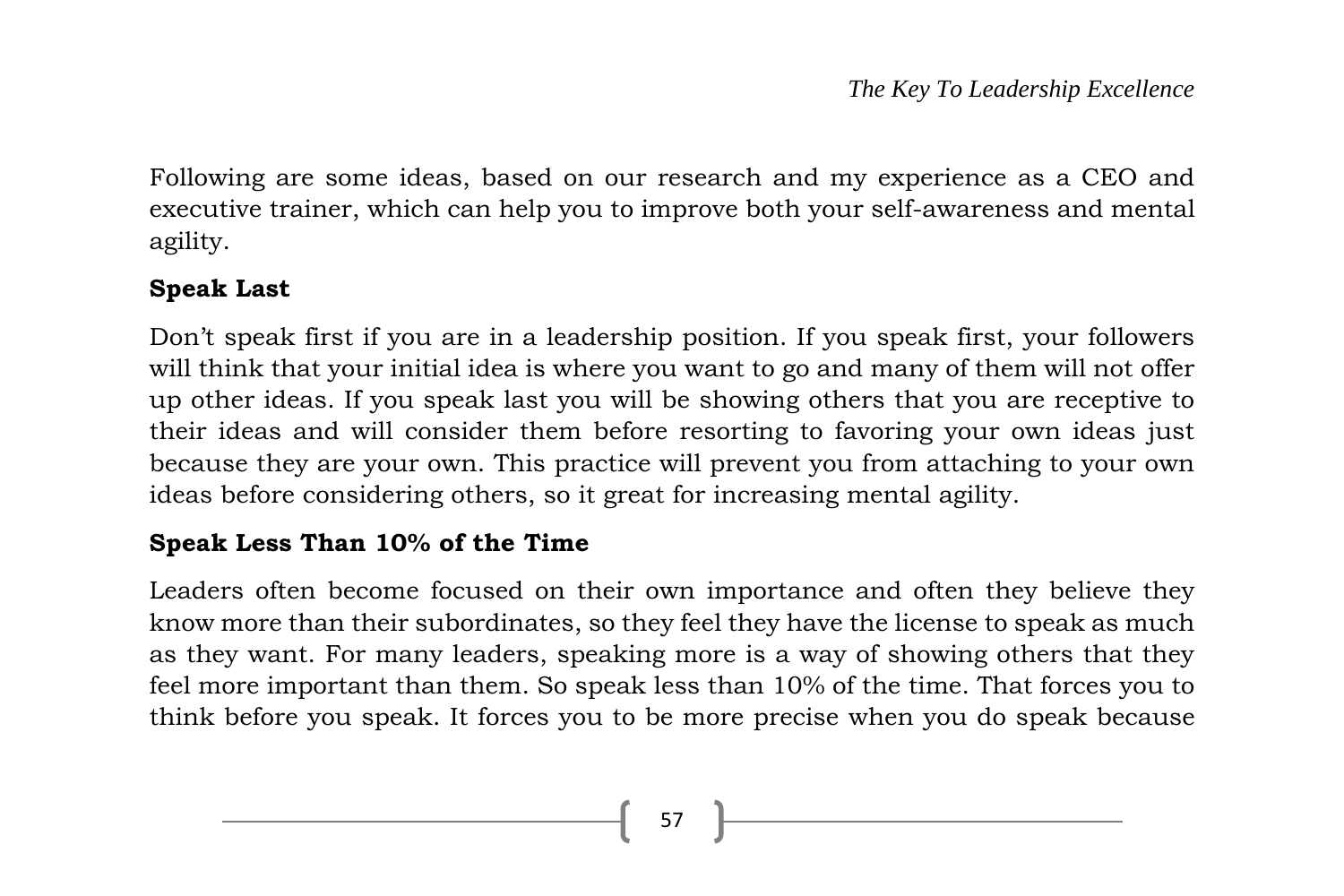Following are some ideas, based on our research and my experience as a CEO and executive trainer, which can help you to improve both your self-awareness and mental agility.

# **Speak Last**

Don't speak first if you are in a leadership position. If you speak first, your followers will think that your initial idea is where you want to go and many of them will not offer up other ideas. If you speak last you will be showing others that you are receptive to their ideas and will consider them before resorting to favoring your own ideas just because they are your own. This practice will prevent you from attaching to your own ideas before considering others, so it great for increasing mental agility.

# **Speak Less Than 10% of the Time**

Leaders often become focused on their own importance and often they believe they know more than their subordinates, so they feel they have the license to speak as much as they want. For many leaders, speaking more is a way of showing others that they feel more important than them. So speak less than 10% of the time. That forces you to think before you speak. It forces you to be more precise when you do speak because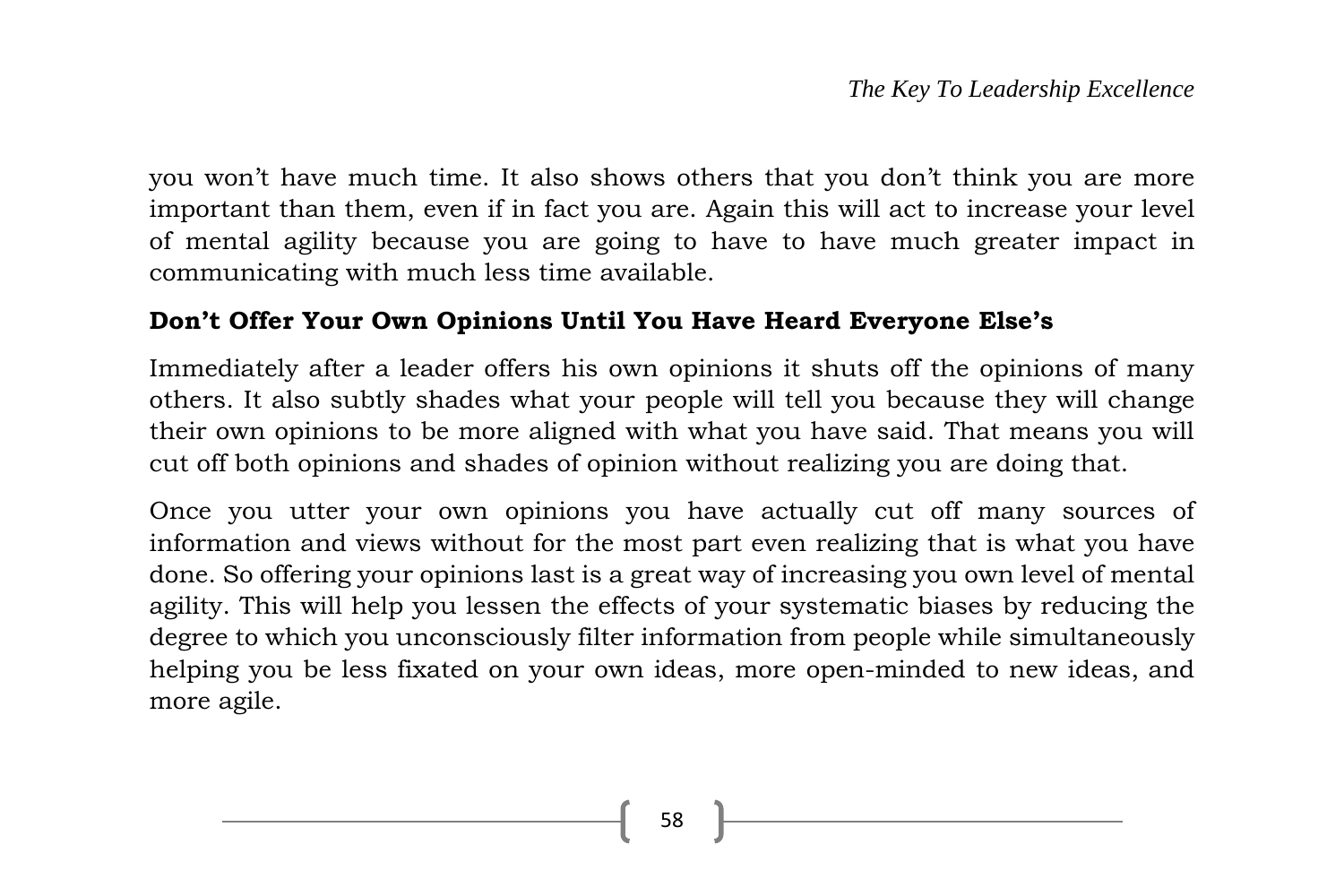you won't have much time. It also shows others that you don't think you are more important than them, even if in fact you are. Again this will act to increase your level of mental agility because you are going to have to have much greater impact in communicating with much less time available.

#### **Don't Offer Your Own Opinions Until You Have Heard Everyone Else's**

Immediately after a leader offers his own opinions it shuts off the opinions of many others. It also subtly shades what your people will tell you because they will change their own opinions to be more aligned with what you have said. That means you will cut off both opinions and shades of opinion without realizing you are doing that.

Once you utter your own opinions you have actually cut off many sources of information and views without for the most part even realizing that is what you have done. So offering your opinions last is a great way of increasing you own level of mental agility. This will help you lessen the effects of your systematic biases by reducing the degree to which you unconsciously filter information from people while simultaneously helping you be less fixated on your own ideas, more open-minded to new ideas, and more agile.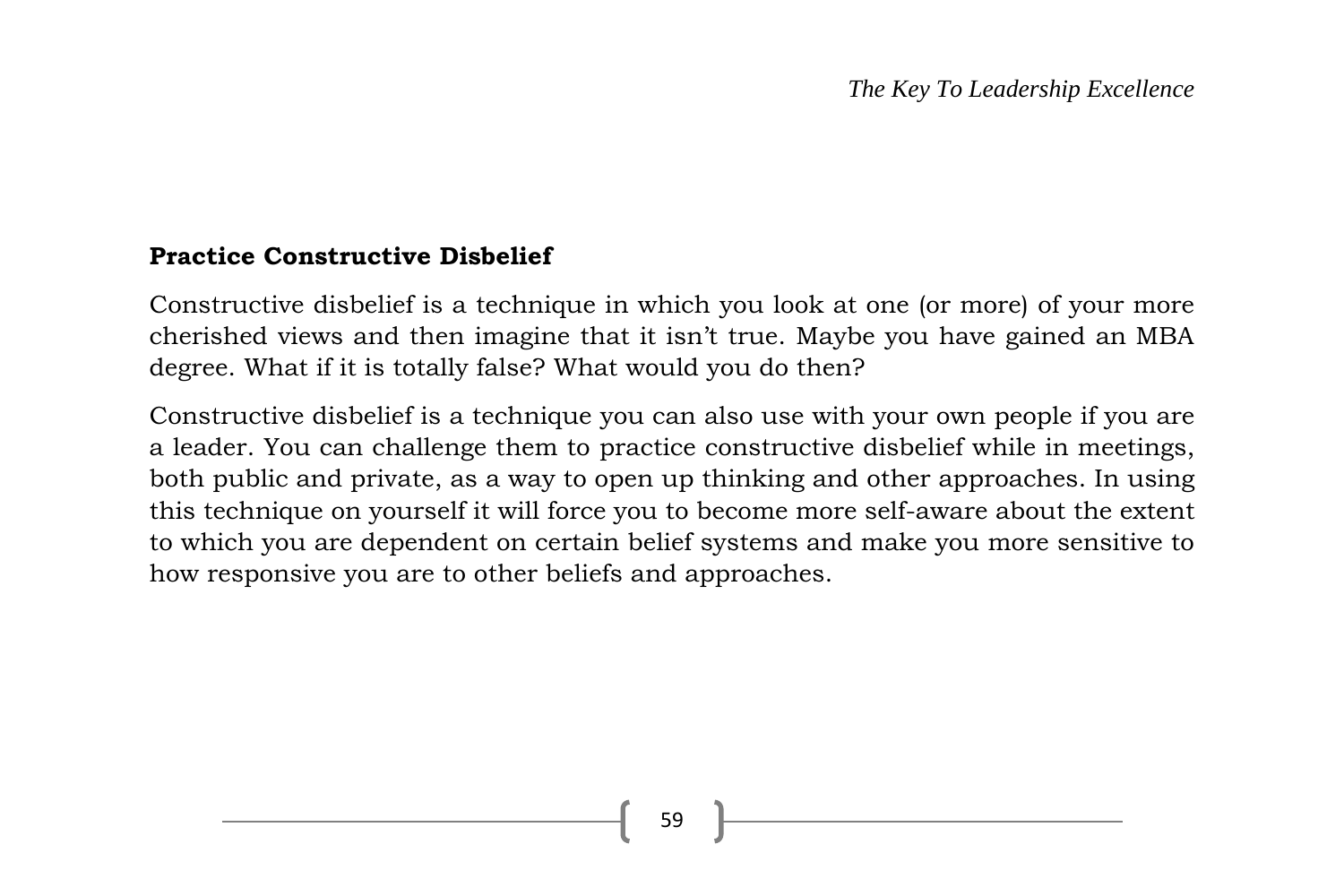#### **Practice Constructive Disbelief**

Constructive disbelief is a technique in which you look at one (or more) of your more cherished views and then imagine that it isn't true. Maybe you have gained an MBA degree. What if it is totally false? What would you do then?

Constructive disbelief is a technique you can also use with your own people if you are a leader. You can challenge them to practice constructive disbelief while in meetings, both public and private, as a way to open up thinking and other approaches. In using this technique on yourself it will force you to become more self-aware about the extent to which you are dependent on certain belief systems and make you more sensitive to how responsive you are to other beliefs and approaches.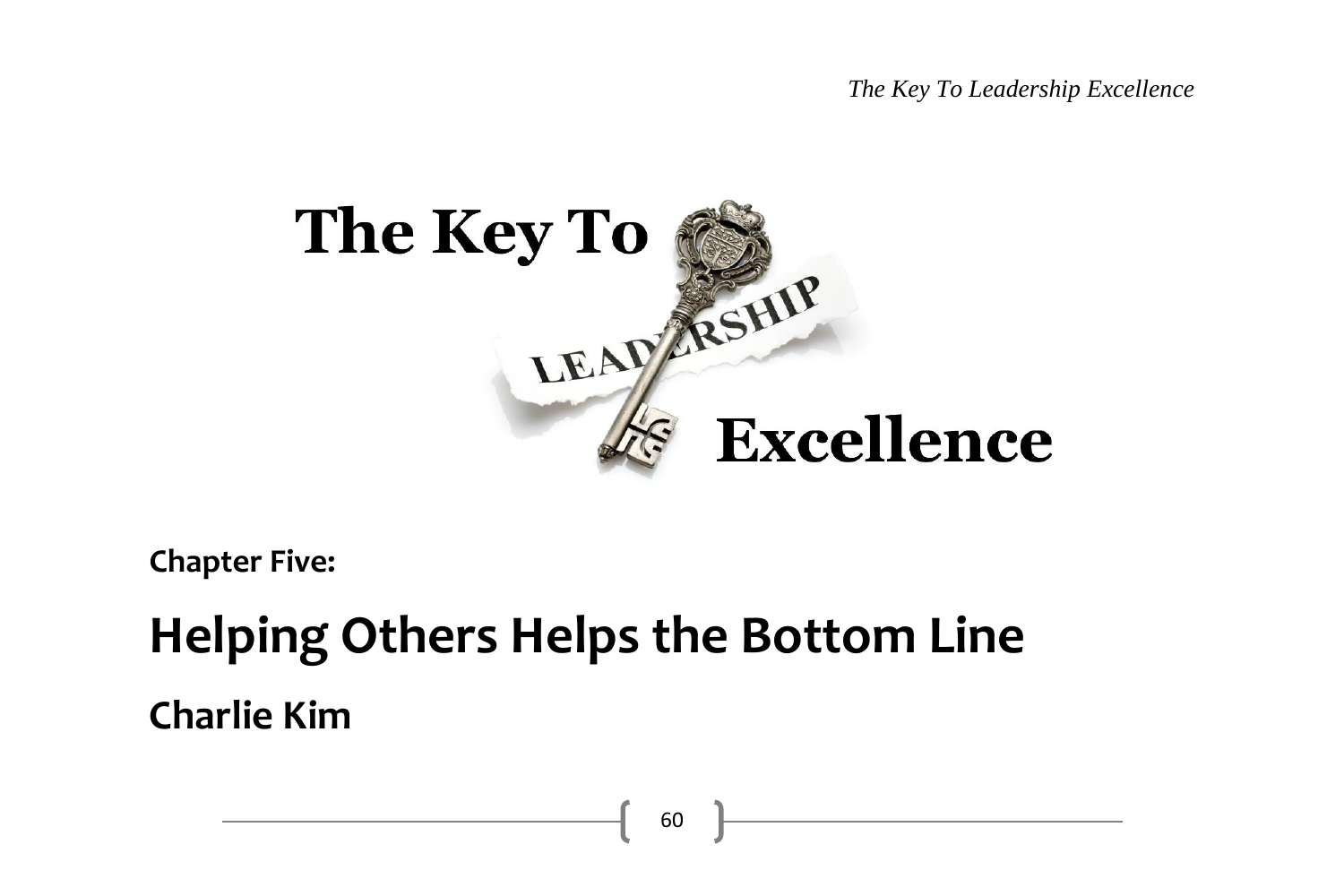*The Key To Leadership Excellence*



60

**Chapter Five:**

# **Helping Others Helps the Bottom Line Charlie Kim**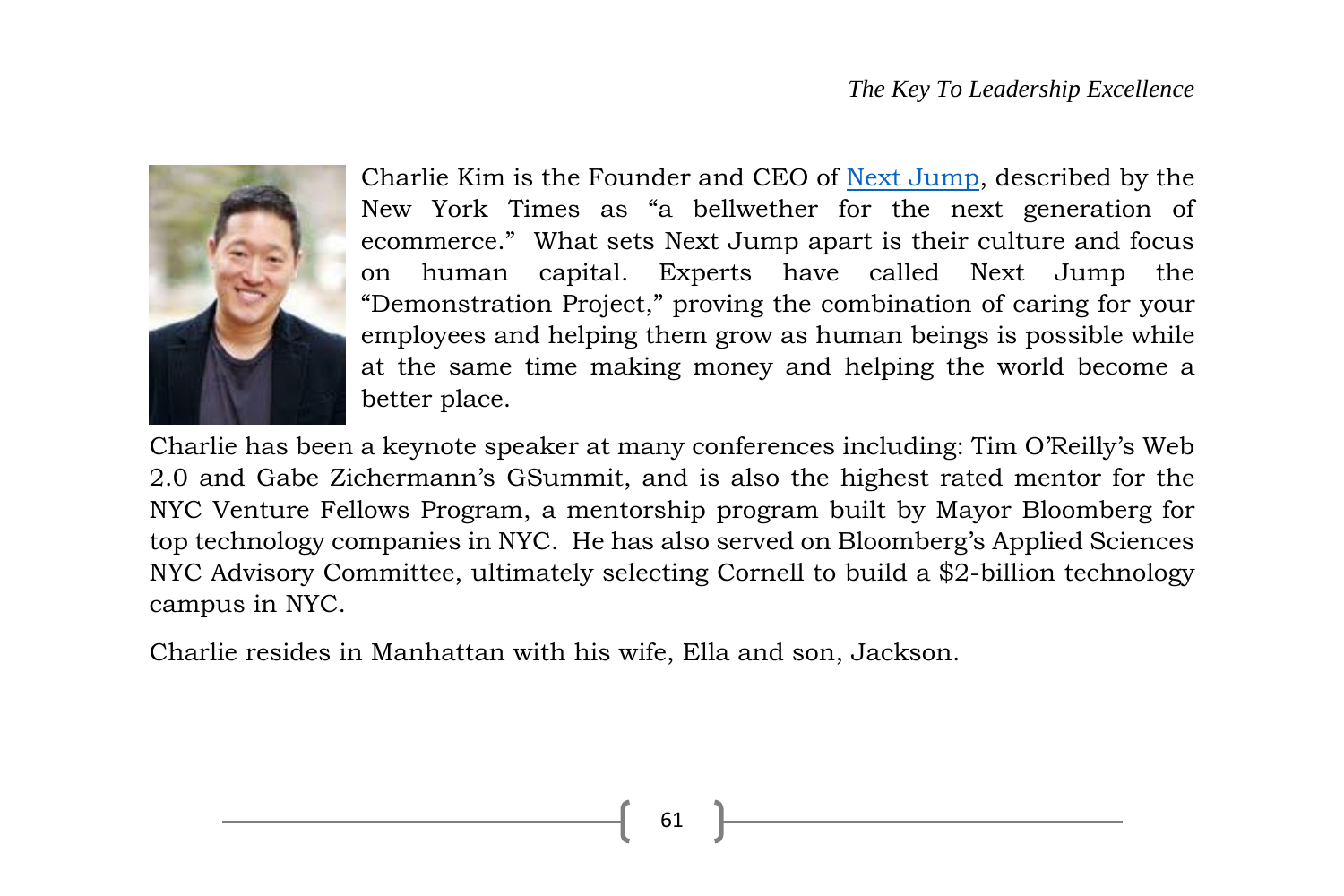

Charlie Kim is the Founder and CEO of [Next Jump,](http://www.nextjump.com/) described by the New York Times as "a bellwether for the next generation of ecommerce." What sets Next Jump apart is their culture and focus on human capital. Experts have called Next Jump the "Demonstration Project," proving the combination of caring for your employees and helping them grow as human beings is possible while at the same time making money and helping the world become a better place.

Charlie has been a keynote speaker at many conferences including: Tim O'Reilly's Web 2.0 and Gabe Zichermann's GSummit, and is also the highest rated mentor for the NYC Venture Fellows Program, a mentorship program built by Mayor Bloomberg for top technology companies in NYC. He has also served on Bloomberg's Applied Sciences NYC Advisory Committee, ultimately selecting Cornell to build a \$2-billion technology campus in NYC.

Charlie resides in Manhattan with his wife, Ella and son, Jackson.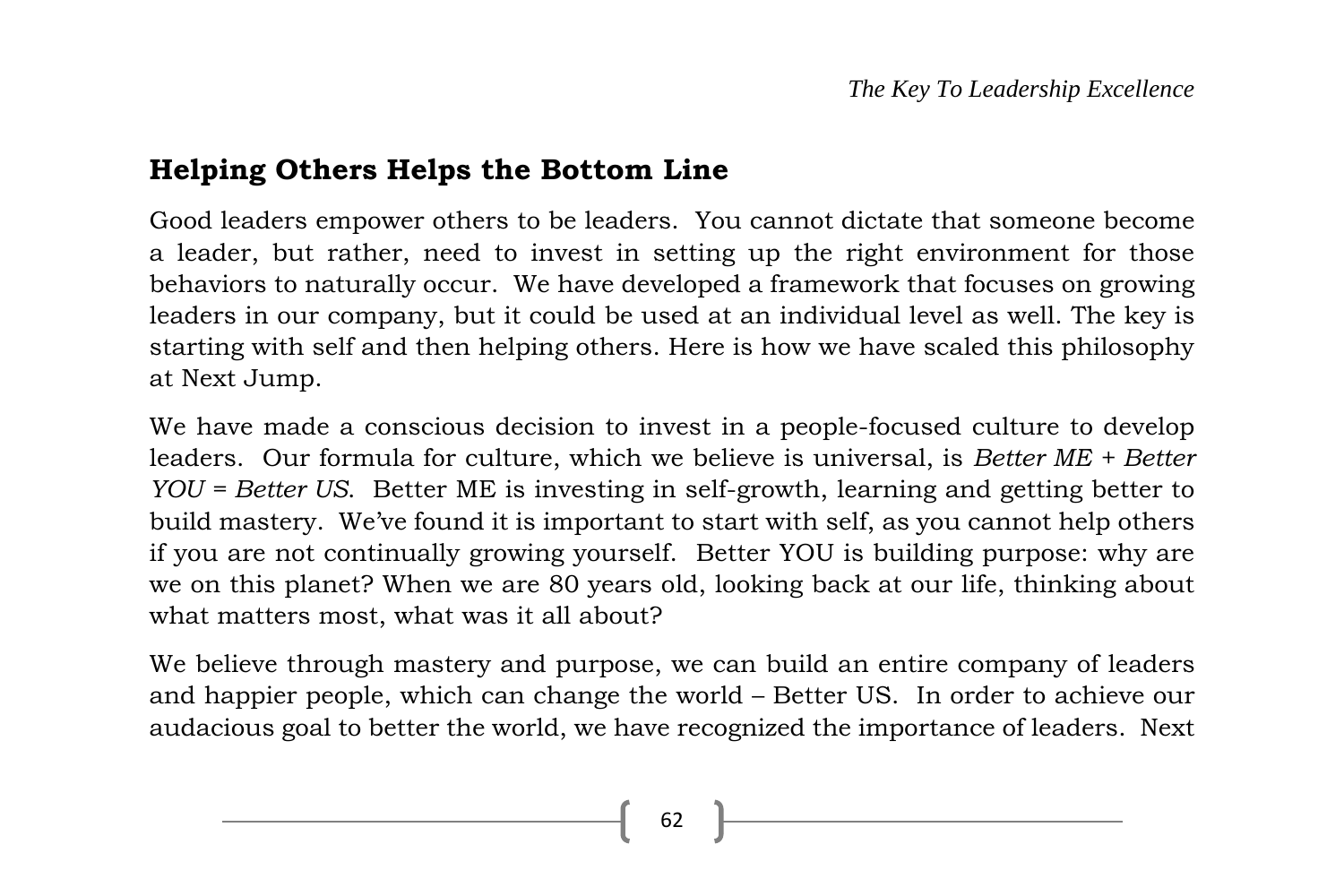# **Helping Others Helps the Bottom Line**

Good leaders empower others to be leaders. You cannot dictate that someone become a leader, but rather, need to invest in setting up the right environment for those behaviors to naturally occur. We have developed a framework that focuses on growing leaders in our company, but it could be used at an individual level as well. The key is starting with self and then helping others. Here is how we have scaled this philosophy at Next Jump.

We have made a conscious decision to invest in a people-focused culture to develop leaders. Our formula for culture, which we believe is universal, is *Better ME + Better YOU = Better US*. Better ME is investing in self-growth, learning and getting better to build mastery. We've found it is important to start with self, as you cannot help others if you are not continually growing yourself. Better YOU is building purpose: why are we on this planet? When we are 80 years old, looking back at our life, thinking about what matters most, what was it all about?

We believe through mastery and purpose, we can build an entire company of leaders and happier people, which can change the world – Better US. In order to achieve our audacious goal to better the world, we have recognized the importance of leaders. Next

62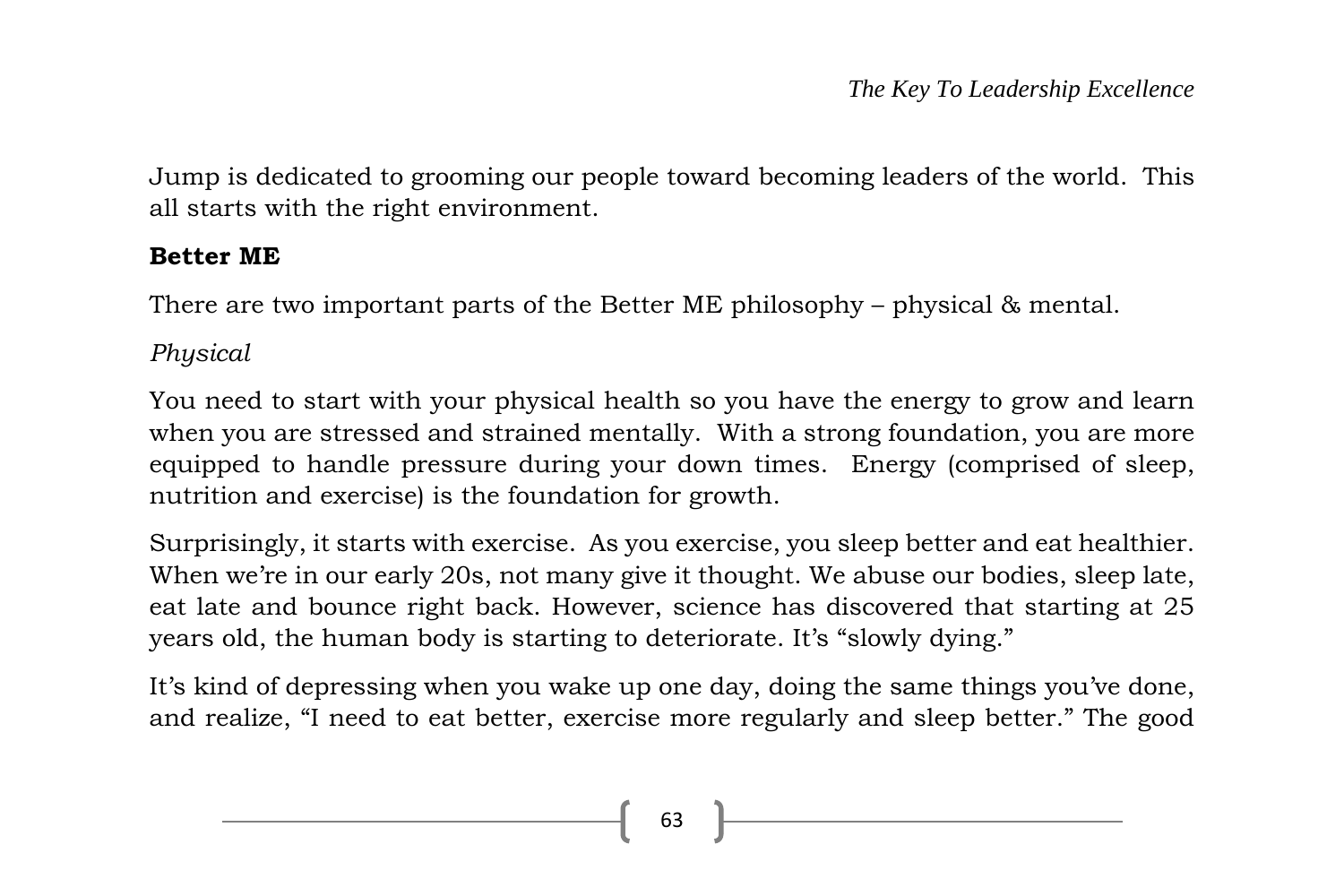Jump is dedicated to grooming our people toward becoming leaders of the world. This all starts with the right environment.

# **Better ME**

There are two important parts of the Better ME philosophy – physical & mental.

*Physical*

You need to start with your physical health so you have the energy to grow and learn when you are stressed and strained mentally. With a strong foundation, you are more equipped to handle pressure during your down times. Energy (comprised of sleep, nutrition and exercise) is the foundation for growth.

Surprisingly, it starts with exercise. As you exercise, you sleep better and eat healthier. When we're in our early 20s, not many give it thought. We abuse our bodies, sleep late, eat late and bounce right back. However, science has discovered that starting at 25 years old, the human body is starting to deteriorate. It's "slowly dying."

It's kind of depressing when you wake up one day, doing the same things you've done, and realize, "I need to eat better, exercise more regularly and sleep better." The good

63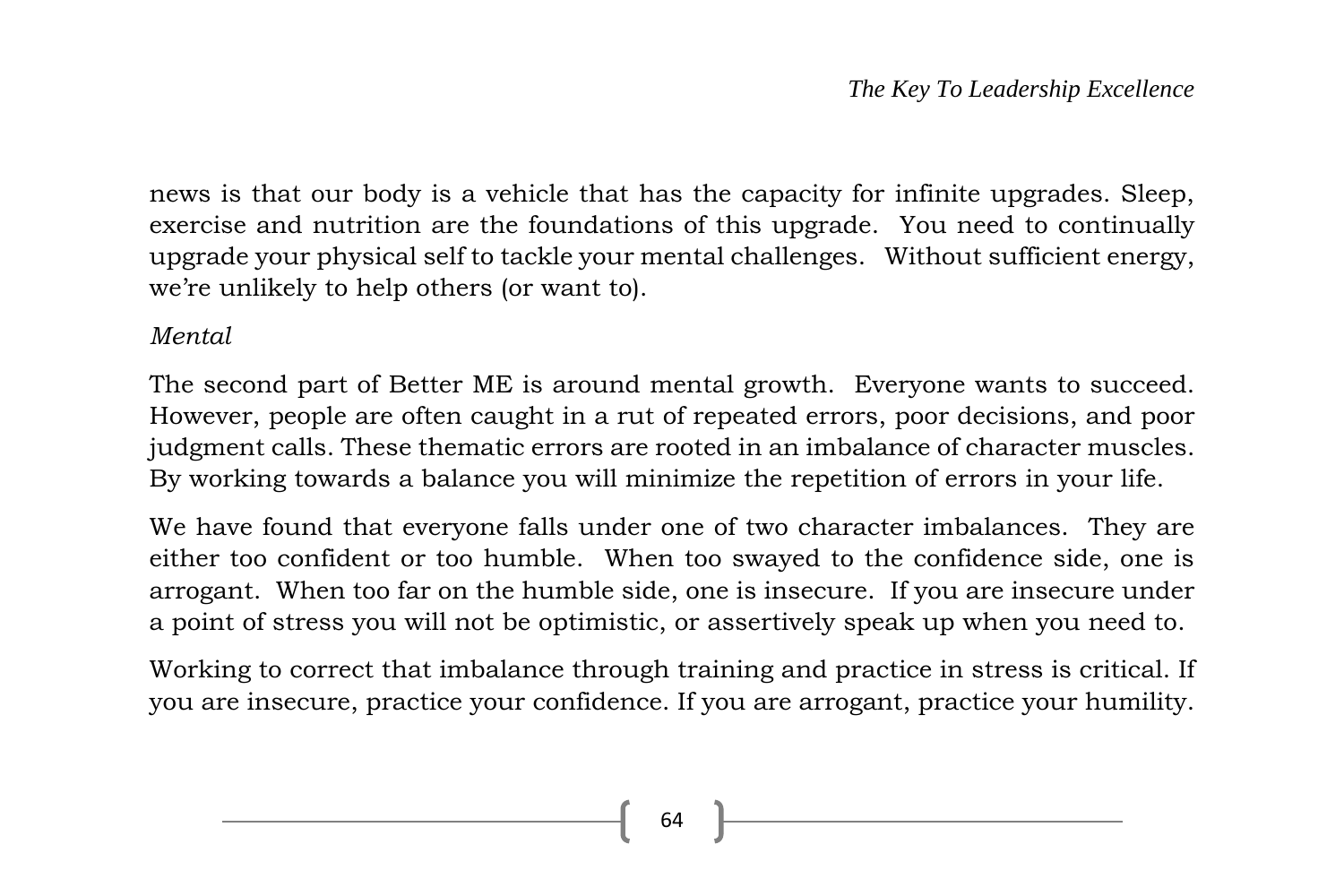news is that our body is a vehicle that has the capacity for infinite upgrades. Sleep, exercise and nutrition are the foundations of this upgrade. You need to continually upgrade your physical self to tackle your mental challenges. Without sufficient energy, we're unlikely to help others (or want to).

#### *Mental*

The second part of Better ME is around mental growth. Everyone wants to succeed. However, people are often caught in a rut of repeated errors, poor decisions, and poor judgment calls. These thematic errors are rooted in an imbalance of character muscles. By working towards a balance you will minimize the repetition of errors in your life.

We have found that everyone falls under one of two character imbalances. They are either too confident or too humble. When too swayed to the confidence side, one is arrogant. When too far on the humble side, one is insecure. If you are insecure under a point of stress you will not be optimistic, or assertively speak up when you need to.

Working to correct that imbalance through training and practice in stress is critical. If you are insecure, practice your confidence. If you are arrogant, practice your humility.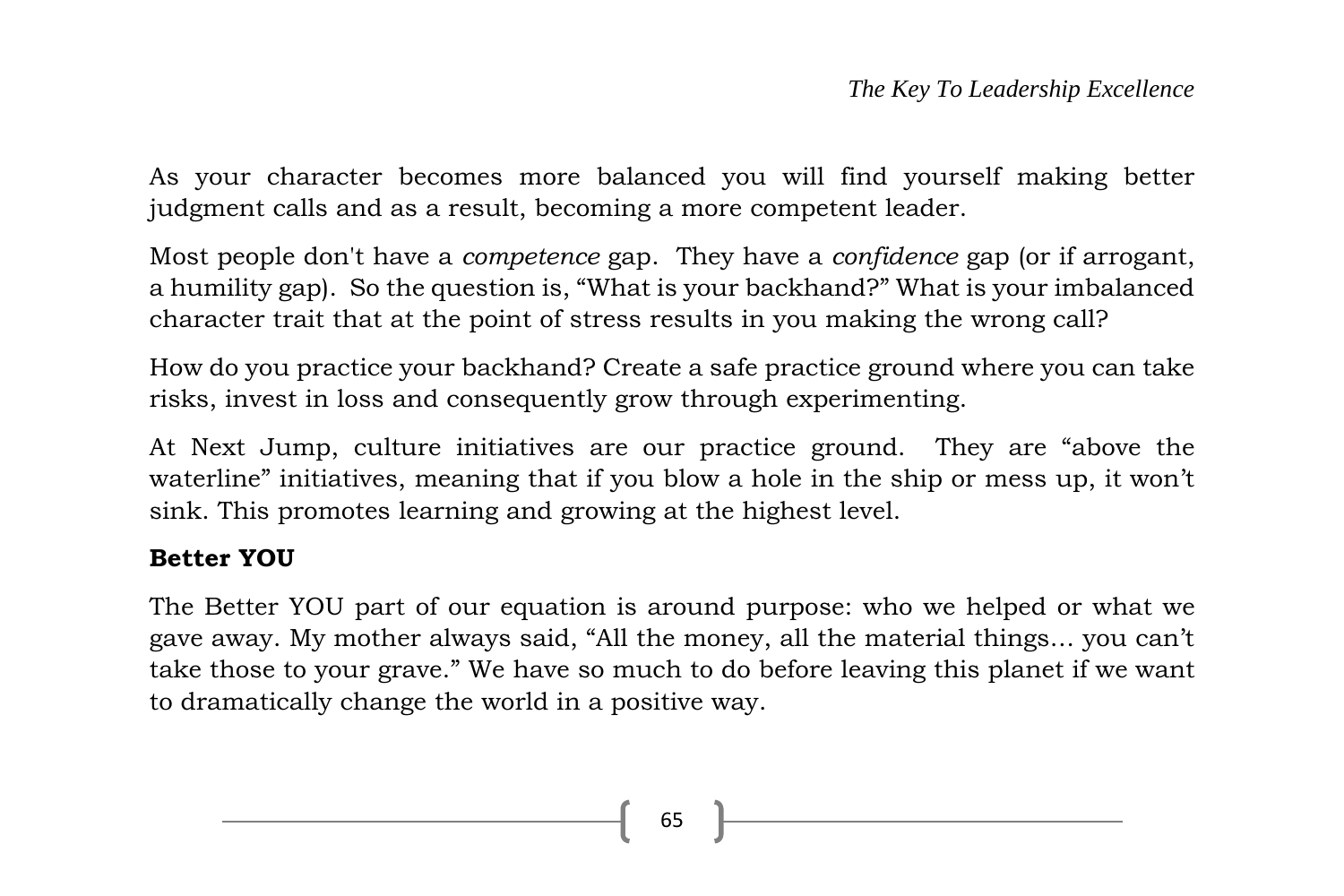As your character becomes more balanced you will find yourself making better judgment calls and as a result, becoming a more competent leader.

Most people don't have a *competence* gap. They have a *confidence* gap (or if arrogant, a humility gap). So the question is, "What is your backhand?" What is your imbalanced character trait that at the point of stress results in you making the wrong call?

How do you practice your backhand? Create a safe practice ground where you can take risks, invest in loss and consequently grow through experimenting.

At Next Jump, culture initiatives are our practice ground. They are "above the waterline" initiatives, meaning that if you blow a hole in the ship or mess up, it won't sink. This promotes learning and growing at the highest level.

# **Better YOU**

The Better YOU part of our equation is around purpose: who we helped or what we gave away. My mother always said, "All the money, all the material things… you can't take those to your grave." We have so much to do before leaving this planet if we want to dramatically change the world in a positive way.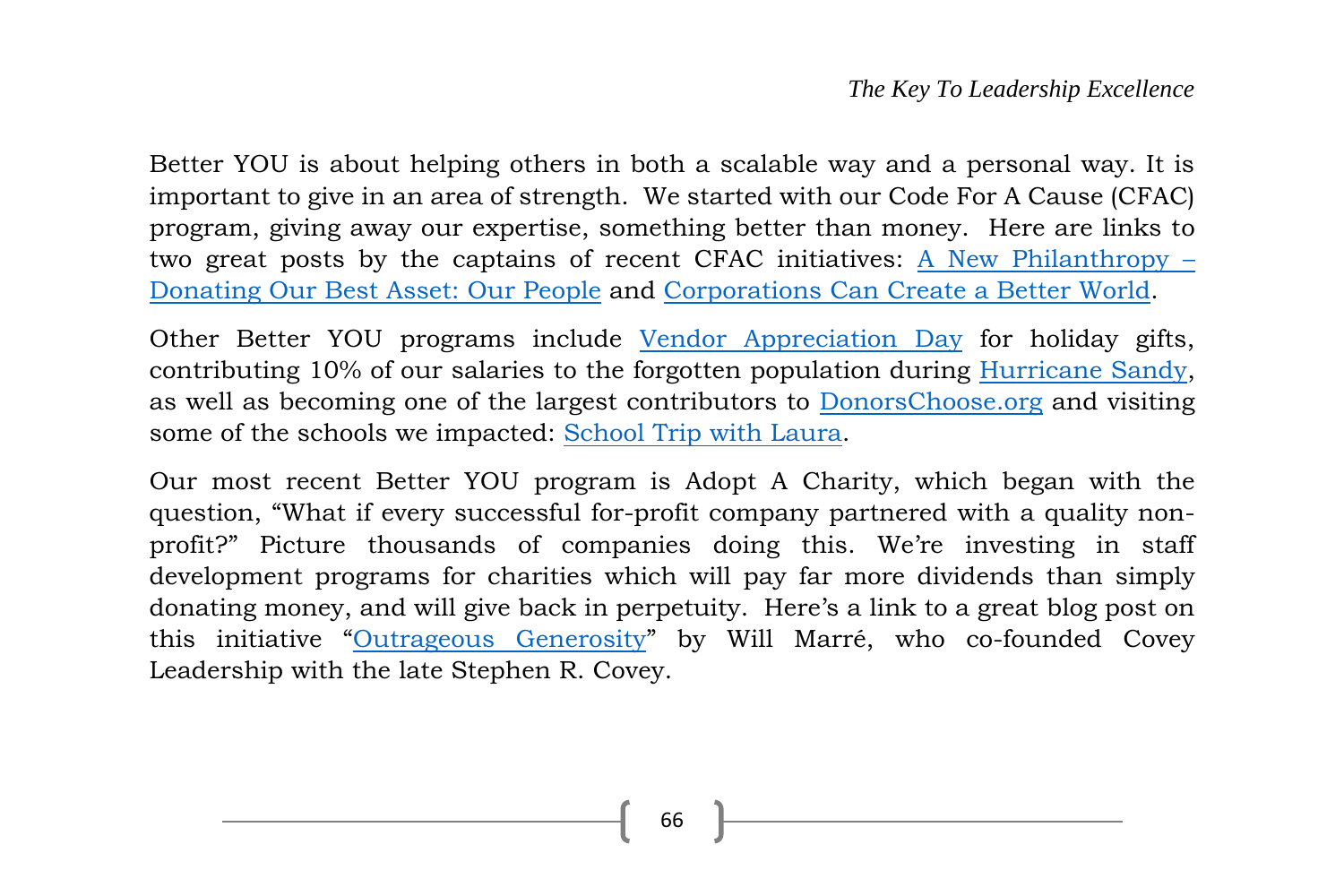Better YOU is about helping others in both a scalable way and a personal way. It is important to give in an area of strength. We started with our Code For A Cause (CFAC) program, giving away our expertise, something better than money. Here are links to two great posts by the captains of recent CFAC initiatives: [A New Philanthropy](http://blog.nextjump.com/post/53197082305/a-new-philanthropy-donating-our-best-asset-our) – [Donating Our Best Asset: Our People](http://blog.nextjump.com/post/53197082305/a-new-philanthropy-donating-our-best-asset-our) and [Corporations Can Create a Better World.](http://blog.nextjump.com/post/42237726799/corporations-can-create-a-better-world)

Other Better YOU programs include [Vendor Appreciation Day](http://blog.nextjump.com/post/38149369850/vendor-appreciation-day) for holiday gifts, contributing 10% of our salaries to the forgotten population during [Hurricane Sandy,](http://blog.nextjump.com/post/35663779238/hurricane-sandy) as well as becoming one of the largest contributors to [DonorsChoose.org](http://www.donorschoose.org/) and visiting some of the schools we impacted: [School Trip with Laura.](http://blog.nextjump.com/post/35663236765/school-trip-with-laura)

Our most recent Better YOU program is Adopt A Charity, which began with the question, "What if every successful for-profit company partnered with a quality nonprofit?" Picture thousands of companies doing this. We're investing in staff development programs for charities which will pay far more dividends than simply donating money, and will give back in perpetuity. Here's a link to a great blog post on this initiative "[Outrageous Generosity](http://willmarre.com/blog/outrageous-generosity/)" by Will Marré, who co-founded Covey Leadership with the late Stephen R. Covey.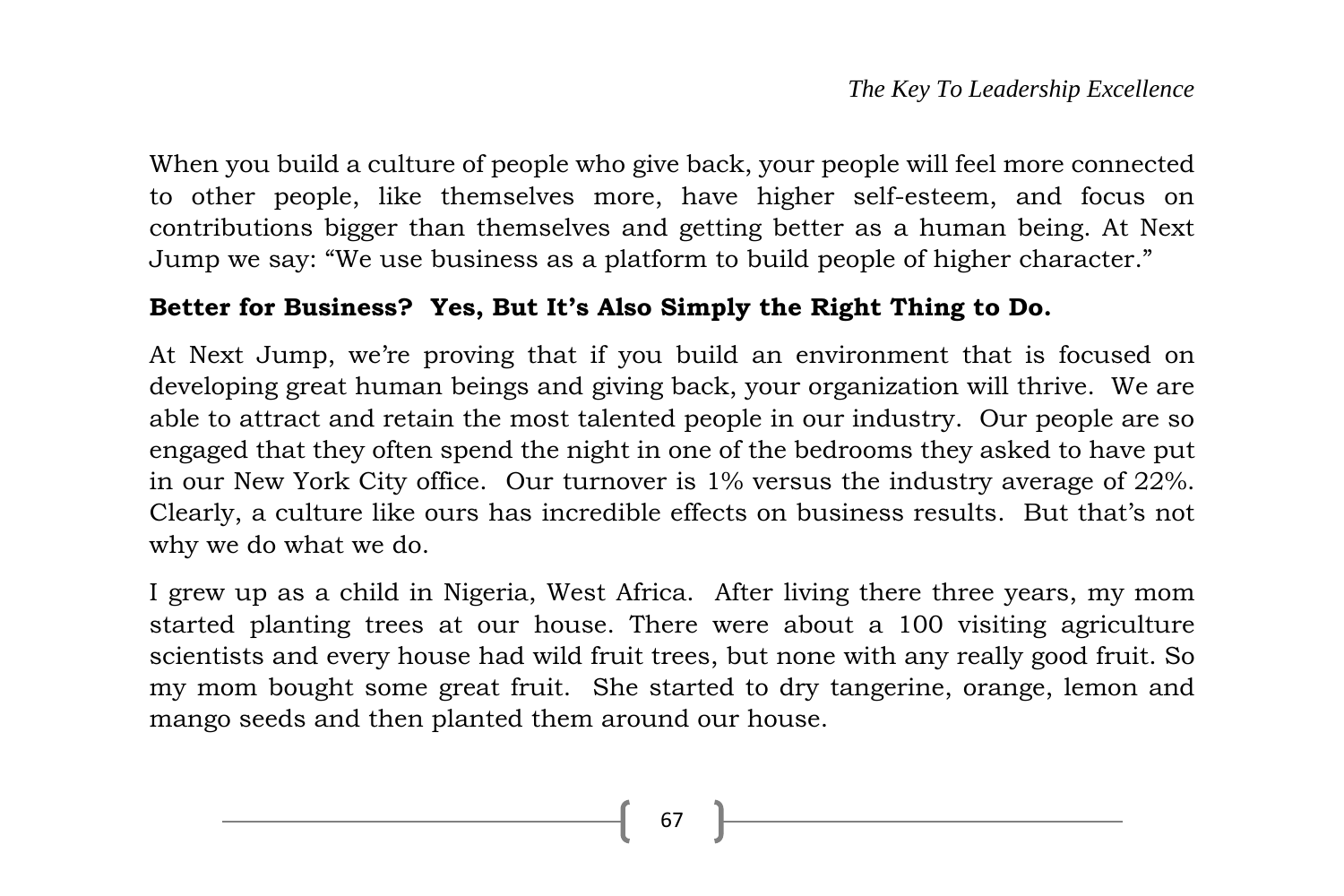When you build a culture of people who give back, your people will feel more connected to other people, like themselves more, have higher self-esteem, and focus on contributions bigger than themselves and getting better as a human being. At Next Jump we say: "We use business as a platform to build people of higher character."

#### **Better for Business? Yes, But It's Also Simply the Right Thing to Do.**

At Next Jump, we're proving that if you build an environment that is focused on developing great human beings and giving back, your organization will thrive. We are able to attract and retain the most talented people in our industry. Our people are so engaged that they often spend the night in one of the bedrooms they asked to have put in our New York City office. Our turnover is 1% versus the industry average of 22%. Clearly, a culture like ours has incredible effects on business results. But that's not why we do what we do.

I grew up as a child in Nigeria, West Africa. After living there three years, my mom started planting trees at our house. There were about a 100 visiting agriculture scientists and every house had wild fruit trees, but none with any really good fruit. So my mom bought some great fruit. She started to dry tangerine, orange, lemon and mango seeds and then planted them around our house.

67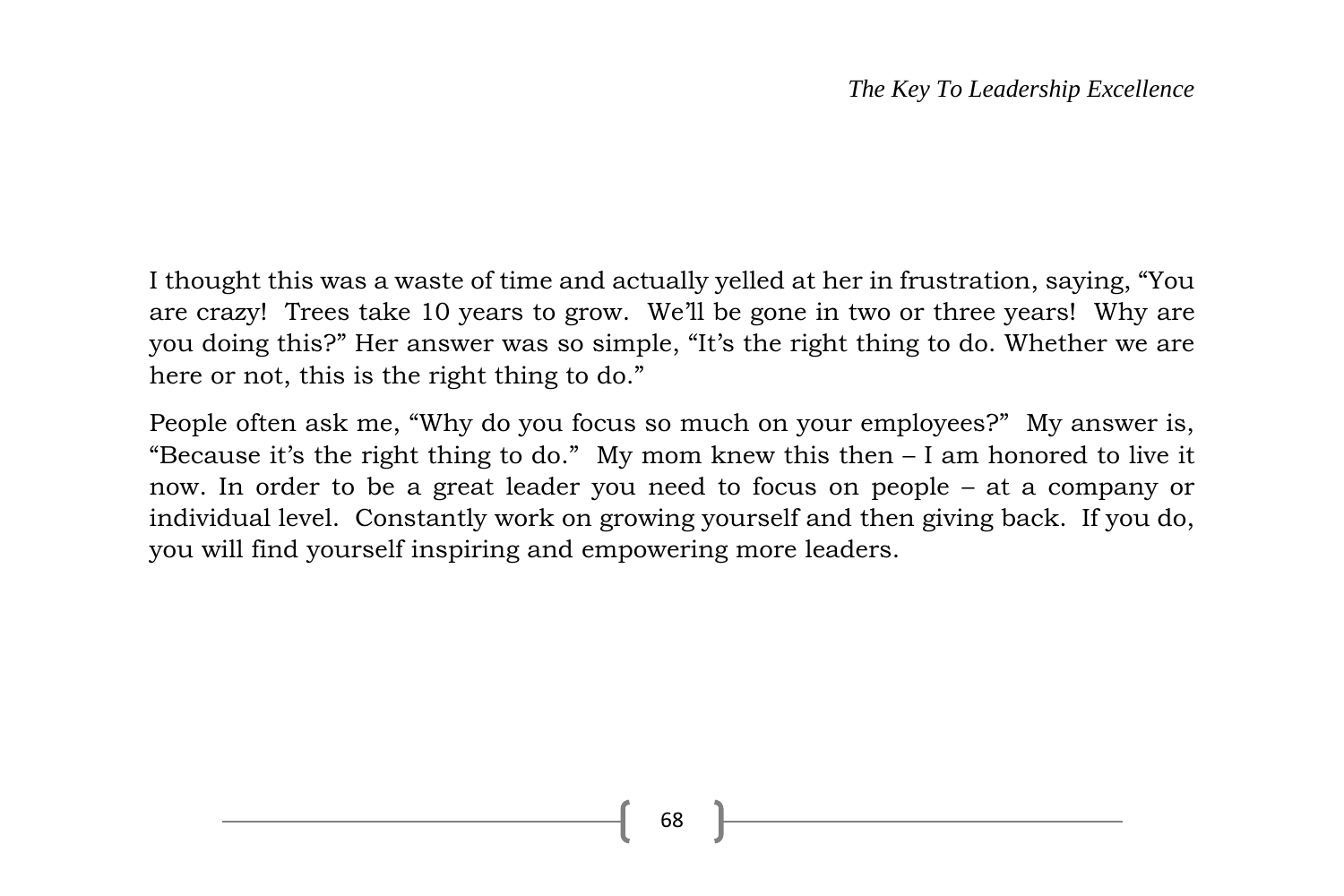I thought this was a waste of time and actually yelled at her in frustration, saying, "You are crazy! Trees take 10 years to grow. We'll be gone in two or three years! Why are you doing this?" Her answer was so simple, "It's the right thing to do. Whether we are here or not, this is the right thing to do."

People often ask me, "Why do you focus so much on your employees?" My answer is, "Because it's the right thing to do." My mom knew this then – I am honored to live it now. In order to be a great leader you need to focus on people – at a company or individual level. Constantly work on growing yourself and then giving back. If you do, you will find yourself inspiring and empowering more leaders.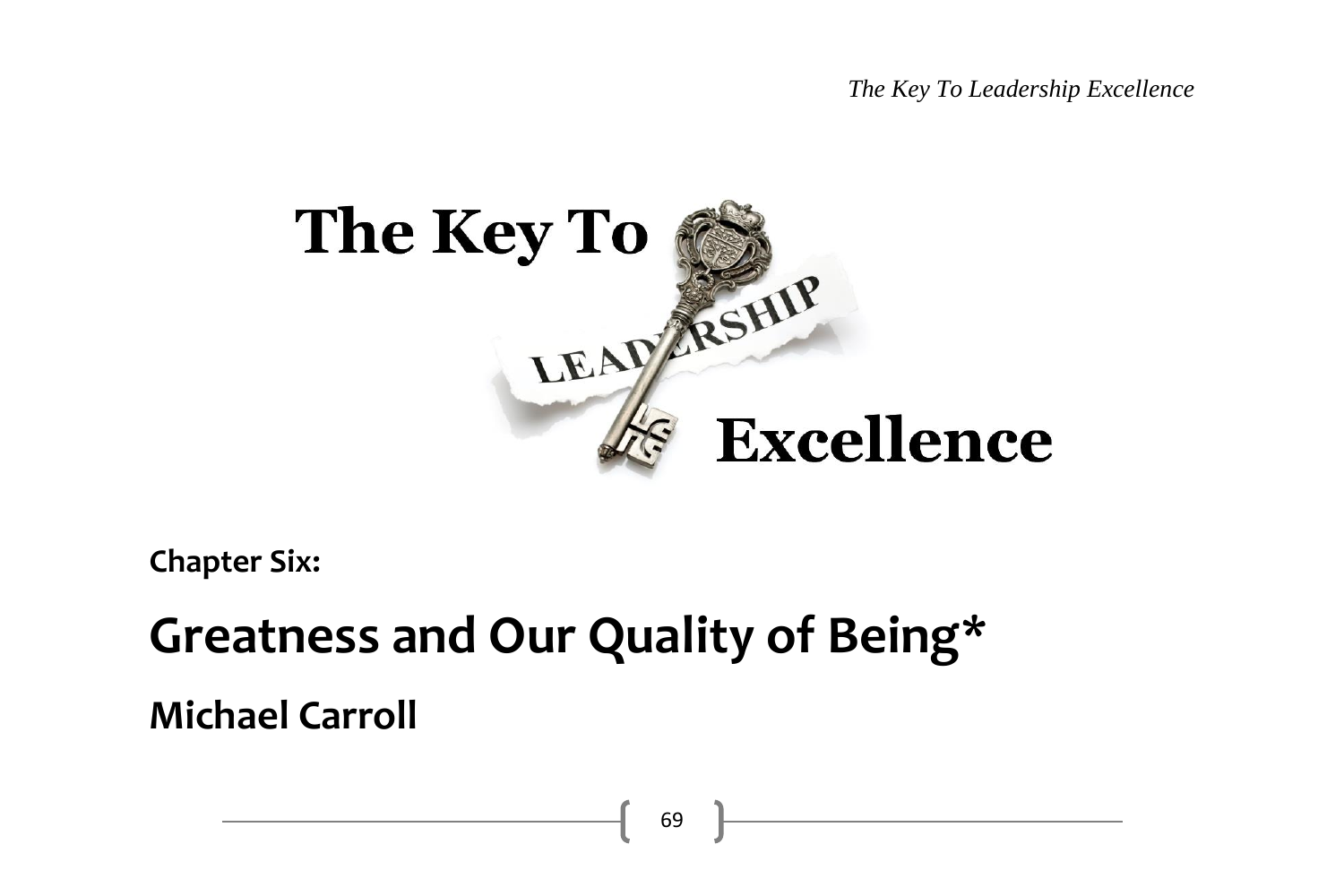*The Key To Leadership Excellence*



**Chapter Six:**

# **Greatness and Our Quality of Being\***

**Michael Carroll**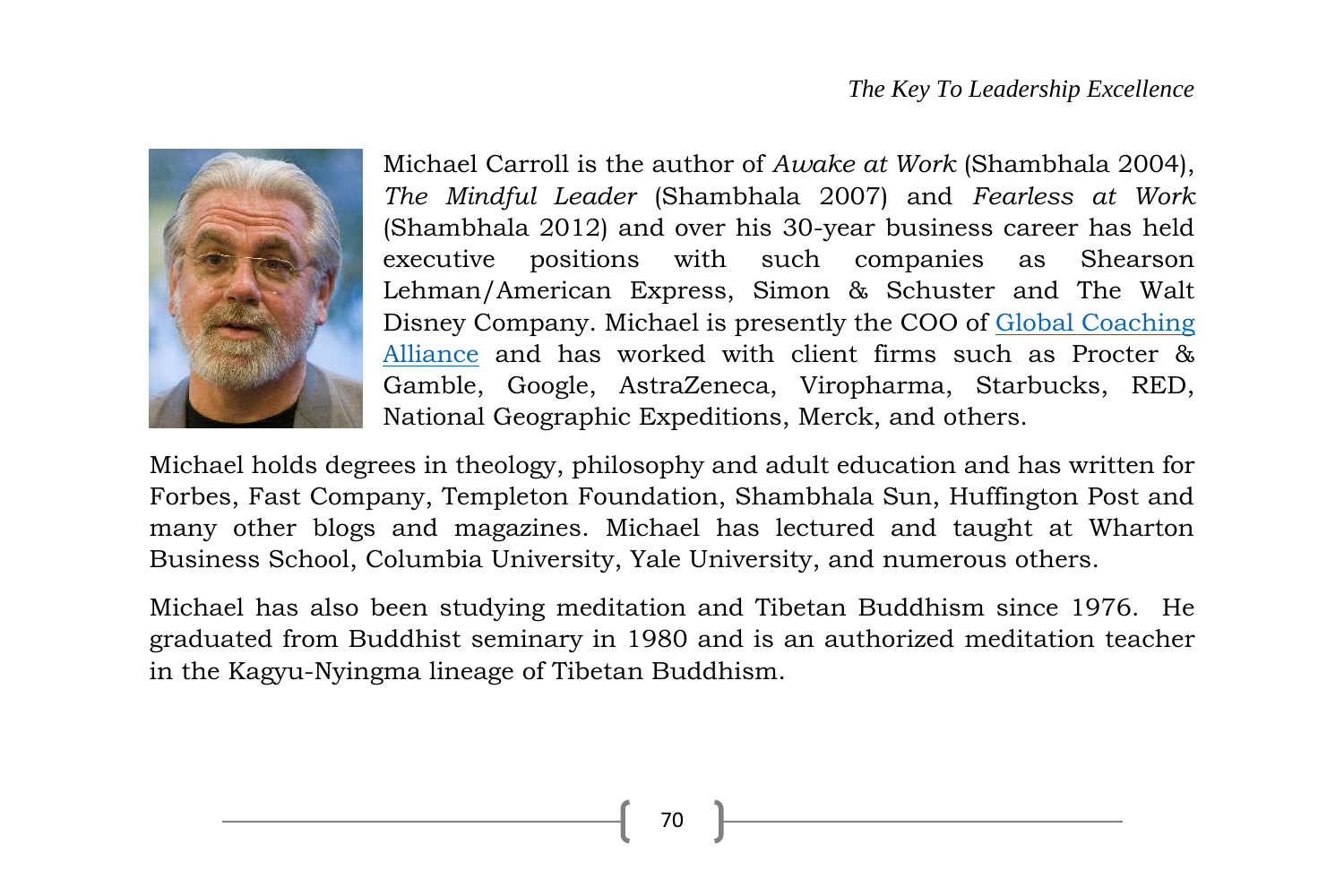

Michael Carroll is the author of *Awake at Work* (Shambhala 2004), *The Mindful Leader* (Shambhala 2007) and *Fearless at Work* (Shambhala 2012) and over his 30-year business career has held executive positions with such companies as Shearson Lehman/American Express, Simon & Schuster and The Walt Disney Company. Michael is presently the COO of [Global Coaching](http://www.globalcoachingalliance.com/)  [Alliance](http://www.globalcoachingalliance.com/) and has worked with client firms such as Procter & Gamble, Google, AstraZeneca, Viropharma, Starbucks, RED, National Geographic Expeditions, Merck, and others.

Michael holds degrees in theology, philosophy and adult education and has written for Forbes, Fast Company, Templeton Foundation, Shambhala Sun, Huffington Post and many other blogs and magazines. Michael has lectured and taught at Wharton Business School, Columbia University, Yale University, and numerous others.

Michael has also been studying meditation and Tibetan Buddhism since 1976. He graduated from Buddhist seminary in 1980 and is an authorized meditation teacher in the Kagyu-Nyingma lineage of Tibetan Buddhism.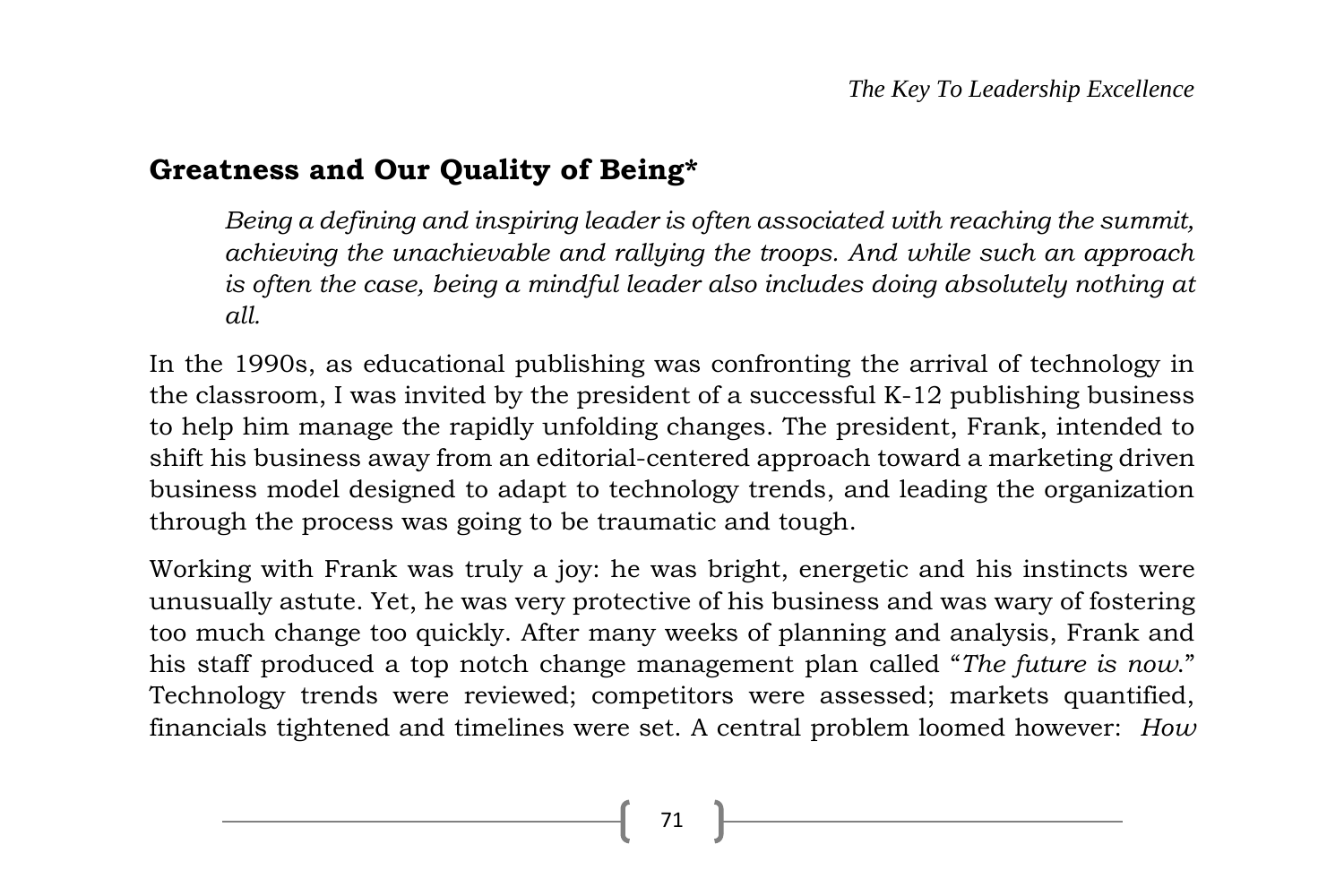#### **Greatness and Our Quality of Being\***

*Being a defining and inspiring leader is often associated with reaching the summit, achieving the unachievable and rallying the troops. And while such an approach is often the case, being a mindful leader also includes doing absolutely nothing at all.*

In the 1990s, as educational publishing was confronting the arrival of technology in the classroom, I was invited by the president of a successful K-12 publishing business to help him manage the rapidly unfolding changes. The president, Frank, intended to shift his business away from an editorial-centered approach toward a marketing driven business model designed to adapt to technology trends, and leading the organization through the process was going to be traumatic and tough.

Working with Frank was truly a joy: he was bright, energetic and his instincts were unusually astute. Yet, he was very protective of his business and was wary of fostering too much change too quickly. After many weeks of planning and analysis, Frank and his staff produced a top notch change management plan called "*The future is now*." Technology trends were reviewed; competitors were assessed; markets quantified, financials tightened and timelines were set. A central problem loomed however: *How*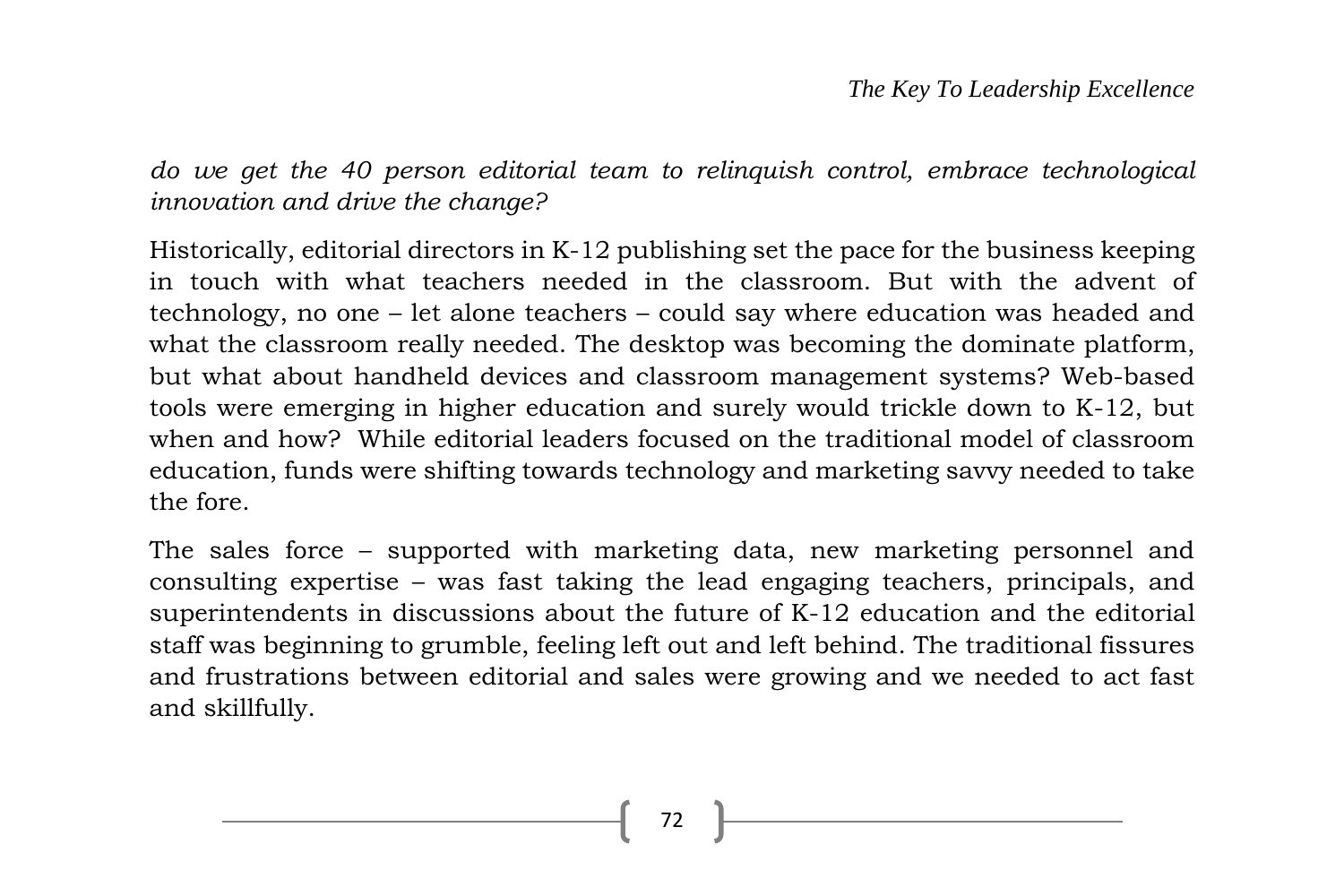*do we get the 40 person editorial team to relinquish control, embrace technological innovation and drive the change?*

Historically, editorial directors in K-12 publishing set the pace for the business keeping in touch with what teachers needed in the classroom. But with the advent of technology, no one – let alone teachers – could say where education was headed and what the classroom really needed. The desktop was becoming the dominate platform, but what about handheld devices and classroom management systems? Web-based tools were emerging in higher education and surely would trickle down to K-12, but when and how? While editorial leaders focused on the traditional model of classroom education, funds were shifting towards technology and marketing savvy needed to take the fore.

The sales force – supported with marketing data, new marketing personnel and consulting expertise – was fast taking the lead engaging teachers, principals, and superintendents in discussions about the future of K-12 education and the editorial staff was beginning to grumble, feeling left out and left behind. The traditional fissures and frustrations between editorial and sales were growing and we needed to act fast and skillfully.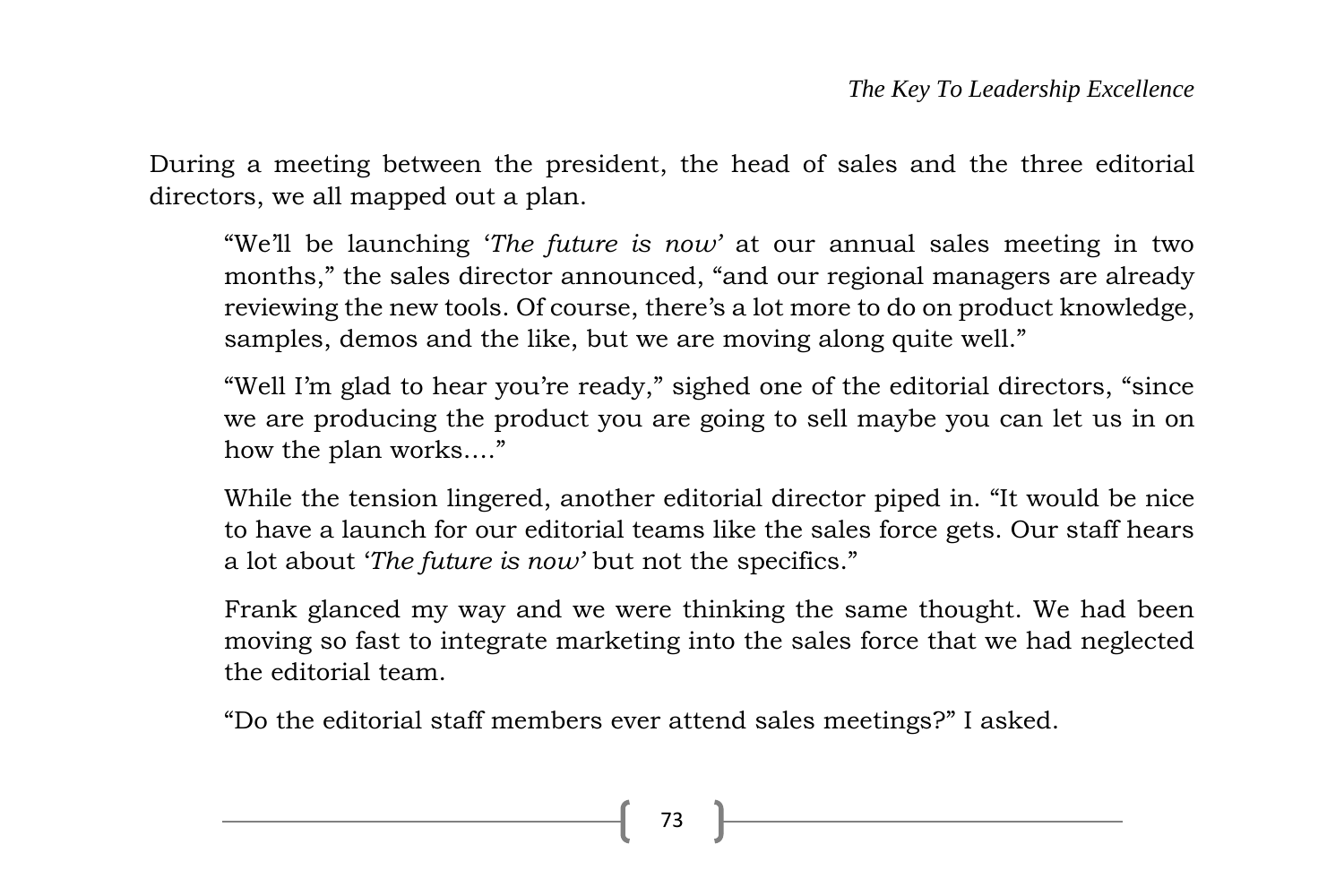During a meeting between the president, the head of sales and the three editorial directors, we all mapped out a plan.

"We'll be launching '*The future is now'* at our annual sales meeting in two months," the sales director announced, "and our regional managers are already reviewing the new tools. Of course, there's a lot more to do on product knowledge, samples, demos and the like, but we are moving along quite well."

"Well I'm glad to hear you're ready," sighed one of the editorial directors, "since we are producing the product you are going to sell maybe you can let us in on how the plan works…."

While the tension lingered, another editorial director piped in. "It would be nice to have a launch for our editorial teams like the sales force gets. Our staff hears a lot about '*The future is now'* but not the specifics."

Frank glanced my way and we were thinking the same thought. We had been moving so fast to integrate marketing into the sales force that we had neglected the editorial team.

"Do the editorial staff members ever attend sales meetings?" I asked.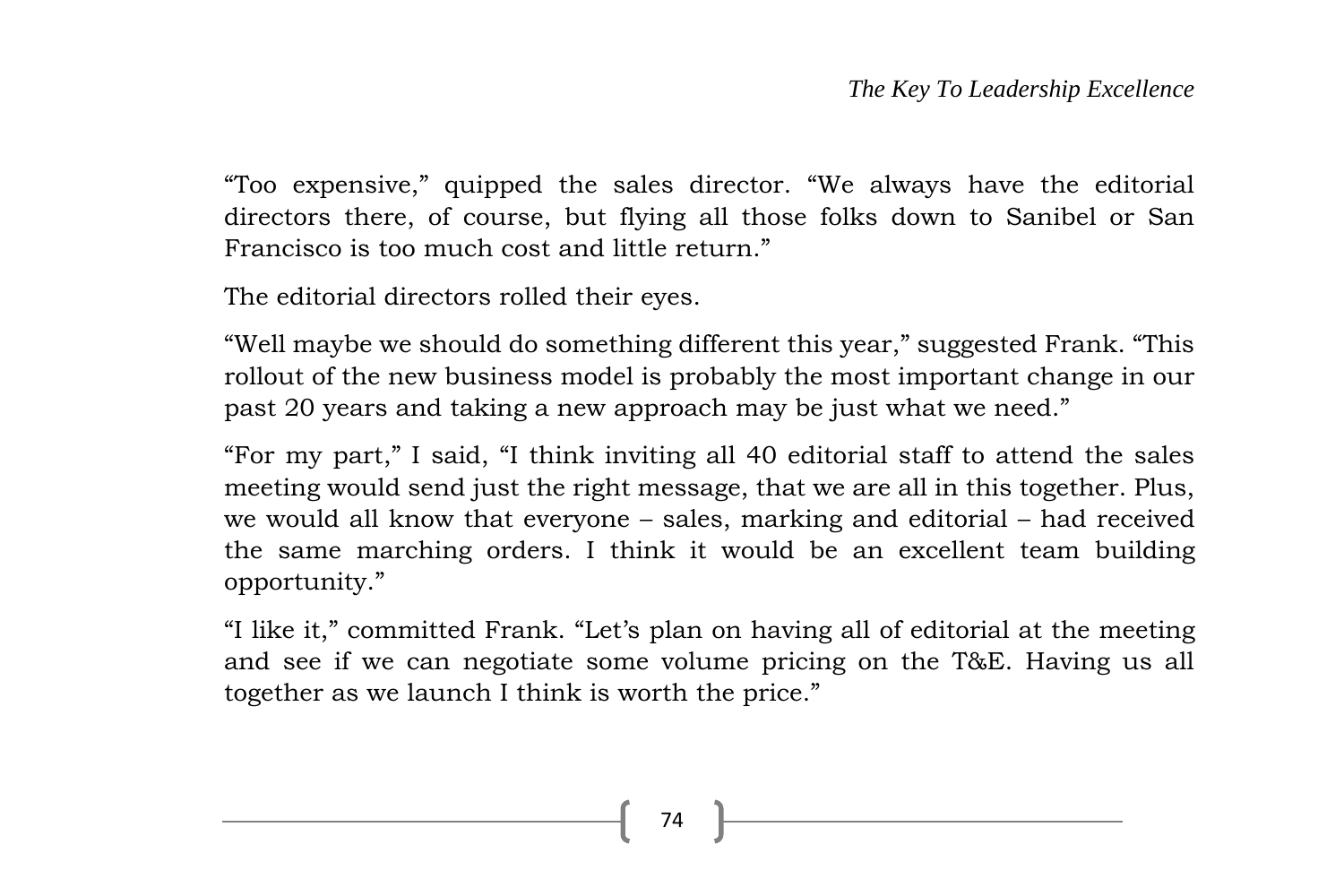"Too expensive," quipped the sales director. "We always have the editorial directors there, of course, but flying all those folks down to Sanibel or San Francisco is too much cost and little return."

The editorial directors rolled their eyes.

"Well maybe we should do something different this year," suggested Frank. "This rollout of the new business model is probably the most important change in our past 20 years and taking a new approach may be just what we need."

"For my part," I said, "I think inviting all 40 editorial staff to attend the sales meeting would send just the right message, that we are all in this together. Plus, we would all know that everyone – sales, marking and editorial – had received the same marching orders. I think it would be an excellent team building opportunity."

"I like it," committed Frank. "Let's plan on having all of editorial at the meeting and see if we can negotiate some volume pricing on the T&E. Having us all together as we launch I think is worth the price."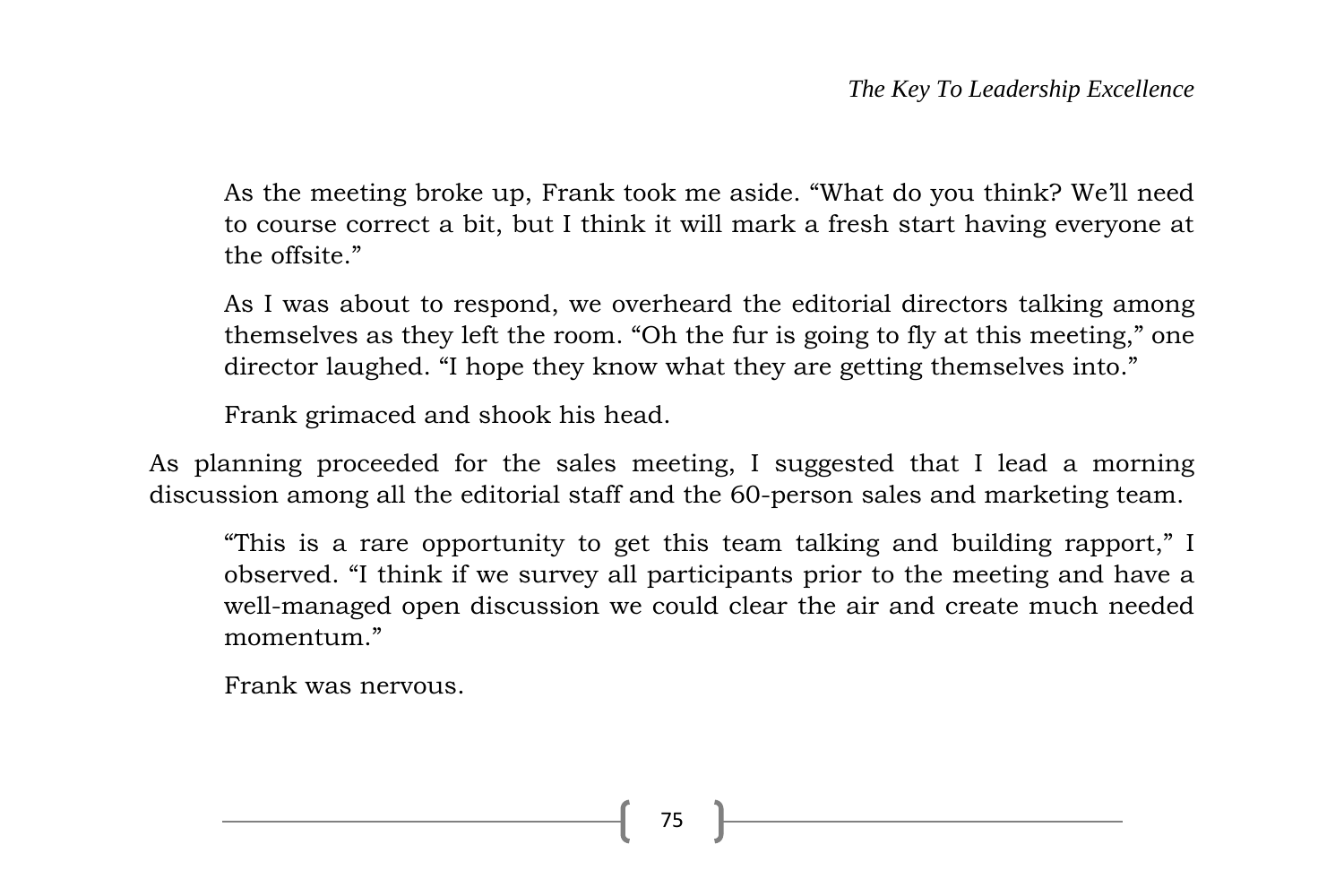As the meeting broke up, Frank took me aside. "What do you think? We'll need to course correct a bit, but I think it will mark a fresh start having everyone at the offsite."

As I was about to respond, we overheard the editorial directors talking among themselves as they left the room. "Oh the fur is going to fly at this meeting," one director laughed. "I hope they know what they are getting themselves into."

Frank grimaced and shook his head.

As planning proceeded for the sales meeting, I suggested that I lead a morning discussion among all the editorial staff and the 60-person sales and marketing team.

"This is a rare opportunity to get this team talking and building rapport," I observed. "I think if we survey all participants prior to the meeting and have a well-managed open discussion we could clear the air and create much needed momentum."

Frank was nervous.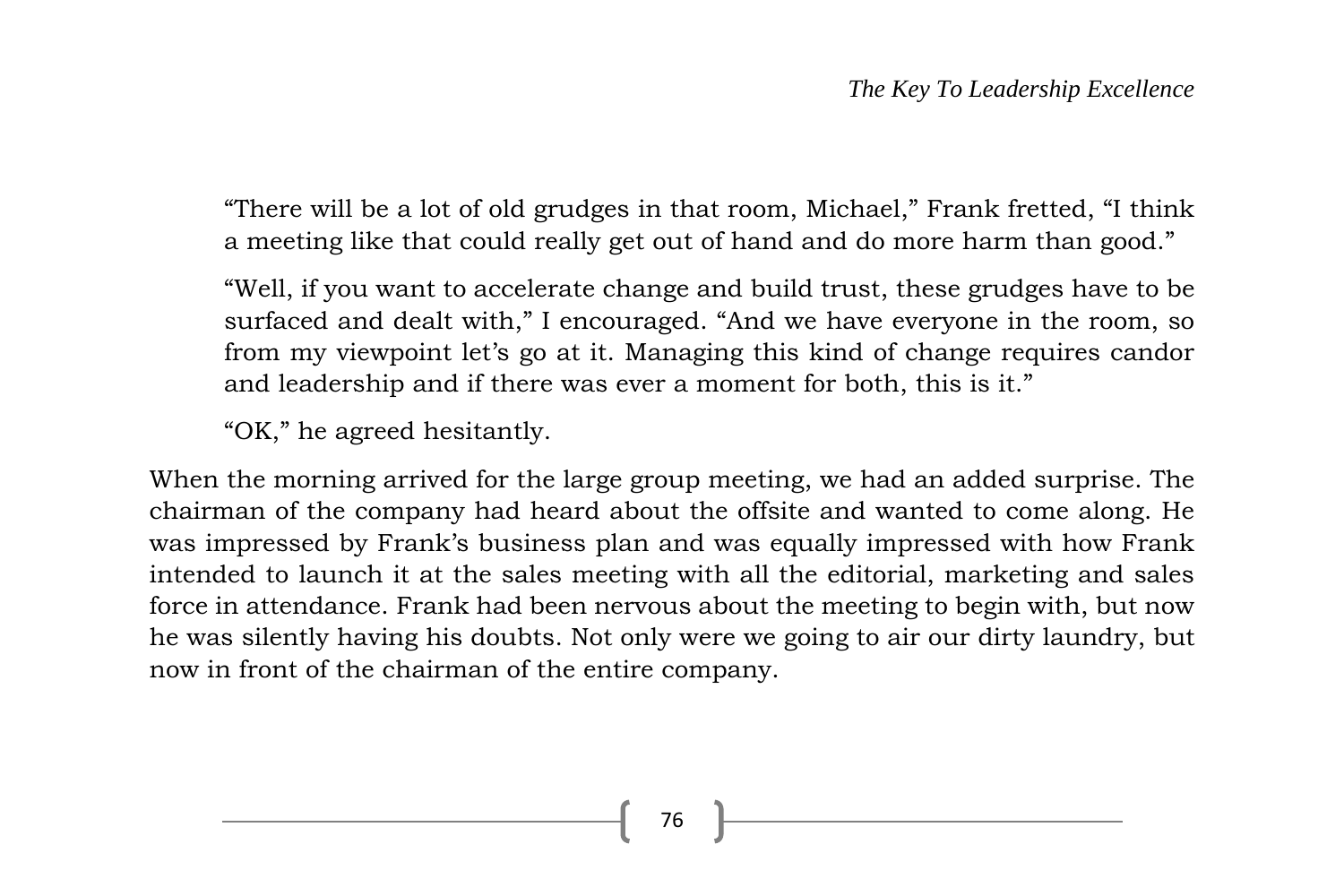"There will be a lot of old grudges in that room, Michael," Frank fretted, "I think a meeting like that could really get out of hand and do more harm than good."

"Well, if you want to accelerate change and build trust, these grudges have to be surfaced and dealt with," I encouraged. "And we have everyone in the room, so from my viewpoint let's go at it. Managing this kind of change requires candor and leadership and if there was ever a moment for both, this is it."

"OK," he agreed hesitantly.

When the morning arrived for the large group meeting, we had an added surprise. The chairman of the company had heard about the offsite and wanted to come along. He was impressed by Frank's business plan and was equally impressed with how Frank intended to launch it at the sales meeting with all the editorial, marketing and sales force in attendance. Frank had been nervous about the meeting to begin with, but now he was silently having his doubts. Not only were we going to air our dirty laundry, but now in front of the chairman of the entire company.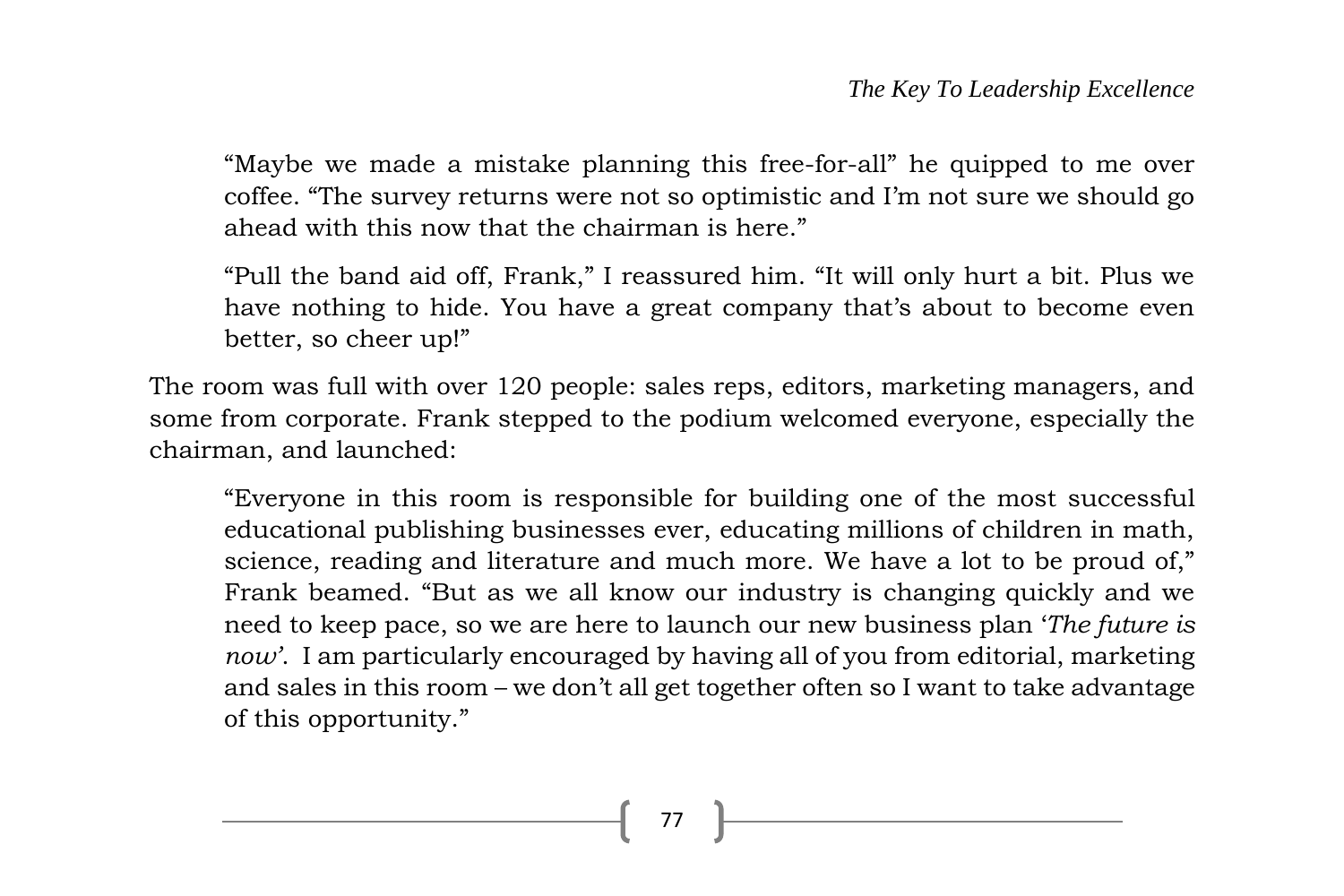"Maybe we made a mistake planning this free-for-all" he quipped to me over coffee. "The survey returns were not so optimistic and I'm not sure we should go ahead with this now that the chairman is here."

"Pull the band aid off, Frank," I reassured him. "It will only hurt a bit. Plus we have nothing to hide. You have a great company that's about to become even better, so cheer up!"

The room was full with over 120 people: sales reps, editors, marketing managers, and some from corporate. Frank stepped to the podium welcomed everyone, especially the chairman, and launched:

"Everyone in this room is responsible for building one of the most successful educational publishing businesses ever, educating millions of children in math, science, reading and literature and much more. We have a lot to be proud of," Frank beamed. "But as we all know our industry is changing quickly and we need to keep pace, so we are here to launch our new business plan '*The future is now'*. I am particularly encouraged by having all of you from editorial, marketing and sales in this room – we don't all get together often so I want to take advantage of this opportunity."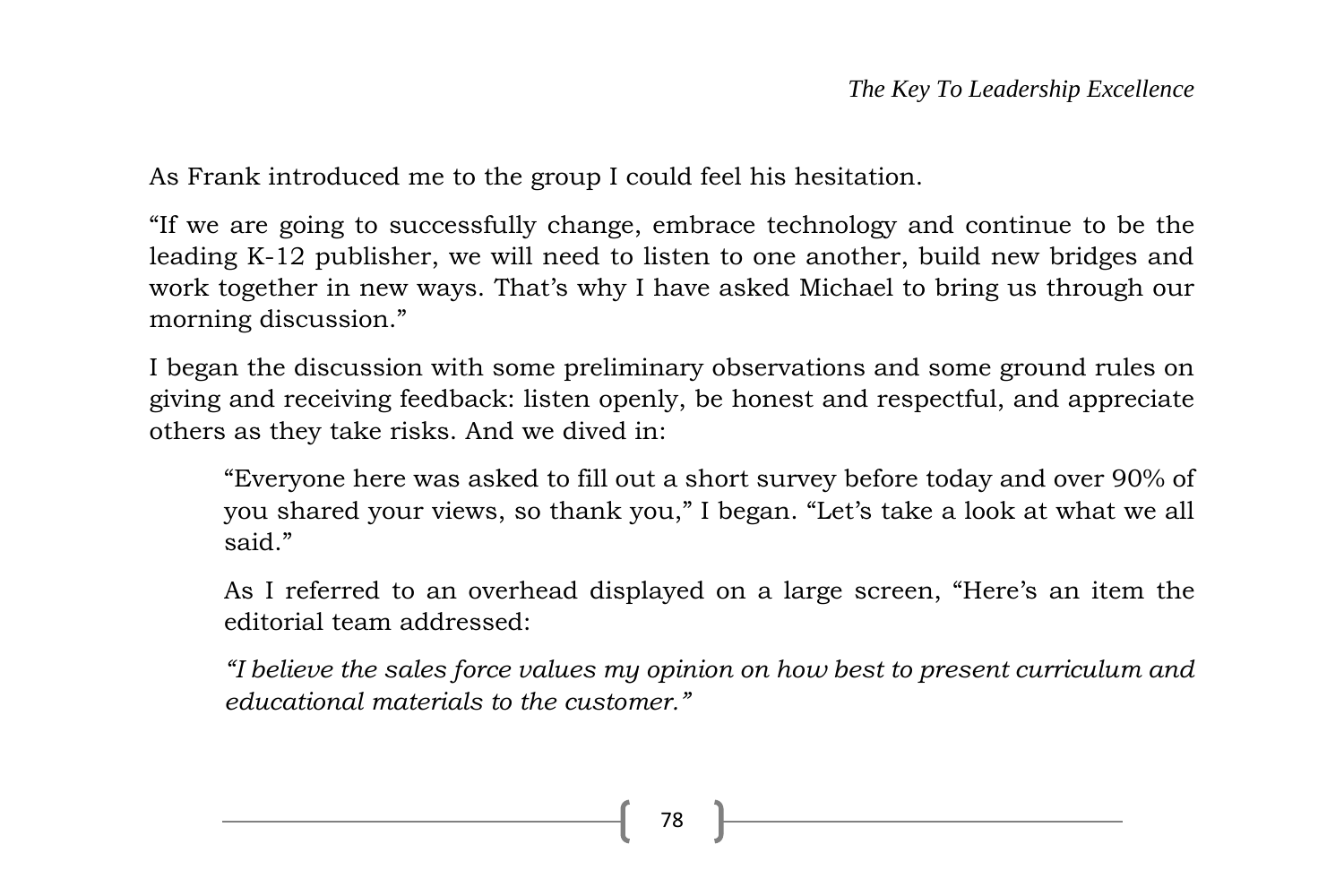As Frank introduced me to the group I could feel his hesitation.

"If we are going to successfully change, embrace technology and continue to be the leading K-12 publisher, we will need to listen to one another, build new bridges and work together in new ways. That's why I have asked Michael to bring us through our morning discussion."

I began the discussion with some preliminary observations and some ground rules on giving and receiving feedback: listen openly, be honest and respectful, and appreciate others as they take risks. And we dived in:

"Everyone here was asked to fill out a short survey before today and over 90% of you shared your views, so thank you," I began. "Let's take a look at what we all said."

As I referred to an overhead displayed on a large screen, "Here's an item the editorial team addressed:

*"I believe the sales force values my opinion on how best to present curriculum and educational materials to the customer."*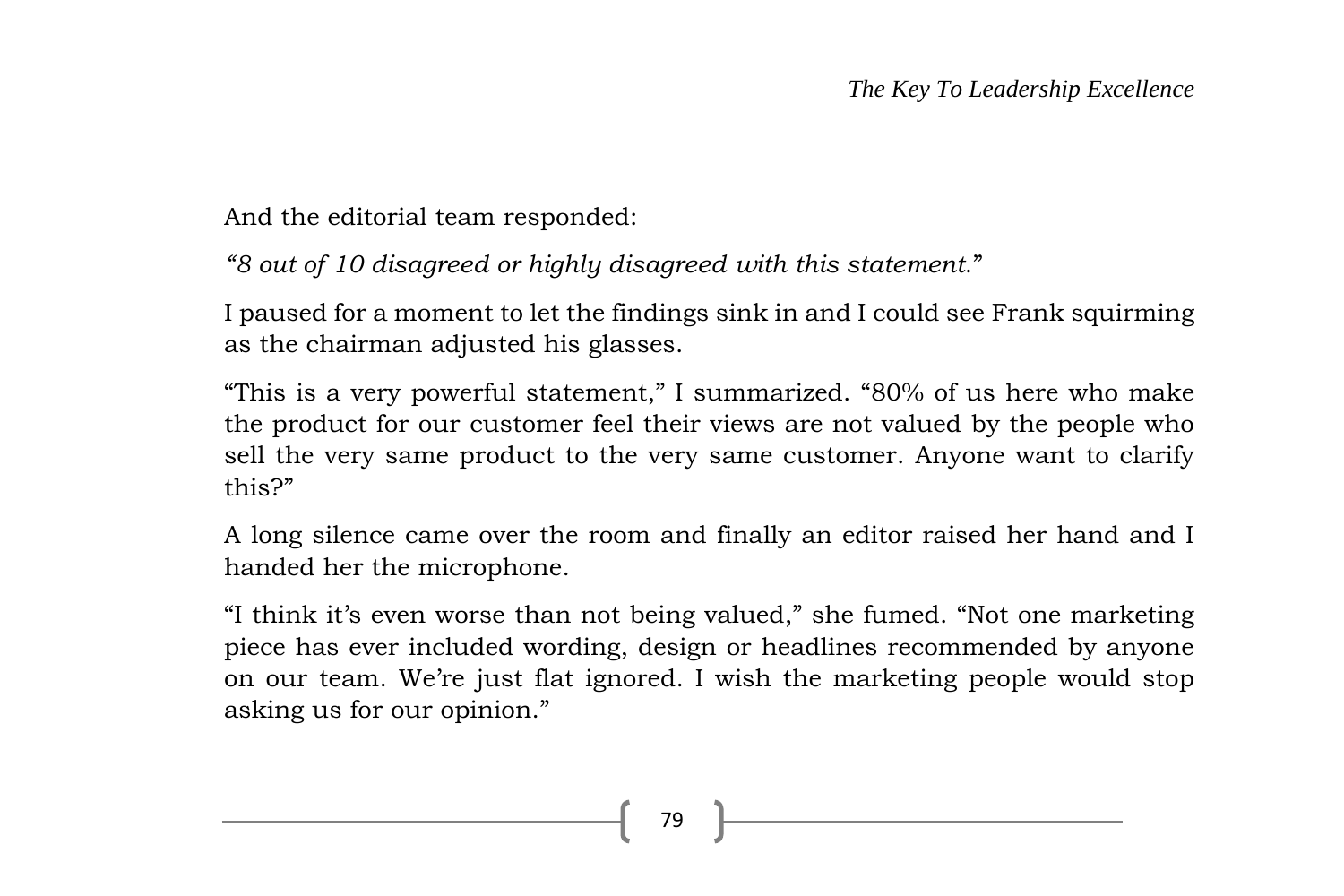And the editorial team responded:

*"8 out of 10 disagreed or highly disagreed with this statement*."

I paused for a moment to let the findings sink in and I could see Frank squirming as the chairman adjusted his glasses.

"This is a very powerful statement," I summarized. "80% of us here who make the product for our customer feel their views are not valued by the people who sell the very same product to the very same customer. Anyone want to clarify this?"

A long silence came over the room and finally an editor raised her hand and I handed her the microphone.

"I think it's even worse than not being valued," she fumed. "Not one marketing piece has ever included wording, design or headlines recommended by anyone on our team. We're just flat ignored. I wish the marketing people would stop asking us for our opinion."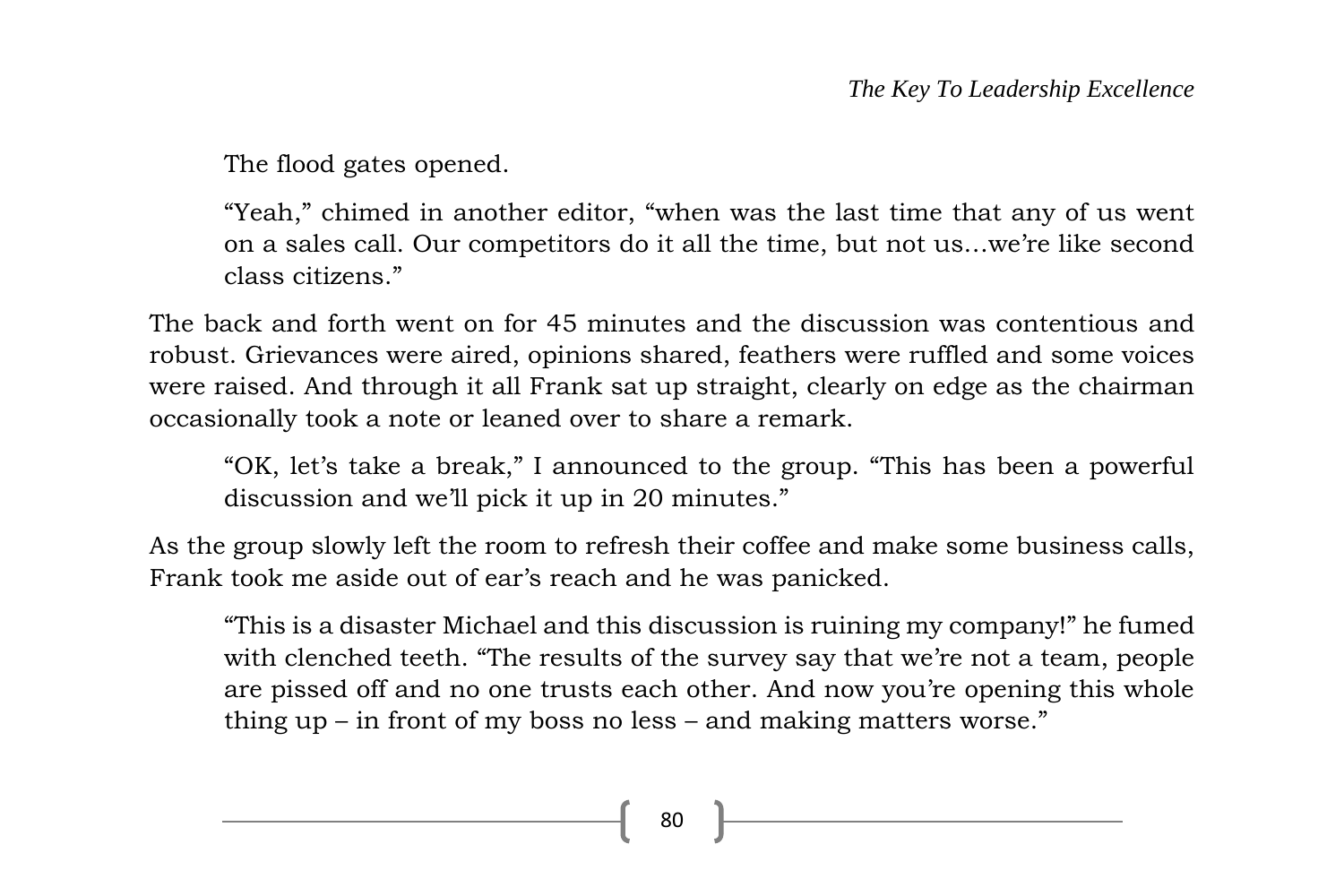The flood gates opened.

"Yeah," chimed in another editor, "when was the last time that any of us went on a sales call. Our competitors do it all the time, but not us…we're like second class citizens."

The back and forth went on for 45 minutes and the discussion was contentious and robust. Grievances were aired, opinions shared, feathers were ruffled and some voices were raised. And through it all Frank sat up straight, clearly on edge as the chairman occasionally took a note or leaned over to share a remark.

"OK, let's take a break," I announced to the group. "This has been a powerful discussion and we'll pick it up in 20 minutes."

As the group slowly left the room to refresh their coffee and make some business calls, Frank took me aside out of ear's reach and he was panicked.

"This is a disaster Michael and this discussion is ruining my company!" he fumed with clenched teeth. "The results of the survey say that we're not a team, people are pissed off and no one trusts each other. And now you're opening this whole thing up – in front of my boss no less – and making matters worse."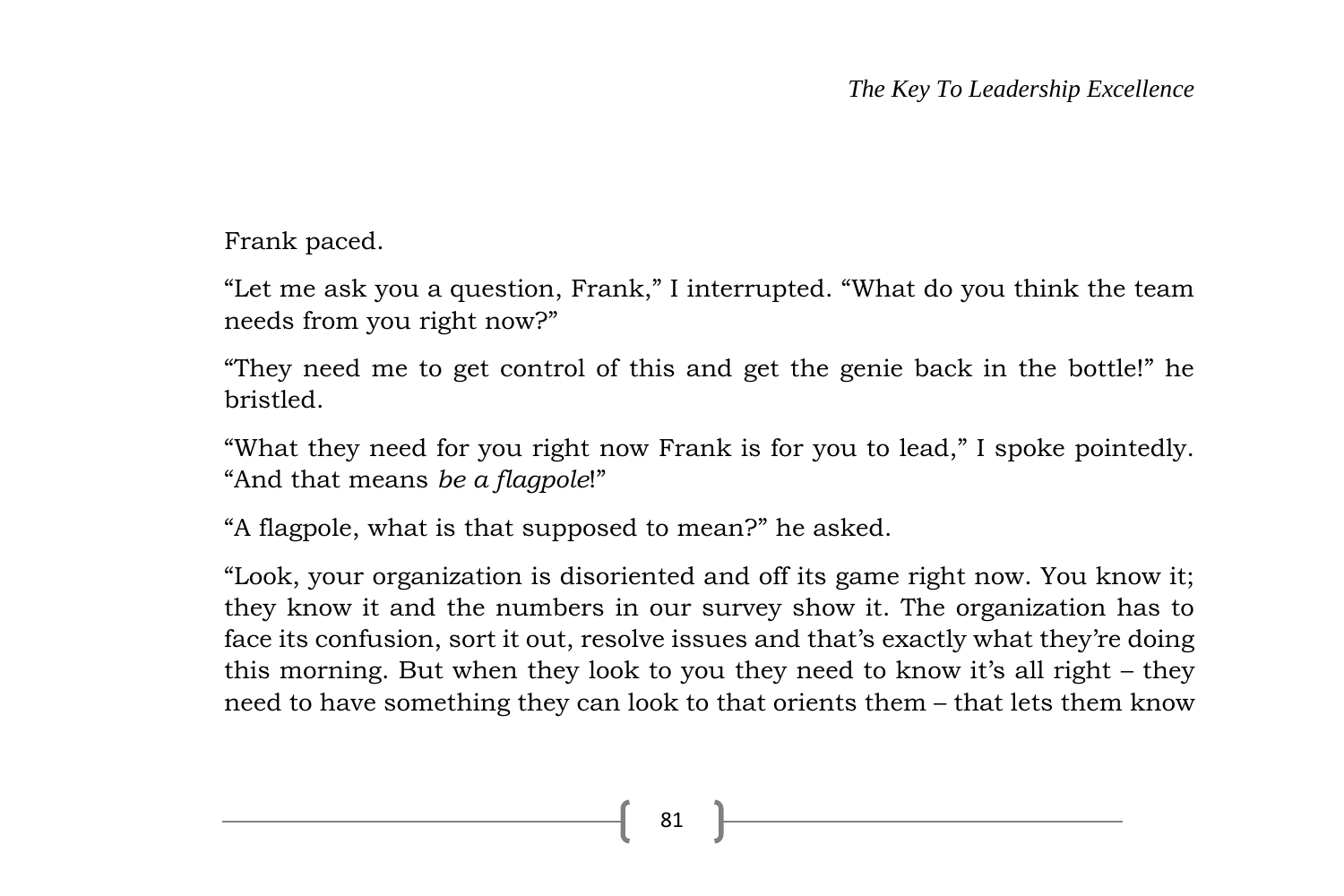Frank paced.

"Let me ask you a question, Frank," I interrupted. "What do you think the team needs from you right now?"

"They need me to get control of this and get the genie back in the bottle!" he bristled.

"What they need for you right now Frank is for you to lead," I spoke pointedly. "And that means *be a flagpole*!"

"A flagpole, what is that supposed to mean?" he asked.

"Look, your organization is disoriented and off its game right now. You know it; they know it and the numbers in our survey show it. The organization has to face its confusion, sort it out, resolve issues and that's exactly what they're doing this morning. But when they look to you they need to know it's all right – they need to have something they can look to that orients them – that lets them know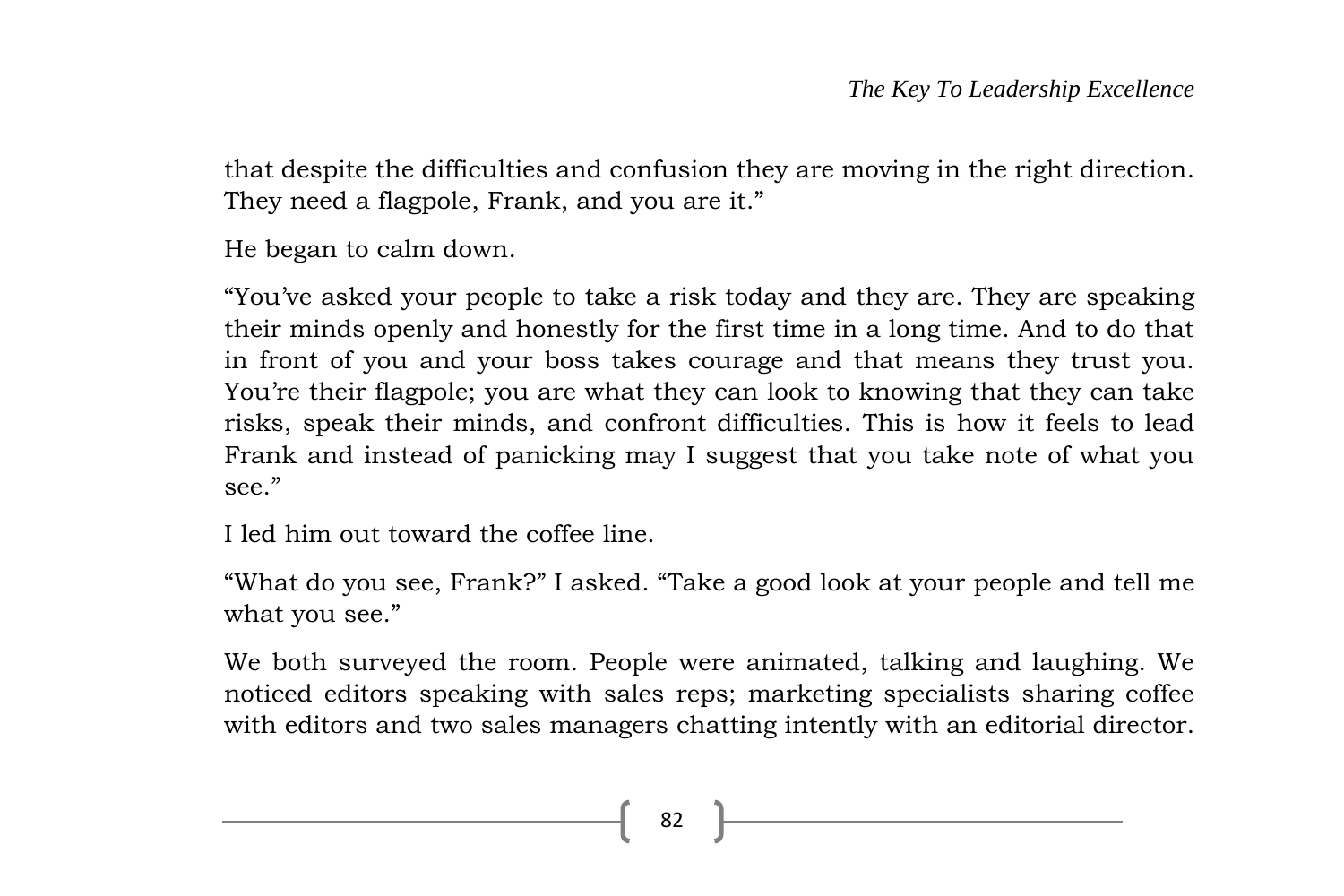that despite the difficulties and confusion they are moving in the right direction. They need a flagpole, Frank, and you are it."

He began to calm down.

"You've asked your people to take a risk today and they are. They are speaking their minds openly and honestly for the first time in a long time. And to do that in front of you and your boss takes courage and that means they trust you. You're their flagpole; you are what they can look to knowing that they can take risks, speak their minds, and confront difficulties. This is how it feels to lead Frank and instead of panicking may I suggest that you take note of what you see."

I led him out toward the coffee line.

"What do you see, Frank?" I asked. "Take a good look at your people and tell me what you see."

We both surveyed the room. People were animated, talking and laughing. We noticed editors speaking with sales reps; marketing specialists sharing coffee with editors and two sales managers chatting intently with an editorial director.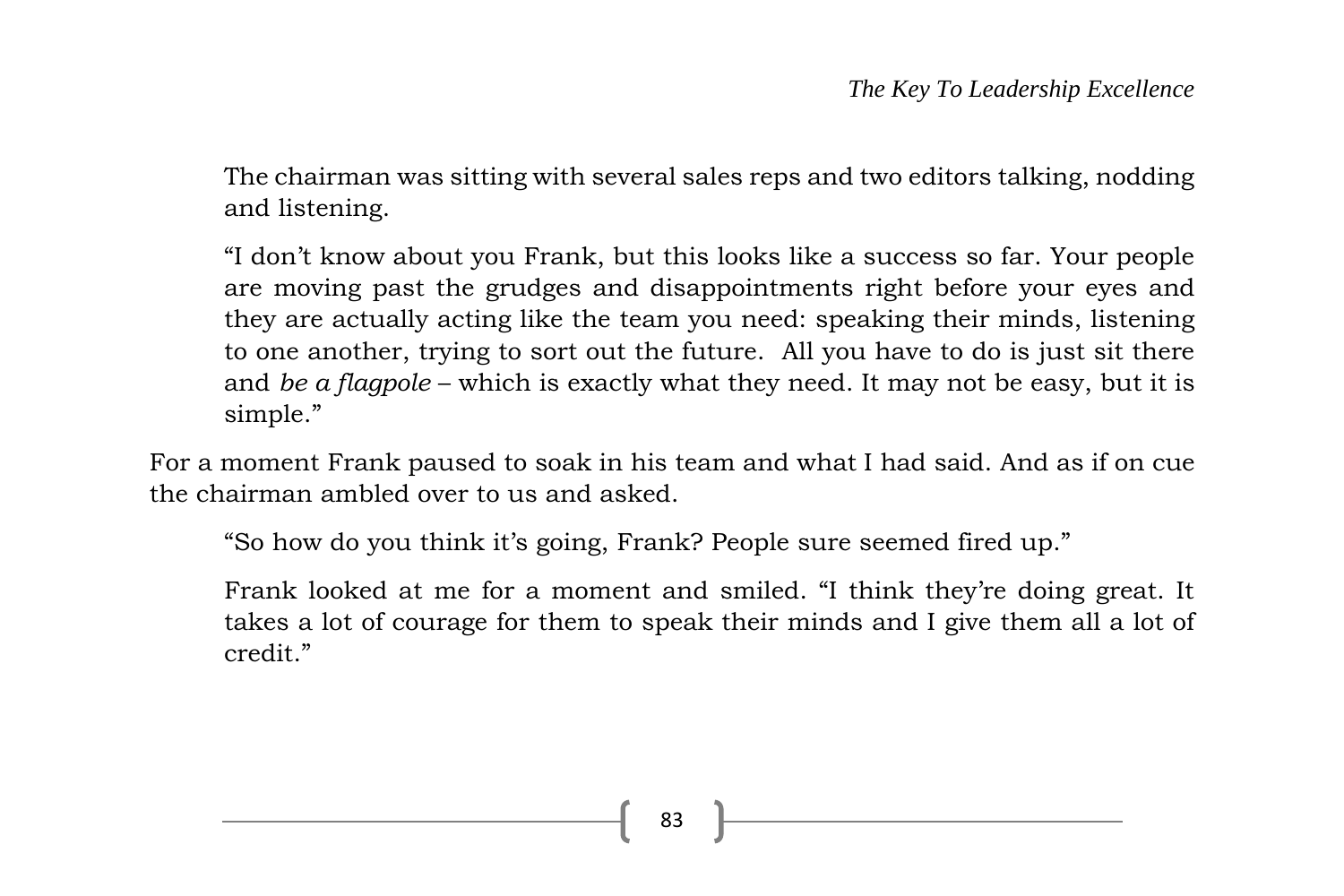The chairman was sitting with several sales reps and two editors talking, nodding and listening.

"I don't know about you Frank, but this looks like a success so far. Your people are moving past the grudges and disappointments right before your eyes and they are actually acting like the team you need: speaking their minds, listening to one another, trying to sort out the future. All you have to do is just sit there and *be a flagpole* – which is exactly what they need. It may not be easy, but it is simple."

For a moment Frank paused to soak in his team and what I had said. And as if on cue the chairman ambled over to us and asked.

"So how do you think it's going, Frank? People sure seemed fired up."

Frank looked at me for a moment and smiled. "I think they're doing great. It takes a lot of courage for them to speak their minds and I give them all a lot of credit."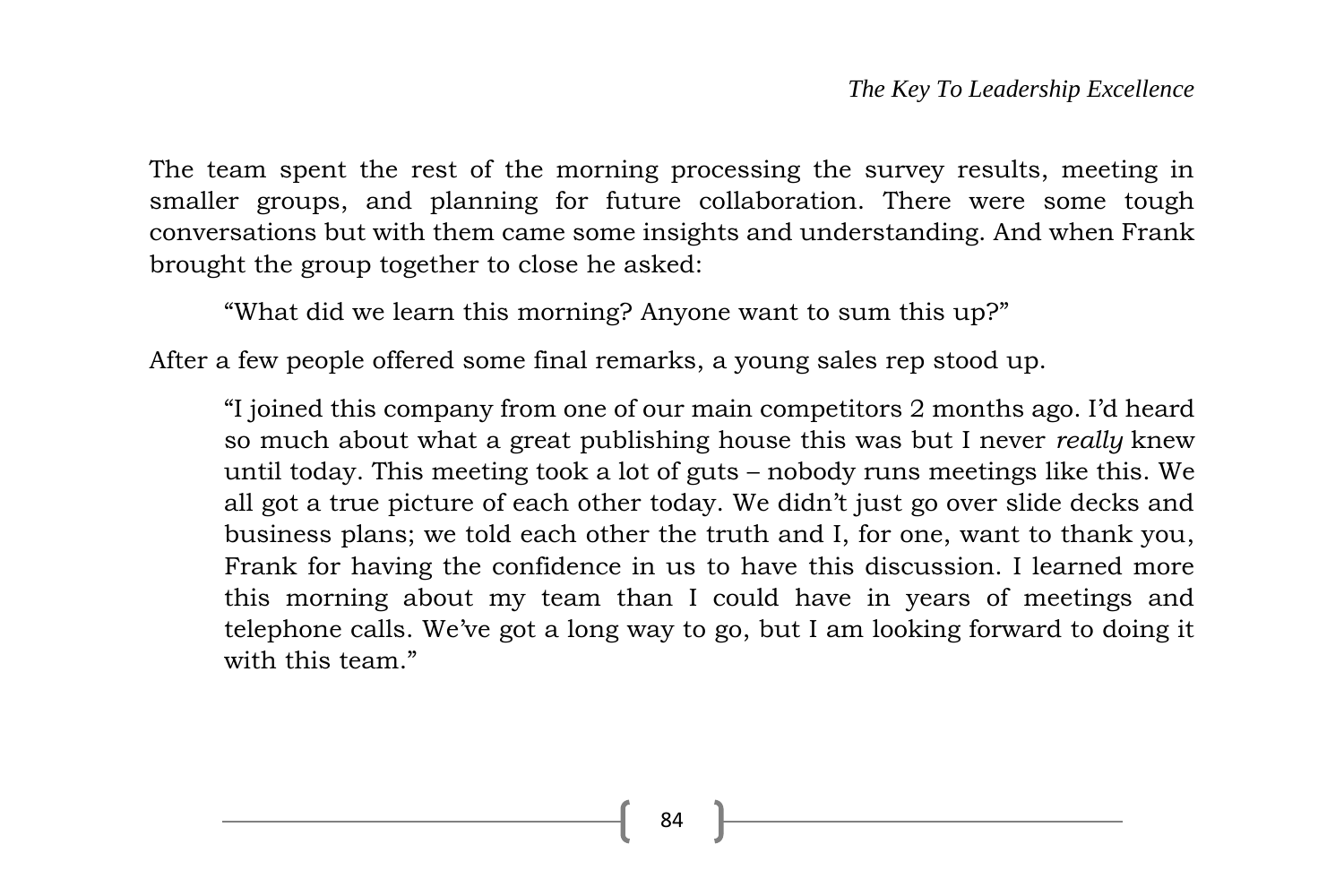The team spent the rest of the morning processing the survey results, meeting in smaller groups, and planning for future collaboration. There were some tough conversations but with them came some insights and understanding. And when Frank brought the group together to close he asked:

"What did we learn this morning? Anyone want to sum this up?"

After a few people offered some final remarks, a young sales rep stood up.

"I joined this company from one of our main competitors 2 months ago. I'd heard so much about what a great publishing house this was but I never *really* knew until today. This meeting took a lot of guts – nobody runs meetings like this. We all got a true picture of each other today. We didn't just go over slide decks and business plans; we told each other the truth and I, for one, want to thank you, Frank for having the confidence in us to have this discussion. I learned more this morning about my team than I could have in years of meetings and telephone calls. We've got a long way to go, but I am looking forward to doing it with this team."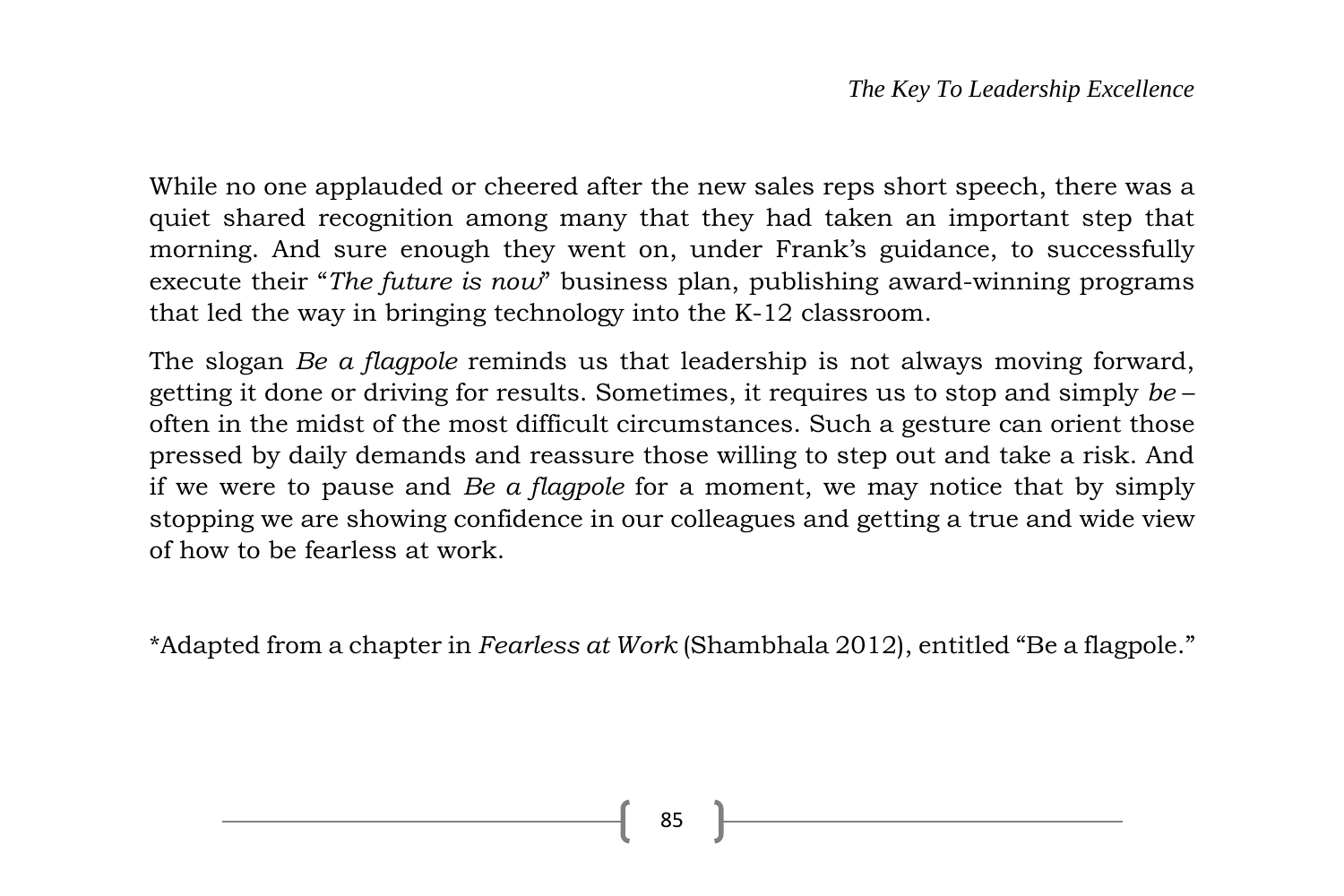While no one applauded or cheered after the new sales reps short speech, there was a quiet shared recognition among many that they had taken an important step that morning. And sure enough they went on, under Frank's guidance, to successfully execute their "*The future is now*" business plan, publishing award-winning programs that led the way in bringing technology into the K-12 classroom.

The slogan *Be a flagpole* reminds us that leadership is not always moving forward, getting it done or driving for results. Sometimes, it requires us to stop and simply *be* – often in the midst of the most difficult circumstances. Such a gesture can orient those pressed by daily demands and reassure those willing to step out and take a risk. And if we were to pause and *Be a flagpole* for a moment, we may notice that by simply stopping we are showing confidence in our colleagues and getting a true and wide view of how to be fearless at work.

\*Adapted from a chapter in *Fearless at Work* (Shambhala 2012), entitled "Be a flagpole."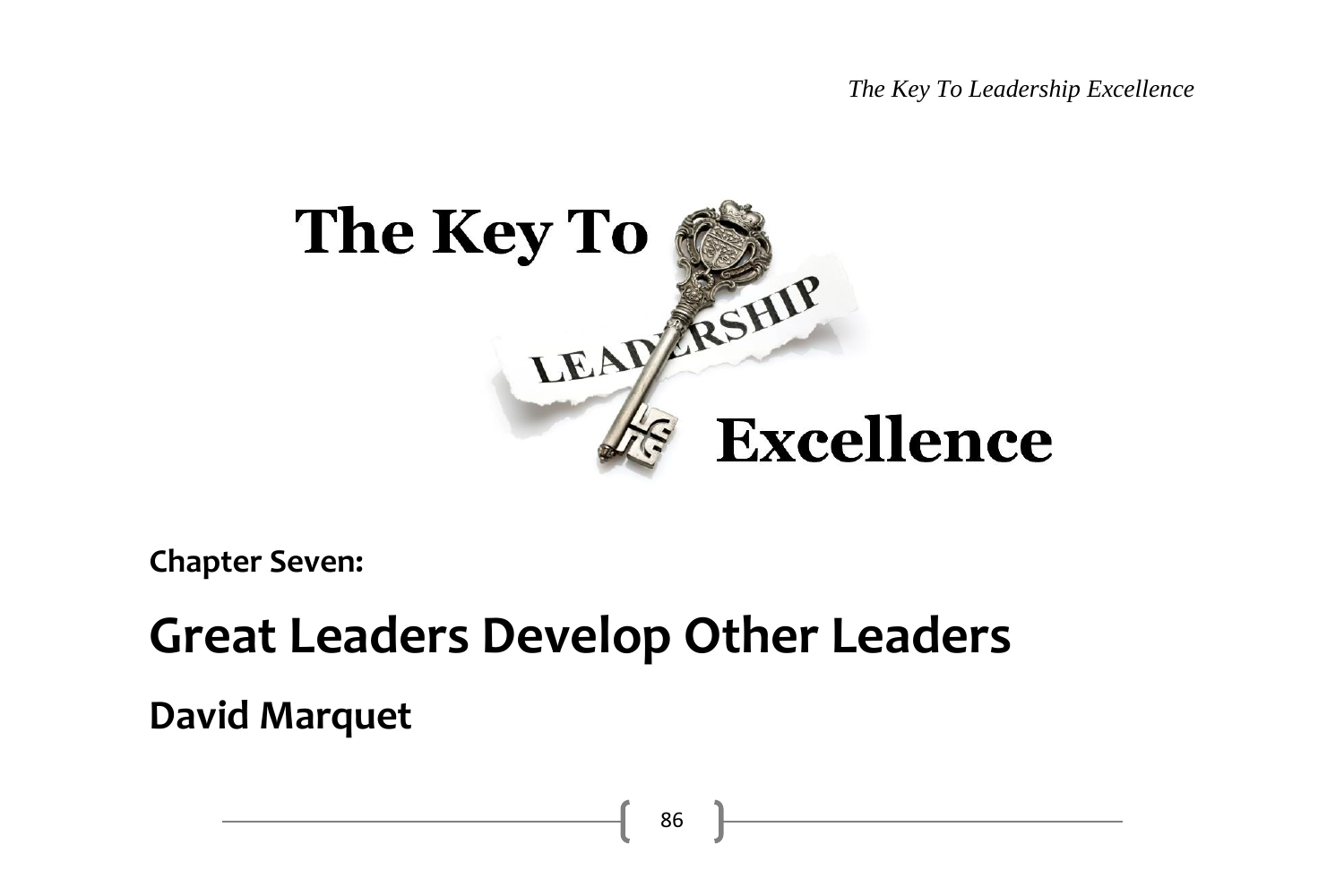*The Key To Leadership Excellence*



**Chapter Seven:**

## **Great Leaders Develop Other Leaders**

**David Marquet**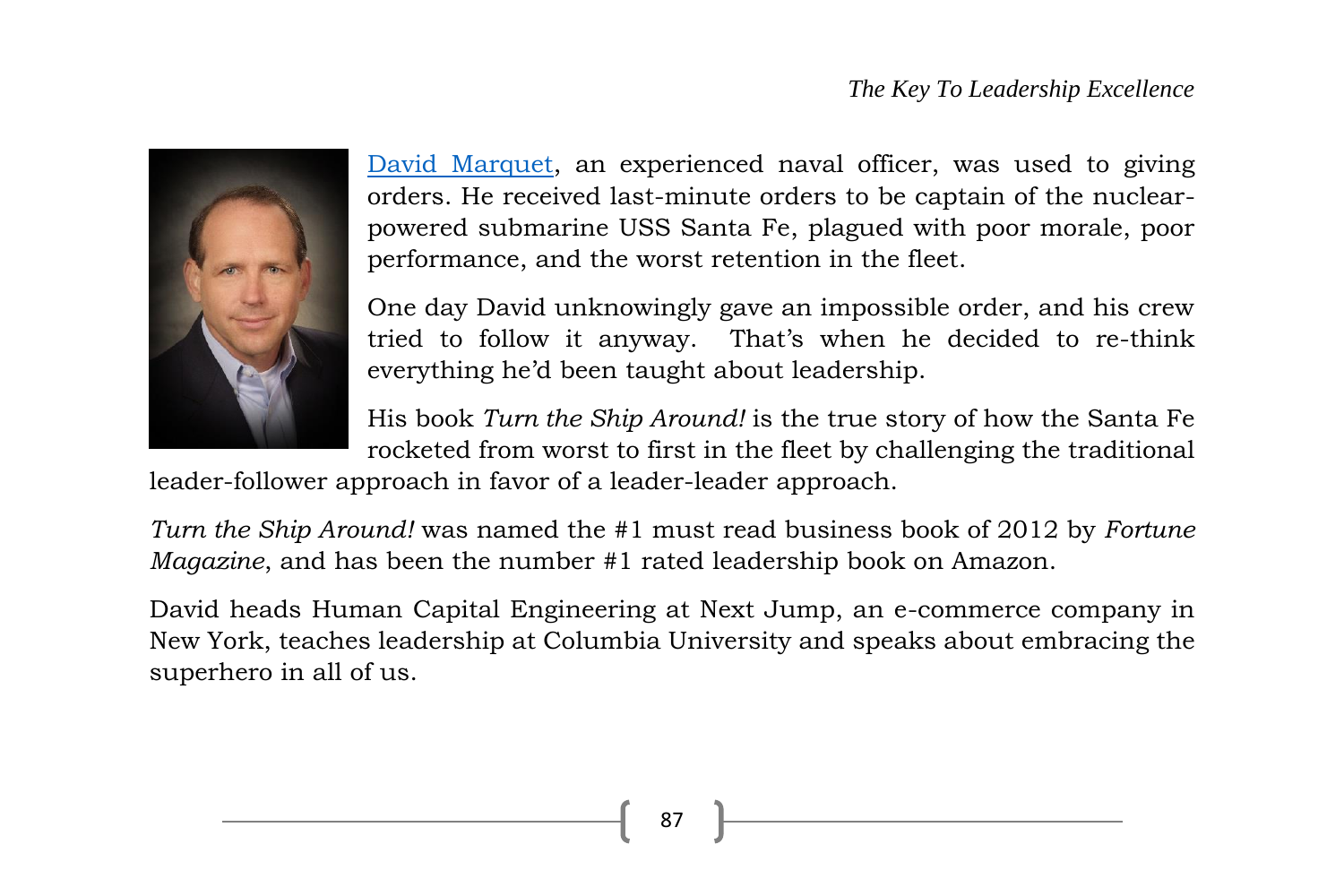

[David Marquet,](http://davidmarquet.com/) an experienced naval officer, was used to giving orders. He received last-minute orders to be captain of the nuclearpowered submarine USS Santa Fe, plagued with poor morale, poor performance, and the worst retention in the fleet.

One day David unknowingly gave an impossible order, and his crew tried to follow it anyway. That's when he decided to re-think everything he'd been taught about leadership.

His book *Turn the Ship Around!* is the true story of how the Santa Fe rocketed from worst to first in the fleet by challenging the traditional

leader-follower approach in favor of a leader-leader approach.

*Turn the Ship Around!* was named the #1 must read business book of 2012 by *Fortune Magazine*, and has been the number #1 rated leadership book on Amazon.

David heads Human Capital Engineering at Next Jump, an e-commerce company in New York, teaches leadership at Columbia University and speaks about embracing the superhero in all of us.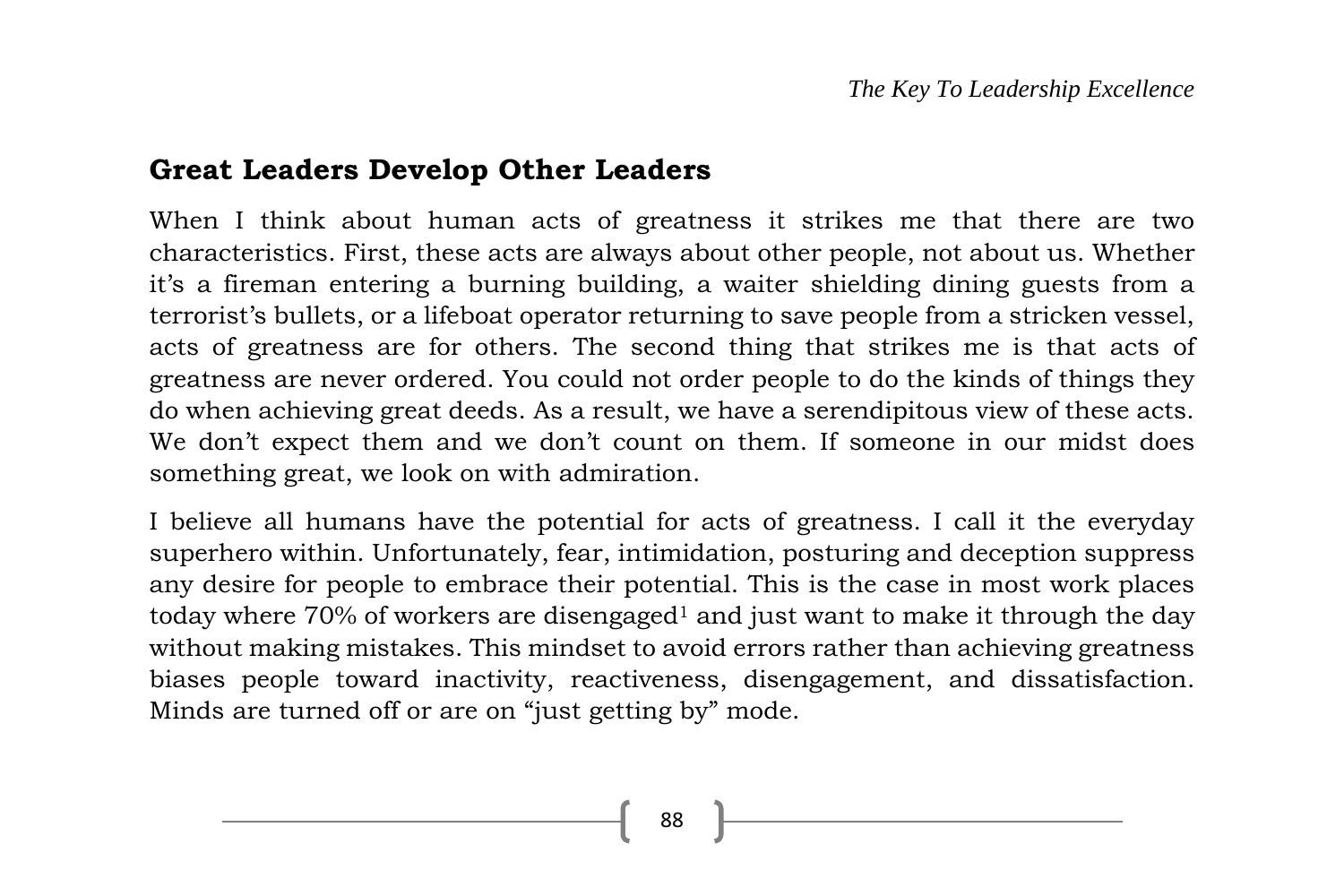### **Great Leaders Develop Other Leaders**

When I think about human acts of greatness it strikes me that there are two characteristics. First, these acts are always about other people, not about us. Whether it's a fireman entering a burning building, a waiter shielding dining guests from a terrorist's bullets, or a lifeboat operator returning to save people from a stricken vessel, acts of greatness are for others. The second thing that strikes me is that acts of greatness are never ordered. You could not order people to do the kinds of things they do when achieving great deeds. As a result, we have a serendipitous view of these acts. We don't expect them and we don't count on them. If someone in our midst does something great, we look on with admiration.

I believe all humans have the potential for acts of greatness. I call it the everyday superhero within. Unfortunately, fear, intimidation, posturing and deception suppress any desire for people to embrace their potential. This is the case in most work places today where  $70\%$  of workers are disengaged<sup>1</sup> and just want to make it through the day without making mistakes. This mindset to avoid errors rather than achieving greatness biases people toward inactivity, reactiveness, disengagement, and dissatisfaction. Minds are turned off or are on "just getting by" mode.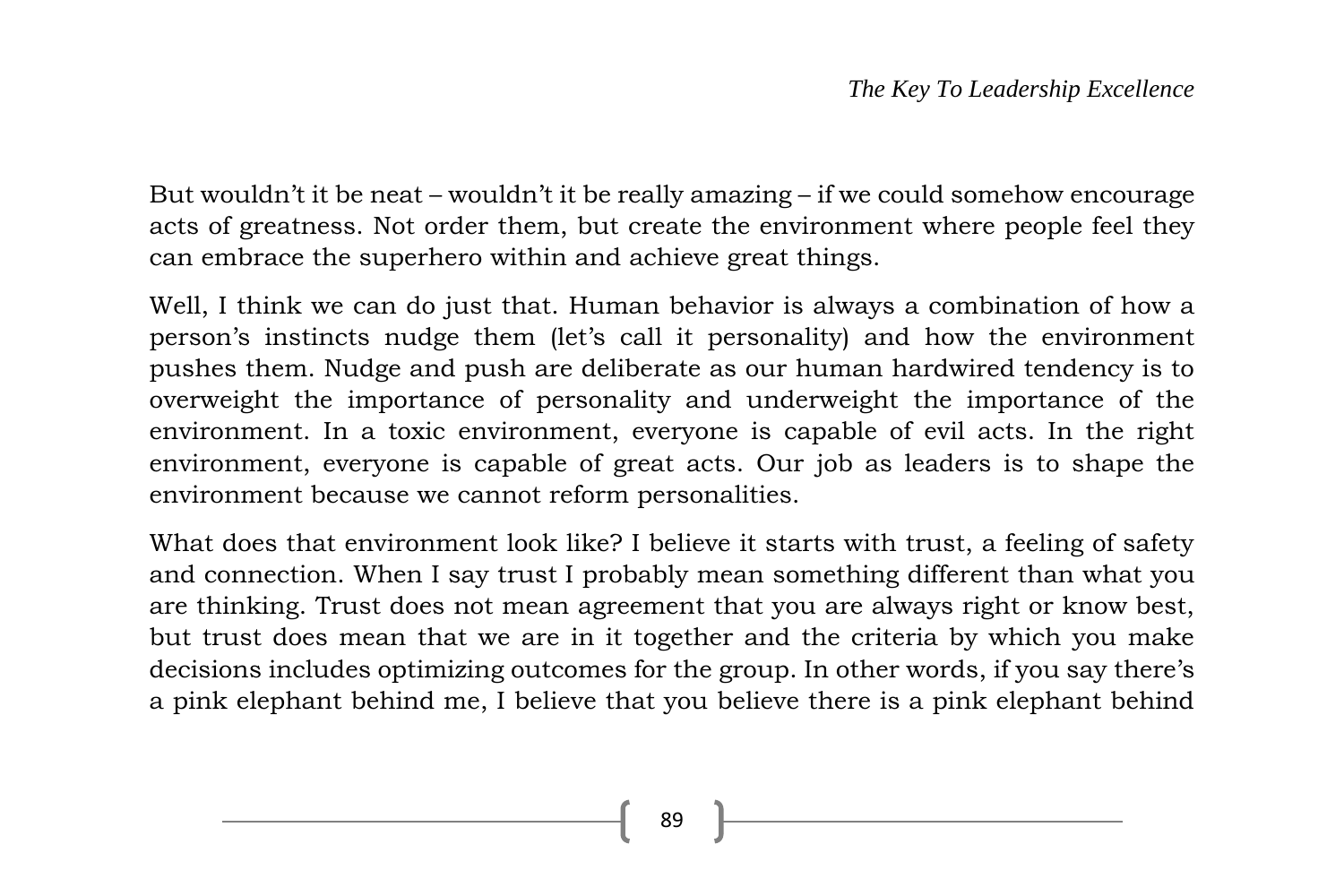But wouldn't it be neat – wouldn't it be really amazing – if we could somehow encourage acts of greatness. Not order them, but create the environment where people feel they can embrace the superhero within and achieve great things.

Well, I think we can do just that. Human behavior is always a combination of how a person's instincts nudge them (let's call it personality) and how the environment pushes them. Nudge and push are deliberate as our human hardwired tendency is to overweight the importance of personality and underweight the importance of the environment. In a toxic environment, everyone is capable of evil acts. In the right environment, everyone is capable of great acts. Our job as leaders is to shape the environment because we cannot reform personalities.

What does that environment look like? I believe it starts with trust, a feeling of safety and connection. When I say trust I probably mean something different than what you are thinking. Trust does not mean agreement that you are always right or know best, but trust does mean that we are in it together and the criteria by which you make decisions includes optimizing outcomes for the group. In other words, if you say there's a pink elephant behind me, I believe that you believe there is a pink elephant behind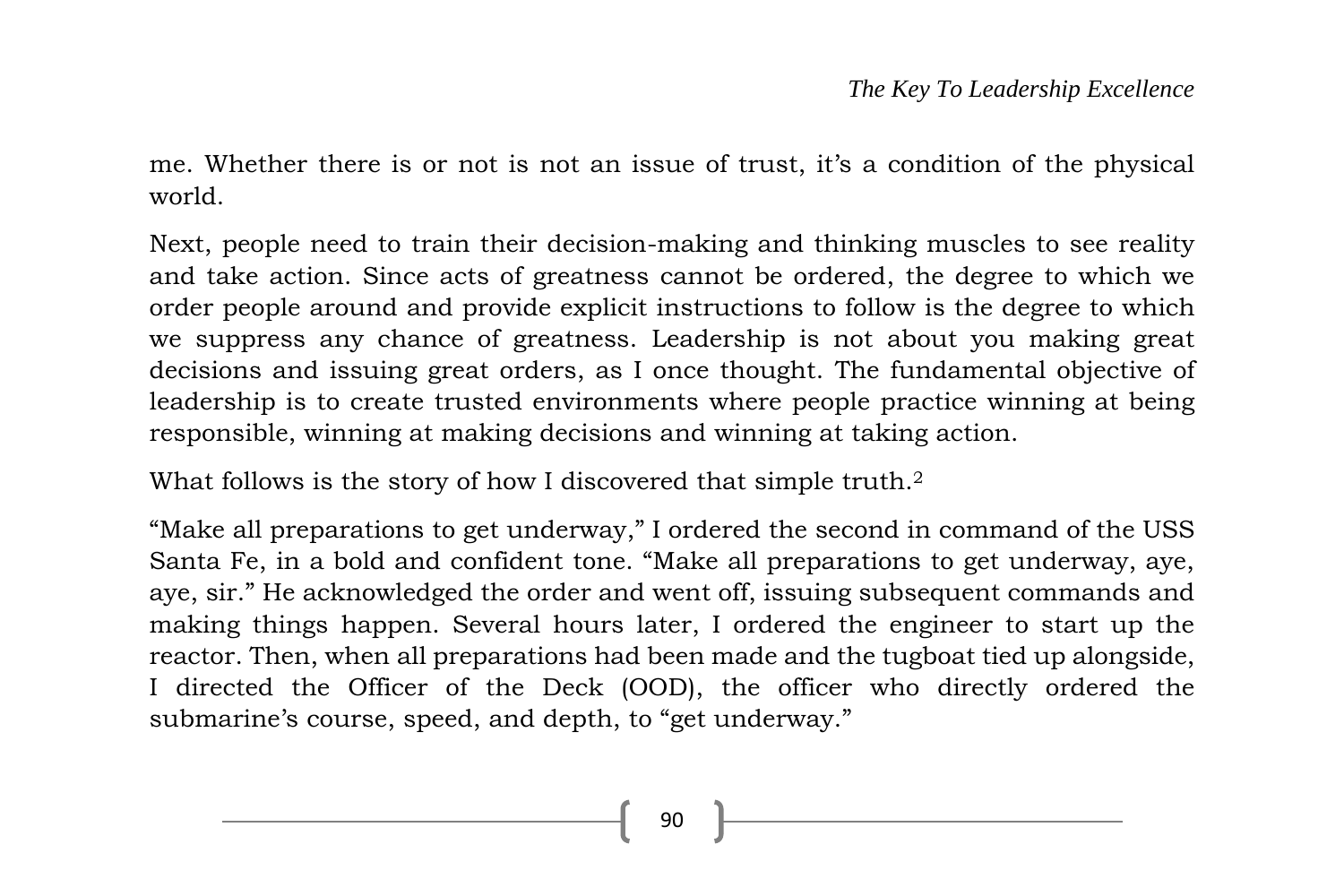me. Whether there is or not is not an issue of trust, it's a condition of the physical world.

Next, people need to train their decision-making and thinking muscles to see reality and take action. Since acts of greatness cannot be ordered, the degree to which we order people around and provide explicit instructions to follow is the degree to which we suppress any chance of greatness. Leadership is not about you making great decisions and issuing great orders, as I once thought. The fundamental objective of leadership is to create trusted environments where people practice winning at being responsible, winning at making decisions and winning at taking action.

What follows is the story of how I discovered that simple truth.<sup>2</sup>

"Make all preparations to get underway," I ordered the second in command of the USS Santa Fe, in a bold and confident tone. "Make all preparations to get underway, aye, aye, sir." He acknowledged the order and went off, issuing subsequent commands and making things happen. Several hours later, I ordered the engineer to start up the reactor. Then, when all preparations had been made and the tugboat tied up alongside, I directed the Officer of the Deck (OOD), the officer who directly ordered the submarine's course, speed, and depth, to "get underway."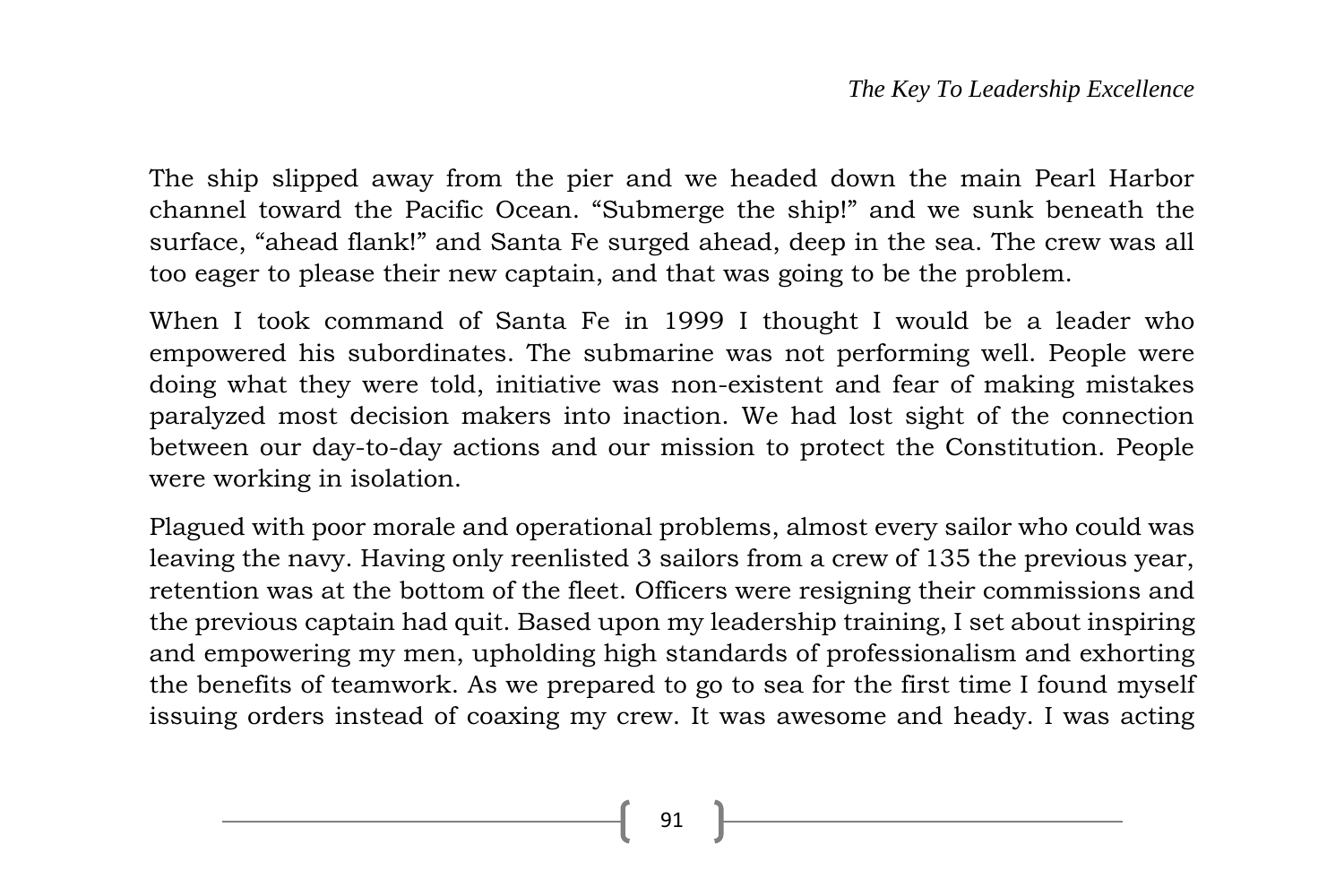The ship slipped away from the pier and we headed down the main Pearl Harbor channel toward the Pacific Ocean. "Submerge the ship!" and we sunk beneath the surface, "ahead flank!" and Santa Fe surged ahead, deep in the sea. The crew was all too eager to please their new captain, and that was going to be the problem.

When I took command of Santa Fe in 1999 I thought I would be a leader who empowered his subordinates. The submarine was not performing well. People were doing what they were told, initiative was non-existent and fear of making mistakes paralyzed most decision makers into inaction. We had lost sight of the connection between our day-to-day actions and our mission to protect the Constitution. People were working in isolation.

Plagued with poor morale and operational problems, almost every sailor who could was leaving the navy. Having only reenlisted 3 sailors from a crew of 135 the previous year, retention was at the bottom of the fleet. Officers were resigning their commissions and the previous captain had quit. Based upon my leadership training, I set about inspiring and empowering my men, upholding high standards of professionalism and exhorting the benefits of teamwork. As we prepared to go to sea for the first time I found myself issuing orders instead of coaxing my crew. It was awesome and heady. I was acting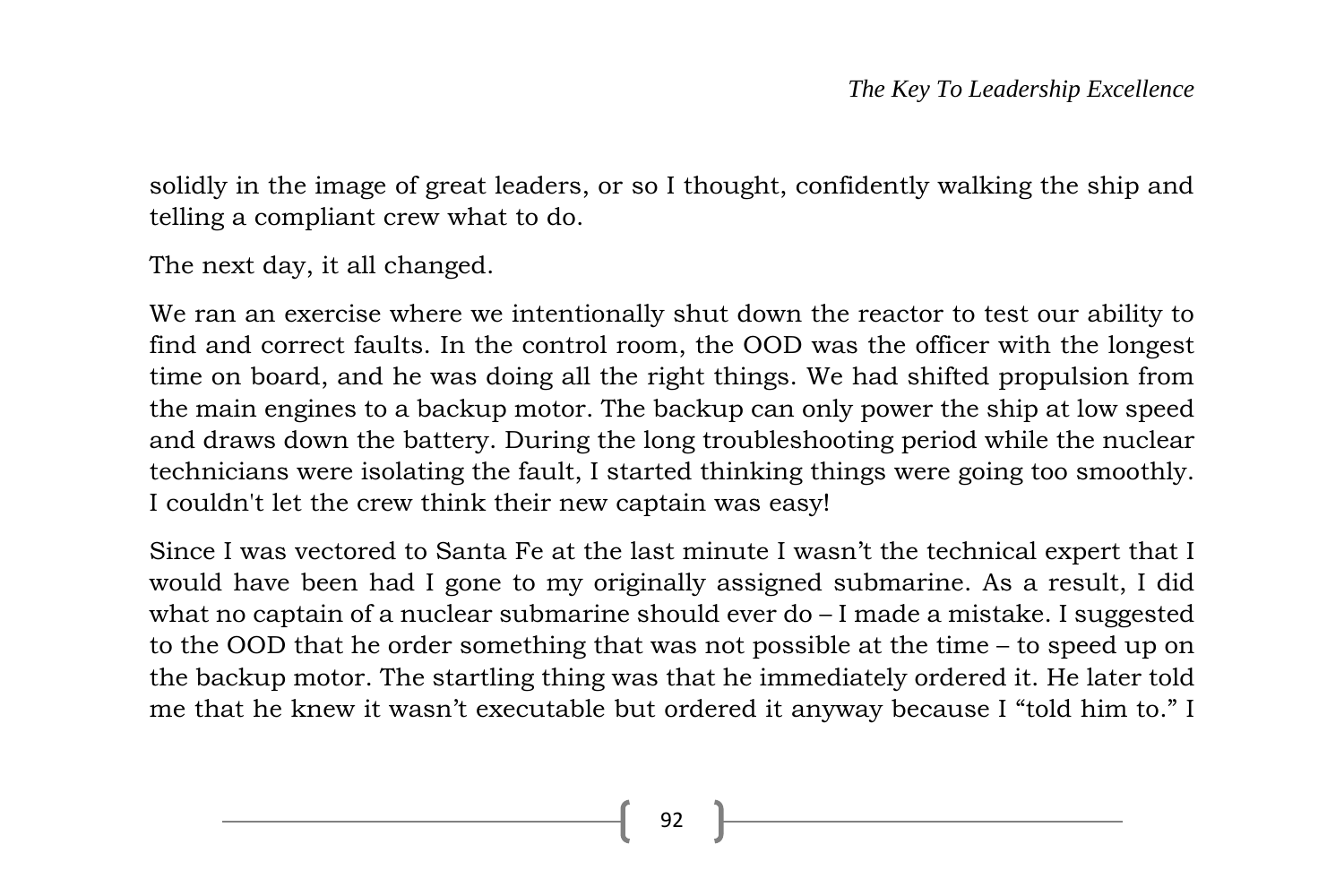solidly in the image of great leaders, or so I thought, confidently walking the ship and telling a compliant crew what to do.

The next day, it all changed.

We ran an exercise where we intentionally shut down the reactor to test our ability to find and correct faults. In the control room, the OOD was the officer with the longest time on board, and he was doing all the right things. We had shifted propulsion from the main engines to a backup motor. The backup can only power the ship at low speed and draws down the battery. During the long troubleshooting period while the nuclear technicians were isolating the fault, I started thinking things were going too smoothly. I couldn't let the crew think their new captain was easy!

Since I was vectored to Santa Fe at the last minute I wasn't the technical expert that I would have been had I gone to my originally assigned submarine. As a result, I did what no captain of a nuclear submarine should ever do – I made a mistake. I suggested to the OOD that he order something that was not possible at the time – to speed up on the backup motor. The startling thing was that he immediately ordered it. He later told me that he knew it wasn't executable but ordered it anyway because I "told him to." I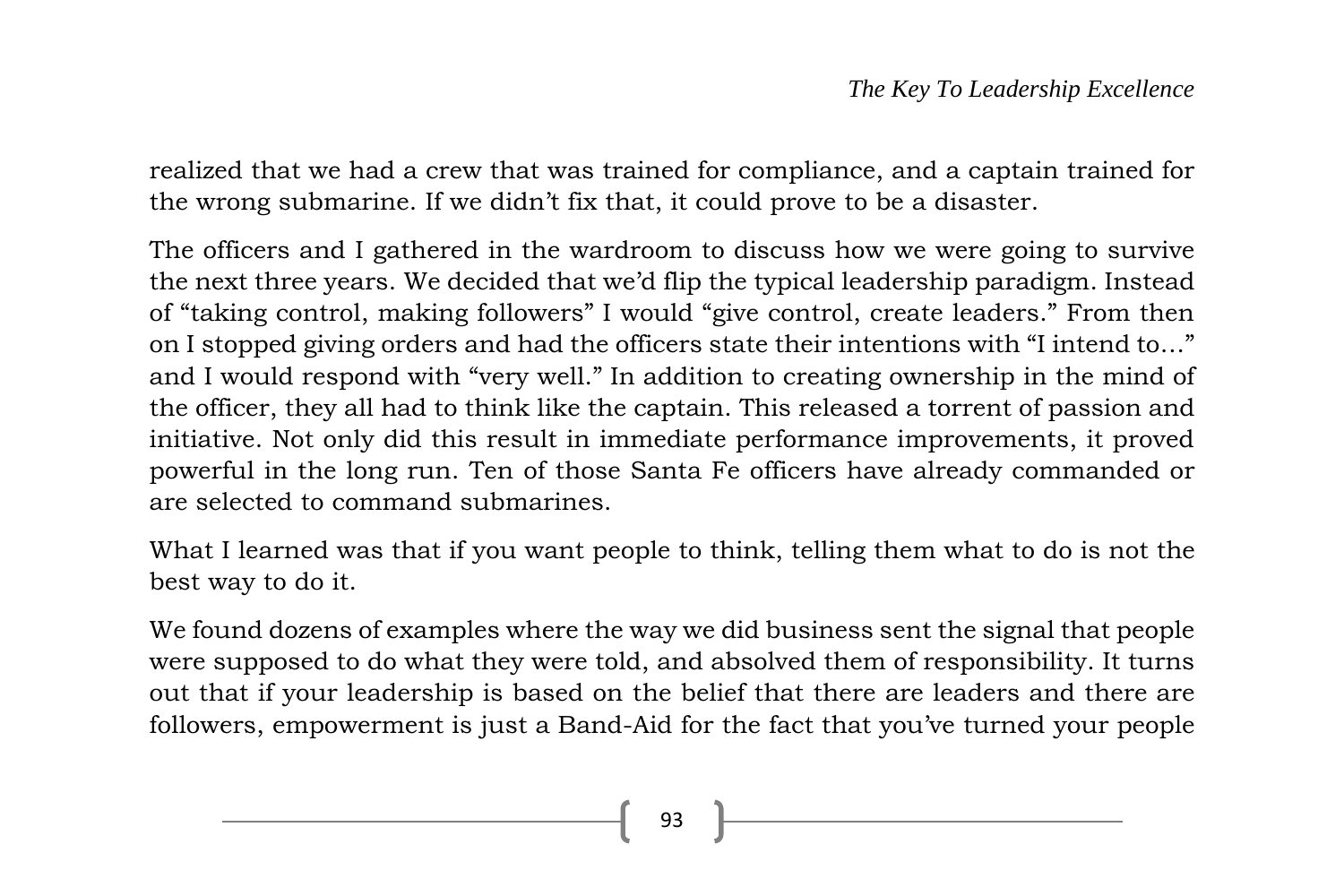realized that we had a crew that was trained for compliance, and a captain trained for the wrong submarine. If we didn't fix that, it could prove to be a disaster.

The officers and I gathered in the wardroom to discuss how we were going to survive the next three years. We decided that we'd flip the typical leadership paradigm. Instead of "taking control, making followers" I would "give control, create leaders." From then on I stopped giving orders and had the officers state their intentions with "I intend to…" and I would respond with "very well." In addition to creating ownership in the mind of the officer, they all had to think like the captain. This released a torrent of passion and initiative. Not only did this result in immediate performance improvements, it proved powerful in the long run. Ten of those Santa Fe officers have already commanded or are selected to command submarines.

What I learned was that if you want people to think, telling them what to do is not the best way to do it.

We found dozens of examples where the way we did business sent the signal that people were supposed to do what they were told, and absolved them of responsibility. It turns out that if your leadership is based on the belief that there are leaders and there are followers, empowerment is just a Band-Aid for the fact that you've turned your people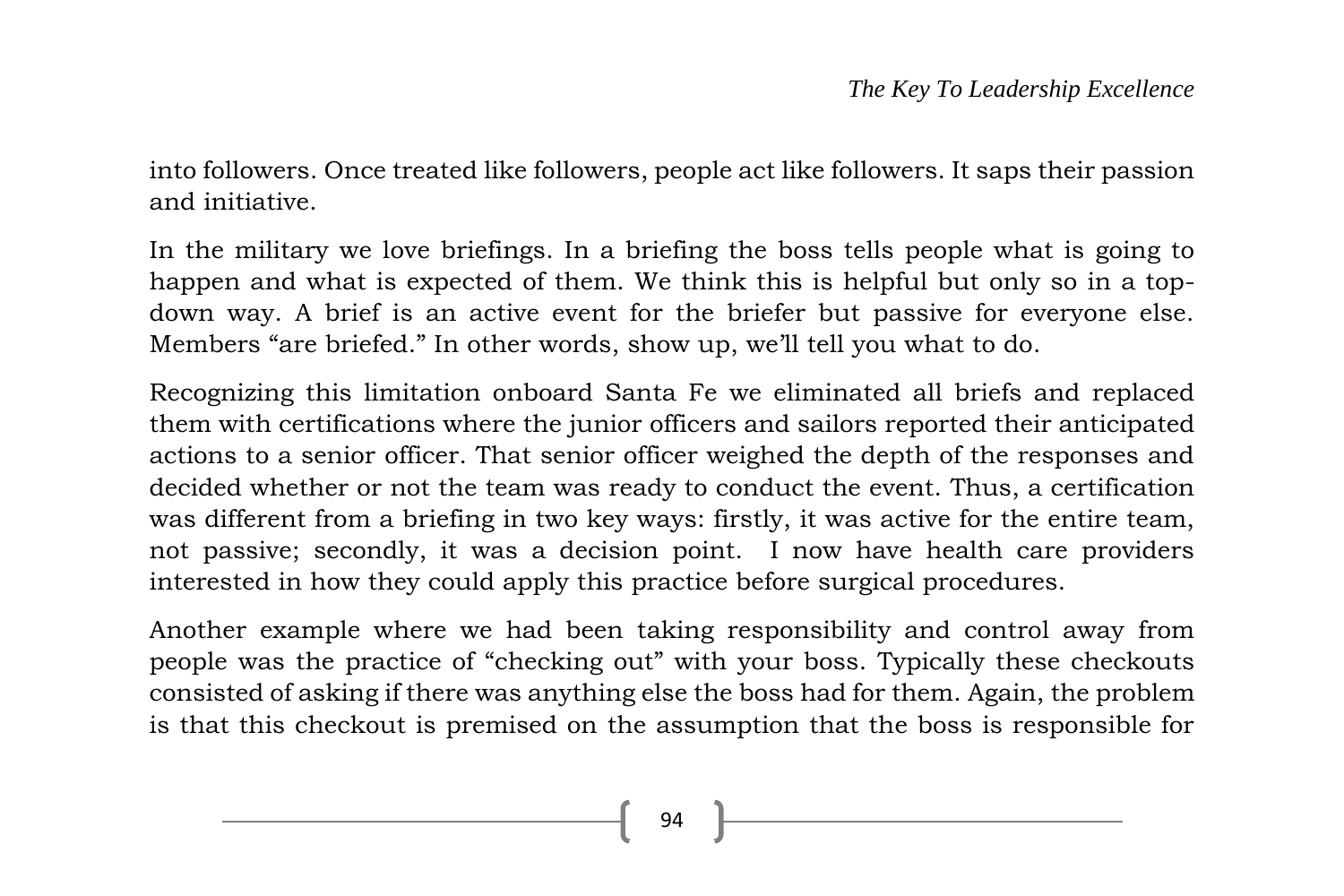into followers. Once treated like followers, people act like followers. It saps their passion and initiative.

In the military we love briefings. In a briefing the boss tells people what is going to happen and what is expected of them. We think this is helpful but only so in a topdown way. A brief is an active event for the briefer but passive for everyone else. Members "are briefed." In other words, show up, we'll tell you what to do.

Recognizing this limitation onboard Santa Fe we eliminated all briefs and replaced them with certifications where the junior officers and sailors reported their anticipated actions to a senior officer. That senior officer weighed the depth of the responses and decided whether or not the team was ready to conduct the event. Thus, a certification was different from a briefing in two key ways: firstly, it was active for the entire team, not passive; secondly, it was a decision point. I now have health care providers interested in how they could apply this practice before surgical procedures.

Another example where we had been taking responsibility and control away from people was the practice of "checking out" with your boss. Typically these checkouts consisted of asking if there was anything else the boss had for them. Again, the problem is that this checkout is premised on the assumption that the boss is responsible for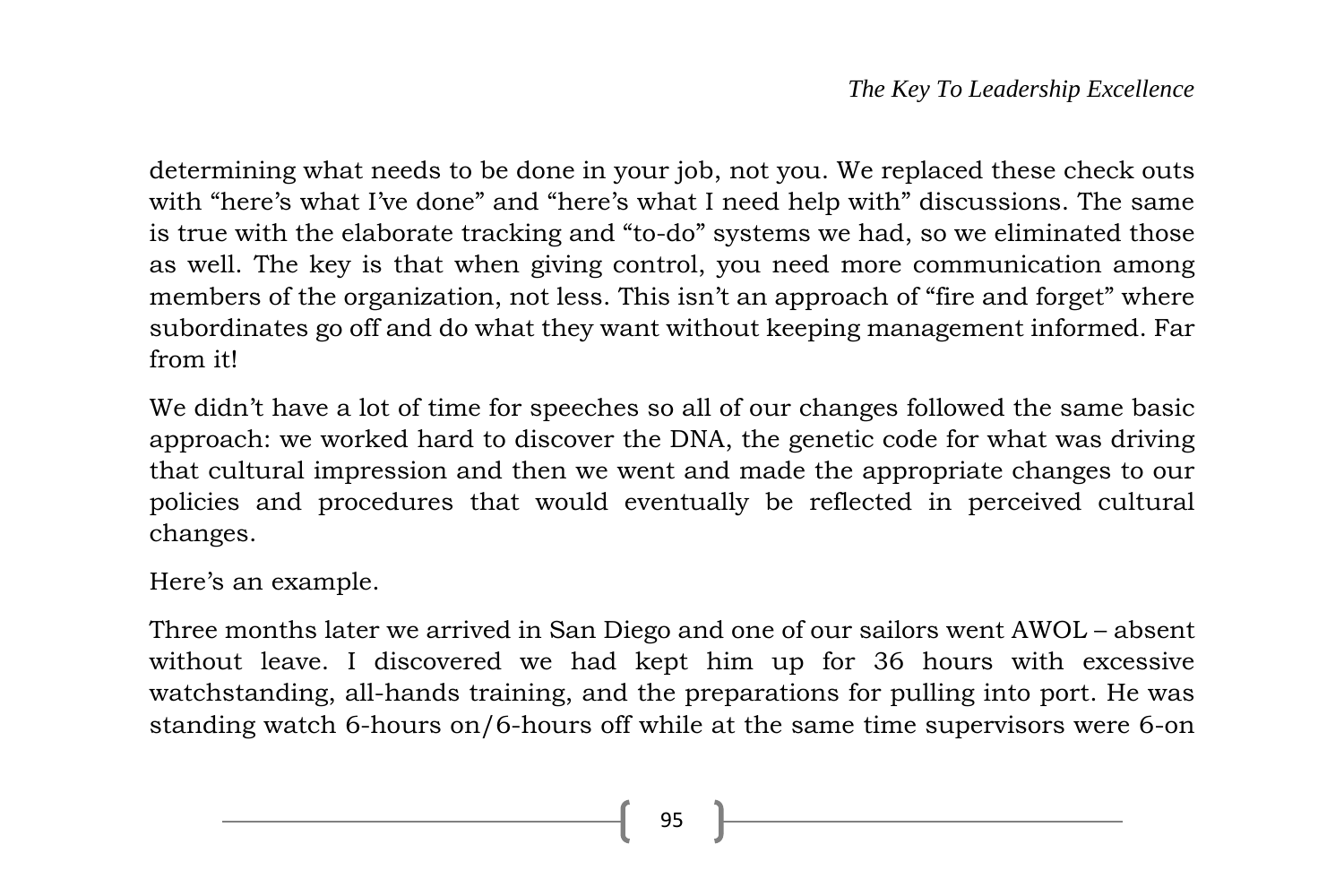determining what needs to be done in your job, not you. We replaced these check outs with "here's what I've done" and "here's what I need help with" discussions. The same is true with the elaborate tracking and "to-do" systems we had, so we eliminated those as well. The key is that when giving control, you need more communication among members of the organization, not less. This isn't an approach of "fire and forget" where subordinates go off and do what they want without keeping management informed. Far from it!

We didn't have a lot of time for speeches so all of our changes followed the same basic approach: we worked hard to discover the DNA, the genetic code for what was driving that cultural impression and then we went and made the appropriate changes to our policies and procedures that would eventually be reflected in perceived cultural changes.

Here's an example.

Three months later we arrived in San Diego and one of our sailors went AWOL – absent without leave. I discovered we had kept him up for 36 hours with excessive watchstanding, all-hands training, and the preparations for pulling into port. He was standing watch 6-hours on/6-hours off while at the same time supervisors were 6-on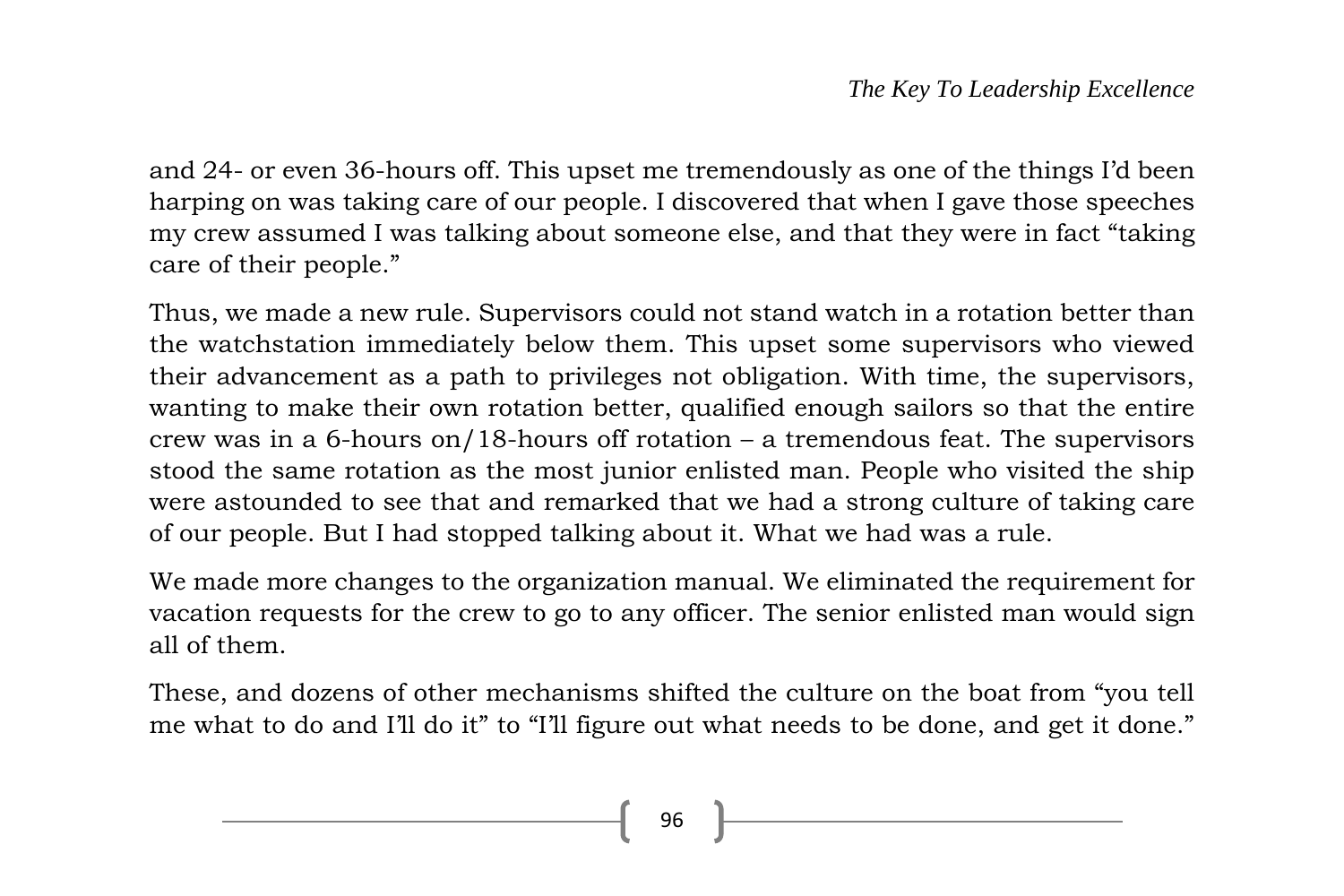and 24- or even 36-hours off. This upset me tremendously as one of the things I'd been harping on was taking care of our people. I discovered that when I gave those speeches my crew assumed I was talking about someone else, and that they were in fact "taking care of their people."

Thus, we made a new rule. Supervisors could not stand watch in a rotation better than the watchstation immediately below them. This upset some supervisors who viewed their advancement as a path to privileges not obligation. With time, the supervisors, wanting to make their own rotation better, qualified enough sailors so that the entire crew was in a 6-hours on/18-hours of rotation – a tremendous feat. The supervisors stood the same rotation as the most junior enlisted man. People who visited the ship were astounded to see that and remarked that we had a strong culture of taking care of our people. But I had stopped talking about it. What we had was a rule.

We made more changes to the organization manual. We eliminated the requirement for vacation requests for the crew to go to any officer. The senior enlisted man would sign all of them.

These, and dozens of other mechanisms shifted the culture on the boat from "you tell me what to do and I'll do it" to "I'll figure out what needs to be done, and get it done."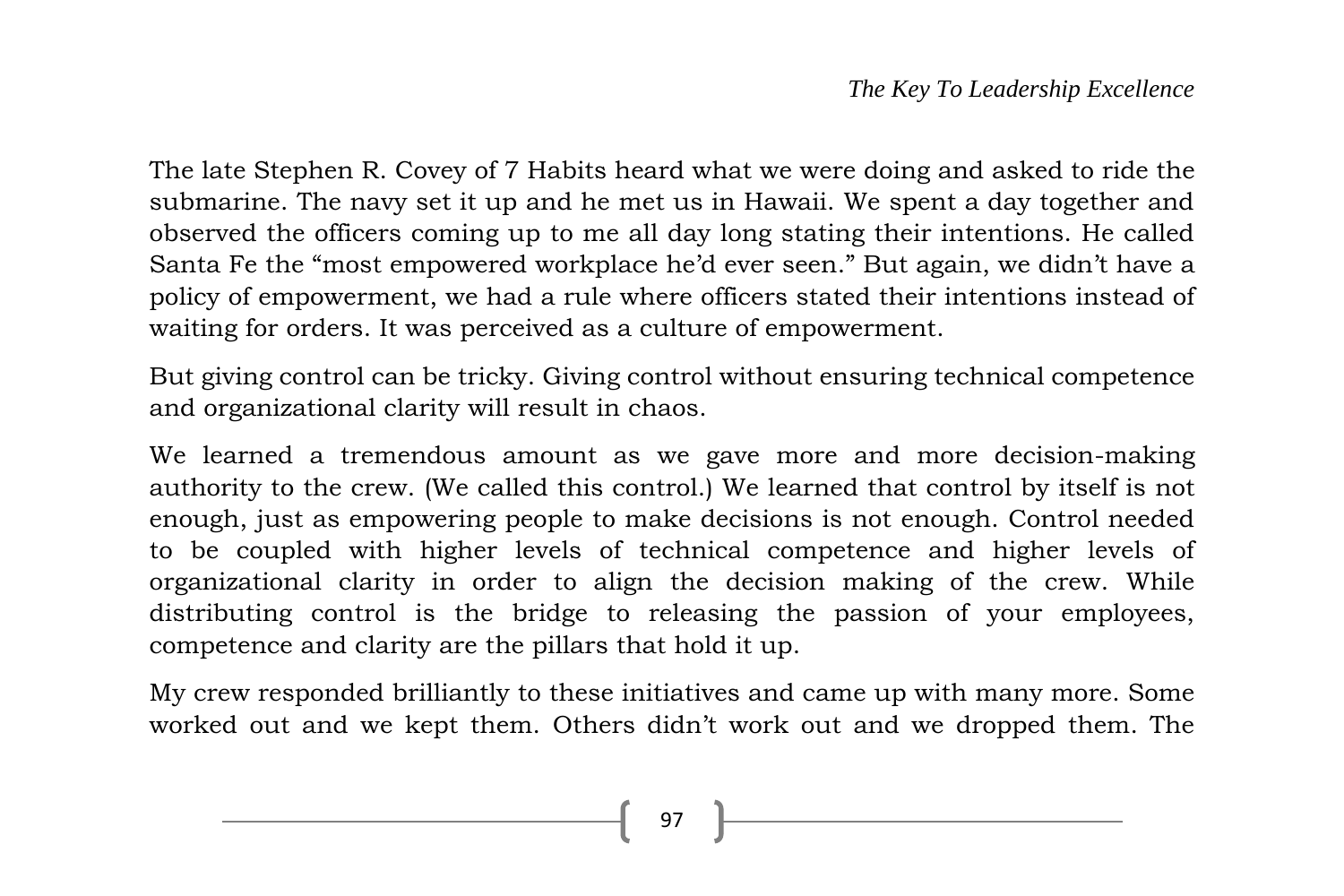The late Stephen R. Covey of 7 Habits heard what we were doing and asked to ride the submarine. The navy set it up and he met us in Hawaii. We spent a day together and observed the officers coming up to me all day long stating their intentions. He called Santa Fe the "most empowered workplace he'd ever seen." But again, we didn't have a policy of empowerment, we had a rule where officers stated their intentions instead of waiting for orders. It was perceived as a culture of empowerment.

But giving control can be tricky. Giving control without ensuring technical competence and organizational clarity will result in chaos.

We learned a tremendous amount as we gave more and more decision-making authority to the crew. (We called this control.) We learned that control by itself is not enough, just as empowering people to make decisions is not enough. Control needed to be coupled with higher levels of technical competence and higher levels of organizational clarity in order to align the decision making of the crew. While distributing control is the bridge to releasing the passion of your employees, competence and clarity are the pillars that hold it up.

My crew responded brilliantly to these initiatives and came up with many more. Some worked out and we kept them. Others didn't work out and we dropped them. The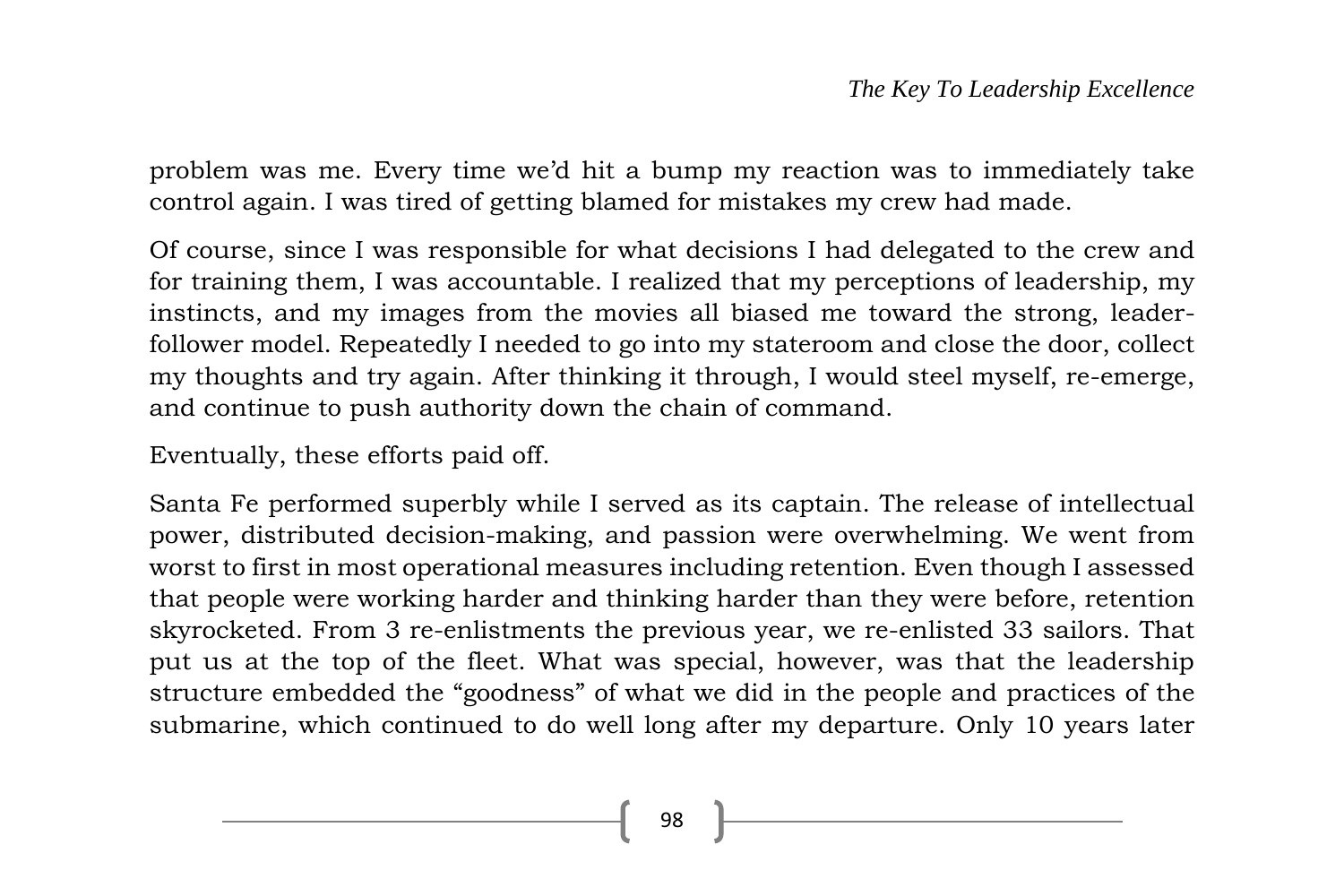problem was me. Every time we'd hit a bump my reaction was to immediately take control again. I was tired of getting blamed for mistakes my crew had made.

Of course, since I was responsible for what decisions I had delegated to the crew and for training them, I was accountable. I realized that my perceptions of leadership, my instincts, and my images from the movies all biased me toward the strong, leaderfollower model. Repeatedly I needed to go into my stateroom and close the door, collect my thoughts and try again. After thinking it through, I would steel myself, re-emerge, and continue to push authority down the chain of command.

Eventually, these efforts paid off.

Santa Fe performed superbly while I served as its captain. The release of intellectual power, distributed decision-making, and passion were overwhelming. We went from worst to first in most operational measures including retention. Even though I assessed that people were working harder and thinking harder than they were before, retention skyrocketed. From 3 re-enlistments the previous year, we re-enlisted 33 sailors. That put us at the top of the fleet. What was special, however, was that the leadership structure embedded the "goodness" of what we did in the people and practices of the submarine, which continued to do well long after my departure. Only 10 years later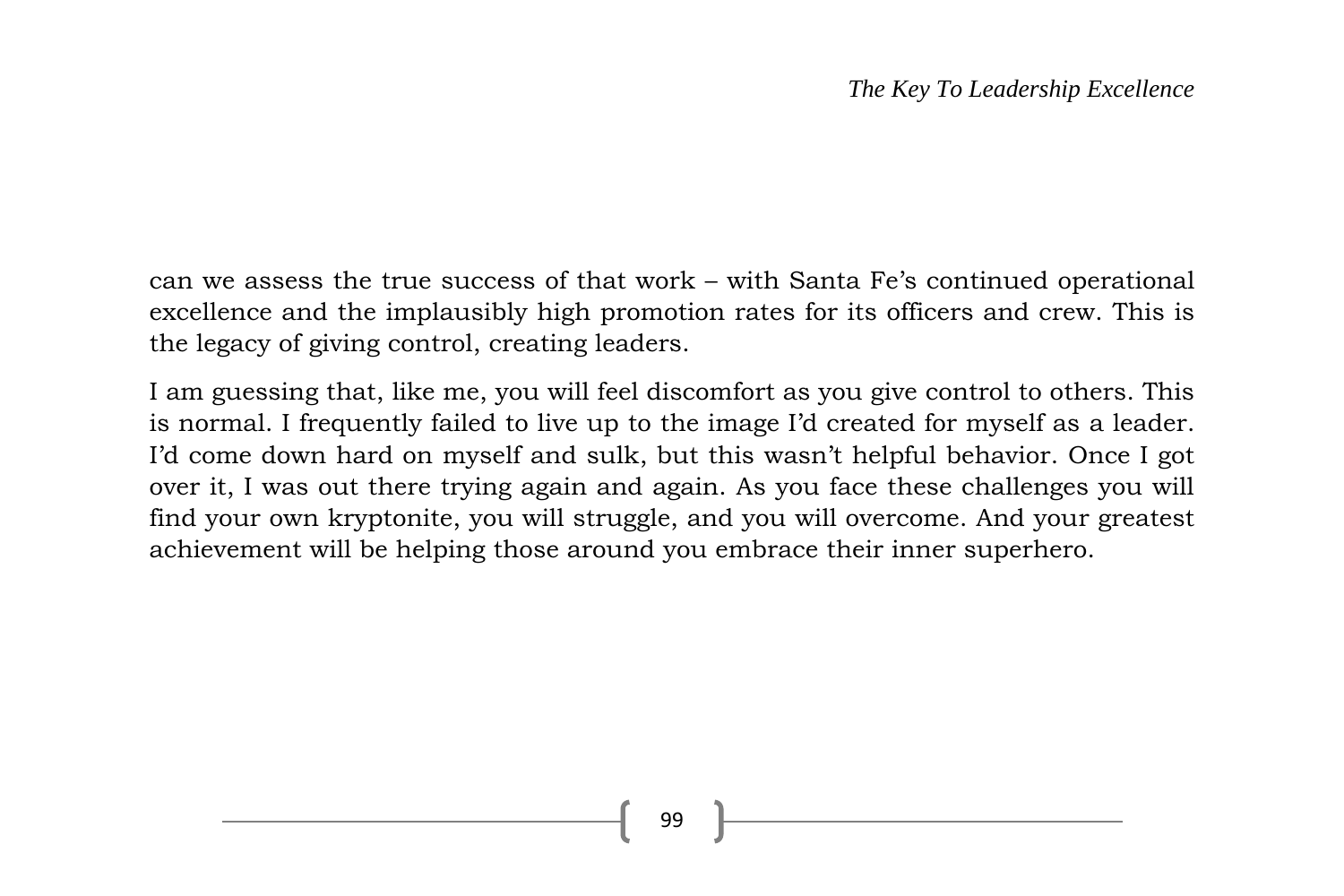can we assess the true success of that work – with Santa Fe's continued operational excellence and the implausibly high promotion rates for its officers and crew. This is the legacy of giving control, creating leaders.

I am guessing that, like me, you will feel discomfort as you give control to others. This is normal. I frequently failed to live up to the image I'd created for myself as a leader. I'd come down hard on myself and sulk, but this wasn't helpful behavior. Once I got over it, I was out there trying again and again. As you face these challenges you will find your own kryptonite, you will struggle, and you will overcome. And your greatest achievement will be helping those around you embrace their inner superhero.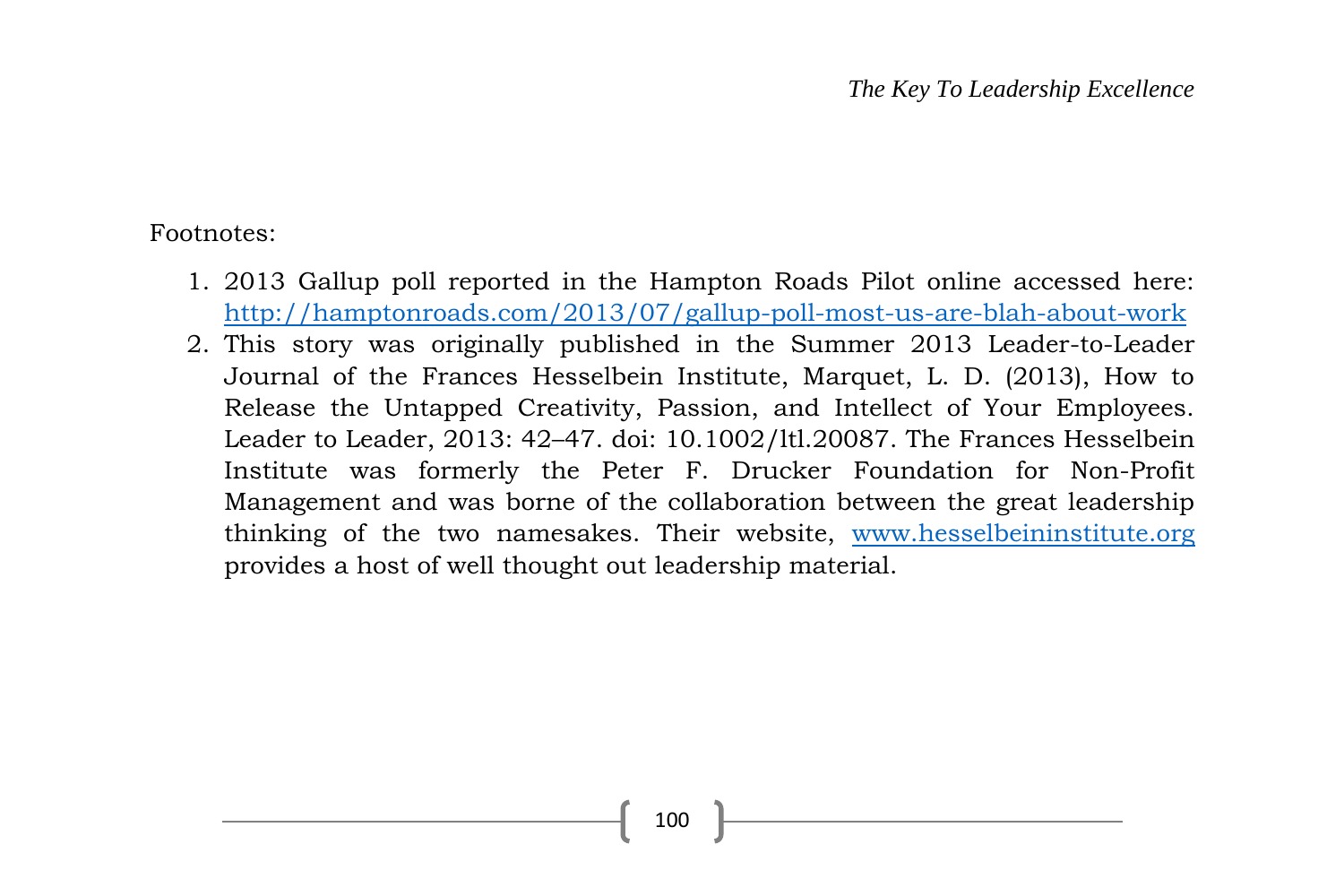Footnotes:

- 1. 2013 Gallup poll reported in the Hampton Roads Pilot online accessed here: <http://hamptonroads.com/2013/07/gallup-poll-most-us-are-blah-about-work>
- 2. This story was originally published in the Summer 2013 Leader-to-Leader Journal of the Frances Hesselbein Institute, Marquet, L. D. (2013), How to Release the Untapped Creativity, Passion, and Intellect of Your Employees. Leader to Leader, 2013: 42–47. doi: 10.1002/ltl.20087. The Frances Hesselbein Institute was formerly the Peter F. Drucker Foundation for Non-Profit Management and was borne of the collaboration between the great leadership thinking of the two namesakes. Their website, [www.hesselbeininstitute.org](http://www.hesselbeininstitute.org/) provides a host of well thought out leadership material.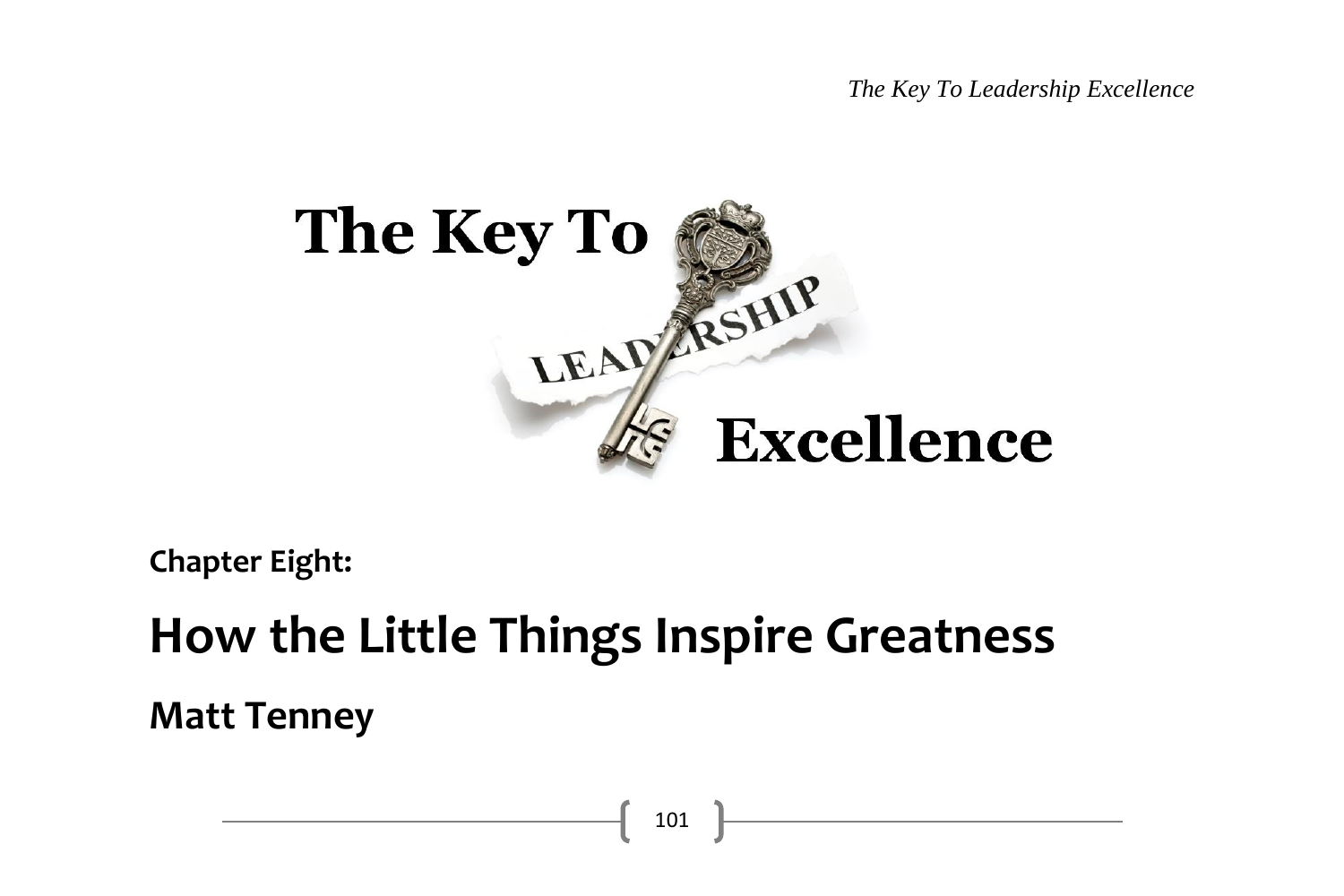*The Key To Leadership Excellence*



**Chapter Eight:**

# **How the Little Things Inspire Greatness Matt Tenney**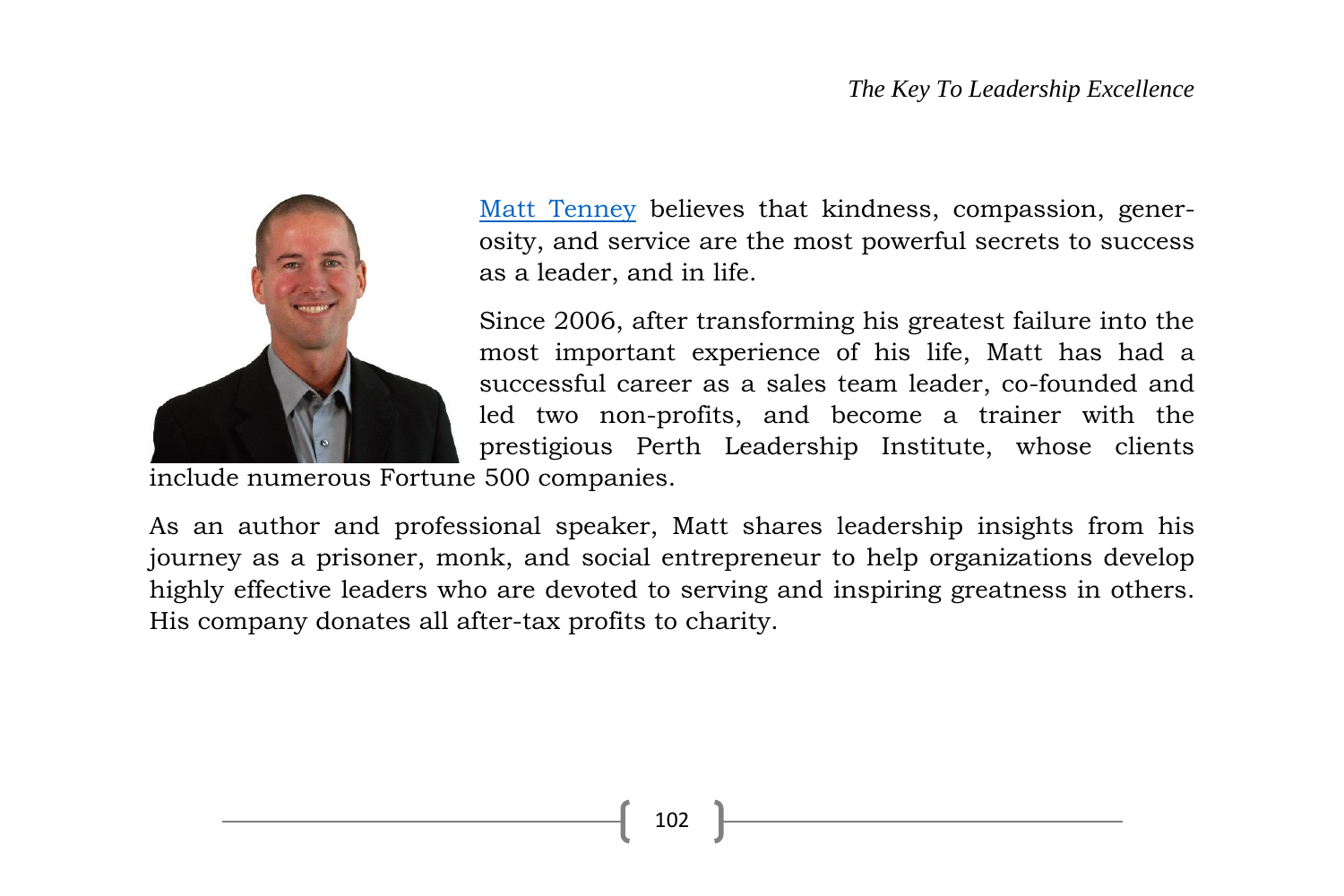

[Matt Tenney](http://www.matttenney.com/) believes that kindness, compassion, generosity, and service are the most powerful secrets to success as a leader, and in life.

Since 2006, after transforming his greatest failure into the most important experience of his life, Matt has had a successful career as a sales team leader, co-founded and led two non-profits, and become a trainer with the prestigious Perth Leadership Institute, whose clients

include numerous Fortune 500 companies.

As an author and professional speaker, Matt shares leadership insights from his journey as a prisoner, monk, and social entrepreneur to help organizations develop highly effective leaders who are devoted to serving and inspiring greatness in others. His company donates all after-tax profits to charity.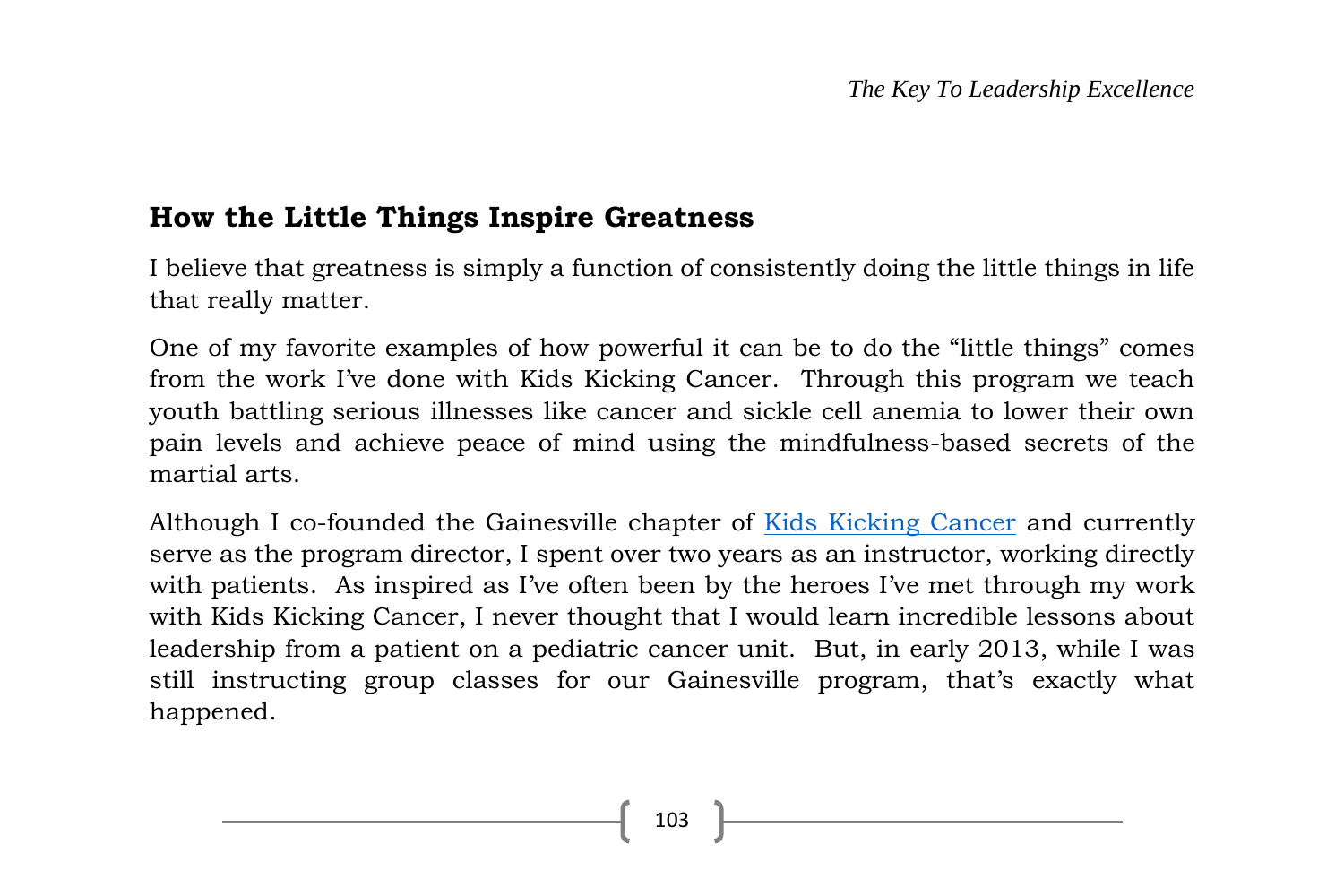### **How the Little Things Inspire Greatness**

I believe that greatness is simply a function of consistently doing the little things in life that really matter.

One of my favorite examples of how powerful it can be to do the "little things" comes from the work I've done with Kids Kicking Cancer. Through this program we teach youth battling serious illnesses like cancer and sickle cell anemia to lower their own pain levels and achieve peace of mind using the mindfulness-based secrets of the martial arts.

Although I co-founded the Gainesville chapter of [Kids Kicking Cancer](https://www.facebook.com/pages/Kids-Kicking-Cancer-Gainesville/120623094710622?ref=hl) and currently serve as the program director, I spent over two years as an instructor, working directly with patients. As inspired as I've often been by the heroes I've met through my work with Kids Kicking Cancer, I never thought that I would learn incredible lessons about leadership from a patient on a pediatric cancer unit. But, in early 2013, while I was still instructing group classes for our Gainesville program, that's exactly what happened.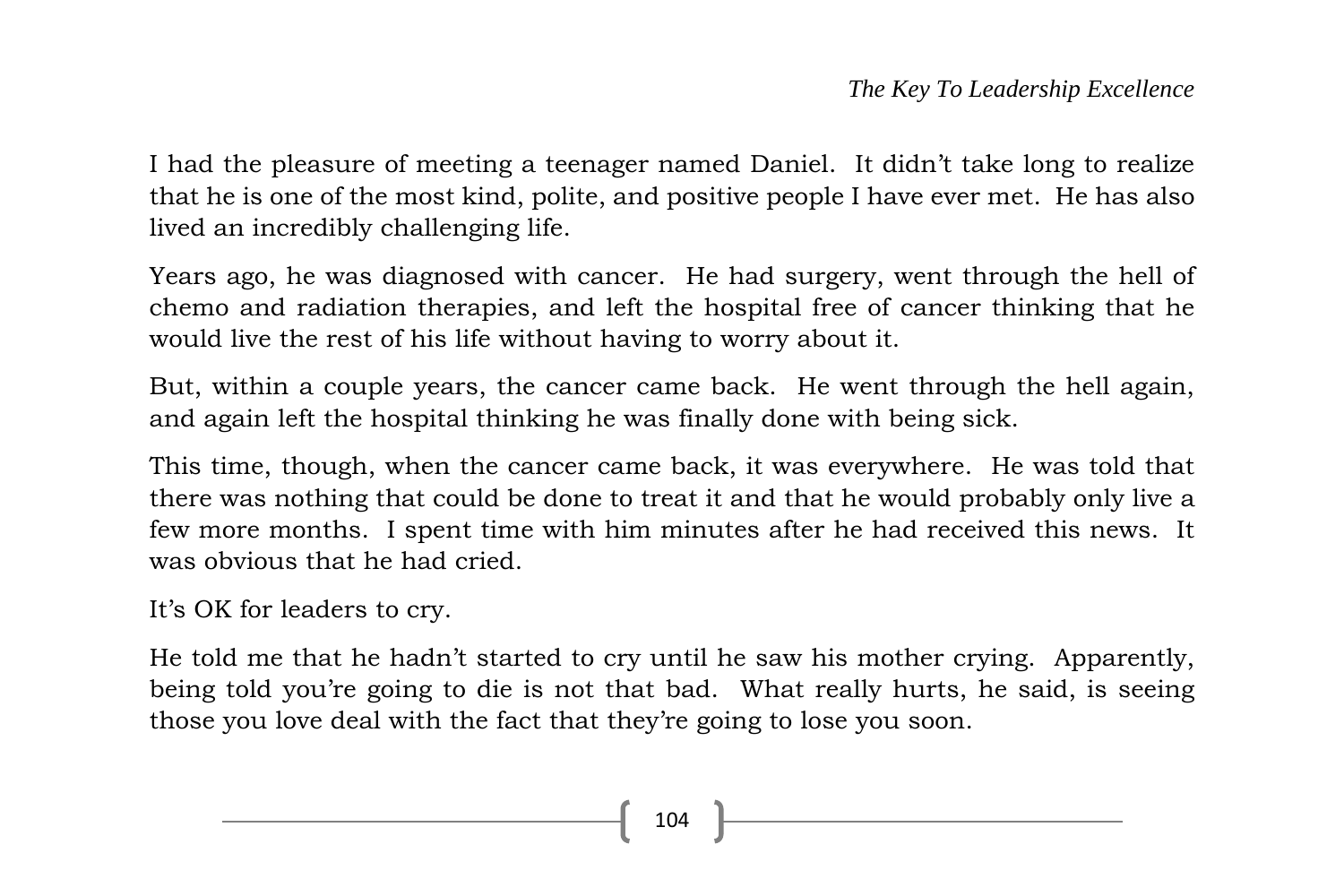I had the pleasure of meeting a teenager named Daniel. It didn't take long to realize that he is one of the most kind, polite, and positive people I have ever met. He has also lived an incredibly challenging life.

Years ago, he was diagnosed with cancer. He had surgery, went through the hell of chemo and radiation therapies, and left the hospital free of cancer thinking that he would live the rest of his life without having to worry about it.

But, within a couple years, the cancer came back. He went through the hell again, and again left the hospital thinking he was finally done with being sick.

This time, though, when the cancer came back, it was everywhere. He was told that there was nothing that could be done to treat it and that he would probably only live a few more months. I spent time with him minutes after he had received this news. It was obvious that he had cried.

It's OK for leaders to cry.

He told me that he hadn't started to cry until he saw his mother crying. Apparently, being told you're going to die is not that bad. What really hurts, he said, is seeing those you love deal with the fact that they're going to lose you soon.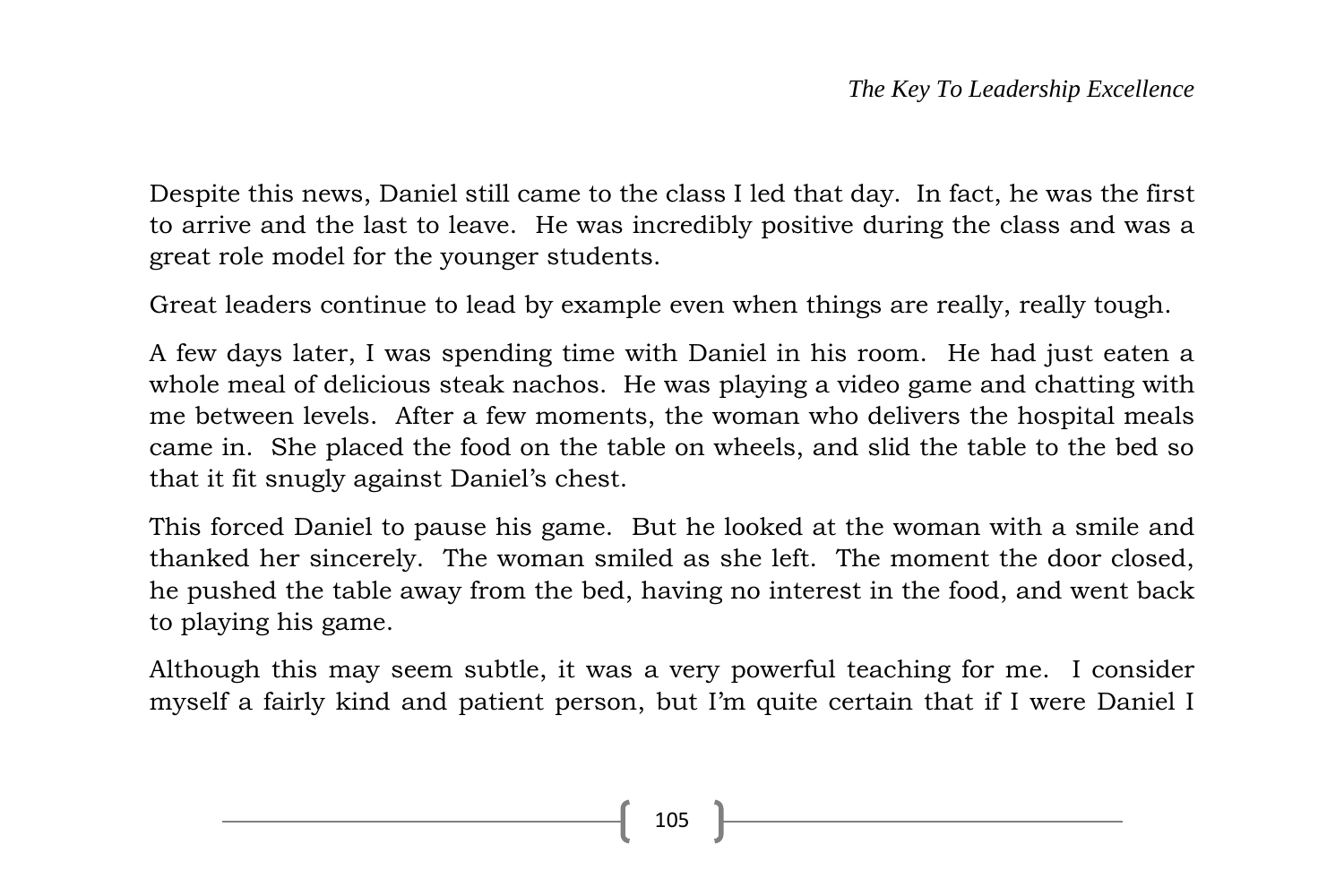Despite this news, Daniel still came to the class I led that day. In fact, he was the first to arrive and the last to leave. He was incredibly positive during the class and was a great role model for the younger students.

Great leaders continue to lead by example even when things are really, really tough.

A few days later, I was spending time with Daniel in his room. He had just eaten a whole meal of delicious steak nachos. He was playing a video game and chatting with me between levels. After a few moments, the woman who delivers the hospital meals came in. She placed the food on the table on wheels, and slid the table to the bed so that it fit snugly against Daniel's chest.

This forced Daniel to pause his game. But he looked at the woman with a smile and thanked her sincerely. The woman smiled as she left. The moment the door closed, he pushed the table away from the bed, having no interest in the food, and went back to playing his game.

Although this may seem subtle, it was a very powerful teaching for me. I consider myself a fairly kind and patient person, but I'm quite certain that if I were Daniel I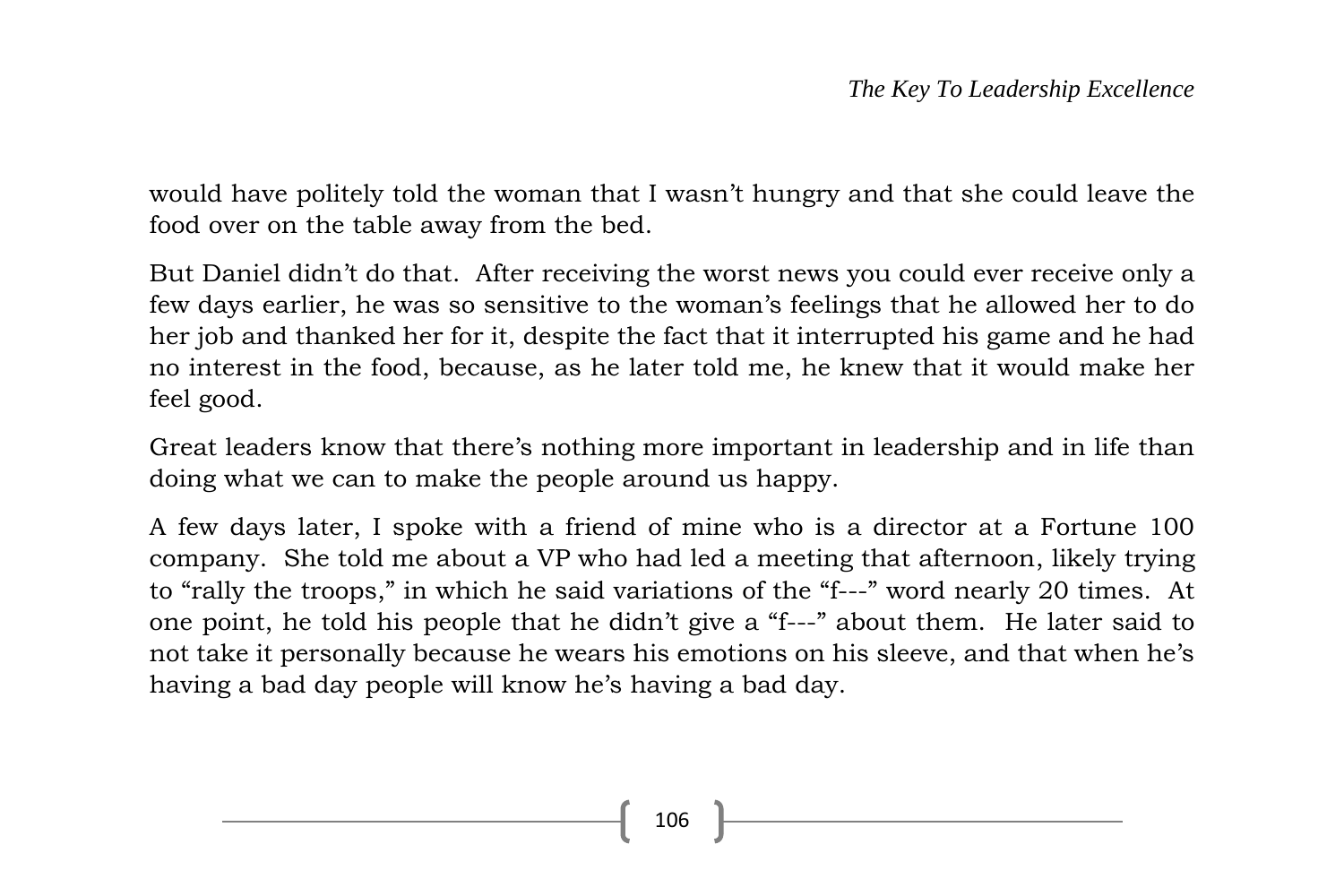would have politely told the woman that I wasn't hungry and that she could leave the food over on the table away from the bed.

But Daniel didn't do that. After receiving the worst news you could ever receive only a few days earlier, he was so sensitive to the woman's feelings that he allowed her to do her job and thanked her for it, despite the fact that it interrupted his game and he had no interest in the food, because, as he later told me, he knew that it would make her feel good.

Great leaders know that there's nothing more important in leadership and in life than doing what we can to make the people around us happy.

A few days later, I spoke with a friend of mine who is a director at a Fortune 100 company. She told me about a VP who had led a meeting that afternoon, likely trying to "rally the troops," in which he said variations of the "f---" word nearly 20 times. At one point, he told his people that he didn't give a "f---" about them. He later said to not take it personally because he wears his emotions on his sleeve, and that when he's having a bad day people will know he's having a bad day.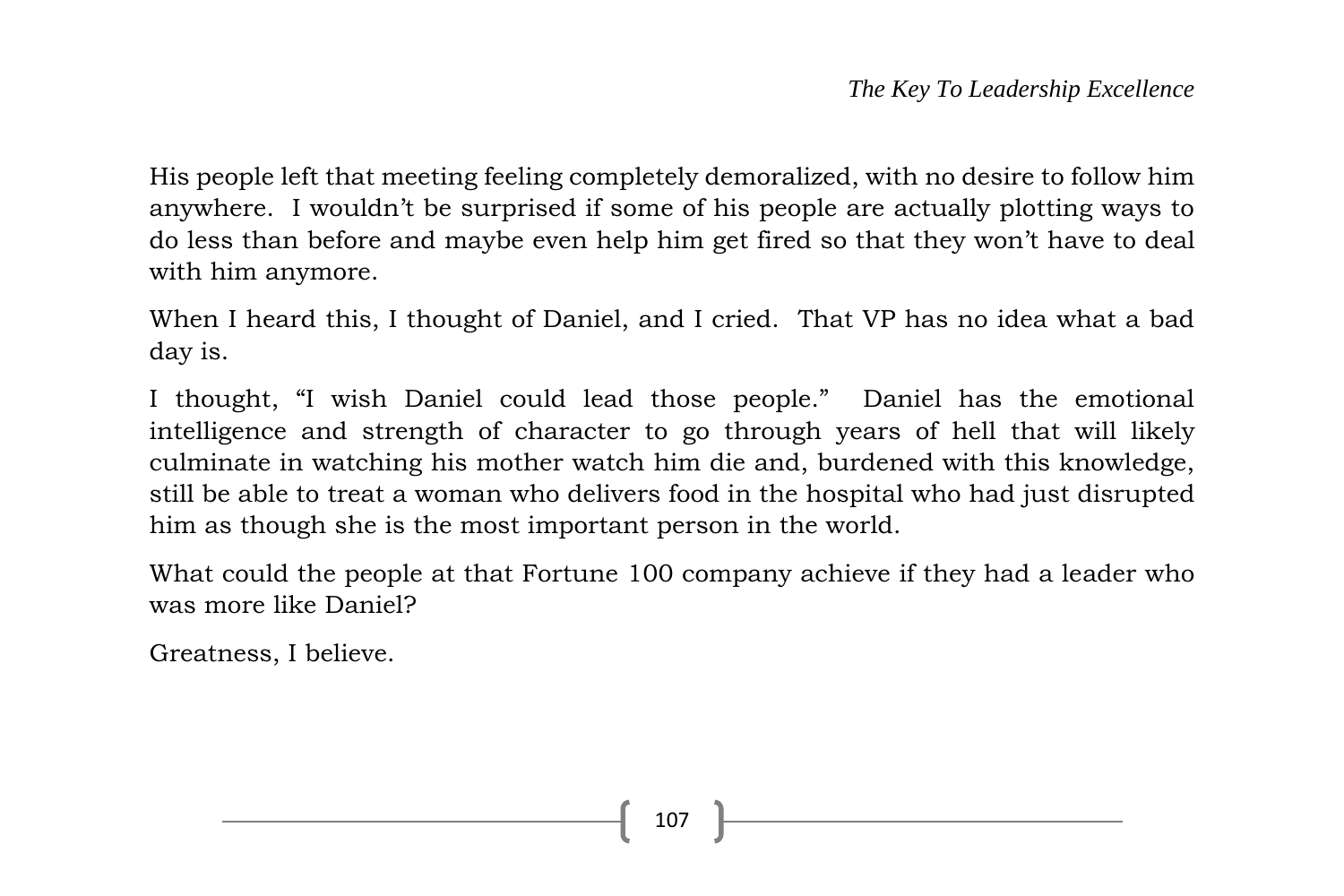His people left that meeting feeling completely demoralized, with no desire to follow him anywhere. I wouldn't be surprised if some of his people are actually plotting ways to do less than before and maybe even help him get fired so that they won't have to deal with him anymore.

When I heard this, I thought of Daniel, and I cried. That VP has no idea what a bad day is.

I thought, "I wish Daniel could lead those people." Daniel has the emotional intelligence and strength of character to go through years of hell that will likely culminate in watching his mother watch him die and, burdened with this knowledge, still be able to treat a woman who delivers food in the hospital who had just disrupted him as though she is the most important person in the world.

What could the people at that Fortune 100 company achieve if they had a leader who was more like Daniel?

Greatness, I believe.